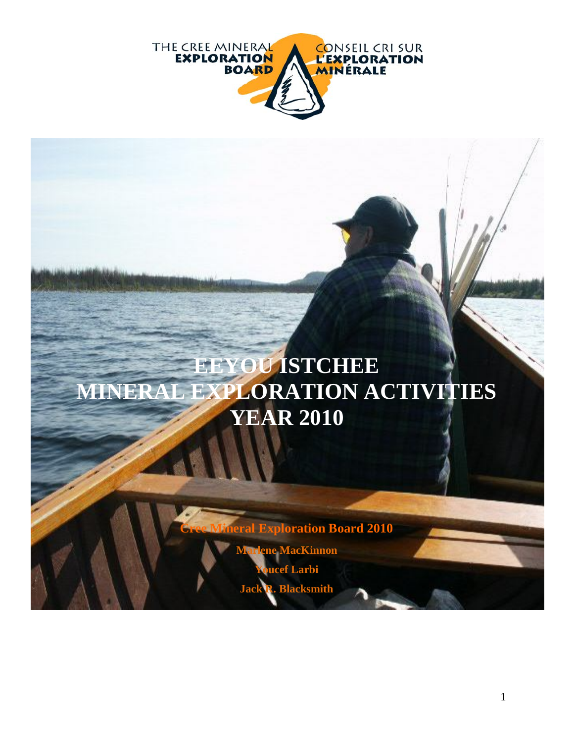

# **EEYOU ISTCHEE MINERAL EXPLORATION ACTIVITIES YEAR 2010**

**Exploration Board 2010** 

**Principle MacKinnon** *<u>ucef</u>* Larbi

**Jack R. Blacksmith**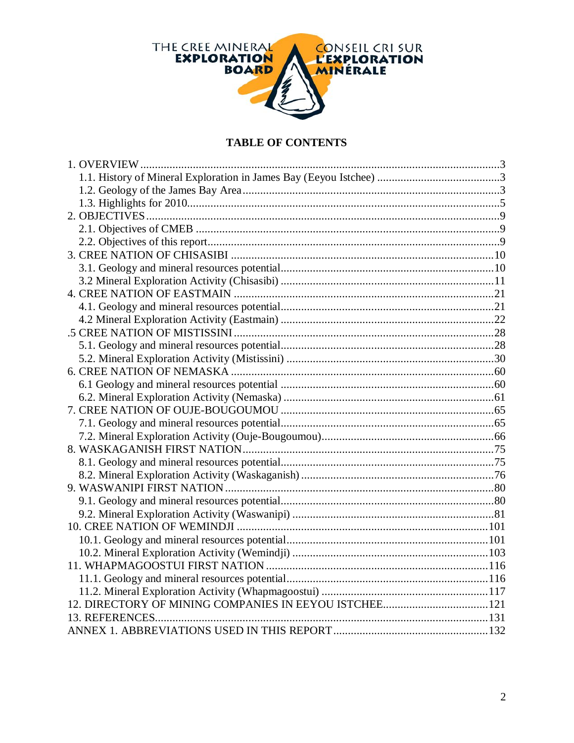

#### **TABLE OF CONTENTS**

| 12. DIRECTORY OF MINING COMPANIES IN EEYOU ISTCHEE121 |  |
|-------------------------------------------------------|--|
|                                                       |  |
|                                                       |  |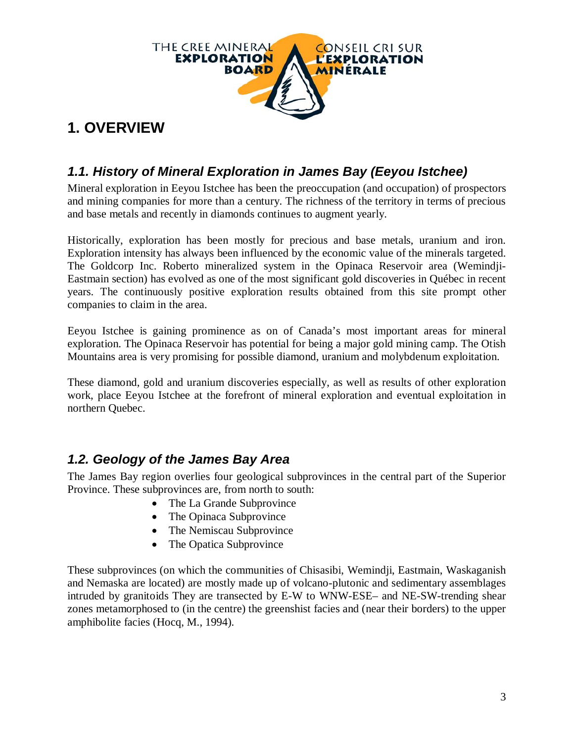

# **1. OVERVIEW**

# *1.1. History of Mineral Exploration in James Bay (Eeyou Istchee)*

Mineral exploration in Eeyou Istchee has been the preoccupation (and occupation) of prospectors and mining companies for more than a century. The richness of the territory in terms of precious and base metals and recently in diamonds continues to augment yearly.

Historically, exploration has been mostly for precious and base metals, uranium and iron. Exploration intensity has always been influenced by the economic value of the minerals targeted. The Goldcorp Inc. Roberto mineralized system in the Opinaca Reservoir area (Wemindji-Eastmain section) has evolved as one of the most significant gold discoveries in Québec in recent years. The continuously positive exploration results obtained from this site prompt other companies to claim in the area.

Eeyou Istchee is gaining prominence as on of Canada's most important areas for mineral exploration. The Opinaca Reservoir has potential for being a major gold mining camp. The Otish Mountains area is very promising for possible diamond, uranium and molybdenum exploitation.

These diamond, gold and uranium discoveries especially, as well as results of other exploration work, place Eeyou Istchee at the forefront of mineral exploration and eventual exploitation in northern Quebec.

# *1.2. Geology of the James Bay Area*

The James Bay region overlies four geological subprovinces in the central part of the Superior Province. These subprovinces are, from north to south:

- The La Grande Subprovince
- The Opinaca Subprovince
- The Nemiscau Subprovince
- The Opatica Subprovince

These subprovinces (on which the communities of Chisasibi, Wemindji, Eastmain, Waskaganish and Nemaska are located) are mostly made up of volcano-plutonic and sedimentary assemblages intruded by granitoids They are transected by E-W to WNW-ESE– and NE-SW-trending shear zones metamorphosed to (in the centre) the greenshist facies and (near their borders) to the upper amphibolite facies (Hocq, M., 1994).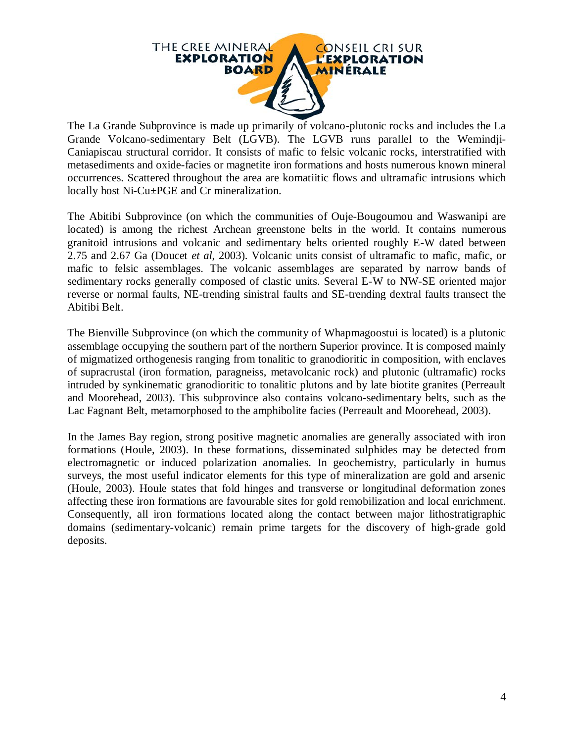

The La Grande Subprovince is made up primarily of volcano-plutonic rocks and includes the La Grande Volcano-sedimentary Belt (LGVB). The LGVB runs parallel to the Wemindji-Caniapiscau structural corridor. It consists of mafic to felsic volcanic rocks, interstratified with metasediments and oxide-facies or magnetite iron formations and hosts numerous known mineral occurrences. Scattered throughout the area are komatiitic flows and ultramafic intrusions which locally host Ni-Cu±PGE and Cr mineralization.

The Abitibi Subprovince (on which the communities of Ouje-Bougoumou and Waswanipi are located) is among the richest Archean greenstone belts in the world. It contains numerous granitoid intrusions and volcanic and sedimentary belts oriented roughly E-W dated between 2.75 and 2.67 Ga (Doucet *et al*, 2003). Volcanic units consist of ultramafic to mafic, mafic, or mafic to felsic assemblages. The volcanic assemblages are separated by narrow bands of sedimentary rocks generally composed of clastic units. Several E-W to NW-SE oriented major reverse or normal faults, NE-trending sinistral faults and SE-trending dextral faults transect the Abitibi Belt.

The Bienville Subprovince (on which the community of Whapmagoostui is located) is a plutonic assemblage occupying the southern part of the northern Superior province. It is composed mainly of migmatized orthogenesis ranging from tonalitic to granodioritic in composition, with enclaves of supracrustal (iron formation, paragneiss, metavolcanic rock) and plutonic (ultramafic) rocks intruded by synkinematic granodioritic to tonalitic plutons and by late biotite granites (Perreault and Moorehead, 2003). This subprovince also contains volcano-sedimentary belts, such as the Lac Fagnant Belt, metamorphosed to the amphibolite facies (Perreault and Moorehead, 2003).

In the James Bay region, strong positive magnetic anomalies are generally associated with iron formations (Houle, 2003). In these formations, disseminated sulphides may be detected from electromagnetic or induced polarization anomalies. In geochemistry, particularly in humus surveys, the most useful indicator elements for this type of mineralization are gold and arsenic (Houle, 2003). Houle states that fold hinges and transverse or longitudinal deformation zones affecting these iron formations are favourable sites for gold remobilization and local enrichment. Consequently, all iron formations located along the contact between major lithostratigraphic domains (sedimentary-volcanic) remain prime targets for the discovery of high-grade gold deposits.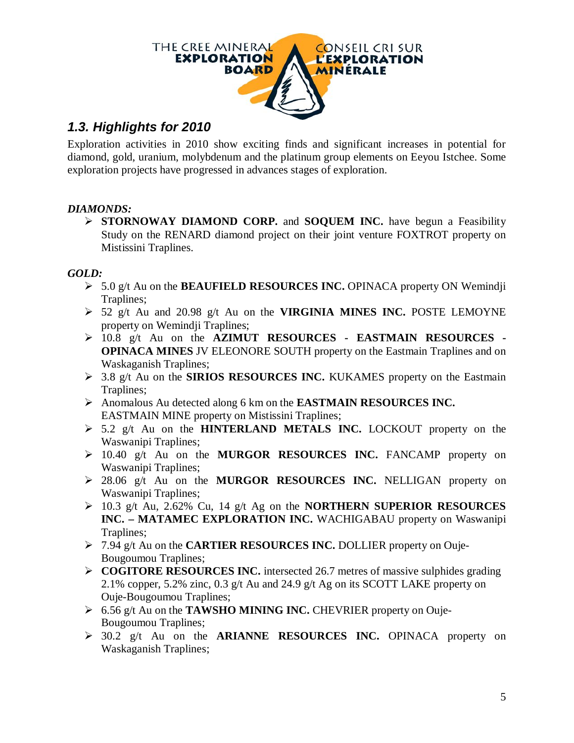

# *1.3. Highlights for 2010*

Exploration activities in 2010 show exciting finds and significant increases in potential for diamond, gold, uranium, molybdenum and the platinum group elements on Eeyou Istchee. Some exploration projects have progressed in advances stages of exploration.

#### *DIAMONDS:*

 **STORNOWAY DIAMOND CORP.** and **SOQUEM INC.** have begun a Feasibility Study on the RENARD diamond project on their joint venture FOXTROT property on Mistissini Traplines.

#### *GOLD:*

- 5.0 g/t Au on the **BEAUFIELD RESOURCES INC.** OPINACA property ON Wemindji Traplines;
- 52 g/t Au and 20.98 g/t Au on the **VIRGINIA MINES INC.** POSTE LEMOYNE property on Wemindji Traplines;
- 10.8 g/t Au on the **AZIMUT RESOURCES - EASTMAIN RESOURCES - OPINACA MINES** JV ELEONORE SOUTH property on the Eastmain Traplines and on Waskaganish Traplines;
- 3.8 g/t Au on the **SIRIOS RESOURCES INC.** KUKAMES property on the Eastmain Traplines;
- Anomalous Au detected along 6 km on the **EASTMAIN RESOURCES INC.** EASTMAIN MINE property on Mistissini Traplines;
- 5.2 g/t Au on the **HINTERLAND METALS INC.** LOCKOUT property on the Waswanipi Traplines;
- 10.40 g/t Au on the **MURGOR RESOURCES INC.** FANCAMP property on Waswanipi Traplines;
- 28.06 g/t Au on the **MURGOR RESOURCES INC.** NELLIGAN property on Waswanipi Traplines;
- 10.3 g/t Au, 2.62% Cu, 14 g/t Ag on the **NORTHERN SUPERIOR RESOURCES INC. – MATAMEC EXPLORATION INC.** WACHIGABAU property on Waswanipi Traplines;
- 7.94 g/t Au on the **CARTIER RESOURCES INC.** DOLLIER property on Ouje-Bougoumou Traplines;
- **COGITORE RESOURCES INC.** intersected 26.7 metres of massive sulphides grading 2.1% copper, 5.2% zinc, 0.3 g/t Au and 24.9 g/t Ag on its SCOTT LAKE property on Ouje-Bougoumou Traplines;
- 6.56 g/t Au on the **TAWSHO MINING INC.** CHEVRIER property on Ouje-Bougoumou Traplines;
- 30.2 g/t Au on the **ARIANNE RESOURCES INC.** OPINACA property on Waskaganish Traplines;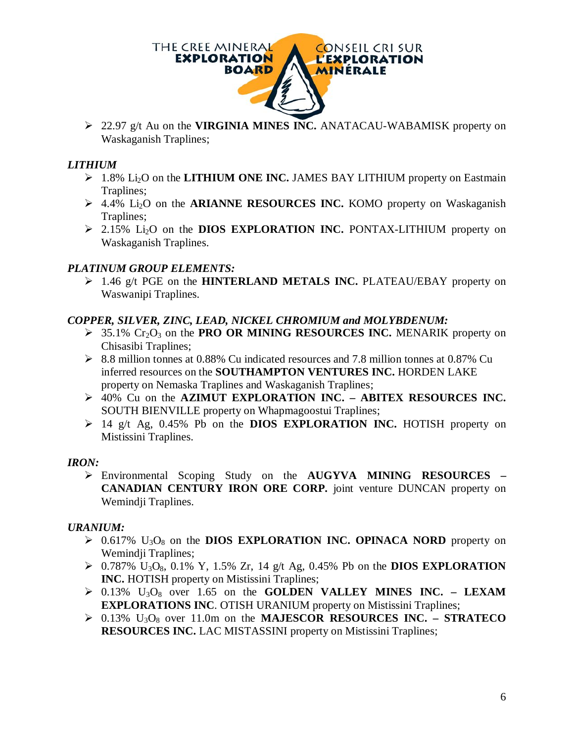

 22.97 g/t Au on the **VIRGINIA MINES INC.** ANATACAU-WABAMISK property on Waskaganish Traplines;

#### *LITHIUM*

- $\geq 1.8\%$  Li<sub>2</sub>O on the **LITHIUM ONE INC.** JAMES BAY LITHIUM property on Eastmain Traplines;
- 4.4% Li2O on the **ARIANNE RESOURCES INC.** KOMO property on Waskaganish Traplines;
- 2.15% Li2O on the **DIOS EXPLORATION INC.** PONTAX-LITHIUM property on Waskaganish Traplines.

#### *PLATINUM GROUP ELEMENTS:*

 1.46 g/t PGE on the **HINTERLAND METALS INC.** PLATEAU/EBAY property on Waswanipi Traplines.

#### *COPPER, SILVER, ZINC, LEAD, NICKEL CHROMIUM and MOLYBDENUM:*

- $\geq$  35.1% Cr<sub>2</sub>O<sub>3</sub> on the **PRO OR MINING RESOURCES INC.** MENARIK property on Chisasibi Traplines;
- $\geq$  8.8 million tonnes at 0.88% Cu indicated resources and 7.8 million tonnes at 0.87% Cu inferred resources on the **SOUTHAMPTON VENTURES INC.** HORDEN LAKE property on Nemaska Traplines and Waskaganish Traplines;
- 40% Cu on the **AZIMUT EXPLORATION INC. – ABITEX RESOURCES INC.**  SOUTH BIENVILLE property on Whapmagoostui Traplines;
- 14 g/t Ag, 0.45% Pb on the **DIOS EXPLORATION INC.** HOTISH property on Mistissini Traplines.

#### *IRON:*

 Environmental Scoping Study on the **AUGYVA MINING RESOURCES – CANADIAN CENTURY IRON ORE CORP.** joint venture DUNCAN property on Wemindji Traplines.

#### *URANIUM:*

- $\geq 0.617\%$  U<sub>3</sub>O<sub>8</sub> on the **DIOS EXPLORATION INC. OPINACA NORD** property on Wemindji Traplines;
- $\geq 0.787\%$  U<sub>3</sub>O<sub>8</sub>, 0.1% Y, 1.5% Zr, 14 g/t Ag, 0.45% Pb on the **DIOS EXPLORATION INC.** HOTISH property on Mistissini Traplines;
- $\geq 0.13\%$  U<sub>3</sub>O<sub>8</sub> over 1.65 on the **GOLDEN VALLEY MINES INC. LEXAM EXPLORATIONS INC**. OTISH URANIUM property on Mistissini Traplines;
- 0.13% U3O<sup>8</sup> over 11.0m on the **MAJESCOR RESOURCES INC. – STRATECO RESOURCES INC.** LAC MISTASSINI property on Mistissini Traplines;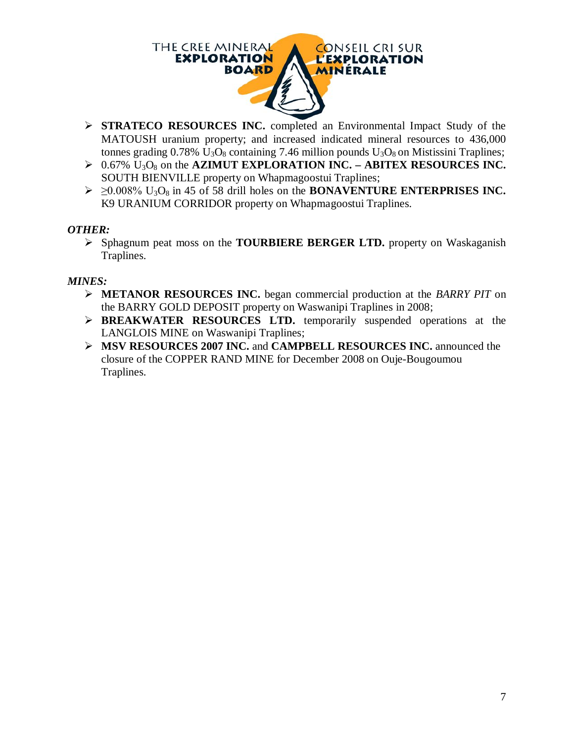

- **STRATECO RESOURCES INC.** completed an Environmental Impact Study of the MATOUSH uranium property; and increased indicated mineral resources to 436,000 tonnes grading  $0.78\%$  U<sub>3</sub>O<sub>8</sub> containing 7.46 million pounds U<sub>3</sub>O<sub>8</sub> on Mistissini Traplines;
- 0.67% U3O<sup>8</sup> on the **AZIMUT EXPLORATION INC. – ABITEX RESOURCES INC.**  SOUTH BIENVILLE property on Whapmagoostui Traplines;
- $\geq 20.008\%$  U<sub>3</sub>O<sub>8</sub> in 45 of 58 drill holes on the **BONAVENTURE ENTERPRISES INC.** K9 URANIUM CORRIDOR property on Whapmagoostui Traplines.

#### *OTHER:*

 Sphagnum peat moss on the **TOURBIERE BERGER LTD.** property on Waskaganish Traplines.

#### *MINES:*

- **METANOR RESOURCES INC.** began commercial production at the *BARRY PIT* on the BARRY GOLD DEPOSIT property on Waswanipi Traplines in 2008;
- **BREAKWATER RESOURCES LTD.** temporarily suspended operations at the LANGLOIS MINE on Waswanipi Traplines;
- **MSV RESOURCES 2007 INC.** and **CAMPBELL RESOURCES INC.** announced the closure of the COPPER RAND MINE for December 2008 on Ouje-Bougoumou Traplines.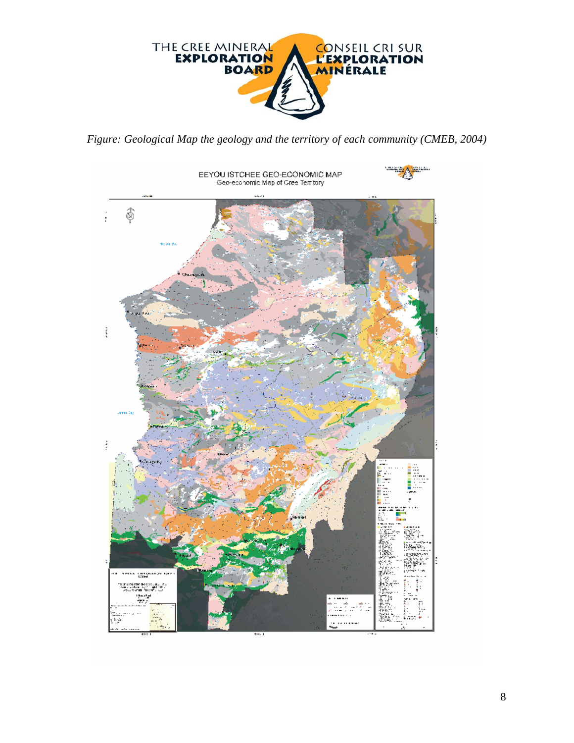

*Figure: Geological Map the geology and the territory of each community (CMEB, 2004)*

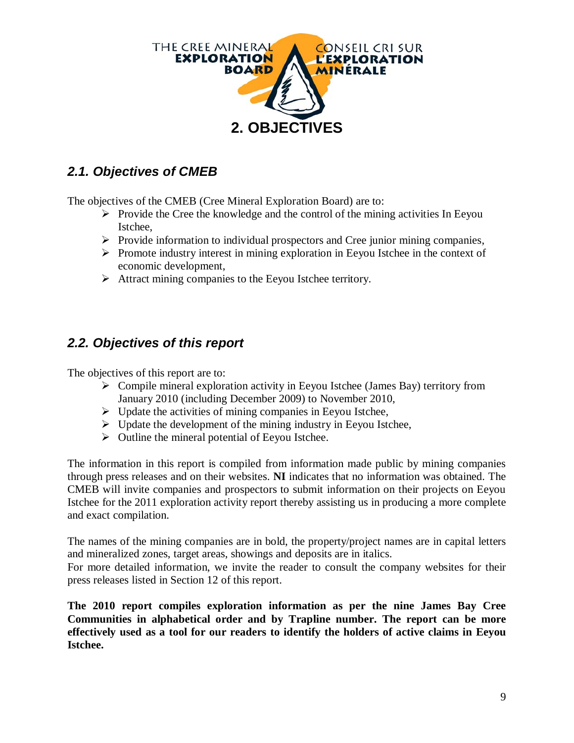

# *2.1. Objectives of CMEB*

The objectives of the CMEB (Cree Mineral Exploration Board) are to:

- $\triangleright$  Provide the Cree the knowledge and the control of the mining activities In Eeyou Istchee,
- $\triangleright$  Provide information to individual prospectors and Cree junior mining companies,
- $\triangleright$  Promote industry interest in mining exploration in Eeyou Istchee in the context of economic development,
- $\triangleright$  Attract mining companies to the Eeyou Istchee territory.

### *2.2. Objectives of this report*

The objectives of this report are to:

- $\triangleright$  Compile mineral exploration activity in Eeyou Istchee (James Bay) territory from January 2010 (including December 2009) to November 2010,
- $\triangleright$  Update the activities of mining companies in Eeyou Istchee,
- $\triangleright$  Update the development of the mining industry in Eeyou Istchee,
- $\triangleright$  Outline the mineral potential of Eeyou Istchee.

The information in this report is compiled from information made public by mining companies through press releases and on their websites. **NI** indicates that no information was obtained. The CMEB will invite companies and prospectors to submit information on their projects on Eeyou Istchee for the 2011 exploration activity report thereby assisting us in producing a more complete and exact compilation.

The names of the mining companies are in bold, the property/project names are in capital letters and mineralized zones, target areas, showings and deposits are in italics.

For more detailed information, we invite the reader to consult the company websites for their press releases listed in Section 12 of this report.

**The 2010 report compiles exploration information as per the nine James Bay Cree Communities in alphabetical order and by Trapline number. The report can be more effectively used as a tool for our readers to identify the holders of active claims in Eeyou Istchee.**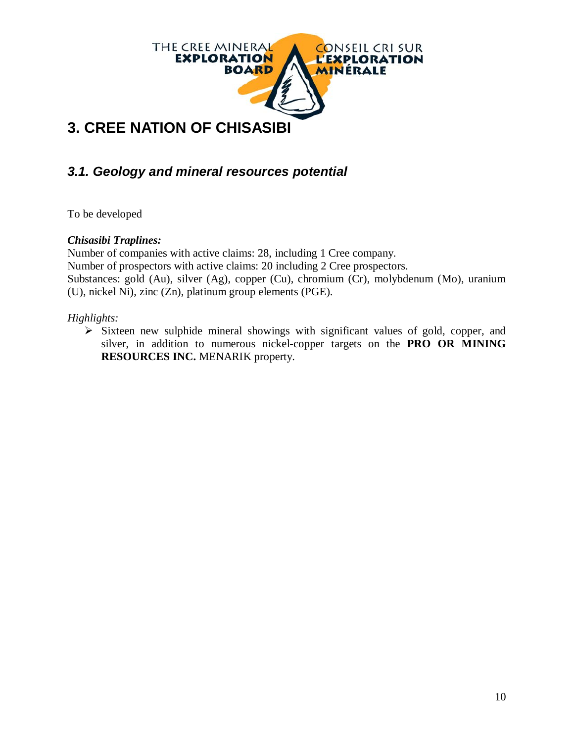

# *3.1. Geology and mineral resources potential*

To be developed

#### *Chisasibi Traplines:*

Number of companies with active claims: 28, including 1 Cree company. Number of prospectors with active claims: 20 including 2 Cree prospectors. Substances: gold (Au), silver (Ag), copper (Cu), chromium (Cr), molybdenum (Mo), uranium (U), nickel Ni), zinc (Zn), platinum group elements (PGE).

#### *Highlights:*

 $\triangleright$  Sixteen new sulphide mineral showings with significant values of gold, copper, and silver, in addition to numerous nickel-copper targets on the **PRO OR MINING RESOURCES INC.** MENARIK property.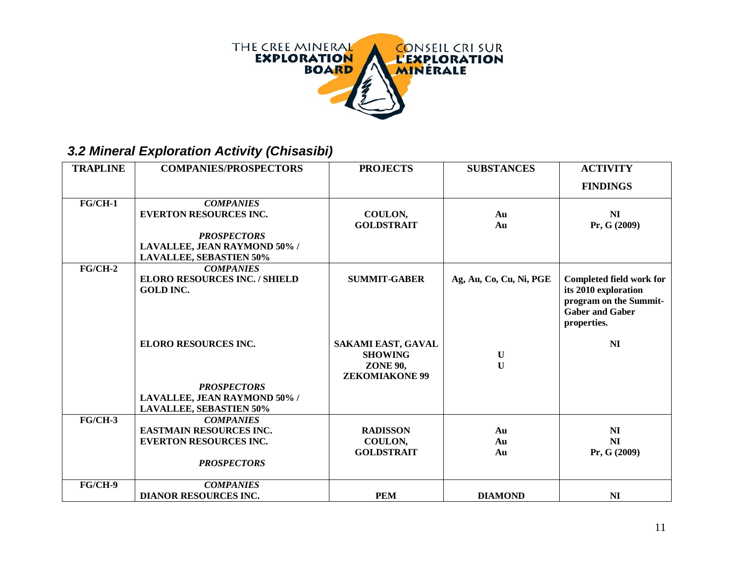

# *3.2 Mineral Exploration Activity (Chisasibi)*

| <b>TRAPLINE</b> | <b>COMPANIES/PROSPECTORS</b>                                                                                                              | <b>PROJECTS</b>                                                                  | <b>SUBSTANCES</b>           | <b>ACTIVITY</b>                                                                                                            |
|-----------------|-------------------------------------------------------------------------------------------------------------------------------------------|----------------------------------------------------------------------------------|-----------------------------|----------------------------------------------------------------------------------------------------------------------------|
|                 |                                                                                                                                           |                                                                                  |                             | <b>FINDINGS</b>                                                                                                            |
| $FG/CH-1$       | <b>COMPANIES</b><br><b>EVERTON RESOURCES INC.</b><br><b>PROSPECTORS</b><br>LAVALLEE, JEAN RAYMOND 50% /<br><b>LAVALLEE, SEBASTIEN 50%</b> | COULON,<br><b>GOLDSTRAIT</b>                                                     | Au<br>Au                    | N <sub>I</sub><br>Pr, G (2009)                                                                                             |
| $FG/CH-2$       | <b>COMPANIES</b><br><b>ELORO RESOURCES INC. / SHIELD</b><br><b>GOLD INC.</b>                                                              | <b>SUMMIT-GABER</b>                                                              | Ag, Au, Co, Cu, Ni, PGE     | <b>Completed field work for</b><br>its 2010 exploration<br>program on the Summit-<br><b>Gaber and Gaber</b><br>properties. |
|                 | <b>ELORO RESOURCES INC.</b><br><b>PROSPECTORS</b><br>LAVALLEE, JEAN RAYMOND 50% /                                                         | SAKAMI EAST, GAVAL<br><b>SHOWING</b><br><b>ZONE 90,</b><br><b>ZEKOMIAKONE 99</b> | $\mathbf U$<br>$\mathbf{U}$ | N <sub>I</sub>                                                                                                             |
|                 | <b>LAVALLEE, SEBASTIEN 50%</b>                                                                                                            |                                                                                  |                             |                                                                                                                            |
| $FG/CH-3$       | <b>COMPANIES</b><br><b>EASTMAIN RESOURCES INC.</b><br><b>EVERTON RESOURCES INC.</b><br><b>PROSPECTORS</b>                                 | <b>RADISSON</b><br>COULON,<br><b>GOLDSTRAIT</b>                                  | Au<br>Au<br>Au              | N <sub>I</sub><br>N <sub>I</sub><br>Pr, G (2009)                                                                           |
| FG/CH-9         | <b>COMPANIES</b><br><b>DIANOR RESOURCES INC.</b>                                                                                          | <b>PEM</b>                                                                       | <b>DIAMOND</b>              | N <sub>I</sub>                                                                                                             |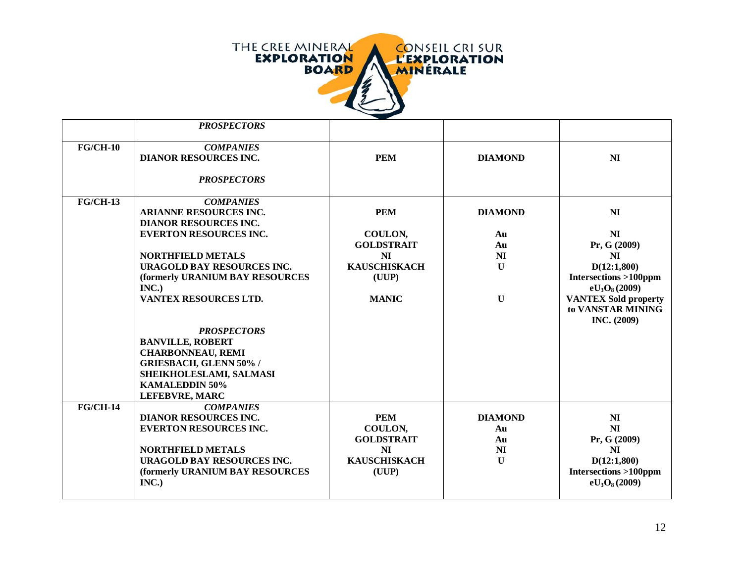

|            | <b>PROSPECTORS</b>                                                                                                                                                                                                                                                                                                                                                                                                  |                                                                                                  |                                                                             |                                                                                                                                                                                                            |
|------------|---------------------------------------------------------------------------------------------------------------------------------------------------------------------------------------------------------------------------------------------------------------------------------------------------------------------------------------------------------------------------------------------------------------------|--------------------------------------------------------------------------------------------------|-----------------------------------------------------------------------------|------------------------------------------------------------------------------------------------------------------------------------------------------------------------------------------------------------|
| $FG/CH-10$ | <b>COMPANIES</b><br><b>DIANOR RESOURCES INC.</b><br><b>PROSPECTORS</b>                                                                                                                                                                                                                                                                                                                                              | <b>PEM</b>                                                                                       | <b>DIAMOND</b>                                                              | N <sub>I</sub>                                                                                                                                                                                             |
| $FG/CH-13$ | <b>COMPANIES</b><br><b>ARIANNE RESOURCES INC.</b><br><b>DIANOR RESOURCES INC.</b><br><b>EVERTON RESOURCES INC.</b><br><b>NORTHFIELD METALS</b><br>URAGOLD BAY RESOURCES INC.<br>(formerly URANIUM BAY RESOURCES<br>INC.)<br>VANTEX RESOURCES LTD.<br><b>PROSPECTORS</b><br><b>BANVILLE, ROBERT</b><br><b>CHARBONNEAU, REMI</b><br><b>GRIESBACH, GLENN 50% /</b><br>SHEIKHOLESLAMI, SALMASI<br><b>KAMALEDDIN 50%</b> | <b>PEM</b><br>COULON,<br><b>GOLDSTRAIT</b><br>NI<br><b>KAUSCHISKACH</b><br>(UUP)<br><b>MANIC</b> | <b>DIAMOND</b><br>Au<br>Au<br>N <sub>I</sub><br>$\mathbf{U}$<br>$\mathbf U$ | N <sub>I</sub><br>N <sub>I</sub><br>Pr, G (2009)<br>N <sub>I</sub><br>D(12:1,800)<br><b>Intersections &gt;100ppm</b><br>$eU_3O_8(2009)$<br><b>VANTEX Sold property</b><br>to VANSTAR MINING<br>INC. (2009) |
| $FG/CH-14$ | <b>LEFEBVRE, MARC</b><br><b>COMPANIES</b><br><b>DIANOR RESOURCES INC.</b><br><b>EVERTON RESOURCES INC.</b><br><b>NORTHFIELD METALS</b><br><b>URAGOLD BAY RESOURCES INC.</b><br>(formerly URANIUM BAY RESOURCES<br>INC.)                                                                                                                                                                                             | <b>PEM</b><br>COULON,<br><b>GOLDSTRAIT</b><br>N <sub>I</sub><br><b>KAUSCHISKACH</b><br>(UUP)     | <b>DIAMOND</b><br>Au<br>Au<br>N <sub>I</sub><br>$\mathbf{U}$                | N <sub>I</sub><br>N <sub>I</sub><br>Pr, G (2009)<br>N <sub>I</sub><br>D(12:1,800)<br><b>Intersections &gt;100ppm</b><br>$eU_3O_8(2009)$                                                                    |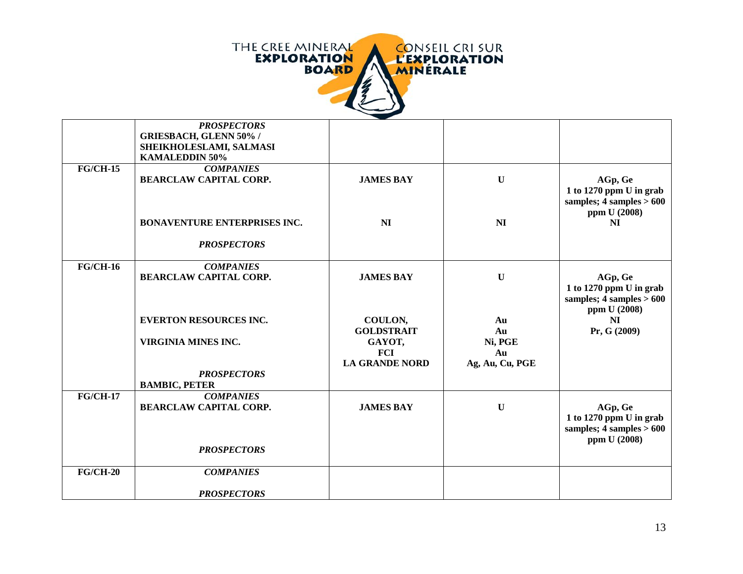

|            | <b>PROSPECTORS</b><br><b>GRIESBACH, GLENN 50% /</b><br>SHEIKHOLESLAMI, SALMASI<br><b>KAMALEDDIN 50%</b> |                                                      |                           |                                                                                    |
|------------|---------------------------------------------------------------------------------------------------------|------------------------------------------------------|---------------------------|------------------------------------------------------------------------------------|
| $FG/CH-15$ | <b>COMPANIES</b><br><b>BEARCLAW CAPITAL CORP.</b>                                                       | <b>JAMES BAY</b>                                     | $\mathbf U$               | AGp, Ge<br>1 to 1270 ppm U in grab<br>samples; $4$ samples $> 600$                 |
|            | <b>BONAVENTURE ENTERPRISES INC.</b>                                                                     | N <sub>I</sub>                                       | NI                        | ppm U (2008)<br>NI                                                                 |
|            | <b>PROSPECTORS</b>                                                                                      |                                                      |                           |                                                                                    |
| $FG/CH-16$ | <b>COMPANIES</b><br><b>BEARCLAW CAPITAL CORP.</b>                                                       | <b>JAMES BAY</b>                                     | $\mathbf U$               | AGp, Ge<br>1 to 1270 ppm $U$ in grab<br>samples; $4$ samples $> 600$               |
|            | <b>EVERTON RESOURCES INC.</b><br><b>VIRGINIA MINES INC.</b>                                             | COULON,<br><b>GOLDSTRAIT</b><br>GAYOT,<br><b>FCI</b> | Au<br>Au<br>Ni, PGE<br>Au | ppm U (2008)<br>N <sub>I</sub><br>Pr, G (2009)                                     |
|            | <b>PROSPECTORS</b><br><b>BAMBIC, PETER</b>                                                              | <b>LA GRANDE NORD</b>                                | Ag, Au, Cu, PGE           |                                                                                    |
| $FG/CH-17$ | <b>COMPANIES</b><br><b>BEARCLAW CAPITAL CORP.</b>                                                       | <b>JAMES BAY</b>                                     | $\mathbf{U}$              | AGp, Ge<br>1 to 1270 ppm U in grab<br>samples; $4$ samples $> 600$<br>ppm U (2008) |
|            | <b>PROSPECTORS</b>                                                                                      |                                                      |                           |                                                                                    |
| $FG/CH-20$ | <b>COMPANIES</b>                                                                                        |                                                      |                           |                                                                                    |
|            | <b>PROSPECTORS</b>                                                                                      |                                                      |                           |                                                                                    |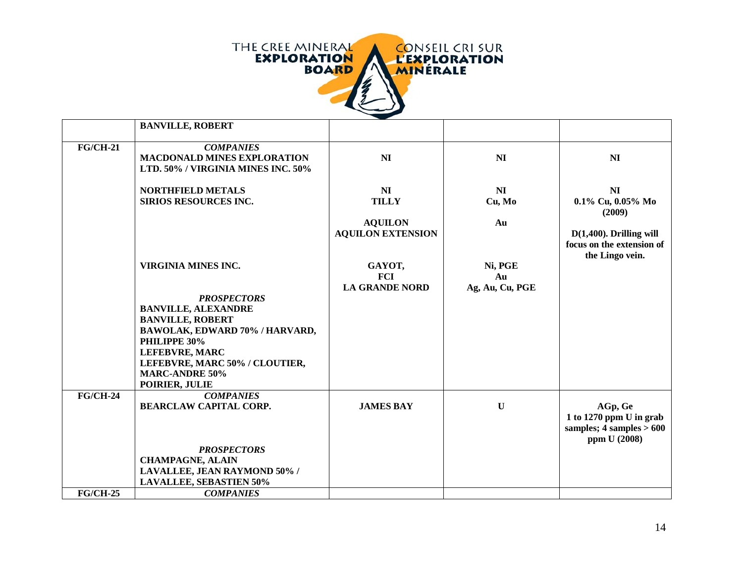

|                 | <b>BANVILLE, ROBERT</b>                                                                                                                                                                                                                                    |                                                                              |                                  |                                                                                                                             |
|-----------------|------------------------------------------------------------------------------------------------------------------------------------------------------------------------------------------------------------------------------------------------------------|------------------------------------------------------------------------------|----------------------------------|-----------------------------------------------------------------------------------------------------------------------------|
| <b>FG/CH-21</b> | <b>COMPANIES</b><br><b>MACDONALD MINES EXPLORATION</b><br>LTD. 50% / VIRGINIA MINES INC. 50%                                                                                                                                                               | NI                                                                           | N <sub>I</sub>                   | N <sub>I</sub>                                                                                                              |
|                 | <b>NORTHFIELD METALS</b><br><b>SIRIOS RESOURCES INC.</b>                                                                                                                                                                                                   | N <sub>I</sub><br><b>TILLY</b><br><b>AQUILON</b><br><b>AQUILON EXTENSION</b> | NI<br>Cu, Mo<br>Au               | N <sub>I</sub><br>0.1% Cu, 0.05% Mo<br>(2009)<br>$D(1,400)$ . Drilling will<br>focus on the extension of<br>the Lingo vein. |
|                 | VIRGINIA MINES INC.<br><b>PROSPECTORS</b><br><b>BANVILLE, ALEXANDRE</b><br><b>BANVILLE, ROBERT</b><br>BAWOLAK, EDWARD 70% / HARVARD,<br>PHILIPPE 30%<br><b>LEFEBVRE, MARC</b><br>LEFEBVRE, MARC 50% / CLOUTIER,<br><b>MARC-ANDRE 50%</b><br>POIRIER, JULIE | GAYOT,<br><b>FCI</b><br><b>LA GRANDE NORD</b>                                | Ni, PGE<br>Au<br>Ag, Au, Cu, PGE |                                                                                                                             |
| $FG/CH-24$      | <b>COMPANIES</b><br><b>BEARCLAW CAPITAL CORP.</b><br><b>PROSPECTORS</b><br><b>CHAMPAGNE, ALAIN</b><br>LAVALLEE, JEAN RAYMOND 50% /<br><b>LAVALLEE, SEBASTIEN 50%</b>                                                                                       | <b>JAMES BAY</b>                                                             | $\mathbf U$                      | AGp, Ge<br>1 to 1270 ppm $U$ in grab<br>samples; $4$ samples $> 600$<br>ppm U (2008)                                        |
| $FG/CH-25$      | <b>COMPANIES</b>                                                                                                                                                                                                                                           |                                                                              |                                  |                                                                                                                             |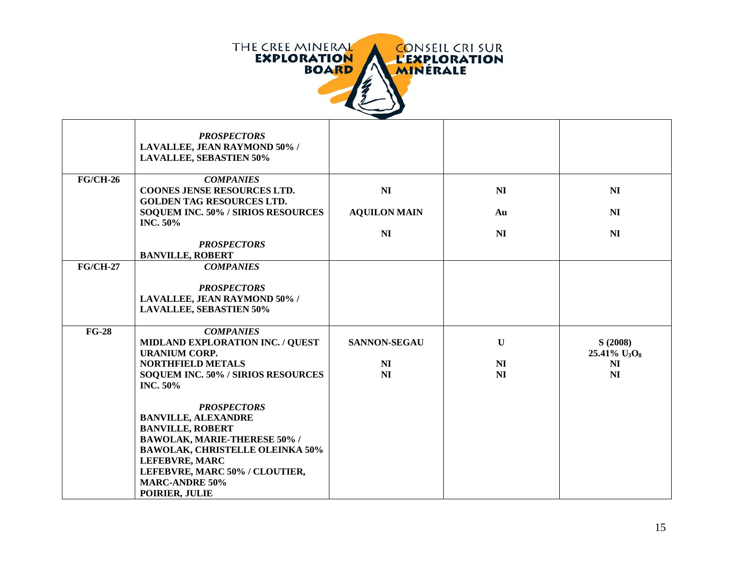

|                 | <b>PROSPECTORS</b><br>LAVALLEE, JEAN RAYMOND 50% /<br><b>LAVALLEE, SEBASTIEN 50%</b>                                                                                                                                                                               |                                                         |                                                 |                                                                |
|-----------------|--------------------------------------------------------------------------------------------------------------------------------------------------------------------------------------------------------------------------------------------------------------------|---------------------------------------------------------|-------------------------------------------------|----------------------------------------------------------------|
| <b>FG/CH-26</b> | <b>COMPANIES</b><br><b>COONES JENSE RESOURCES LTD.</b>                                                                                                                                                                                                             | N <sub>I</sub>                                          | N <sub>I</sub>                                  | N <sub>I</sub>                                                 |
|                 | <b>GOLDEN TAG RESOURCES LTD.</b>                                                                                                                                                                                                                                   |                                                         |                                                 |                                                                |
|                 | SOQUEM INC. 50% / SIRIOS RESOURCES<br><b>INC. 50%</b>                                                                                                                                                                                                              | <b>AQUILON MAIN</b>                                     | Au                                              | NI                                                             |
|                 |                                                                                                                                                                                                                                                                    | N <sub>I</sub>                                          | N <sub>I</sub>                                  | N <sub>I</sub>                                                 |
|                 | <b>PROSPECTORS</b><br><b>BANVILLE, ROBERT</b>                                                                                                                                                                                                                      |                                                         |                                                 |                                                                |
| <b>FG/CH-27</b> | <b>COMPANIES</b>                                                                                                                                                                                                                                                   |                                                         |                                                 |                                                                |
|                 | <b>PROSPECTORS</b><br>LAVALLEE, JEAN RAYMOND 50% /<br><b>LAVALLEE, SEBASTIEN 50%</b>                                                                                                                                                                               |                                                         |                                                 |                                                                |
| $FG-28$         | <b>COMPANIES</b><br>MIDLAND EXPLORATION INC. / QUEST<br><b>URANIUM CORP.</b><br><b>NORTHFIELD METALS</b><br>SOQUEM INC. 50% / SIRIOS RESOURCES<br><b>INC. 50%</b>                                                                                                  | <b>SANNON-SEGAU</b><br>N <sub>I</sub><br>N <sub>I</sub> | $\mathbf U$<br>N <sub>I</sub><br>N <sub>I</sub> | S(2008)<br>25.41% $U_3O_8$<br>N <sub>I</sub><br>N <sub>I</sub> |
|                 | <b>PROSPECTORS</b><br><b>BANVILLE, ALEXANDRE</b><br><b>BANVILLE, ROBERT</b><br><b>BAWOLAK, MARIE-THERESE 50% /</b><br><b>BAWOLAK, CHRISTELLE OLEINKA 50%</b><br><b>LEFEBVRE, MARC</b><br>LEFEBVRE, MARC 50% / CLOUTIER,<br><b>MARC-ANDRE 50%</b><br>POIRIER, JULIE |                                                         |                                                 |                                                                |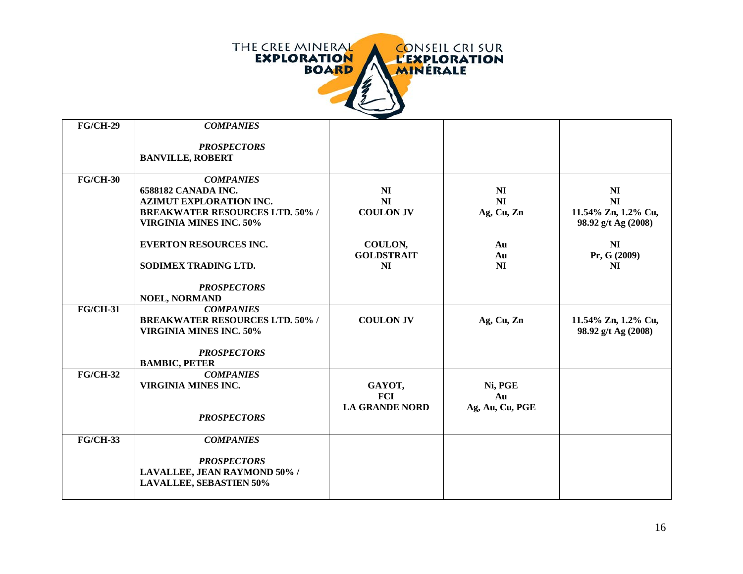

| <b>FG/CH-29</b> | <b>COMPANIES</b>                       |                       |                 |                     |
|-----------------|----------------------------------------|-----------------------|-----------------|---------------------|
|                 | <b>PROSPECTORS</b>                     |                       |                 |                     |
|                 | <b>BANVILLE, ROBERT</b>                |                       |                 |                     |
| $FG/CH-30$      | <b>COMPANIES</b>                       |                       |                 |                     |
|                 | 6588182 CANADA INC.                    | N <sub>I</sub>        | N <sub>I</sub>  | N <sub>I</sub>      |
|                 | <b>AZIMUT EXPLORATION INC.</b>         | NI                    | NI              | <b>NI</b>           |
|                 | <b>BREAKWATER RESOURCES LTD. 50% /</b> | <b>COULON JV</b>      | Ag, Cu, Zn      | 11.54% Zn, 1.2% Cu, |
|                 | <b>VIRGINIA MINES INC. 50%</b>         |                       |                 | 98.92 g/t Ag (2008) |
|                 | <b>EVERTON RESOURCES INC.</b>          | COULON,               | Au              | N <sub>I</sub>      |
|                 |                                        | <b>GOLDSTRAIT</b>     | Au              | Pr, G (2009)        |
|                 | SODIMEX TRADING LTD.                   | N <sub>I</sub>        | NI              | N <sub>I</sub>      |
|                 | <b>PROSPECTORS</b>                     |                       |                 |                     |
|                 | <b>NOEL, NORMAND</b>                   |                       |                 |                     |
| <b>FG/CH-31</b> | <b>COMPANIES</b>                       |                       |                 |                     |
|                 | <b>BREAKWATER RESOURCES LTD. 50% /</b> | <b>COULON JV</b>      | Ag, Cu, Zn      | 11.54% Zn, 1.2% Cu, |
|                 | <b>VIRGINIA MINES INC. 50%</b>         |                       |                 | 98.92 g/t Ag (2008) |
|                 | <b>PROSPECTORS</b>                     |                       |                 |                     |
|                 | <b>BAMBIC, PETER</b>                   |                       |                 |                     |
| $FG/CH-32$      | <b>COMPANIES</b>                       |                       |                 |                     |
|                 | <b>VIRGINIA MINES INC.</b>             | GAYOT,                | Ni, PGE         |                     |
|                 |                                        | <b>FCI</b>            | Au              |                     |
|                 |                                        | <b>LA GRANDE NORD</b> | Ag, Au, Cu, PGE |                     |
|                 | <b>PROSPECTORS</b>                     |                       |                 |                     |
| <b>FG/CH-33</b> | <b>COMPANIES</b>                       |                       |                 |                     |
|                 |                                        |                       |                 |                     |
|                 | <b>PROSPECTORS</b>                     |                       |                 |                     |
|                 | LAVALLEE, JEAN RAYMOND 50% /           |                       |                 |                     |
|                 | <b>LAVALLEE, SEBASTIEN 50%</b>         |                       |                 |                     |
|                 |                                        |                       |                 |                     |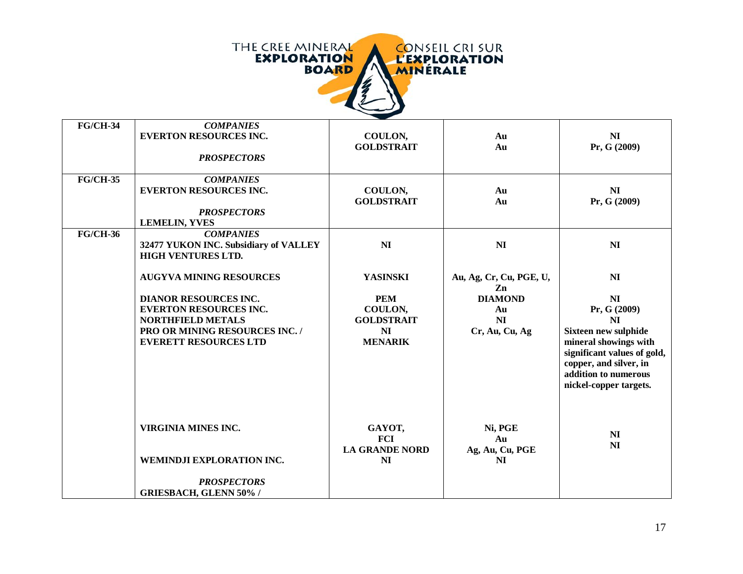

| <b>FG/CH-34</b> | <b>COMPANIES</b><br><b>EVERTON RESOURCES INC.</b><br><b>PROSPECTORS</b>                                                                                                                       | COULON,<br><b>GOLDSTRAIT</b>                                                                      | Au<br>Au                                                                                  | N <sub>I</sub><br>Pr, G (2009)                                                                                                                                                                                                        |
|-----------------|-----------------------------------------------------------------------------------------------------------------------------------------------------------------------------------------------|---------------------------------------------------------------------------------------------------|-------------------------------------------------------------------------------------------|---------------------------------------------------------------------------------------------------------------------------------------------------------------------------------------------------------------------------------------|
| <b>FG/CH-35</b> | <b>COMPANIES</b><br><b>EVERTON RESOURCES INC.</b><br><b>PROSPECTORS</b><br><b>LEMELIN, YVES</b>                                                                                               | COULON,<br><b>GOLDSTRAIT</b>                                                                      | Au<br>Au                                                                                  | N <sub>I</sub><br>Pr, G (2009)                                                                                                                                                                                                        |
| <b>FG/CH-36</b> | <b>COMPANIES</b><br>32477 YUKON INC. Subsidiary of VALLEY<br><b>HIGH VENTURES LTD.</b>                                                                                                        | N <sub>I</sub>                                                                                    | N <sub>I</sub>                                                                            | N <sub>I</sub>                                                                                                                                                                                                                        |
|                 | <b>AUGYVA MINING RESOURCES</b><br><b>DIANOR RESOURCES INC.</b><br><b>EVERTON RESOURCES INC.</b><br><b>NORTHFIELD METALS</b><br>PRO OR MINING RESOURCES INC. /<br><b>EVERETT RESOURCES LTD</b> | <b>YASINSKI</b><br><b>PEM</b><br>COULON,<br><b>GOLDSTRAIT</b><br>N <sub>I</sub><br><b>MENARIK</b> | Au, Ag, Cr, Cu, PGE, U,<br>Zn<br><b>DIAMOND</b><br>Au<br>N <sub>I</sub><br>Cr, Au, Cu, Ag | N <sub>I</sub><br>N <sub>I</sub><br>Pr, G (2009)<br>N <sub>I</sub><br><b>Sixteen new sulphide</b><br>mineral showings with<br>significant values of gold,<br>copper, and silver, in<br>addition to numerous<br>nickel-copper targets. |
|                 | <b>VIRGINIA MINES INC.</b><br>WEMINDJI EXPLORATION INC.<br><b>PROSPECTORS</b><br><b>GRIESBACH, GLENN 50% /</b>                                                                                | GAYOT,<br><b>FCI</b><br><b>LA GRANDE NORD</b><br>N <sub>I</sub>                                   | Ni, PGE<br>Au<br>Ag, Au, Cu, PGE<br>N <sub>I</sub>                                        | NI<br>N <sub>I</sub>                                                                                                                                                                                                                  |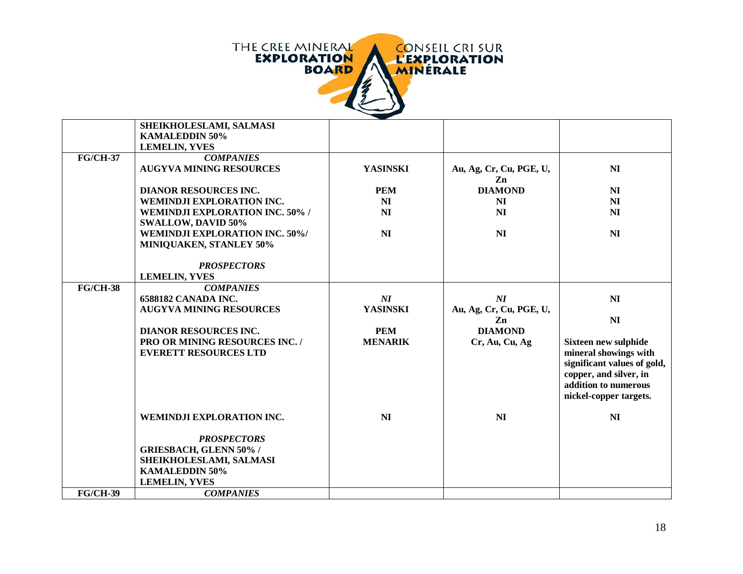

|                 | SHEIKHOLESLAMI, SALMASI                |                 |                         |                             |
|-----------------|----------------------------------------|-----------------|-------------------------|-----------------------------|
|                 | <b>KAMALEDDIN 50%</b>                  |                 |                         |                             |
|                 | <b>LEMELIN, YVES</b>                   |                 |                         |                             |
| <b>FG/CH-37</b> | <b>COMPANIES</b>                       |                 |                         |                             |
|                 | <b>AUGYVA MINING RESOURCES</b>         | <b>YASINSKI</b> | Au, Ag, Cr, Cu, PGE, U, | N <sub>I</sub>              |
|                 |                                        |                 | Zn                      |                             |
|                 | <b>DIANOR RESOURCES INC.</b>           | <b>PEM</b>      | <b>DIAMOND</b>          | N <sub>I</sub>              |
|                 | WEMINDJI EXPLORATION INC.              | N <sub>I</sub>  | NI                      | N <sub>I</sub>              |
|                 | <b>WEMINDJI EXPLORATION INC. 50% /</b> | N <sub>I</sub>  | N <sub>I</sub>          | N <sub>I</sub>              |
|                 | <b>SWALLOW, DAVID 50%</b>              |                 |                         |                             |
|                 | <b>WEMINDJI EXPLORATION INC. 50%/</b>  | NI              | N <sub>I</sub>          | N <sub>I</sub>              |
|                 | <b>MINIQUAKEN, STANLEY 50%</b>         |                 |                         |                             |
|                 |                                        |                 |                         |                             |
|                 | <b>PROSPECTORS</b>                     |                 |                         |                             |
|                 | <b>LEMELIN, YVES</b>                   |                 |                         |                             |
| <b>FG/CH-38</b> | <b>COMPANIES</b>                       |                 |                         |                             |
|                 | <b>6588182 CANADA INC.</b>             | NI              | NI                      | NI                          |
|                 | <b>AUGYVA MINING RESOURCES</b>         | <b>YASINSKI</b> | Au, Ag, Cr, Cu, PGE, U, |                             |
|                 |                                        |                 | Zn                      | N <sub>I</sub>              |
|                 | <b>DIANOR RESOURCES INC.</b>           | <b>PEM</b>      | <b>DIAMOND</b>          |                             |
|                 | PRO OR MINING RESOURCES INC. /         | <b>MENARIK</b>  | Cr, Au, Cu, Ag          | Sixteen new sulphide        |
|                 | <b>EVERETT RESOURCES LTD</b>           |                 |                         | mineral showings with       |
|                 |                                        |                 |                         | significant values of gold, |
|                 |                                        |                 |                         | copper, and silver, in      |
|                 |                                        |                 |                         | addition to numerous        |
|                 |                                        |                 |                         | nickel-copper targets.      |
|                 |                                        |                 |                         |                             |
|                 | WEMINDJI EXPLORATION INC.              | N <sub>I</sub>  | N <sub>I</sub>          | N <sub>I</sub>              |
|                 |                                        |                 |                         |                             |
|                 | <b>PROSPECTORS</b>                     |                 |                         |                             |
|                 | <b>GRIESBACH, GLENN 50% /</b>          |                 |                         |                             |
|                 | SHEIKHOLESLAMI, SALMASI                |                 |                         |                             |
|                 | <b>KAMALEDDIN 50%</b>                  |                 |                         |                             |
|                 | <b>LEMELIN, YVES</b>                   |                 |                         |                             |
| <b>FG/CH-39</b> | <b>COMPANIES</b>                       |                 |                         |                             |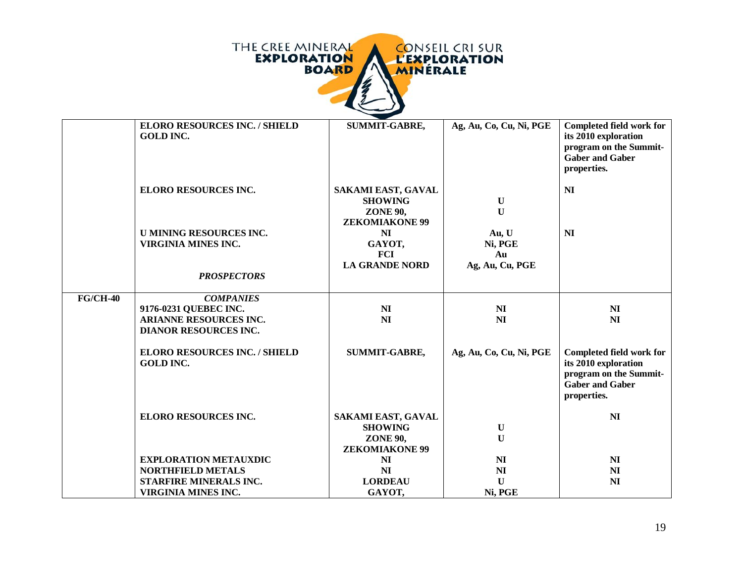

|                 | <b>ELORO RESOURCES INC. / SHIELD</b><br><b>GOLD INC.</b>                                                   | <b>SUMMIT-GABRE,</b>                                                             | Ag, Au, Co, Cu, Ni, PGE                   | Completed field work for<br>its 2010 exploration<br>program on the Summit-<br><b>Gaber and Gaber</b><br>properties. |
|-----------------|------------------------------------------------------------------------------------------------------------|----------------------------------------------------------------------------------|-------------------------------------------|---------------------------------------------------------------------------------------------------------------------|
|                 | <b>ELORO RESOURCES INC.</b>                                                                                | SAKAMI EAST, GAVAL<br><b>SHOWING</b><br><b>ZONE 90,</b><br><b>ZEKOMIAKONE 99</b> | $\mathbf U$<br>$\mathbf{U}$               | <b>NI</b>                                                                                                           |
|                 | <b>U MINING RESOURCES INC.</b><br><b>VIRGINIA MINES INC.</b>                                               | NI<br>GAYOT,<br><b>FCI</b><br><b>LA GRANDE NORD</b>                              | Au, U<br>Ni, PGE<br>Au<br>Ag, Au, Cu, PGE | N <sub>I</sub>                                                                                                      |
|                 | <b>PROSPECTORS</b>                                                                                         |                                                                                  |                                           |                                                                                                                     |
| <b>FG/CH-40</b> | <b>COMPANIES</b><br>9176-0231 QUEBEC INC.<br><b>ARIANNE RESOURCES INC.</b><br><b>DIANOR RESOURCES INC.</b> | N <sub>I</sub><br>N <sub>I</sub>                                                 | N <sub>I</sub><br>N <sub>I</sub>          | N <sub>I</sub><br>N <sub>I</sub>                                                                                    |
|                 | <b>ELORO RESOURCES INC. / SHIELD</b><br><b>GOLD INC.</b>                                                   | <b>SUMMIT-GABRE,</b>                                                             | Ag, Au, Co, Cu, Ni, PGE                   | Completed field work for<br>its 2010 exploration<br>program on the Summit-<br><b>Gaber and Gaber</b><br>properties. |
|                 | <b>ELORO RESOURCES INC.</b>                                                                                | SAKAMI EAST, GAVAL<br><b>SHOWING</b><br><b>ZONE 90,</b><br><b>ZEKOMIAKONE 99</b> | $\mathbf U$<br>$\mathbf{U}$               | <b>NI</b>                                                                                                           |
|                 | <b>EXPLORATION METAUXDIC</b>                                                                               | NI                                                                               | <b>NI</b>                                 | N <sub>I</sub>                                                                                                      |
|                 | <b>NORTHFIELD METALS</b>                                                                                   | <b>NI</b>                                                                        | <b>NI</b>                                 | <b>NI</b>                                                                                                           |
|                 | STARFIRE MINERALS INC.                                                                                     | <b>LORDEAU</b>                                                                   | $\mathbf{U}$                              | N <sub>I</sub>                                                                                                      |
|                 | <b>VIRGINIA MINES INC.</b>                                                                                 | GAYOT,                                                                           | Ni, PGE                                   |                                                                                                                     |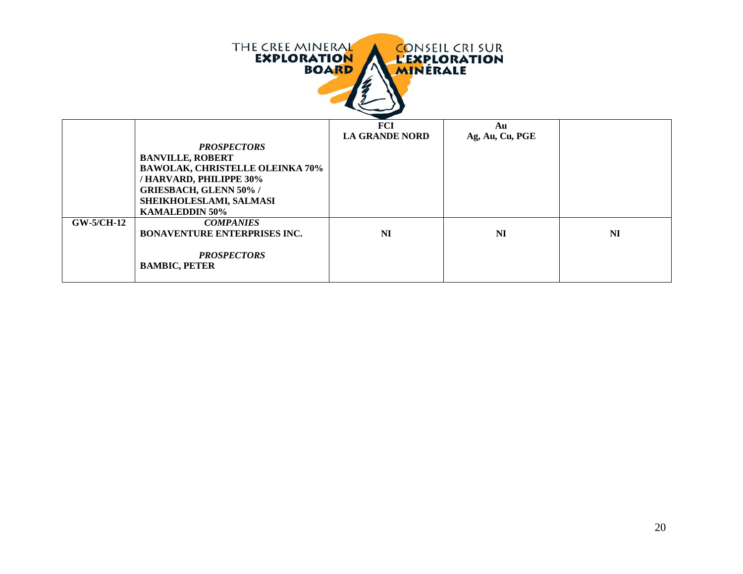| THE CREE MINERAL<br><b>CONSEIL CRI SUR</b><br><b>EXPLORATION</b><br><b>L'EXPLORATION</b><br><b>BOARD</b><br><b>MINERALE</b> |                                                                                                                                                                                                        |                                     |                       |           |
|-----------------------------------------------------------------------------------------------------------------------------|--------------------------------------------------------------------------------------------------------------------------------------------------------------------------------------------------------|-------------------------------------|-----------------------|-----------|
|                                                                                                                             | <b>PROSPECTORS</b><br><b>BANVILLE, ROBERT</b><br><b>BAWOLAK, CHRISTELLE OLEINKA 70%</b><br>/HARVARD, PHILIPPE 30%<br><b>GRIESBACH, GLENN 50% /</b><br>SHEIKHOLESLAMI, SALMASI<br><b>KAMALEDDIN 50%</b> | <b>FCI</b><br><b>LA GRANDE NORD</b> | Au<br>Ag, Au, Cu, PGE |           |
| <b>GW-5/CH-12</b>                                                                                                           | <b>COMPANIES</b><br><b>BONAVENTURE ENTERPRISES INC.</b><br><b>PROSPECTORS</b><br><b>BAMBIC, PETER</b>                                                                                                  | NI                                  | <b>NI</b>             | <b>NI</b> |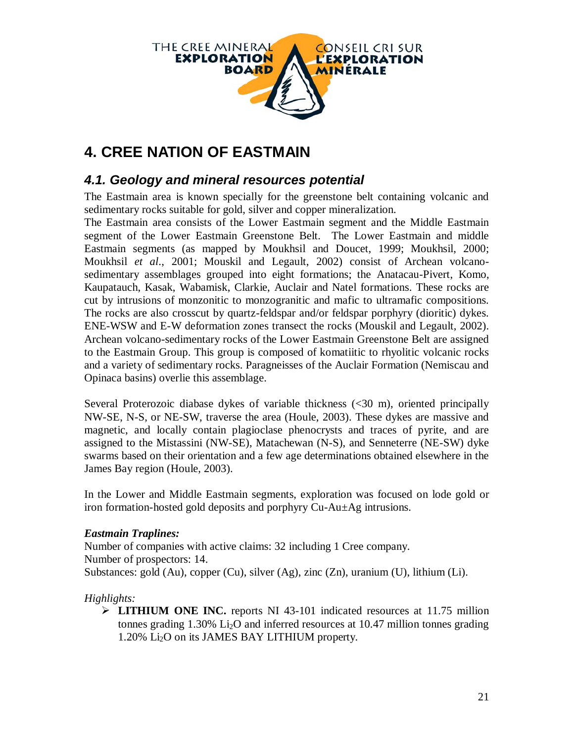

# **4. CREE NATION OF EASTMAIN**

### *4.1. Geology and mineral resources potential*

The Eastmain area is known specially for the greenstone belt containing volcanic and sedimentary rocks suitable for gold, silver and copper mineralization.

The Eastmain area consists of the Lower Eastmain segment and the Middle Eastmain segment of the Lower Eastmain Greenstone Belt. The Lower Eastmain and middle Eastmain segments (as mapped by Moukhsil and Doucet, 1999; Moukhsil, 2000; Moukhsil *et al*., 2001; Mouskil and Legault, 2002) consist of Archean volcanosedimentary assemblages grouped into eight formations; the Anatacau-Pivert, Komo, Kaupatauch, Kasak, Wabamisk, Clarkie, Auclair and Natel formations. These rocks are cut by intrusions of monzonitic to monzogranitic and mafic to ultramafic compositions. The rocks are also crosscut by quartz-feldspar and/or feldspar porphyry (dioritic) dykes. ENE-WSW and E-W deformation zones transect the rocks (Mouskil and Legault, 2002). Archean volcano-sedimentary rocks of the Lower Eastmain Greenstone Belt are assigned to the Eastmain Group. This group is composed of komatiitic to rhyolitic volcanic rocks and a variety of sedimentary rocks. Paragneisses of the Auclair Formation (Nemiscau and Opinaca basins) overlie this assemblage.

Several Proterozoic diabase dykes of variable thickness (<30 m), oriented principally NW-SE, N-S, or NE-SW, traverse the area (Houle, 2003). These dykes are massive and magnetic, and locally contain plagioclase phenocrysts and traces of pyrite, and are assigned to the Mistassini (NW-SE), Matachewan (N-S), and Senneterre (NE-SW) dyke swarms based on their orientation and a few age determinations obtained elsewhere in the James Bay region (Houle, 2003).

In the Lower and Middle Eastmain segments, exploration was focused on lode gold or iron formation-hosted gold deposits and porphyry Cu-Au±Ag intrusions.

#### *Eastmain Traplines:*

Number of companies with active claims: 32 including 1 Cree company. Number of prospectors: 14. Substances: gold (Au), copper (Cu), silver (Ag), zinc (Zn), uranium (U), lithium (Li).

#### *Highlights:*

 **LITHIUM ONE INC.** reports NI 43-101 indicated resources at 11.75 million tonnes grading  $1.30\%$  Li<sub>2</sub>O and inferred resources at 10.47 million tonnes grading 1.20% Li2O on its JAMES BAY LITHIUM property.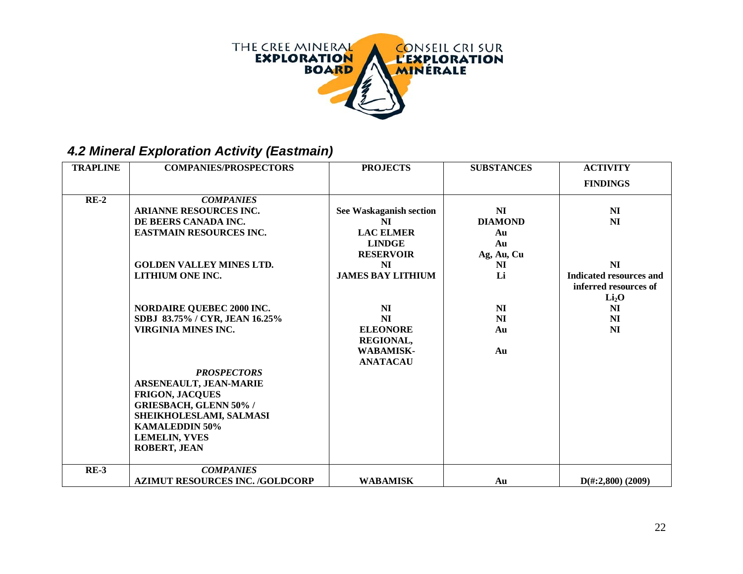

# *4.2 Mineral Exploration Activity (Eastmain)*

| <b>TRAPLINE</b> | <b>COMPANIES/PROSPECTORS</b>           | <b>PROJECTS</b>          | <b>SUBSTANCES</b> | <b>ACTIVITY</b>             |
|-----------------|----------------------------------------|--------------------------|-------------------|-----------------------------|
|                 |                                        |                          |                   | <b>FINDINGS</b>             |
| $RE-2$          | <b>COMPANIES</b>                       |                          |                   |                             |
|                 | ARIANNE RESOURCES INC.                 | See Waskaganish section  | N <sub>I</sub>    | N <sub>I</sub>              |
|                 | DE BEERS CANADA INC.                   | NI                       | <b>DIAMOND</b>    | NI                          |
|                 | <b>EASTMAIN RESOURCES INC.</b>         | <b>LAC ELMER</b>         | Au                |                             |
|                 |                                        | <b>LINDGE</b>            | Au                |                             |
|                 |                                        | <b>RESERVOIR</b>         | Ag, Au, Cu        |                             |
|                 | <b>GOLDEN VALLEY MINES LTD.</b>        | NI                       | N <sub>I</sub>    | N <sub>I</sub>              |
|                 | LITHIUM ONE INC.                       | <b>JAMES BAY LITHIUM</b> | Li                | Indicated resources and     |
|                 |                                        |                          |                   | inferred resources of       |
|                 |                                        |                          |                   | Li <sub>2</sub> O           |
|                 | <b>NORDAIRE QUEBEC 2000 INC.</b>       | N <sub>I</sub>           | N <sub>I</sub>    | N <sub>I</sub>              |
|                 | SDBJ 83.75% / CYR, JEAN 16.25%         | NI                       | N <sub>I</sub>    | N <sub>I</sub>              |
|                 | <b>VIRGINIA MINES INC.</b>             | <b>ELEONORE</b>          | Au                | N <sub>I</sub>              |
|                 |                                        | <b>REGIONAL,</b>         |                   |                             |
|                 |                                        | <b>WABAMISK-</b>         | Au                |                             |
|                 |                                        | <b>ANATACAU</b>          |                   |                             |
|                 | <b>PROSPECTORS</b>                     |                          |                   |                             |
|                 | <b>ARSENEAULT, JEAN-MARIE</b>          |                          |                   |                             |
|                 | <b>FRIGON, JACQUES</b>                 |                          |                   |                             |
|                 | <b>GRIESBACH, GLENN 50% /</b>          |                          |                   |                             |
|                 | SHEIKHOLESLAMI, SALMASI                |                          |                   |                             |
|                 | <b>KAMALEDDIN 50%</b>                  |                          |                   |                             |
|                 | <b>LEMELIN, YVES</b>                   |                          |                   |                             |
|                 | <b>ROBERT, JEAN</b>                    |                          |                   |                             |
|                 |                                        |                          |                   |                             |
| $RE-3$          | <b>COMPANIES</b>                       |                          |                   |                             |
|                 | <b>AZIMUT RESOURCES INC. /GOLDCORP</b> | <b>WABAMISK</b>          | Au                | $D(\text{\#}:2,800)$ (2009) |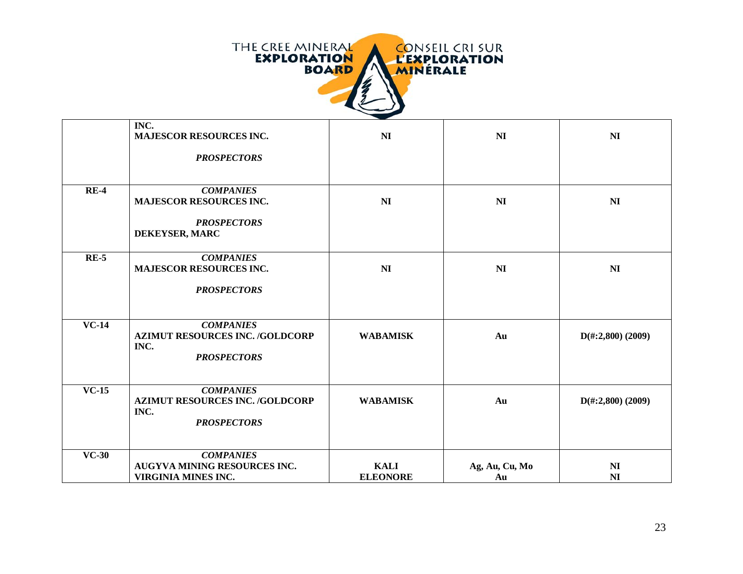

|         | INC.<br><b>MAJESCOR RESOURCES INC.</b><br><b>PROSPECTORS</b>                             | N <sub>I</sub>                 | N <sub>I</sub>       | N <sub>I</sub>                   |
|---------|------------------------------------------------------------------------------------------|--------------------------------|----------------------|----------------------------------|
|         |                                                                                          |                                |                      |                                  |
| $RE-4$  | <b>COMPANIES</b><br><b>MAJESCOR RESOURCES INC.</b>                                       | N <sub>I</sub>                 | N <sub>I</sub>       | N <sub>I</sub>                   |
|         | <b>PROSPECTORS</b><br>DEKEYSER, MARC                                                     |                                |                      |                                  |
| $RE-5$  | <b>COMPANIES</b><br><b>MAJESCOR RESOURCES INC.</b>                                       | N <sub>I</sub>                 | N <sub>I</sub>       | N <sub>I</sub>                   |
|         | <b>PROSPECTORS</b>                                                                       |                                |                      |                                  |
| $VC-14$ | <b>COMPANIES</b><br><b>AZIMUT RESOURCES INC. /GOLDCORP</b><br>INC.<br><b>PROSPECTORS</b> | <b>WABAMISK</b>                | Au                   | $D(\text{\#}:2,800)$ (2009)      |
| $VC-15$ | <b>COMPANIES</b><br><b>AZIMUT RESOURCES INC. /GOLDCORP</b><br>INC.<br><b>PROSPECTORS</b> | <b>WABAMISK</b>                | Au                   | $D(\text{\#}:2,800)$ (2009)      |
| $VC-30$ | <b>COMPANIES</b><br><b>AUGYVA MINING RESOURCES INC.</b><br>VIRGINIA MINES INC.           | <b>KALI</b><br><b>ELEONORE</b> | Ag, Au, Cu, Mo<br>Au | N <sub>I</sub><br>N <sub>I</sub> |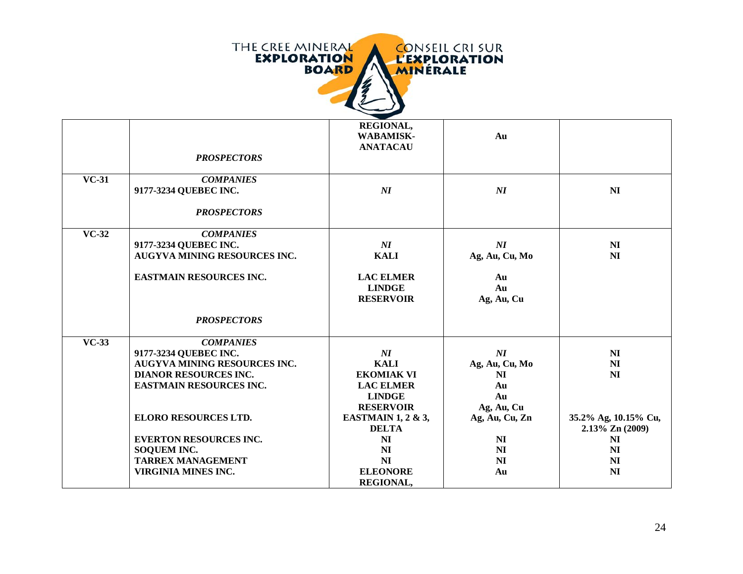

|                           | <b>PROSPECTORS</b>                  | REGIONAL,<br><b>WABAMISK-</b><br><b>ANATACAU</b>      | Au                             |                      |
|---------------------------|-------------------------------------|-------------------------------------------------------|--------------------------------|----------------------|
| $\overline{\text{VC-}31}$ | <b>COMPANIES</b>                    |                                                       |                                |                      |
|                           | 9177-3234 QUEBEC INC.               | NI                                                    | $\overline{M}$                 | N <sub>I</sub>       |
|                           | <b>PROSPECTORS</b>                  |                                                       |                                |                      |
| $VC-32$                   | <b>COMPANIES</b>                    |                                                       |                                |                      |
|                           | 9177-3234 QUEBEC INC.               | $\boldsymbol{N}\boldsymbol{I}$                        | $\boldsymbol{N}\boldsymbol{I}$ | N <sub>I</sub>       |
|                           | <b>AUGYVA MINING RESOURCES INC.</b> | <b>KALI</b>                                           | Ag, Au, Cu, Mo                 | N <sub>I</sub>       |
|                           | <b>EASTMAIN RESOURCES INC.</b>      | <b>LAC ELMER</b><br><b>LINDGE</b><br><b>RESERVOIR</b> | Au<br>Au<br>Ag, Au, Cu         |                      |
|                           | <b>PROSPECTORS</b>                  |                                                       |                                |                      |
| $VC-33$                   | <b>COMPANIES</b>                    |                                                       |                                |                      |
|                           | 9177-3234 QUEBEC INC.               | $\boldsymbol{N}\boldsymbol{I}$                        | $\boldsymbol{N}\boldsymbol{I}$ | N <sub>I</sub>       |
|                           | <b>AUGYVA MINING RESOURCES INC.</b> | <b>KALI</b>                                           | Ag, Au, Cu, Mo                 | N <sub>I</sub>       |
|                           | <b>DIANOR RESOURCES INC.</b>        | <b>EKOMIAK VI</b>                                     | N <sub>I</sub>                 | N <sub>I</sub>       |
|                           | <b>EASTMAIN RESOURCES INC.</b>      | <b>LAC ELMER</b>                                      | Au                             |                      |
|                           |                                     | <b>LINDGE</b>                                         | Au                             |                      |
|                           |                                     | <b>RESERVOIR</b>                                      | Ag, Au, Cu                     |                      |
|                           | <b>ELORO RESOURCES LTD.</b>         | EASTMAIN 1, 2 & 3,                                    | Ag, Au, Cu, Zn                 | 35.2% Ag, 10.15% Cu, |
|                           |                                     | <b>DELTA</b>                                          |                                | 2.13% Zn (2009)      |
|                           | <b>EVERTON RESOURCES INC.</b>       | N <sub>I</sub>                                        | N <sub>I</sub>                 | <b>NI</b>            |
|                           | <b>SOQUEM INC.</b>                  | NI                                                    | N <sub>I</sub>                 | N <sub>I</sub>       |
|                           | <b>TARREX MANAGEMENT</b>            | N <sub>I</sub>                                        | N <sub>I</sub>                 | N <sub>I</sub>       |
|                           | VIRGINIA MINES INC.                 | <b>ELEONORE</b>                                       | Au                             | N <sub>I</sub>       |
|                           |                                     | <b>REGIONAL,</b>                                      |                                |                      |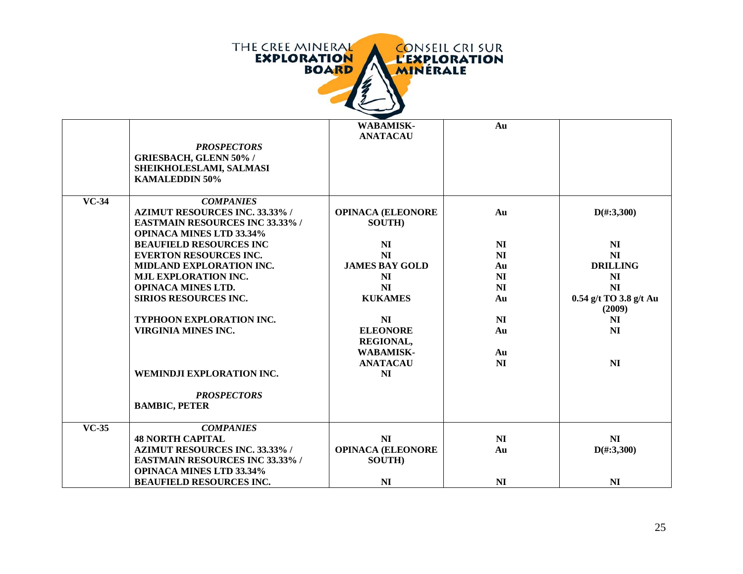

|              |                                        | <b>WABAMISK-</b>         | Au             |                        |
|--------------|----------------------------------------|--------------------------|----------------|------------------------|
|              |                                        | <b>ANATACAU</b>          |                |                        |
|              | <b>PROSPECTORS</b>                     |                          |                |                        |
|              | <b>GRIESBACH, GLENN 50% /</b>          |                          |                |                        |
|              | SHEIKHOLESLAMI, SALMASI                |                          |                |                        |
|              | <b>KAMALEDDIN 50%</b>                  |                          |                |                        |
|              |                                        |                          |                |                        |
| <b>VC-34</b> | <b>COMPANIES</b>                       |                          |                |                        |
|              | <b>AZIMUT RESOURCES INC. 33.33% /</b>  | <b>OPINACA (ELEONORE</b> | Au             | $D(\text{\#}:3,300)$   |
|              | <b>EASTMAIN RESOURCES INC 33.33% /</b> | <b>SOUTH</b> )           |                |                        |
|              | <b>OPINACA MINES LTD 33.34%</b>        |                          |                |                        |
|              | <b>BEAUFIELD RESOURCES INC</b>         | N <sub>I</sub>           | NI             | N <sub>I</sub>         |
|              | <b>EVERTON RESOURCES INC.</b>          | N <sub>I</sub>           | N <sub>I</sub> | N <sub>I</sub>         |
|              | MIDLAND EXPLORATION INC.               | <b>JAMES BAY GOLD</b>    | Au             | <b>DRILLING</b>        |
|              | <b>MJL EXPLORATION INC.</b>            | N <sub>I</sub>           | N <sub>I</sub> | N <sub>I</sub>         |
|              | <b>OPINACA MINES LTD.</b>              | N <sub>I</sub>           | N <sub>I</sub> | N <sub>I</sub>         |
|              | <b>SIRIOS RESOURCES INC.</b>           | <b>KUKAMES</b>           | Au             | 0.54 g/t TO 3.8 g/t Au |
|              |                                        |                          |                | (2009)                 |
|              | TYPHOON EXPLORATION INC.               | N <sub>I</sub>           | N <sub>I</sub> | N <sub>I</sub>         |
|              | <b>VIRGINIA MINES INC.</b>             | <b>ELEONORE</b>          | Au             | N <sub>I</sub>         |
|              |                                        | REGIONAL,                |                |                        |
|              |                                        | <b>WABAMISK-</b>         | Au             |                        |
|              |                                        | <b>ANATACAU</b>          | N <sub>I</sub> | N <sub>I</sub>         |
|              |                                        |                          |                |                        |
|              | WEMINDJI EXPLORATION INC.              | N <sub>I</sub>           |                |                        |
|              | <b>PROSPECTORS</b>                     |                          |                |                        |
|              | <b>BAMBIC, PETER</b>                   |                          |                |                        |
|              |                                        |                          |                |                        |
| $VC-35$      | <b>COMPANIES</b>                       |                          |                |                        |
|              | <b>48 NORTH CAPITAL</b>                | N <sub>I</sub>           | N <sub>I</sub> | N <sub>I</sub>         |
|              | <b>AZIMUT RESOURCES INC. 33.33% /</b>  | <b>OPINACA (ELEONORE</b> | Au             | $D(\text{\#}:3,300)$   |
|              | <b>EASTMAIN RESOURCES INC 33.33% /</b> | <b>SOUTH</b> )           |                |                        |
|              | <b>OPINACA MINES LTD 33.34%</b>        |                          |                |                        |
|              | <b>BEAUFIELD RESOURCES INC.</b>        | N <sub>I</sub>           | N <sub>I</sub> | N <sub>I</sub>         |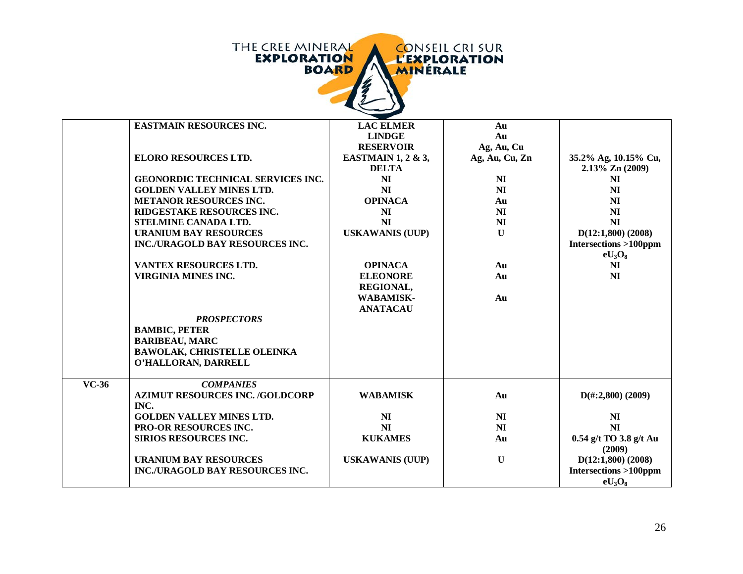| THE CREE MINERAL<br><b>CONSEIL CRI SUR</b><br><b>EXPLORATION</b><br><b>L'EXPLORATION</b><br><b>BOARD</b><br>MINÉRALE |                                        |                                   |                              |                                 |
|----------------------------------------------------------------------------------------------------------------------|----------------------------------------|-----------------------------------|------------------------------|---------------------------------|
|                                                                                                                      | <b>EASTMAIN RESOURCES INC.</b>         | <b>LAC ELMER</b>                  | Au                           |                                 |
|                                                                                                                      |                                        | <b>LINDGE</b><br><b>RESERVOIR</b> | Au                           |                                 |
|                                                                                                                      | <b>ELORO RESOURCES LTD.</b>            | <b>EASTMAIN 1, 2 &amp; 3,</b>     | Ag, Au, Cu<br>Ag, Au, Cu, Zn | 35.2% Ag, 10.15% Cu,            |
|                                                                                                                      |                                        | <b>DELTA</b>                      |                              | 2.13% Zn (2009)                 |
|                                                                                                                      | GEONORDIC TECHNICAL SERVICES INC.      | NI                                | N <sub>I</sub>               | N <sub>I</sub>                  |
|                                                                                                                      | <b>GOLDEN VALLEY MINES LTD.</b>        | NI                                | N <sub>I</sub>               | N <sub>I</sub>                  |
|                                                                                                                      | <b>METANOR RESOURCES INC.</b>          | <b>OPINACA</b>                    | Au                           | N <sub>I</sub>                  |
|                                                                                                                      | RIDGESTAKE RESOURCES INC.              | N <sub>I</sub>                    | N <sub>I</sub>               | N <sub>I</sub>                  |
|                                                                                                                      | STELMINE CANADA LTD.                   | NI                                | NI                           | N <sub>I</sub>                  |
|                                                                                                                      | <b>URANIUM BAY RESOURCES</b>           | <b>USKAWANIS (UUP)</b>            | $\mathbf{U}$                 | $D(12:1,800)$ (2008)            |
|                                                                                                                      | INC./URAGOLD BAY RESOURCES INC.        |                                   |                              | <b>Intersections &gt;100ppm</b> |
|                                                                                                                      | VANTEX RESOURCES LTD.                  | <b>OPINACA</b>                    | Au                           | $eU_3O_8$<br>N <sub>I</sub>     |
|                                                                                                                      | <b>VIRGINIA MINES INC.</b>             | <b>ELEONORE</b>                   | Au                           | N <sub>I</sub>                  |
|                                                                                                                      |                                        | <b>REGIONAL,</b>                  |                              |                                 |
|                                                                                                                      |                                        | <b>WABAMISK-</b>                  | Au                           |                                 |
|                                                                                                                      |                                        | <b>ANATACAU</b>                   |                              |                                 |
|                                                                                                                      | <b>PROSPECTORS</b>                     |                                   |                              |                                 |
|                                                                                                                      | <b>BAMBIC, PETER</b>                   |                                   |                              |                                 |
|                                                                                                                      | <b>BARIBEAU, MARC</b>                  |                                   |                              |                                 |
|                                                                                                                      | <b>BAWOLAK, CHRISTELLE OLEINKA</b>     |                                   |                              |                                 |
|                                                                                                                      | O'HALLORAN, DARRELL                    |                                   |                              |                                 |
| $VC-36$                                                                                                              | <b>COMPANIES</b>                       |                                   |                              |                                 |
|                                                                                                                      | <b>AZIMUT RESOURCES INC. /GOLDCORP</b> | <b>WABAMISK</b>                   | Au                           | $D(\text{\#}:2,800)$ (2009)     |
|                                                                                                                      | INC.                                   |                                   |                              |                                 |
|                                                                                                                      | <b>GOLDEN VALLEY MINES LTD.</b>        | N <sub>I</sub>                    | NI                           | N <sub>I</sub>                  |
|                                                                                                                      | PRO-OR RESOURCES INC.                  | NI                                | NI                           | N <sub>I</sub>                  |
|                                                                                                                      | SIRIOS RESOURCES INC.                  | <b>KUKAMES</b>                    | Au                           | 0.54 g/t TO 3.8 g/t Au          |
|                                                                                                                      | <b>URANIUM BAY RESOURCES</b>           | <b>USKAWANIS (UUP)</b>            | $\mathbf{U}$                 | (2009)<br>$D(12:1,800)$ (2008)  |
|                                                                                                                      | INC./URAGOLD BAY RESOURCES INC.        |                                   |                              | <b>Intersections &gt;100ppm</b> |
|                                                                                                                      |                                        |                                   |                              | $eU_3O_8$                       |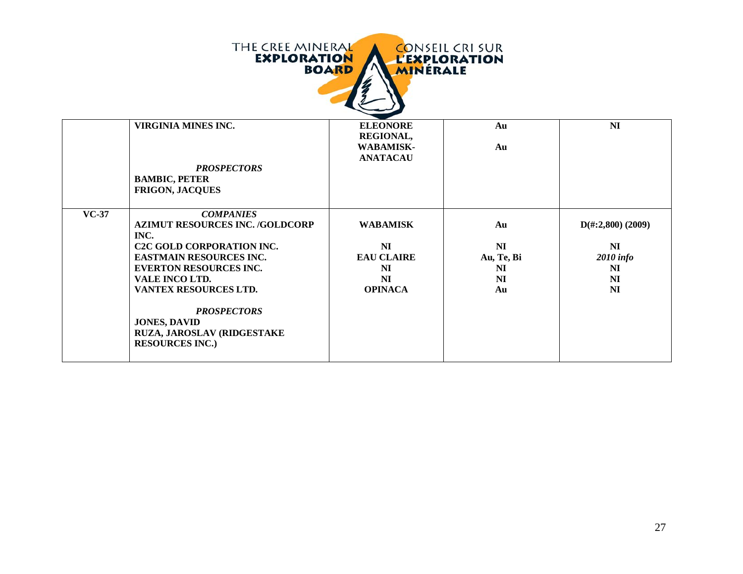| THE CREE MINERAL<br><b>CONSEIL CRI SUR</b><br><b>EXPLORATION</b><br><b>L'EXPLORATION</b><br><b>BOARD</b><br><b>MINERALE</b> |                                                                              |                                                  |                             |  |
|-----------------------------------------------------------------------------------------------------------------------------|------------------------------------------------------------------------------|--------------------------------------------------|-----------------------------|--|
| <b>VIRGINIA MINES INC.</b>                                                                                                  | <b>ELEONORE</b>                                                              | Au                                               | N <sub>I</sub>              |  |
|                                                                                                                             |                                                                              |                                                  |                             |  |
|                                                                                                                             |                                                                              |                                                  |                             |  |
|                                                                                                                             |                                                                              |                                                  |                             |  |
|                                                                                                                             |                                                                              |                                                  |                             |  |
|                                                                                                                             |                                                                              |                                                  |                             |  |
|                                                                                                                             |                                                                              |                                                  |                             |  |
| <b>COMPANIES</b>                                                                                                            |                                                                              |                                                  |                             |  |
| <b>AZIMUT RESOURCES INC. /GOLDCORP</b>                                                                                      | <b>WABAMISK</b>                                                              | Au                                               | $D(\text{\#}:2,800)$ (2009) |  |
| <b>C2C GOLD CORPORATION INC.</b>                                                                                            | N <sub>I</sub>                                                               | N <sub>I</sub>                                   | N <sub>I</sub>              |  |
| <b>EASTMAIN RESOURCES INC.</b>                                                                                              | <b>EAU CLAIRE</b>                                                            |                                                  | <b>2010</b> info            |  |
| <b>EVERTON RESOURCES INC.</b>                                                                                               | N <sub>I</sub>                                                               | N <sub>I</sub>                                   | N <sub>I</sub>              |  |
| VALE INCO LTD.                                                                                                              | NI                                                                           | NI                                               | N <sub>I</sub>              |  |
| VANTEX RESOURCES LTD.                                                                                                       | <b>OPINACA</b>                                                               | Au                                               | N <sub>I</sub>              |  |
| <b>PROSPECTORS</b><br><b>JONES, DAVID</b><br>RUZA, JAROSLAV (RIDGESTAKE<br><b>RESOURCES INC.)</b>                           |                                                                              |                                                  |                             |  |
|                                                                                                                             | <b>PROSPECTORS</b><br><b>BAMBIC, PETER</b><br><b>FRIGON, JACQUES</b><br>INC. | REGIONAL,<br><b>WABAMISK-</b><br><b>ANATACAU</b> | Au<br>Au, Te, Bi            |  |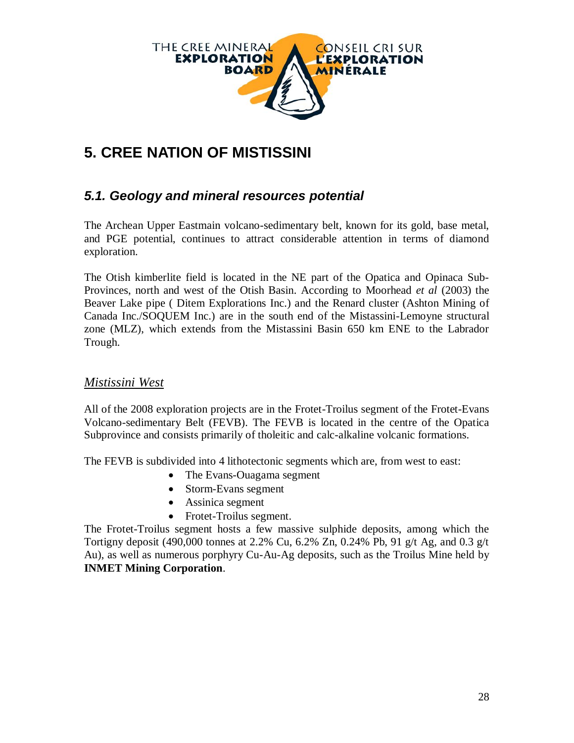

# **5. CREE NATION OF MISTISSINI**

### *5.1. Geology and mineral resources potential*

The Archean Upper Eastmain volcano-sedimentary belt, known for its gold, base metal, and PGE potential, continues to attract considerable attention in terms of diamond exploration.

The Otish kimberlite field is located in the NE part of the Opatica and Opinaca Sub-Provinces, north and west of the Otish Basin. According to Moorhead *et al* (2003) the Beaver Lake pipe ( Ditem Explorations Inc.) and the Renard cluster (Ashton Mining of Canada Inc./SOQUEM Inc.) are in the south end of the Mistassini-Lemoyne structural zone (MLZ), which extends from the Mistassini Basin 650 km ENE to the Labrador Trough.

#### *Mistissini West*

All of the 2008 exploration projects are in the Frotet-Troilus segment of the Frotet-Evans Volcano-sedimentary Belt (FEVB). The FEVB is located in the centre of the Opatica Subprovince and consists primarily of tholeitic and calc-alkaline volcanic formations.

The FEVB is subdivided into 4 lithotectonic segments which are, from west to east:

- The Evans-Ouagama segment
- Storm-Evans segment
- Assinica segment
- Frotet-Troilus segment.

The Frotet-Troilus segment hosts a few massive sulphide deposits, among which the Tortigny deposit (490,000 tonnes at 2.2% Cu, 6.2% Zn, 0.24% Pb, 91 g/t Ag, and 0.3 g/t Au), as well as numerous porphyry Cu-Au-Ag deposits, such as the Troilus Mine held by **INMET Mining Corporation**.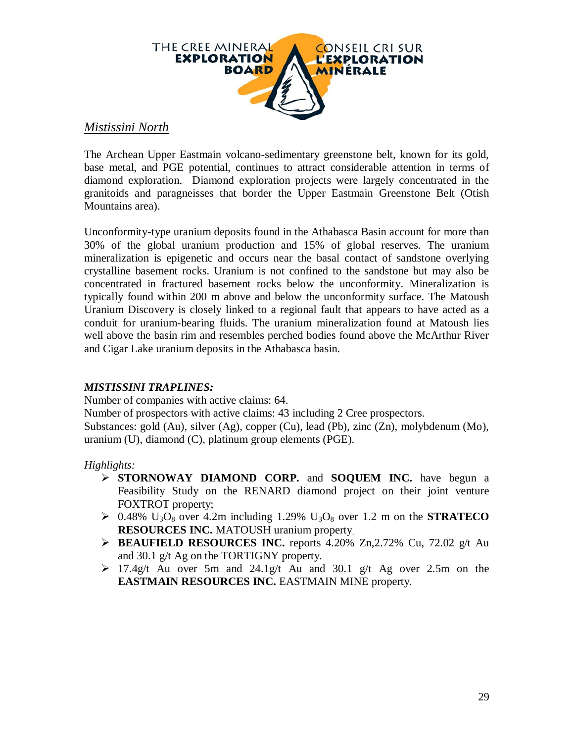

#### *Mistissini North*

The Archean Upper Eastmain volcano-sedimentary greenstone belt, known for its gold, base metal, and PGE potential, continues to attract considerable attention in terms of diamond exploration. Diamond exploration projects were largely concentrated in the granitoids and paragneisses that border the Upper Eastmain Greenstone Belt (Otish Mountains area).

Unconformity-type uranium deposits found in the Athabasca Basin account for more than 30% of the global uranium production and 15% of global reserves. The uranium mineralization is epigenetic and occurs near the basal contact of sandstone overlying crystalline basement rocks. Uranium is not confined to the sandstone but may also be concentrated in fractured basement rocks below the unconformity. Mineralization is typically found within 200 m above and below the unconformity surface. The Matoush Uranium Discovery is closely linked to a regional fault that appears to have acted as a conduit for uranium-bearing fluids. The uranium mineralization found at Matoush lies well above the basin rim and resembles perched bodies found above the McArthur River and Cigar Lake uranium deposits in the Athabasca basin.

#### *MISTISSINI TRAPLINES:*

Number of companies with active claims: 64.

Number of prospectors with active claims: 43 including 2 Cree prospectors.

Substances: gold (Au), silver (Ag), copper (Cu), lead (Pb), zinc (Zn), molybdenum (Mo), uranium (U), diamond (C), platinum group elements (PGE).

#### *Highlights:*

- **STORNOWAY DIAMOND CORP.** and **SOQUEM INC.** have begun a Feasibility Study on the RENARD diamond project on their joint venture FOXTROT property;
- $\geq 0.48\%$  U<sub>3</sub>O<sub>8</sub> over 4.2m including 1.29% U<sub>3</sub>O<sub>8</sub> over 1.2 m on the **STRATECO RESOURCES INC.** MATOUSH uranium property.
- **BEAUFIELD RESOURCES INC.** reports 4.20% Zn,2.72% Cu, 72.02 g/t Au and 30.1 g/t Ag on the TORTIGNY property.
- $\geq 17.4$ g/t Au over 5m and 24.1g/t Au and 30.1 g/t Ag over 2.5m on the **EASTMAIN RESOURCES INC.** EASTMAIN MINE property.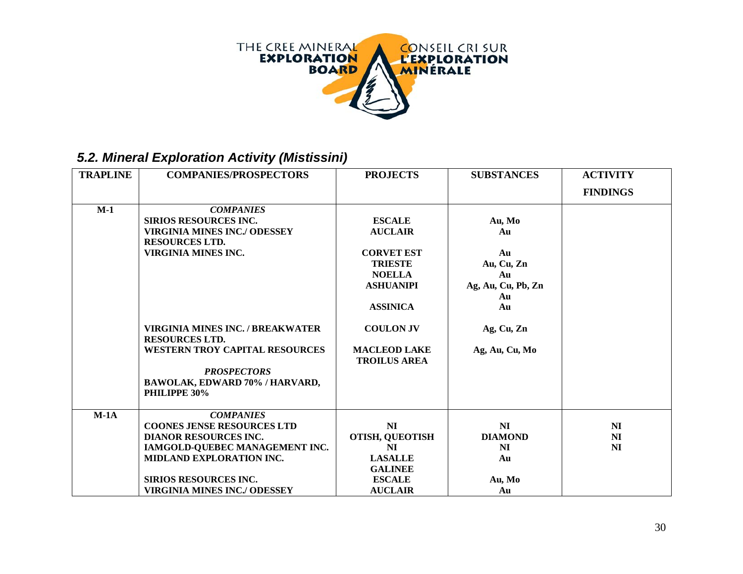

# *5.2. Mineral Exploration Activity (Mistissini)*

| <b>TRAPLINE</b> | <b>COMPANIES/PROSPECTORS</b>                                                                                                                                                                                               | <b>PROJECTS</b>                                                                                                                | <b>SUBSTANCES</b>                                                        | <b>ACTIVITY</b>                                    |
|-----------------|----------------------------------------------------------------------------------------------------------------------------------------------------------------------------------------------------------------------------|--------------------------------------------------------------------------------------------------------------------------------|--------------------------------------------------------------------------|----------------------------------------------------|
|                 |                                                                                                                                                                                                                            |                                                                                                                                |                                                                          | <b>FINDINGS</b>                                    |
| $M-1$           | <b>COMPANIES</b><br><b>SIRIOS RESOURCES INC.</b><br><b>VIRGINIA MINES INC./ ODESSEY</b><br><b>RESOURCES LTD.</b><br>VIRGINIA MINES INC.                                                                                    | <b>ESCALE</b><br><b>AUCLAIR</b><br><b>CORVET EST</b><br><b>TRIESTE</b><br><b>NOELLA</b><br><b>ASHUANIPI</b><br><b>ASSINICA</b> | Au, Mo<br>Au<br>Au<br>Au, Cu, Zn<br>Au<br>Ag, Au, Cu, Pb, Zn<br>Au<br>Au |                                                    |
|                 | VIRGINIA MINES INC. / BREAKWATER<br><b>RESOURCES LTD.</b><br><b>WESTERN TROY CAPITAL RESOURCES</b><br><b>PROSPECTORS</b><br>BAWOLAK, EDWARD 70% / HARVARD,<br>PHILIPPE 30%                                                 | <b>COULON JV</b><br><b>MACLEOD LAKE</b><br><b>TROILUS AREA</b>                                                                 | Ag, Cu, Zn<br>Ag, Au, Cu, Mo                                             |                                                    |
| $M-1A$          | <b>COMPANIES</b><br><b>COONES JENSE RESOURCES LTD</b><br><b>DIANOR RESOURCES INC.</b><br>IAMGOLD-QUEBEC MANAGEMENT INC.<br>MIDLAND EXPLORATION INC.<br><b>SIRIOS RESOURCES INC.</b><br><b>VIRGINIA MINES INC./ ODESSEY</b> | NI<br><b>OTISH, QUEOTISH</b><br>N <sub>I</sub><br><b>LASALLE</b><br><b>GALINEE</b><br><b>ESCALE</b><br><b>AUCLAIR</b>          | N <sub>I</sub><br><b>DIAMOND</b><br>N <sub>I</sub><br>Au<br>Au, Mo<br>Au | N <sub>I</sub><br>N <sub>I</sub><br>N <sub>I</sub> |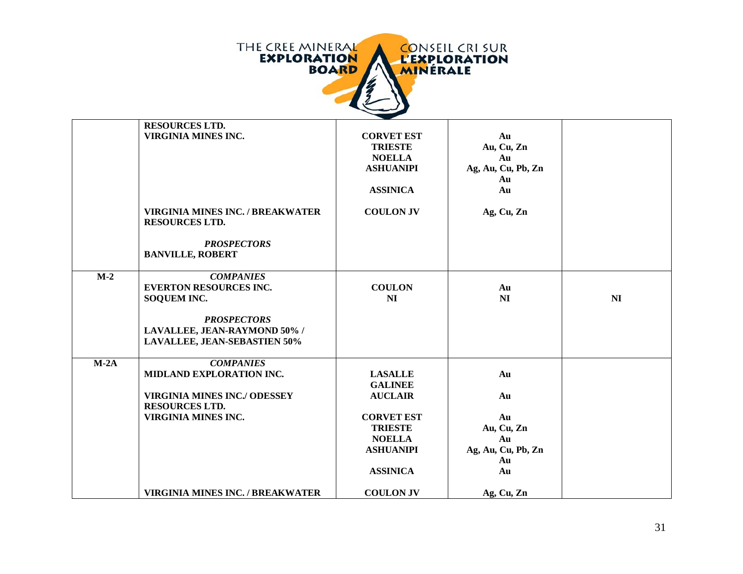

|        | <b>RESOURCES LTD.</b>                                            |                   |                    |    |
|--------|------------------------------------------------------------------|-------------------|--------------------|----|
|        | <b>VIRGINIA MINES INC.</b>                                       | <b>CORVET EST</b> | Au                 |    |
|        |                                                                  | <b>TRIESTE</b>    | Au, Cu, Zn         |    |
|        |                                                                  | <b>NOELLA</b>     | Au                 |    |
|        |                                                                  | <b>ASHUANIPI</b>  | Ag, Au, Cu, Pb, Zn |    |
|        |                                                                  |                   | Au                 |    |
|        |                                                                  | <b>ASSINICA</b>   | Au                 |    |
|        | <b>VIRGINIA MINES INC. / BREAKWATER</b><br><b>RESOURCES LTD.</b> | <b>COULON JV</b>  | Ag, Cu, Zn         |    |
|        | <b>PROSPECTORS</b><br><b>BANVILLE, ROBERT</b>                    |                   |                    |    |
| $M-2$  | <b>COMPANIES</b>                                                 |                   |                    |    |
|        | <b>EVERTON RESOURCES INC.</b>                                    | <b>COULON</b>     | Au                 |    |
|        | <b>SOQUEM INC.</b>                                               | NI                | N <sub>I</sub>     | NI |
|        |                                                                  |                   |                    |    |
|        | <b>PROSPECTORS</b>                                               |                   |                    |    |
|        | LAVALLEE, JEAN-RAYMOND 50% /                                     |                   |                    |    |
|        | <b>LAVALLEE, JEAN-SEBASTIEN 50%</b>                              |                   |                    |    |
| $M-2A$ | <b>COMPANIES</b>                                                 |                   |                    |    |
|        | MIDLAND EXPLORATION INC.                                         | <b>LASALLE</b>    | Au                 |    |
|        |                                                                  | <b>GALINEE</b>    |                    |    |
|        | <b>VIRGINIA MINES INC./ ODESSEY</b>                              | <b>AUCLAIR</b>    | Au                 |    |
|        | <b>RESOURCES LTD.</b>                                            |                   |                    |    |
|        | <b>VIRGINIA MINES INC.</b>                                       | <b>CORVET EST</b> | Au                 |    |
|        |                                                                  | <b>TRIESTE</b>    | Au, Cu, Zn         |    |
|        |                                                                  | <b>NOELLA</b>     | Au                 |    |
|        |                                                                  | <b>ASHUANIPI</b>  | Ag, Au, Cu, Pb, Zn |    |
|        |                                                                  |                   | Au                 |    |
|        |                                                                  | <b>ASSINICA</b>   | Au                 |    |
|        | <b>VIRGINIA MINES INC. / BREAKWATER</b>                          | <b>COULON JV</b>  | Ag, Cu, Zn         |    |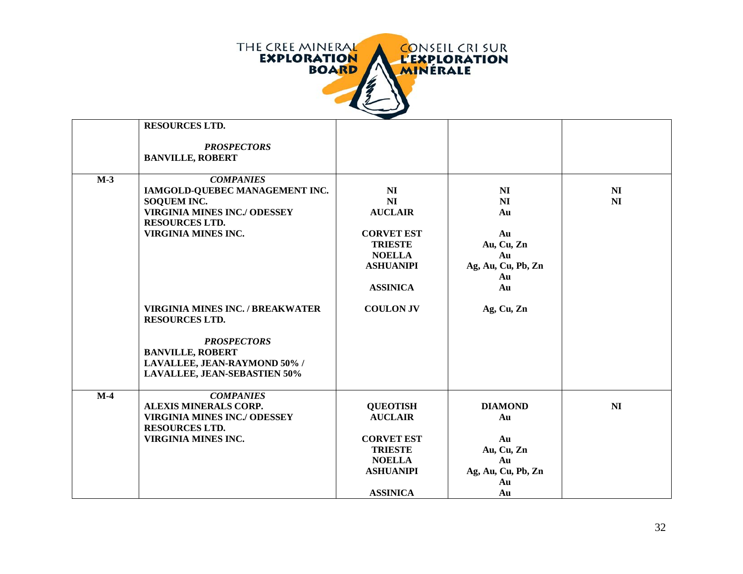

|       | <b>RESOURCES LTD.</b>                                                                                                                                                  |                                                                                                                                                   |                                                                                        |                      |
|-------|------------------------------------------------------------------------------------------------------------------------------------------------------------------------|---------------------------------------------------------------------------------------------------------------------------------------------------|----------------------------------------------------------------------------------------|----------------------|
|       | <b>PROSPECTORS</b><br><b>BANVILLE, ROBERT</b>                                                                                                                          |                                                                                                                                                   |                                                                                        |                      |
| $M-3$ | <b>COMPANIES</b><br>IAMGOLD-QUEBEC MANAGEMENT INC.<br><b>SOQUEM INC.</b><br><b>VIRGINIA MINES INC./ ODESSEY</b><br><b>RESOURCES LTD.</b><br><b>VIRGINIA MINES INC.</b> | N <sub>I</sub><br>N <sub>I</sub><br><b>AUCLAIR</b><br><b>CORVET EST</b><br><b>TRIESTE</b><br><b>NOELLA</b><br><b>ASHUANIPI</b><br><b>ASSINICA</b> | N <sub>I</sub><br>NI<br>Au<br>Au<br>Au, Cu, Zn<br>Au<br>Ag, Au, Cu, Pb, Zn<br>Au<br>Au | N <sub>I</sub><br>NI |
|       | <b>VIRGINIA MINES INC. / BREAKWATER</b><br><b>RESOURCES LTD.</b>                                                                                                       | <b>COULON JV</b>                                                                                                                                  | Ag, Cu, Zn                                                                             |                      |
|       | <b>PROSPECTORS</b><br><b>BANVILLE, ROBERT</b><br>LAVALLEE, JEAN-RAYMOND 50% /<br><b>LAVALLEE, JEAN-SEBASTIEN 50%</b>                                                   |                                                                                                                                                   |                                                                                        |                      |
| $M-4$ | <b>COMPANIES</b><br><b>ALEXIS MINERALS CORP.</b><br><b>VIRGINIA MINES INC./ ODESSEY</b><br><b>RESOURCES LTD.</b><br><b>VIRGINIA MINES INC.</b>                         | <b>QUEOTISH</b><br><b>AUCLAIR</b><br><b>CORVET EST</b><br><b>TRIESTE</b><br><b>NOELLA</b><br><b>ASHUANIPI</b>                                     | <b>DIAMOND</b><br>Au<br>Au<br>Au, Cu, Zn<br>Au<br>Ag, Au, Cu, Pb, Zn<br>Au             | NI                   |
|       |                                                                                                                                                                        | <b>ASSINICA</b>                                                                                                                                   | Au                                                                                     |                      |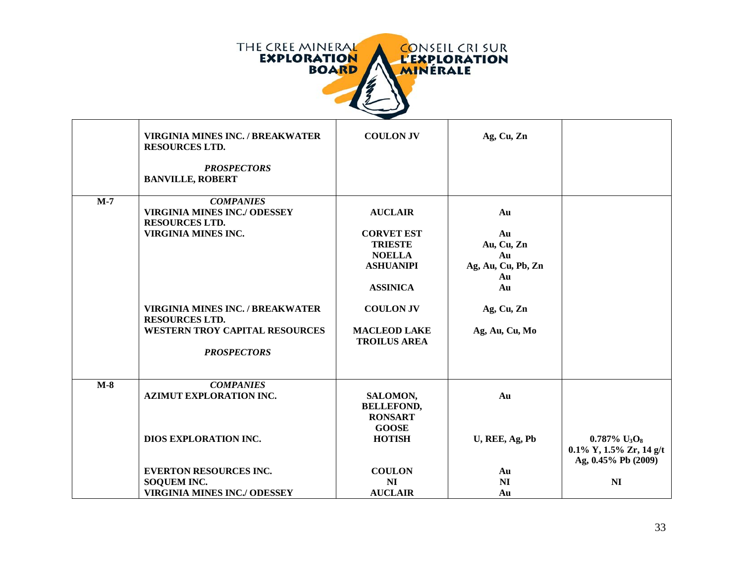

|       | <b>VIRGINIA MINES INC. / BREAKWATER</b><br><b>RESOURCES LTD.</b><br><b>PROSPECTORS</b><br><b>BANVILLE, ROBERT</b>                                                                  | <b>COULON JV</b>                                                                                                                  | Ag, Cu, Zn                                                                   |                                                                                           |
|-------|------------------------------------------------------------------------------------------------------------------------------------------------------------------------------------|-----------------------------------------------------------------------------------------------------------------------------------|------------------------------------------------------------------------------|-------------------------------------------------------------------------------------------|
| $M-7$ | <b>COMPANIES</b><br><b>VIRGINIA MINES INC./ ODESSEY</b><br><b>RESOURCES LTD.</b><br><b>VIRGINIA MINES INC.</b><br><b>VIRGINIA MINES INC. / BREAKWATER</b><br><b>RESOURCES LTD.</b> | <b>AUCLAIR</b><br><b>CORVET EST</b><br><b>TRIESTE</b><br><b>NOELLA</b><br><b>ASHUANIPI</b><br><b>ASSINICA</b><br><b>COULON JV</b> | Au<br>Au<br>Au, Cu, Zn<br>Au<br>Ag, Au, Cu, Pb, Zn<br>Au<br>Au<br>Ag, Cu, Zn |                                                                                           |
|       | <b>WESTERN TROY CAPITAL RESOURCES</b><br><b>PROSPECTORS</b>                                                                                                                        | <b>MACLEOD LAKE</b><br><b>TROILUS AREA</b>                                                                                        | Ag, Au, Cu, Mo                                                               |                                                                                           |
| $M-8$ | <b>COMPANIES</b><br><b>AZIMUT EXPLORATION INC.</b>                                                                                                                                 | SALOMON,<br><b>BELLEFOND,</b><br><b>RONSART</b><br><b>GOOSE</b>                                                                   | Au                                                                           |                                                                                           |
|       | DIOS EXPLORATION INC.                                                                                                                                                              | <b>HOTISH</b>                                                                                                                     | U, REE, Ag, Pb                                                               | $0.787\%$ U <sub>3</sub> O <sub>8</sub><br>0.1% Y, 1.5% Zr, 14 g/t<br>Ag, 0.45% Pb (2009) |
|       | <b>EVERTON RESOURCES INC.</b><br>SOQUEM INC.<br><b>VIRGINIA MINES INC./ ODESSEY</b>                                                                                                | <b>COULON</b><br><b>NI</b><br><b>AUCLAIR</b>                                                                                      | Au<br>N <sub>I</sub><br>Au                                                   | N <sub>I</sub>                                                                            |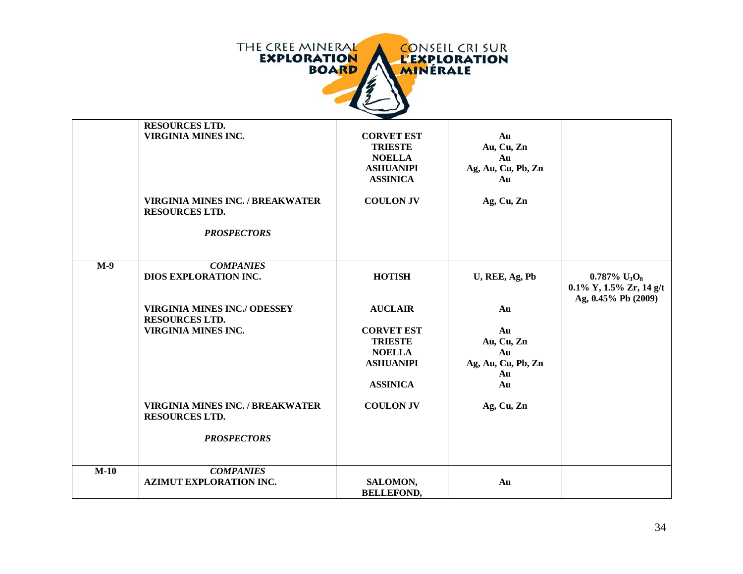

|        | <b>RESOURCES LTD.</b><br><b>VIRGINIA MINES INC.</b>              | <b>CORVET EST</b><br><b>TRIESTE</b><br><b>NOELLA</b><br><b>ASHUANIPI</b><br><b>ASSINICA</b> | Au<br>Au, Cu, Zn<br>Au<br>Ag, Au, Cu, Pb, Zn<br>Au       |                                                                                                   |
|--------|------------------------------------------------------------------|---------------------------------------------------------------------------------------------|----------------------------------------------------------|---------------------------------------------------------------------------------------------------|
|        | VIRGINIA MINES INC. / BREAKWATER<br><b>RESOURCES LTD.</b>        | <b>COULON JV</b>                                                                            | Ag, Cu, Zn                                               |                                                                                                   |
|        | <b>PROSPECTORS</b>                                               |                                                                                             |                                                          |                                                                                                   |
| $M-9$  | <b>COMPANIES</b><br>DIOS EXPLORATION INC.                        | <b>HOTISH</b>                                                                               | U, REE, Ag, Pb                                           | $0.787\%$ U <sub>3</sub> O <sub>8</sub><br>$0.1\%$ Y, $1.5\%$ Zr, $14$ g/t<br>Ag, 0.45% Pb (2009) |
|        | <b>VIRGINIA MINES INC./ ODESSEY</b><br><b>RESOURCES LTD.</b>     | <b>AUCLAIR</b>                                                                              | Au                                                       |                                                                                                   |
|        | <b>VIRGINIA MINES INC.</b>                                       | <b>CORVET EST</b><br><b>TRIESTE</b><br><b>NOELLA</b><br><b>ASHUANIPI</b><br><b>ASSINICA</b> | Au<br>Au, Cu, Zn<br>Au<br>Ag, Au, Cu, Pb, Zn<br>Au<br>Au |                                                                                                   |
|        | <b>VIRGINIA MINES INC. / BREAKWATER</b><br><b>RESOURCES LTD.</b> | <b>COULON JV</b>                                                                            | Ag, Cu, Zn                                               |                                                                                                   |
|        | <b>PROSPECTORS</b>                                               |                                                                                             |                                                          |                                                                                                   |
| $M-10$ | <b>COMPANIES</b><br><b>AZIMUT EXPLORATION INC.</b>               | SALOMON,<br><b>BELLEFOND,</b>                                                               | Au                                                       |                                                                                                   |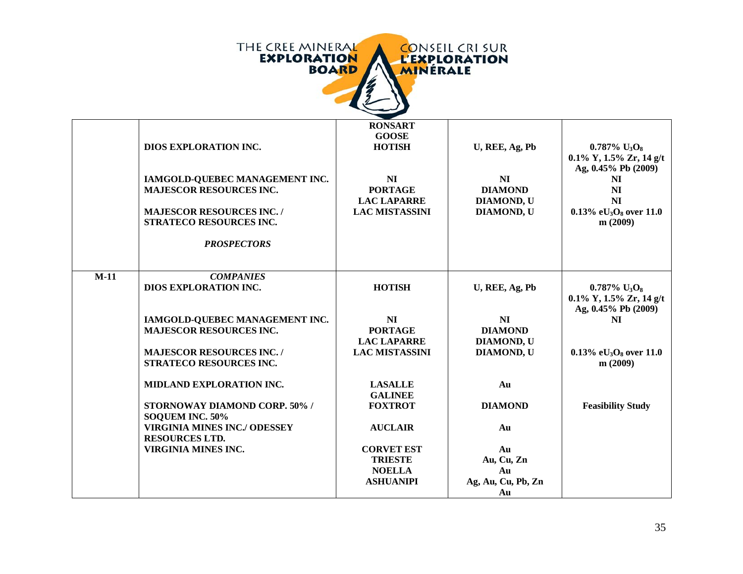

|        | <b>DIOS EXPLORATION INC.</b><br>IAMGOLD-QUEBEC MANAGEMENT INC.<br><b>MAJESCOR RESOURCES INC.</b><br><b>MAJESCOR RESOURCES INC./</b><br>STRATECO RESOURCES INC.<br><b>PROSPECTORS</b> | <b>RONSART</b><br><b>GOOSE</b><br><b>HOTISH</b><br>NI<br><b>PORTAGE</b><br><b>LAC LAPARRE</b><br><b>LAC MISTASSINI</b> | U, REE, Ag, Pb<br><b>NI</b><br><b>DIAMOND</b><br><b>DIAMOND, U</b><br><b>DIAMOND, U</b> | $0.787\%$ U <sub>3</sub> O <sub>8</sub><br>$0.1\%$ Y, $1.5\%$ Zr, $14$ g/t<br>Ag, 0.45% Pb (2009)<br>NI<br>NI<br>NI<br>0.13% e $U_3O_8$ over 11.0<br>m(2009) |
|--------|--------------------------------------------------------------------------------------------------------------------------------------------------------------------------------------|------------------------------------------------------------------------------------------------------------------------|-----------------------------------------------------------------------------------------|--------------------------------------------------------------------------------------------------------------------------------------------------------------|
| $M-11$ | <b>COMPANIES</b><br>DIOS EXPLORATION INC.                                                                                                                                            | <b>HOTISH</b>                                                                                                          | U, REE, Ag, Pb                                                                          | $0.787\%$ U <sub>3</sub> O <sub>8</sub><br>$0.1\%$ Y, $1.5\%$ Zr, $14$ g/t                                                                                   |
|        | IAMGOLD-QUEBEC MANAGEMENT INC.<br><b>MAJESCOR RESOURCES INC.</b><br><b>MAJESCOR RESOURCES INC./</b><br>STRATECO RESOURCES INC.                                                       | NI<br><b>PORTAGE</b><br><b>LAC LAPARRE</b><br><b>LAC MISTASSINI</b>                                                    | <b>NI</b><br><b>DIAMOND</b><br><b>DIAMOND, U</b><br><b>DIAMOND, U</b>                   | Ag, 0.45% Pb (2009)<br>NI<br>0.13% e $U_3O_8$ over 11.0<br>m(2009)                                                                                           |
|        | MIDLAND EXPLORATION INC.<br><b>STORNOWAY DIAMOND CORP. 50%/</b><br>SOQUEM INC. 50%                                                                                                   | <b>LASALLE</b><br><b>GALINEE</b><br><b>FOXTROT</b>                                                                     | Au<br><b>DIAMOND</b>                                                                    | <b>Feasibility Study</b>                                                                                                                                     |
|        | <b>VIRGINIA MINES INC./ ODESSEY</b><br><b>RESOURCES LTD.</b>                                                                                                                         | <b>AUCLAIR</b>                                                                                                         | Au                                                                                      |                                                                                                                                                              |
|        | <b>VIRGINIA MINES INC.</b>                                                                                                                                                           | <b>CORVET EST</b><br><b>TRIESTE</b><br><b>NOELLA</b><br><b>ASHUANIPI</b>                                               | Au<br>Au, Cu, Zn<br>Au<br>Ag, Au, Cu, Pb, Zn<br>Au                                      |                                                                                                                                                              |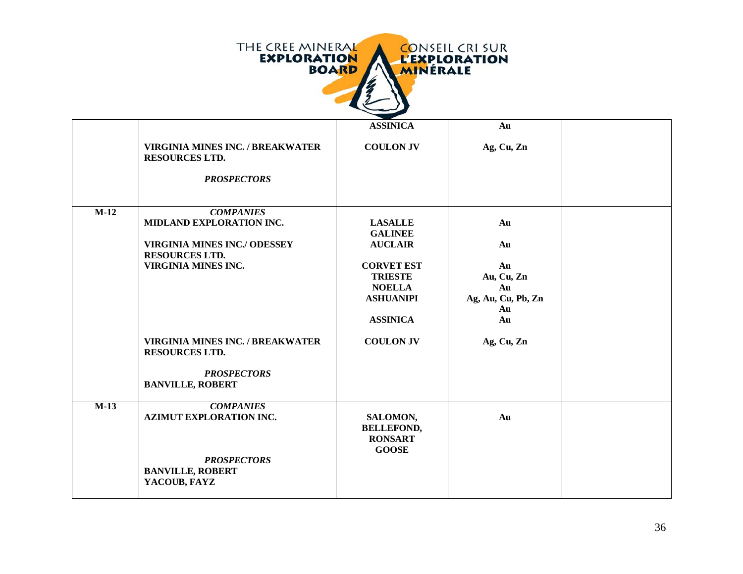

|        |                                                                                                              | <b>ASSINICA</b>                                                                             | Au                                                       |  |
|--------|--------------------------------------------------------------------------------------------------------------|---------------------------------------------------------------------------------------------|----------------------------------------------------------|--|
|        | <b>VIRGINIA MINES INC. / BREAKWATER</b><br><b>RESOURCES LTD.</b>                                             | <b>COULON JV</b>                                                                            | Ag, Cu, Zn                                               |  |
|        | <b>PROSPECTORS</b>                                                                                           |                                                                                             |                                                          |  |
| $M-12$ | <b>COMPANIES</b><br>MIDLAND EXPLORATION INC.<br><b>VIRGINIA MINES INC./ ODESSEY</b><br><b>RESOURCES LTD.</b> | <b>LASALLE</b><br><b>GALINEE</b><br><b>AUCLAIR</b>                                          | Au<br>Au                                                 |  |
|        | <b>VIRGINIA MINES INC.</b>                                                                                   | <b>CORVET EST</b><br><b>TRIESTE</b><br><b>NOELLA</b><br><b>ASHUANIPI</b><br><b>ASSINICA</b> | Au<br>Au, Cu, Zn<br>Au<br>Ag, Au, Cu, Pb, Zn<br>Au<br>Au |  |
|        | <b>VIRGINIA MINES INC. / BREAKWATER</b><br><b>RESOURCES LTD.</b><br><b>PROSPECTORS</b>                       | <b>COULON JV</b>                                                                            | Ag, Cu, Zn                                               |  |
|        | <b>BANVILLE, ROBERT</b>                                                                                      |                                                                                             |                                                          |  |
| $M-13$ | <b>COMPANIES</b><br><b>AZIMUT EXPLORATION INC.</b>                                                           | SALOMON,<br><b>BELLEFOND,</b><br><b>RONSART</b><br><b>GOOSE</b>                             | Au                                                       |  |
|        | <b>PROSPECTORS</b><br><b>BANVILLE, ROBERT</b><br>YACOUB, FAYZ                                                |                                                                                             |                                                          |  |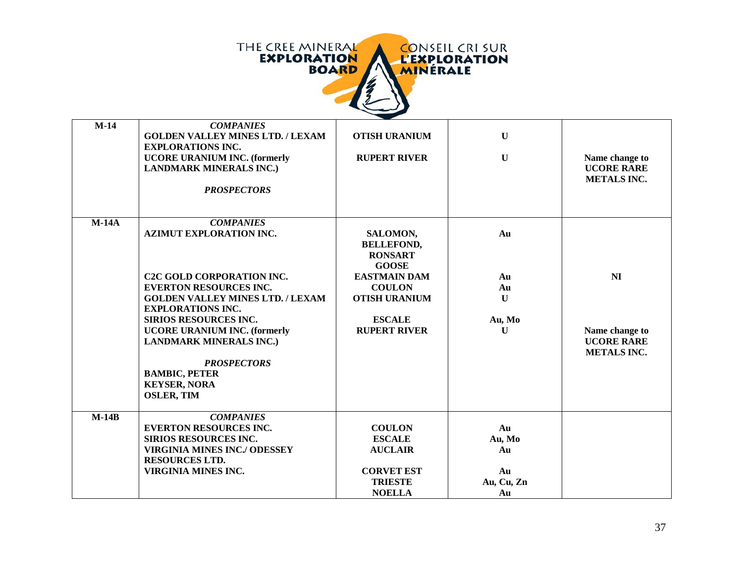

| $M-14$  | <b>COMPANIES</b><br><b>GOLDEN VALLEY MINES LTD. / LEXAM</b><br><b>EXPLORATIONS INC.</b><br><b>UCORE URANIUM INC. (formerly</b><br><b>LANDMARK MINERALS INC.)</b><br><b>PROSPECTORS</b>                                                                                                                                                                                                     | <b>OTISH URANIUM</b><br><b>RUPERT RIVER</b>                                                                                                                             | $\mathbf{U}$<br>$\mathbf U$                   | Name change to<br><b>UCORE RARE</b><br><b>METALS INC.</b>                   |
|---------|--------------------------------------------------------------------------------------------------------------------------------------------------------------------------------------------------------------------------------------------------------------------------------------------------------------------------------------------------------------------------------------------|-------------------------------------------------------------------------------------------------------------------------------------------------------------------------|-----------------------------------------------|-----------------------------------------------------------------------------|
| $M-14A$ | <b>COMPANIES</b><br><b>AZIMUT EXPLORATION INC.</b><br><b>C2C GOLD CORPORATION INC.</b><br><b>EVERTON RESOURCES INC.</b><br><b>GOLDEN VALLEY MINES LTD. / LEXAM</b><br><b>EXPLORATIONS INC.</b><br>SIRIOS RESOURCES INC.<br><b>UCORE URANIUM INC. (formerly</b><br><b>LANDMARK MINERALS INC.)</b><br><b>PROSPECTORS</b><br><b>BAMBIC, PETER</b><br><b>KEYSER, NORA</b><br><b>OSLER, TIM</b> | SALOMON,<br><b>BELLEFOND,</b><br><b>RONSART</b><br><b>GOOSE</b><br><b>EASTMAIN DAM</b><br><b>COULON</b><br><b>OTISH URANIUM</b><br><b>ESCALE</b><br><b>RUPERT RIVER</b> | Au<br>Au<br>Au<br>$\mathbf{U}$<br>Au, Mo<br>U | N <sub>I</sub><br>Name change to<br><b>UCORE RARE</b><br><b>METALS INC.</b> |
| $M-14B$ | <b>COMPANIES</b><br><b>EVERTON RESOURCES INC.</b><br><b>SIRIOS RESOURCES INC.</b><br><b>VIRGINIA MINES INC./ ODESSEY</b><br><b>RESOURCES LTD.</b><br><b>VIRGINIA MINES INC.</b>                                                                                                                                                                                                            | <b>COULON</b><br><b>ESCALE</b><br><b>AUCLAIR</b><br><b>CORVET EST</b><br><b>TRIESTE</b><br><b>NOELLA</b>                                                                | Au<br>Au, Mo<br>Au<br>Au<br>Au, Cu, Zn<br>Au  |                                                                             |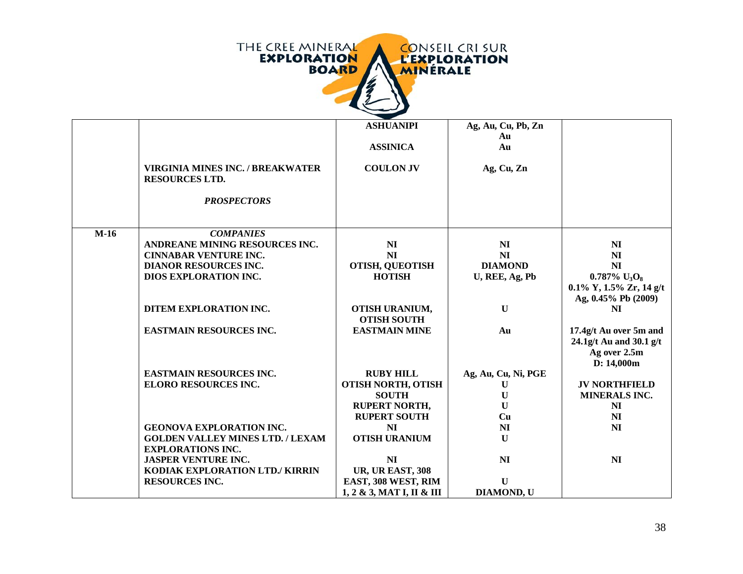

|        |                                                                  | <b>ASHUANIPI</b>                                   | Ag, Au, Cu, Pb, Zn  |                                                        |
|--------|------------------------------------------------------------------|----------------------------------------------------|---------------------|--------------------------------------------------------|
|        |                                                                  |                                                    | Au                  |                                                        |
|        |                                                                  | <b>ASSINICA</b>                                    | Au                  |                                                        |
|        |                                                                  |                                                    |                     |                                                        |
|        | <b>VIRGINIA MINES INC. / BREAKWATER</b><br><b>RESOURCES LTD.</b> | <b>COULON JV</b>                                   | Ag, Cu, Zn          |                                                        |
|        |                                                                  |                                                    |                     |                                                        |
|        | <b>PROSPECTORS</b>                                               |                                                    |                     |                                                        |
|        |                                                                  |                                                    |                     |                                                        |
|        |                                                                  |                                                    |                     |                                                        |
| $M-16$ | <b>COMPANIES</b>                                                 |                                                    |                     |                                                        |
|        | ANDREANE MINING RESOURCES INC.                                   | NI                                                 | N <sub>I</sub>      | N <sub>I</sub>                                         |
|        | <b>CINNABAR VENTURE INC.</b>                                     | NI                                                 | NI                  | N <sub>I</sub>                                         |
|        | <b>DIANOR RESOURCES INC.</b>                                     | <b>OTISH, QUEOTISH</b>                             | <b>DIAMOND</b>      | NI                                                     |
|        | DIOS EXPLORATION INC.                                            | <b>HOTISH</b>                                      | U, REE, Ag, Pb      | $0.787\%$ U <sub>3</sub> O <sub>8</sub>                |
|        |                                                                  |                                                    |                     | $0.1\%$ Y, $1.5\%$ Zr, $14$ g/t<br>Ag, 0.45% Pb (2009) |
|        | DITEM EXPLORATION INC.                                           | OTISH URANIUM,                                     | $\mathbf U$         | N <sub>I</sub>                                         |
|        |                                                                  | <b>OTISH SOUTH</b>                                 |                     |                                                        |
|        | <b>EASTMAIN RESOURCES INC.</b>                                   | <b>EASTMAIN MINE</b>                               | Au                  | 17.4g/t Au over 5m and                                 |
|        |                                                                  |                                                    |                     | 24.1g/t Au and 30.1 g/t                                |
|        |                                                                  |                                                    |                     | Ag over 2.5m                                           |
|        |                                                                  |                                                    |                     | D: 14,000m                                             |
|        |                                                                  |                                                    |                     |                                                        |
|        | <b>EASTMAIN RESOURCES INC.</b>                                   | <b>RUBY HILL</b>                                   | Ag, Au, Cu, Ni, PGE |                                                        |
|        | <b>ELORO RESOURCES INC.</b>                                      | <b>OTISH NORTH, OTISH</b>                          | U                   | <b>JV NORTHFIELD</b>                                   |
|        |                                                                  | <b>SOUTH</b>                                       | U                   | <b>MINERALS INC.</b>                                   |
|        |                                                                  | <b>RUPERT NORTH,</b>                               | U                   | NI                                                     |
|        |                                                                  | <b>RUPERT SOUTH</b>                                | Cu                  | N <sub>I</sub>                                         |
|        | <b>GEONOVA EXPLORATION INC.</b>                                  | NI                                                 | N <sub>I</sub>      | NI                                                     |
|        | <b>GOLDEN VALLEY MINES LTD. / LEXAM</b>                          | <b>OTISH URANIUM</b>                               | $\mathbf{U}$        |                                                        |
|        | <b>EXPLORATIONS INC.</b>                                         |                                                    |                     |                                                        |
|        | <b>JASPER VENTURE INC.</b>                                       | NI                                                 | N <sub>I</sub>      | N <sub>I</sub>                                         |
|        | KODIAK EXPLORATION LTD./ KIRRIN                                  | <b>UR, UR EAST, 308</b>                            |                     |                                                        |
|        | <b>RESOURCES INC.</b>                                            | EAST, 308 WEST, RIM                                | $\mathbf{U}$        |                                                        |
|        |                                                                  | $1, 2 \& 3, \text{MAT I}, \text{II} \& \text{III}$ | <b>DIAMOND, U</b>   |                                                        |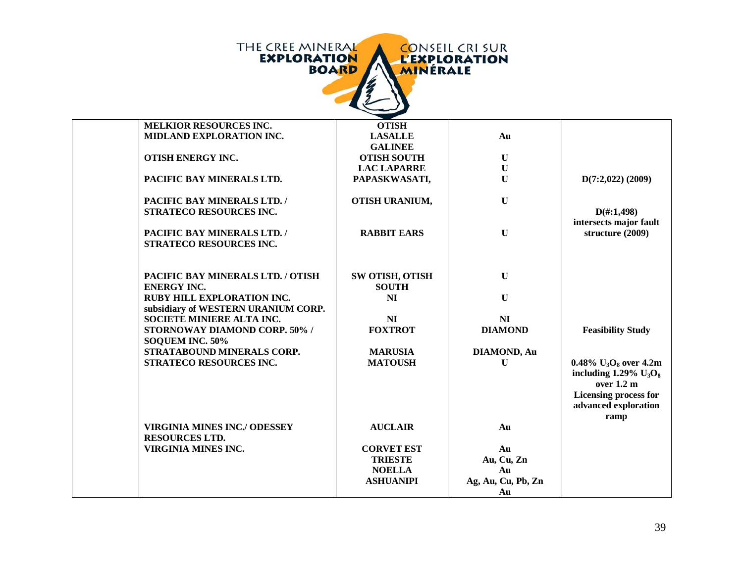| THE CREE MINERAL<br><b>CONSEIL CRI SUR</b><br><b>EXPLORATION</b><br><b>L'EXPLORATION</b><br><b>BOARD</b><br><b>MINERALE</b> |                                  |                    |                                                                              |  |
|-----------------------------------------------------------------------------------------------------------------------------|----------------------------------|--------------------|------------------------------------------------------------------------------|--|
|                                                                                                                             |                                  |                    |                                                                              |  |
| <b>MELKIOR RESOURCES INC.</b><br>MIDLAND EXPLORATION INC.                                                                   | <b>OTISH</b>                     |                    |                                                                              |  |
|                                                                                                                             | <b>LASALLE</b><br><b>GALINEE</b> | Au                 |                                                                              |  |
| OTISH ENERGY INC.                                                                                                           | <b>OTISH SOUTH</b>               | $\mathbf U$        |                                                                              |  |
|                                                                                                                             | <b>LAC LAPARRE</b>               | $\mathbf U$        |                                                                              |  |
| PACIFIC BAY MINERALS LTD.                                                                                                   | PAPASKWASATI,                    | $\mathbf U$        | $D(7:2,022)$ (2009)                                                          |  |
|                                                                                                                             |                                  |                    |                                                                              |  |
| PACIFIC BAY MINERALS LTD. /                                                                                                 | OTISH URANIUM,                   | $\mathbf U$        |                                                                              |  |
| STRATECO RESOURCES INC.                                                                                                     |                                  |                    | $D(\text{\#}:1,498)$                                                         |  |
|                                                                                                                             |                                  |                    | intersects major fault                                                       |  |
| PACIFIC BAY MINERALS LTD. /                                                                                                 | <b>RABBIT EARS</b>               | $\mathbf U$        | structure (2009)                                                             |  |
| STRATECO RESOURCES INC.                                                                                                     |                                  |                    |                                                                              |  |
|                                                                                                                             |                                  |                    |                                                                              |  |
|                                                                                                                             |                                  |                    |                                                                              |  |
| PACIFIC BAY MINERALS LTD. / OTISH                                                                                           | <b>SW OTISH, OTISH</b>           | $\mathbf U$        |                                                                              |  |
| <b>ENERGY INC.</b>                                                                                                          | <b>SOUTH</b>                     |                    |                                                                              |  |
| RUBY HILL EXPLORATION INC.                                                                                                  | N <sub>I</sub>                   | $\mathbf U$        |                                                                              |  |
| subsidiary of WESTERN URANIUM CORP.                                                                                         |                                  |                    |                                                                              |  |
| SOCIETE MINIERE ALTA INC.                                                                                                   | NI                               | N <sub>I</sub>     |                                                                              |  |
| STORNOWAY DIAMOND CORP. 50% /                                                                                               | <b>FOXTROT</b>                   | <b>DIAMOND</b>     | <b>Feasibility Study</b>                                                     |  |
| SOQUEM INC. 50%                                                                                                             |                                  |                    |                                                                              |  |
| STRATABOUND MINERALS CORP.                                                                                                  | <b>MARUSIA</b>                   | <b>DIAMOND, Au</b> |                                                                              |  |
| STRATECO RESOURCES INC.                                                                                                     | <b>MATOUSH</b>                   | $\mathbf U$        | 0.48% $U_3O_8$ over 4.2m<br>including $1.29\%$ U <sub>3</sub> O <sub>8</sub> |  |
|                                                                                                                             |                                  |                    | over 1.2 m                                                                   |  |
|                                                                                                                             |                                  |                    | <b>Licensing process for</b>                                                 |  |
|                                                                                                                             |                                  |                    | advanced exploration                                                         |  |
|                                                                                                                             |                                  |                    | ramp                                                                         |  |
| <b>VIRGINIA MINES INC./ ODESSEY</b>                                                                                         | <b>AUCLAIR</b>                   | Au                 |                                                                              |  |
| <b>RESOURCES LTD.</b>                                                                                                       |                                  |                    |                                                                              |  |
| <b>VIRGINIA MINES INC.</b>                                                                                                  | <b>CORVET EST</b>                | Au                 |                                                                              |  |
|                                                                                                                             | <b>TRIESTE</b>                   | Au, Cu, Zn         |                                                                              |  |
|                                                                                                                             | <b>NOELLA</b>                    | Au                 |                                                                              |  |
|                                                                                                                             | <b>ASHUANIPI</b>                 | Ag, Au, Cu, Pb, Zn |                                                                              |  |
|                                                                                                                             |                                  | Au                 |                                                                              |  |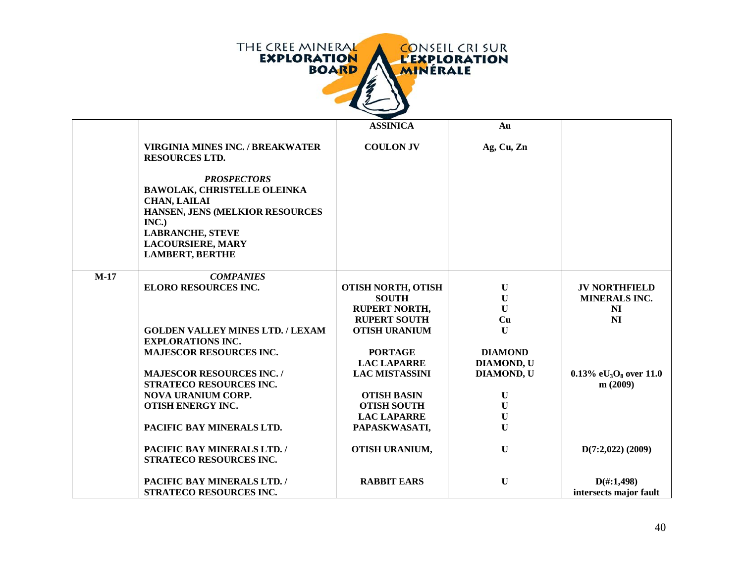

|        |                                                                                                                                                                                                              | <b>ASSINICA</b>           | Au             |                                                   |
|--------|--------------------------------------------------------------------------------------------------------------------------------------------------------------------------------------------------------------|---------------------------|----------------|---------------------------------------------------|
|        | <b>VIRGINIA MINES INC. / BREAKWATER</b><br><b>RESOURCES LTD.</b>                                                                                                                                             | <b>COULON JV</b>          | Ag, Cu, Zn     |                                                   |
|        | <b>PROSPECTORS</b><br><b>BAWOLAK, CHRISTELLE OLEINKA</b><br><b>CHAN, LAILAI</b><br>HANSEN, JENS (MELKIOR RESOURCES<br>INC.)<br><b>LABRANCHE, STEVE</b><br><b>LACOURSIERE, MARY</b><br><b>LAMBERT, BERTHE</b> |                           |                |                                                   |
| $M-17$ | <b>COMPANIES</b>                                                                                                                                                                                             |                           |                |                                                   |
|        | <b>ELORO RESOURCES INC.</b>                                                                                                                                                                                  | <b>OTISH NORTH, OTISH</b> | $\mathbf U$    | <b>JV NORTHFIELD</b>                              |
|        |                                                                                                                                                                                                              | <b>SOUTH</b>              | $\mathbf U$    | <b>MINERALS INC.</b>                              |
|        |                                                                                                                                                                                                              | <b>RUPERT NORTH,</b>      | $\mathbf{U}$   | NI                                                |
|        |                                                                                                                                                                                                              | <b>RUPERT SOUTH</b>       | Cu             | N <sub>I</sub>                                    |
|        | <b>GOLDEN VALLEY MINES LTD. / LEXAM</b><br><b>EXPLORATIONS INC.</b>                                                                                                                                          | <b>OTISH URANIUM</b>      | $\mathbf{U}$   |                                                   |
|        | <b>MAJESCOR RESOURCES INC.</b>                                                                                                                                                                               | <b>PORTAGE</b>            | <b>DIAMOND</b> |                                                   |
|        |                                                                                                                                                                                                              | <b>LAC LAPARRE</b>        | DIAMOND, U     |                                                   |
|        |                                                                                                                                                                                                              |                           | DIAMOND, U     |                                                   |
|        | <b>MAJESCOR RESOURCES INC./</b><br>STRATECO RESOURCES INC.                                                                                                                                                   | <b>LAC MISTASSINI</b>     |                | $0.13\%$ eU <sub>3</sub> O <sub>8</sub> over 11.0 |
|        | <b>NOVA URANIUM CORP.</b>                                                                                                                                                                                    | <b>OTISH BASIN</b>        | $\mathbf U$    | m(2009)                                           |
|        | <b>OTISH ENERGY INC.</b>                                                                                                                                                                                     | <b>OTISH SOUTH</b>        | $\mathbf U$    |                                                   |
|        |                                                                                                                                                                                                              | <b>LAC LAPARRE</b>        | $\mathbf U$    |                                                   |
|        | PACIFIC BAY MINERALS LTD.                                                                                                                                                                                    |                           | $\mathbf{U}$   |                                                   |
|        |                                                                                                                                                                                                              | PAPASKWASATI,             |                |                                                   |
|        | PACIFIC BAY MINERALS LTD. /                                                                                                                                                                                  | OTISH URANIUM,            | $\mathbf U$    | $D(7:2,022)$ (2009)                               |
|        | STRATECO RESOURCES INC.                                                                                                                                                                                      |                           |                |                                                   |
|        | PACIFIC BAY MINERALS LTD. /                                                                                                                                                                                  | <b>RABBIT EARS</b>        | $\mathbf{U}$   | $D(\text{\#}:1,498)$                              |
|        | STRATECO RESOURCES INC.                                                                                                                                                                                      |                           |                | intersects major fault                            |
|        |                                                                                                                                                                                                              |                           |                |                                                   |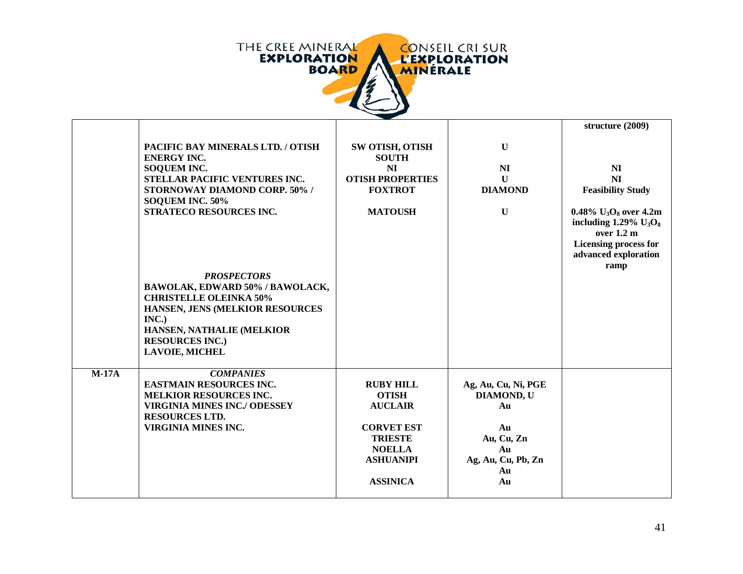

|         |                                                                                                                                                                                                                    |                                                                                                                                                   |                                                                                                     | structure (2009)                                                                                                                                           |
|---------|--------------------------------------------------------------------------------------------------------------------------------------------------------------------------------------------------------------------|---------------------------------------------------------------------------------------------------------------------------------------------------|-----------------------------------------------------------------------------------------------------|------------------------------------------------------------------------------------------------------------------------------------------------------------|
|         | PACIFIC BAY MINERALS LTD. / OTISH<br><b>ENERGY INC.</b><br>SOQUEM INC.                                                                                                                                             | SW OTISH, OTISH<br><b>SOUTH</b><br>N <sub>I</sub>                                                                                                 | $\mathbf U$<br>NI                                                                                   | N <sub>I</sub>                                                                                                                                             |
|         | STELLAR PACIFIC VENTURES INC.<br><b>STORNOWAY DIAMOND CORP. 50% /</b><br>SOQUEM INC. 50%                                                                                                                           | <b>OTISH PROPERTIES</b><br><b>FOXTROT</b>                                                                                                         | $\mathbf{U}$<br><b>DIAMOND</b>                                                                      | NI<br><b>Feasibility Study</b>                                                                                                                             |
|         | STRATECO RESOURCES INC.                                                                                                                                                                                            | <b>MATOUSH</b>                                                                                                                                    | $\mathbf U$                                                                                         | 0.48% $U_3O_8$ over 4.2m<br>including $1.29\%$ U <sub>3</sub> O <sub>8</sub><br>over 1.2 m<br><b>Licensing process for</b><br>advanced exploration<br>ramp |
|         | <b>PROSPECTORS</b><br>BAWOLAK, EDWARD 50% / BAWOLACK,<br><b>CHRISTELLE OLEINKA 50%</b><br>HANSEN, JENS (MELKIOR RESOURCES<br>INC.)<br>HANSEN, NATHALIE (MELKIOR<br><b>RESOURCES INC.)</b><br><b>LAVOIE, MICHEL</b> |                                                                                                                                                   |                                                                                                     |                                                                                                                                                            |
| $M-17A$ | <b>COMPANIES</b><br><b>EASTMAIN RESOURCES INC.</b><br><b>MELKIOR RESOURCES INC.</b><br><b>VIRGINIA MINES INC./ ODESSEY</b><br><b>RESOURCES LTD.</b><br>VIRGINIA MINES INC.                                         | <b>RUBY HILL</b><br><b>OTISH</b><br><b>AUCLAIR</b><br><b>CORVET EST</b><br><b>TRIESTE</b><br><b>NOELLA</b><br><b>ASHUANIPI</b><br><b>ASSINICA</b> | Ag, Au, Cu, Ni, PGE<br>DIAMOND, U<br>Au<br>Au<br>Au, Cu, Zn<br>Au<br>Ag, Au, Cu, Pb, Zn<br>Au<br>Au |                                                                                                                                                            |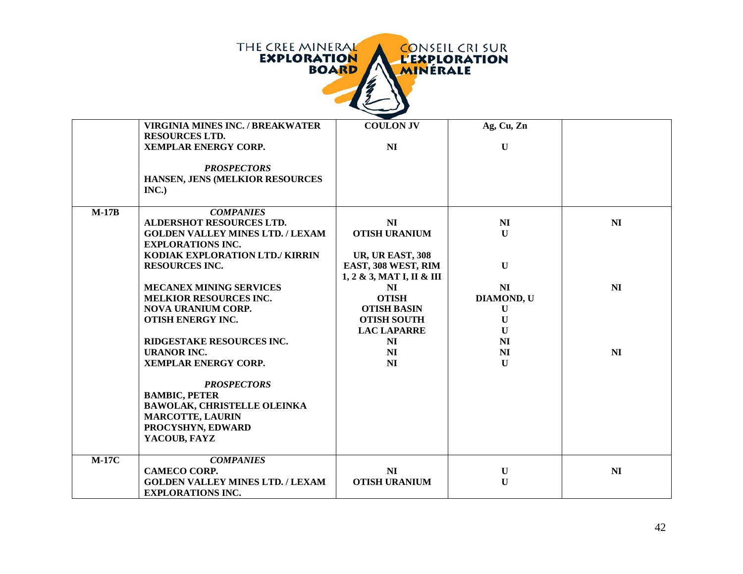| THE CREE MINERAL   | <b>CONSEIL CRISUR</b> |
|--------------------|-----------------------|
| <b>EXPLORATION</b> | <b>L'EXPLORATION</b>  |
| <b>BOARD</b>       | <b>MINERALE</b>       |
|                    |                       |

|         | <b>VIRGINIA MINES INC. / BREAKWATER</b> | <b>COULON JV</b>          | Ag, Cu, Zn     |                |
|---------|-----------------------------------------|---------------------------|----------------|----------------|
|         | <b>RESOURCES LTD.</b>                   |                           |                |                |
|         | XEMPLAR ENERGY CORP.                    | NI                        | $\mathbf U$    |                |
|         |                                         |                           |                |                |
|         | <b>PROSPECTORS</b>                      |                           |                |                |
|         | HANSEN, JENS (MELKIOR RESOURCES         |                           |                |                |
|         | INC.)                                   |                           |                |                |
|         |                                         |                           |                |                |
| $M-17B$ | <b>COMPANIES</b>                        |                           |                |                |
|         | <b>ALDERSHOT RESOURCES LTD.</b>         | NI                        | N <sub>I</sub> | N <sub>I</sub> |
|         | <b>GOLDEN VALLEY MINES LTD. / LEXAM</b> | <b>OTISH URANIUM</b>      | $\mathbf{U}$   |                |
|         | <b>EXPLORATIONS INC.</b>                |                           |                |                |
|         | KODIAK EXPLORATION LTD./ KIRRIN         | <b>UR, UR EAST, 308</b>   |                |                |
|         | <b>RESOURCES INC.</b>                   | EAST, 308 WEST, RIM       | $\mathbf U$    |                |
|         |                                         | 1, 2 & 3, MAT I, II & III |                |                |
|         | <b>MECANEX MINING SERVICES</b>          | NI                        | N <sub>I</sub> | NI             |
|         | <b>MELKIOR RESOURCES INC.</b>           | <b>OTISH</b>              | DIAMOND, U     |                |
|         | <b>NOVA URANIUM CORP.</b>               | <b>OTISH BASIN</b>        | $\bf U$        |                |
|         | OTISH ENERGY INC.                       | <b>OTISH SOUTH</b>        | $\mathbf{U}$   |                |
|         |                                         | <b>LAC LAPARRE</b>        | $\bf{U}$       |                |
|         | RIDGESTAKE RESOURCES INC.               | NI                        | NI             |                |
|         | <b>URANOR INC.</b>                      | NI                        | N <sub>I</sub> | NI             |
|         | <b>XEMPLAR ENERGY CORP.</b>             | NI                        | $\mathbf U$    |                |
|         |                                         |                           |                |                |
|         | <b>PROSPECTORS</b>                      |                           |                |                |
|         | <b>BAMBIC, PETER</b>                    |                           |                |                |
|         | <b>BAWOLAK, CHRISTELLE OLEINKA</b>      |                           |                |                |
|         | <b>MARCOTTE, LAURIN</b>                 |                           |                |                |
|         | PROCYSHYN, EDWARD                       |                           |                |                |
|         | YACOUB, FAYZ                            |                           |                |                |
|         |                                         |                           |                |                |
| $M-17C$ | <b>COMPANIES</b>                        |                           |                |                |
|         | <b>CAMECO CORP.</b>                     | NI                        | $\bf{U}$       | NI             |
|         | <b>GOLDEN VALLEY MINES LTD. / LEXAM</b> | <b>OTISH URANIUM</b>      | $\mathbf{U}$   |                |
|         | <b>EXPLORATIONS INC.</b>                |                           |                |                |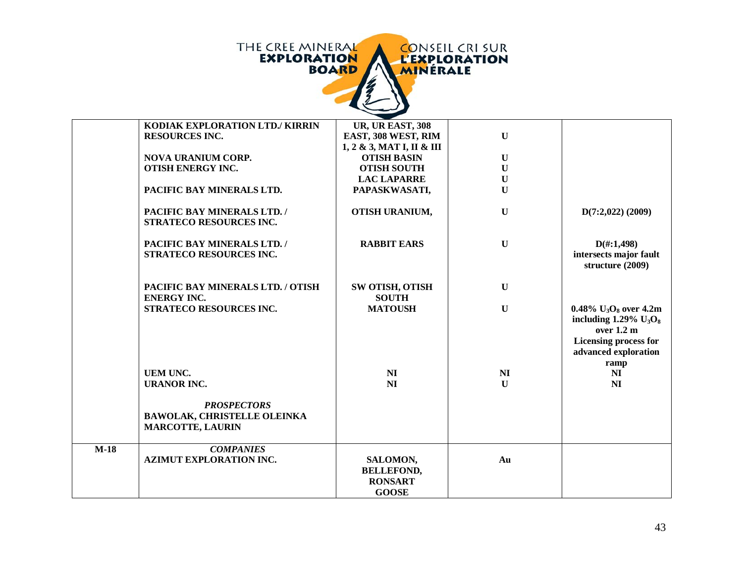| THE CREE MINERAL   | <b>CONSEIL CRISUR</b> |
|--------------------|-----------------------|
| <b>EXPLORATION</b> | <b>L'EXPLORATION</b>  |
| <b>BOARD</b>       | <b>MINERALE</b>       |
|                    |                       |

|        | KODIAK EXPLORATION LTD./ KIRRIN                                                     | <b>UR, UR EAST, 308</b>                                         |              |                                                                                                                                                            |
|--------|-------------------------------------------------------------------------------------|-----------------------------------------------------------------|--------------|------------------------------------------------------------------------------------------------------------------------------------------------------------|
|        | <b>RESOURCES INC.</b>                                                               | EAST, 308 WEST, RIM                                             | $\mathbf{U}$ |                                                                                                                                                            |
|        |                                                                                     | $1, 2 \& 3, \text{MAT I}, \text{II} \& \text{III}$              |              |                                                                                                                                                            |
|        | <b>NOVA URANIUM CORP.</b>                                                           | <b>OTISH BASIN</b>                                              | $\mathbf U$  |                                                                                                                                                            |
|        | <b>OTISH ENERGY INC.</b>                                                            | <b>OTISH SOUTH</b>                                              | $\mathbf U$  |                                                                                                                                                            |
|        |                                                                                     | <b>LAC LAPARRE</b>                                              | $\mathbf{U}$ |                                                                                                                                                            |
|        | PACIFIC BAY MINERALS LTD.                                                           | PAPASKWASATI,                                                   | $\mathbf U$  |                                                                                                                                                            |
|        | PACIFIC BAY MINERALS LTD. /<br>STRATECO RESOURCES INC.                              | OTISH URANIUM,                                                  | $\mathbf U$  | $D(7:2,022)$ (2009)                                                                                                                                        |
|        | PACIFIC BAY MINERALS LTD. /<br>STRATECO RESOURCES INC.                              | <b>RABBIT EARS</b>                                              | $\mathbf U$  | $D(\text{\#}:1,498)$<br>intersects major fault<br>structure (2009)                                                                                         |
|        | PACIFIC BAY MINERALS LTD. / OTISH<br><b>ENERGY INC.</b>                             | <b>SW OTISH, OTISH</b><br><b>SOUTH</b>                          | $\mathbf U$  |                                                                                                                                                            |
|        | STRATECO RESOURCES INC.                                                             | <b>MATOUSH</b>                                                  | $\mathbf U$  | 0.48% $U_3O_8$ over 4.2m<br>including $1.29\%$ U <sub>3</sub> O <sub>8</sub><br>over 1.2 m<br><b>Licensing process for</b><br>advanced exploration<br>ramp |
|        | <b>UEM UNC.</b>                                                                     | N <sub>I</sub>                                                  | <b>NI</b>    | N <sub>I</sub>                                                                                                                                             |
|        | <b>URANOR INC.</b>                                                                  | NI                                                              | $\mathbf{U}$ | N <sub>I</sub>                                                                                                                                             |
|        | <b>PROSPECTORS</b><br><b>BAWOLAK, CHRISTELLE OLEINKA</b><br><b>MARCOTTE, LAURIN</b> |                                                                 |              |                                                                                                                                                            |
| $M-18$ | <b>COMPANIES</b><br><b>AZIMUT EXPLORATION INC.</b>                                  | SALOMON,<br><b>BELLEFOND,</b><br><b>RONSART</b><br><b>GOOSE</b> | Au           |                                                                                                                                                            |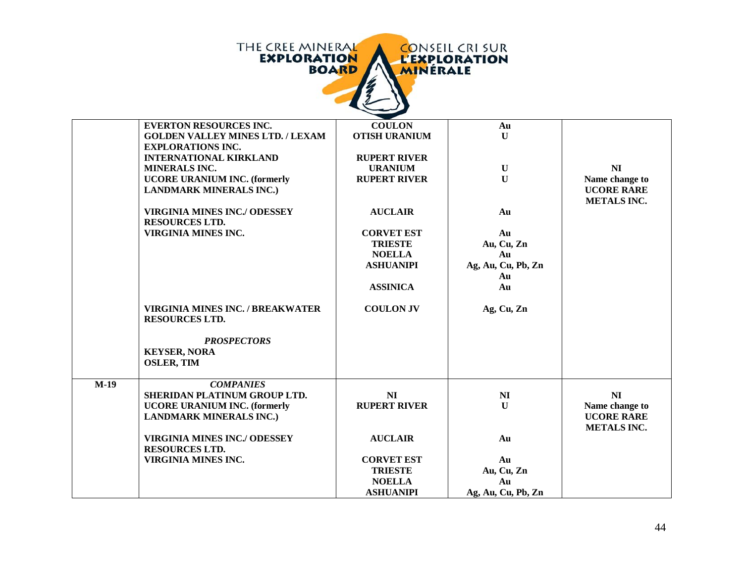|        | THE CREE MINERAL<br><b>EXPLORATION</b><br><b>BOARD</b>                   | <b>MINERALE</b>                       | <b>CONSEIL CRI SUR</b><br><b>L'EXPLORATION</b> |                                                           |
|--------|--------------------------------------------------------------------------|---------------------------------------|------------------------------------------------|-----------------------------------------------------------|
|        | <b>EVERTON RESOURCES INC.</b><br><b>GOLDEN VALLEY MINES LTD. / LEXAM</b> | <b>COULON</b><br><b>OTISH URANIUM</b> | Au<br>$\mathbf{U}$                             |                                                           |
|        | <b>EXPLORATIONS INC.</b>                                                 |                                       |                                                |                                                           |
|        | <b>INTERNATIONAL KIRKLAND</b>                                            | <b>RUPERT RIVER</b>                   |                                                |                                                           |
|        | <b>MINERALS INC.</b>                                                     | <b>URANIUM</b>                        | $\mathbf U$                                    | NI                                                        |
|        | <b>UCORE URANIUM INC. (formerly</b><br><b>LANDMARK MINERALS INC.)</b>    | <b>RUPERT RIVER</b>                   | $\mathbf{U}$                                   | Name change to<br><b>UCORE RARE</b><br><b>METALS INC.</b> |
|        | <b>VIRGINIA MINES INC./ ODESSEY</b><br><b>RESOURCES LTD.</b>             | <b>AUCLAIR</b>                        | Au                                             |                                                           |
|        | <b>VIRGINIA MINES INC.</b>                                               | <b>CORVET EST</b>                     | Au                                             |                                                           |
|        |                                                                          | <b>TRIESTE</b>                        | Au, Cu, Zn                                     |                                                           |
|        |                                                                          | <b>NOELLA</b>                         | Au                                             |                                                           |
|        |                                                                          | <b>ASHUANIPI</b>                      | Ag, Au, Cu, Pb, Zn                             |                                                           |
|        |                                                                          |                                       | Au                                             |                                                           |
|        |                                                                          | <b>ASSINICA</b>                       | Au                                             |                                                           |
|        | <b>VIRGINIA MINES INC. / BREAKWATER</b><br><b>RESOURCES LTD.</b>         | <b>COULON JV</b>                      | Ag, Cu, Zn                                     |                                                           |
|        | <b>PROSPECTORS</b>                                                       |                                       |                                                |                                                           |
|        | <b>KEYSER, NORA</b>                                                      |                                       |                                                |                                                           |
|        | <b>OSLER, TIM</b>                                                        |                                       |                                                |                                                           |
| $M-19$ | <b>COMPANIES</b>                                                         |                                       |                                                |                                                           |
|        | SHERIDAN PLATINUM GROUP LTD.                                             | NI                                    | N <sub>I</sub>                                 | N <sub>I</sub>                                            |
|        | <b>UCORE URANIUM INC. (formerly</b><br><b>LANDMARK MINERALS INC.)</b>    | <b>RUPERT RIVER</b>                   | $\mathbf{U}$                                   | Name change to<br><b>UCORE RARE</b><br><b>METALS INC.</b> |
|        | <b>VIRGINIA MINES INC./ ODESSEY</b><br><b>RESOURCES LTD.</b>             | <b>AUCLAIR</b>                        | Au                                             |                                                           |
|        | <b>VIRGINIA MINES INC.</b>                                               | <b>CORVET EST</b>                     | Au                                             |                                                           |
|        |                                                                          | <b>TRIESTE</b>                        | Au, Cu, Zn                                     |                                                           |
|        |                                                                          | <b>NOELLA</b>                         | Au                                             |                                                           |
|        |                                                                          | <b>ASHUANIPI</b>                      | Ag, Au, Cu, Pb, Zn                             |                                                           |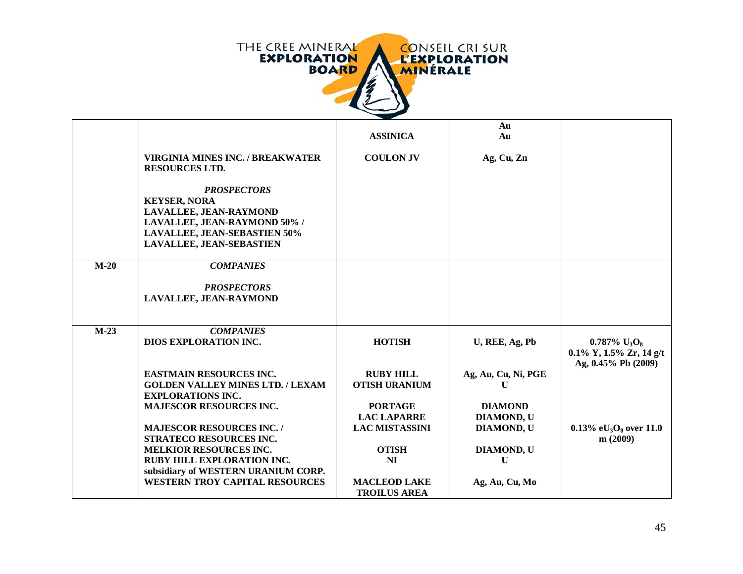

|        |                                                                                                                                                                        |                                          | Au                           |                                                                                                 |
|--------|------------------------------------------------------------------------------------------------------------------------------------------------------------------------|------------------------------------------|------------------------------|-------------------------------------------------------------------------------------------------|
|        |                                                                                                                                                                        | <b>ASSINICA</b>                          | Au                           |                                                                                                 |
|        | <b>VIRGINIA MINES INC. / BREAKWATER</b><br><b>RESOURCES LTD.</b>                                                                                                       | <b>COULON JV</b>                         | Ag, Cu, Zn                   |                                                                                                 |
|        | <b>PROSPECTORS</b><br><b>KEYSER, NORA</b><br>LAVALLEE, JEAN-RAYMOND<br>LAVALLEE, JEAN-RAYMOND 50% /<br><b>LAVALLEE, JEAN-SEBASTIEN 50%</b><br>LAVALLEE, JEAN-SEBASTIEN |                                          |                              |                                                                                                 |
| $M-20$ | <b>COMPANIES</b>                                                                                                                                                       |                                          |                              |                                                                                                 |
|        | <b>PROSPECTORS</b><br>LAVALLEE, JEAN-RAYMOND                                                                                                                           |                                          |                              |                                                                                                 |
| $M-23$ | <b>COMPANIES</b><br><b>DIOS EXPLORATION INC.</b>                                                                                                                       | <b>HOTISH</b>                            | U, REE, Ag, Pb               | $0.787\%$ U <sub>3</sub> O <sub>8</sub><br>$0.1\%$ Y, $1.5\%$ Zr, 14 g/t<br>Ag, 0.45% Pb (2009) |
|        | <b>EASTMAIN RESOURCES INC.</b><br><b>GOLDEN VALLEY MINES LTD. / LEXAM</b>                                                                                              | <b>RUBY HILL</b><br><b>OTISH URANIUM</b> | Ag, Au, Cu, Ni, PGE<br>U     |                                                                                                 |
|        | <b>EXPLORATIONS INC.</b><br><b>MAJESCOR RESOURCES INC.</b>                                                                                                             | <b>PORTAGE</b><br><b>LAC LAPARRE</b>     | <b>DIAMOND</b><br>DIAMOND, U |                                                                                                 |
|        | <b>MAJESCOR RESOURCES INC./</b><br><b>STRATECO RESOURCES INC.</b>                                                                                                      | <b>LAC MISTASSINI</b>                    | <b>DIAMOND, U</b>            | 0.13% eU <sub>3</sub> O <sub>8</sub> over 11.0                                                  |
|        | <b>MELKIOR RESOURCES INC.</b>                                                                                                                                          | <b>OTISH</b>                             | DIAMOND, U                   | m(2009)                                                                                         |
|        | <b>RUBY HILL EXPLORATION INC.</b>                                                                                                                                      | <b>NI</b>                                | U                            |                                                                                                 |
|        | subsidiary of WESTERN URANIUM CORP.<br><b>WESTERN TROY CAPITAL RESOURCES</b>                                                                                           | <b>MACLEOD LAKE</b>                      | Ag, Au, Cu, Mo               |                                                                                                 |
|        |                                                                                                                                                                        | <b>TROILUS AREA</b>                      |                              |                                                                                                 |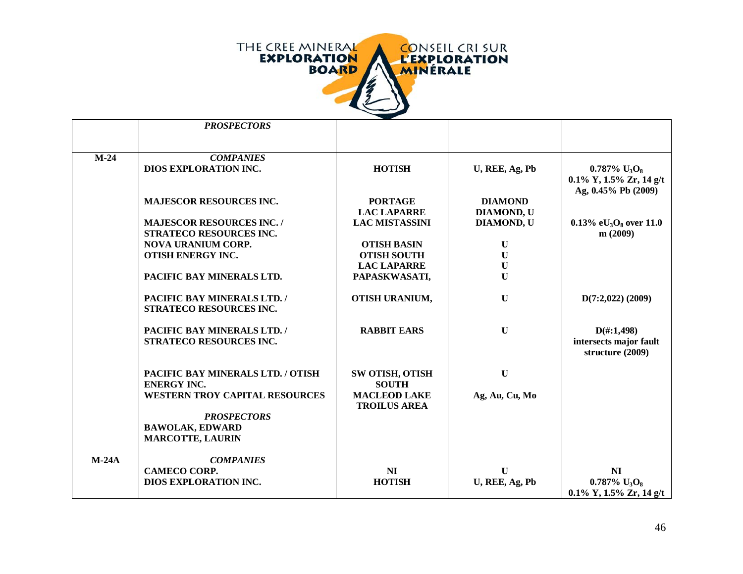

|         | <b>PROSPECTORS</b>                    |                        |                |                                         |
|---------|---------------------------------------|------------------------|----------------|-----------------------------------------|
|         |                                       |                        |                |                                         |
|         |                                       |                        |                |                                         |
| $M-24$  | <b>COMPANIES</b>                      |                        |                |                                         |
|         | <b>DIOS EXPLORATION INC.</b>          | <b>HOTISH</b>          | U, REE, Ag, Pb | $0.787\%$ U <sub>3</sub> O <sub>8</sub> |
|         |                                       |                        |                | $0.1\%$ Y, $1.5\%$ Zr, $14$ g/t         |
|         |                                       |                        |                | Ag, 0.45% Pb (2009)                     |
|         | <b>MAJESCOR RESOURCES INC.</b>        | <b>PORTAGE</b>         | <b>DIAMOND</b> |                                         |
|         |                                       | <b>LAC LAPARRE</b>     | DIAMOND, U     |                                         |
|         | <b>MAJESCOR RESOURCES INC. /</b>      | <b>LAC MISTASSINI</b>  | DIAMOND, U     | 0.13% e $U_3O_8$ over 11.0              |
|         | STRATECO RESOURCES INC.               |                        |                | m(2009)                                 |
|         | <b>NOVA URANIUM CORP.</b>             | <b>OTISH BASIN</b>     | $\mathbf U$    |                                         |
|         | <b>OTISH ENERGY INC.</b>              | <b>OTISH SOUTH</b>     | $\mathbf U$    |                                         |
|         |                                       | <b>LAC LAPARRE</b>     | $\mathbf U$    |                                         |
|         | PACIFIC BAY MINERALS LTD.             | PAPASKWASATI,          | $\mathbf U$    |                                         |
|         |                                       |                        |                |                                         |
|         |                                       |                        |                |                                         |
|         | PACIFIC BAY MINERALS LTD. /           | OTISH URANIUM,         | $\mathbf U$    | $D(7:2,022)$ (2009)                     |
|         | STRATECO RESOURCES INC.               |                        |                |                                         |
|         |                                       |                        |                |                                         |
|         | PACIFIC BAY MINERALS LTD. /           | <b>RABBIT EARS</b>     | ${\bf U}$      | $D(\text{\#}:1,498)$                    |
|         | STRATECO RESOURCES INC.               |                        |                | intersects major fault                  |
|         |                                       |                        |                | structure (2009)                        |
|         |                                       |                        |                |                                         |
|         | PACIFIC BAY MINERALS LTD. / OTISH     | <b>SW OTISH, OTISH</b> | $\mathbf U$    |                                         |
|         | <b>ENERGY INC.</b>                    | <b>SOUTH</b>           |                |                                         |
|         | <b>WESTERN TROY CAPITAL RESOURCES</b> | <b>MACLEOD LAKE</b>    | Ag, Au, Cu, Mo |                                         |
|         |                                       | <b>TROILUS AREA</b>    |                |                                         |
|         | <b>PROSPECTORS</b>                    |                        |                |                                         |
|         | <b>BAWOLAK, EDWARD</b>                |                        |                |                                         |
|         | <b>MARCOTTE, LAURIN</b>               |                        |                |                                         |
|         |                                       |                        |                |                                         |
| $M-24A$ | <b>COMPANIES</b>                      |                        |                |                                         |
|         | <b>CAMECO CORP.</b>                   | NI                     | $\mathbf{U}$   | N <sub>I</sub>                          |
|         | DIOS EXPLORATION INC.                 | <b>HOTISH</b>          | U, REE, Ag, Pb | $0.787\%$ U <sub>3</sub> O <sub>8</sub> |
|         |                                       |                        |                |                                         |
|         |                                       |                        |                | $0.1\%$ Y, $1.5\%$ Zr, $14$ g/t         |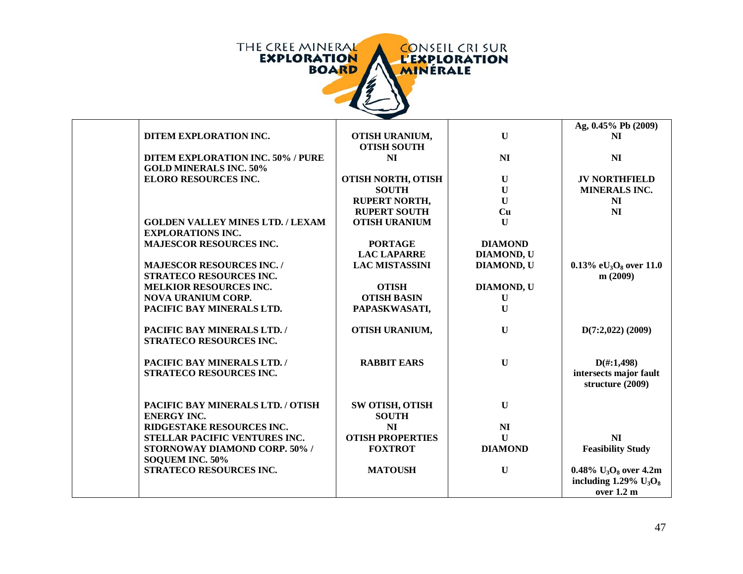

|                                          |                           |                   | Ag, 0.45% Pb (2009)                              |
|------------------------------------------|---------------------------|-------------------|--------------------------------------------------|
| DITEM EXPLORATION INC.                   | OTISH URANIUM,            | $\mathbf{U}$      | NI                                               |
|                                          | <b>OTISH SOUTH</b>        |                   |                                                  |
| <b>DITEM EXPLORATION INC. 50% / PURE</b> | N <sub>I</sub>            | N <sub>I</sub>    | N <sub>I</sub>                                   |
| <b>GOLD MINERALS INC. 50%</b>            |                           |                   |                                                  |
| ELORO RESOURCES INC.                     | <b>OTISH NORTH, OTISH</b> | $\mathbf U$       | <b>JV NORTHFIELD</b>                             |
|                                          | <b>SOUTH</b>              | $\mathbf U$       | <b>MINERALS INC.</b>                             |
|                                          | <b>RUPERT NORTH,</b>      | $\mathbf U$       | NI                                               |
|                                          | <b>RUPERT SOUTH</b>       | Cu                | <b>NI</b>                                        |
| <b>GOLDEN VALLEY MINES LTD. / LEXAM</b>  | <b>OTISH URANIUM</b>      | $\mathbf U$       |                                                  |
| <b>EXPLORATIONS INC.</b>                 |                           |                   |                                                  |
| <b>MAJESCOR RESOURCES INC.</b>           | <b>PORTAGE</b>            | <b>DIAMOND</b>    |                                                  |
|                                          | <b>LAC LAPARRE</b>        | DIAMOND, U        |                                                  |
| <b>MAJESCOR RESOURCES INC. /</b>         | <b>LAC MISTASSINI</b>     | DIAMOND, U        | 0.13% e $U_3O_8$ over 11.0                       |
| <b>STRATECO RESOURCES INC.</b>           |                           |                   | m(2009)                                          |
| <b>MELKIOR RESOURCES INC.</b>            | <b>OTISH</b>              | <b>DIAMOND, U</b> |                                                  |
| <b>NOVA URANIUM CORP.</b>                | <b>OTISH BASIN</b>        | U                 |                                                  |
| PACIFIC BAY MINERALS LTD.                | PAPASKWASATI,             | $\mathbf U$       |                                                  |
| PACIFIC BAY MINERALS LTD. /              | OTISH URANIUM,            | $\mathbf U$       | $D(7:2,022)$ (2009)                              |
| STRATECO RESOURCES INC.                  |                           |                   |                                                  |
|                                          |                           |                   |                                                  |
| PACIFIC BAY MINERALS LTD. /              | <b>RABBIT EARS</b>        | $\mathbf U$       | $D(\text{\#}:1,498)$                             |
| <b>STRATECO RESOURCES INC.</b>           |                           |                   | intersects major fault                           |
|                                          |                           |                   | structure (2009)                                 |
|                                          |                           |                   |                                                  |
| PACIFIC BAY MINERALS LTD. / OTISH        | SW OTISH, OTISH           | $\mathbf U$       |                                                  |
| <b>ENERGY INC.</b>                       | <b>SOUTH</b>              |                   |                                                  |
| RIDGESTAKE RESOURCES INC.                | NI                        | N <sub>I</sub>    |                                                  |
| STELLAR PACIFIC VENTURES INC.            | <b>OTISH PROPERTIES</b>   | $\mathbf U$       | N <sub>I</sub>                                   |
| STORNOWAY DIAMOND CORP. 50% /            | <b>FOXTROT</b>            | <b>DIAMOND</b>    | <b>Feasibility Study</b>                         |
| SOQUEM INC. 50%                          |                           |                   |                                                  |
| STRATECO RESOURCES INC.                  | <b>MATOUSH</b>            | $\mathbf U$       | 0.48% $U_3O_8$ over 4.2m                         |
|                                          |                           |                   | including $1.29\%$ U <sub>3</sub> O <sub>8</sub> |
|                                          |                           |                   | over 1.2 m                                       |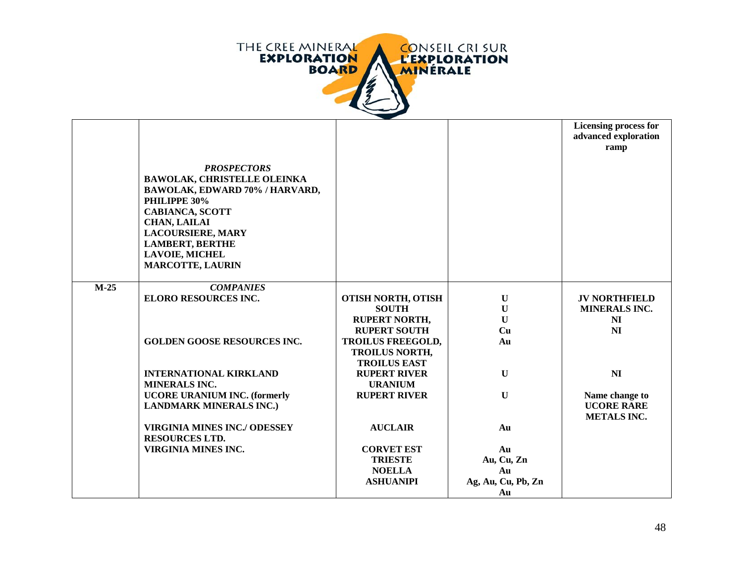

|        |                                                                                                                                                                                                                                                                       |                                           |                    | <b>Licensing process for</b><br>advanced exploration<br>ramp |
|--------|-----------------------------------------------------------------------------------------------------------------------------------------------------------------------------------------------------------------------------------------------------------------------|-------------------------------------------|--------------------|--------------------------------------------------------------|
|        | <b>PROSPECTORS</b><br><b>BAWOLAK, CHRISTELLE OLEINKA</b><br>BAWOLAK, EDWARD 70% / HARVARD,<br>PHILIPPE 30%<br><b>CABIANCA, SCOTT</b><br><b>CHAN, LAILAI</b><br><b>LACOURSIERE, MARY</b><br><b>LAMBERT, BERTHE</b><br><b>LAVOIE, MICHEL</b><br><b>MARCOTTE, LAURIN</b> |                                           |                    |                                                              |
| $M-25$ | <b>COMPANIES</b>                                                                                                                                                                                                                                                      |                                           |                    |                                                              |
|        | <b>ELORO RESOURCES INC.</b>                                                                                                                                                                                                                                           | <b>OTISH NORTH, OTISH</b><br><b>SOUTH</b> | U<br>U             | <b>JV NORTHFIELD</b><br><b>MINERALS INC.</b>                 |
|        |                                                                                                                                                                                                                                                                       | <b>RUPERT NORTH,</b>                      | $\mathbf{U}$       | NI                                                           |
|        |                                                                                                                                                                                                                                                                       | <b>RUPERT SOUTH</b>                       | Cu                 | NI                                                           |
|        | <b>GOLDEN GOOSE RESOURCES INC.</b>                                                                                                                                                                                                                                    | <b>TROILUS FREEGOLD,</b>                  | Au                 |                                                              |
|        |                                                                                                                                                                                                                                                                       | <b>TROILUS NORTH,</b>                     |                    |                                                              |
|        |                                                                                                                                                                                                                                                                       | <b>TROILUS EAST</b>                       |                    |                                                              |
|        | <b>INTERNATIONAL KIRKLAND</b>                                                                                                                                                                                                                                         | <b>RUPERT RIVER</b>                       | $\mathbf{U}$       | NI                                                           |
|        | <b>MINERALS INC.</b>                                                                                                                                                                                                                                                  | <b>URANIUM</b>                            |                    |                                                              |
|        | <b>UCORE URANIUM INC. (formerly</b>                                                                                                                                                                                                                                   | <b>RUPERT RIVER</b>                       | $\bf{U}$           | Name change to                                               |
|        | <b>LANDMARK MINERALS INC.)</b>                                                                                                                                                                                                                                        |                                           |                    | <b>UCORE RARE</b>                                            |
|        |                                                                                                                                                                                                                                                                       |                                           |                    | <b>METALS INC.</b>                                           |
|        | <b>VIRGINIA MINES INC./ ODESSEY</b>                                                                                                                                                                                                                                   | <b>AUCLAIR</b>                            | Au                 |                                                              |
|        | <b>RESOURCES LTD.</b>                                                                                                                                                                                                                                                 |                                           |                    |                                                              |
|        | VIRGINIA MINES INC.                                                                                                                                                                                                                                                   | <b>CORVET EST</b>                         | Au                 |                                                              |
|        |                                                                                                                                                                                                                                                                       | <b>TRIESTE</b>                            | Au, Cu, Zn         |                                                              |
|        |                                                                                                                                                                                                                                                                       | <b>NOELLA</b>                             | Au                 |                                                              |
|        |                                                                                                                                                                                                                                                                       | <b>ASHUANIPI</b>                          | Ag, Au, Cu, Pb, Zn |                                                              |
|        |                                                                                                                                                                                                                                                                       |                                           | Au                 |                                                              |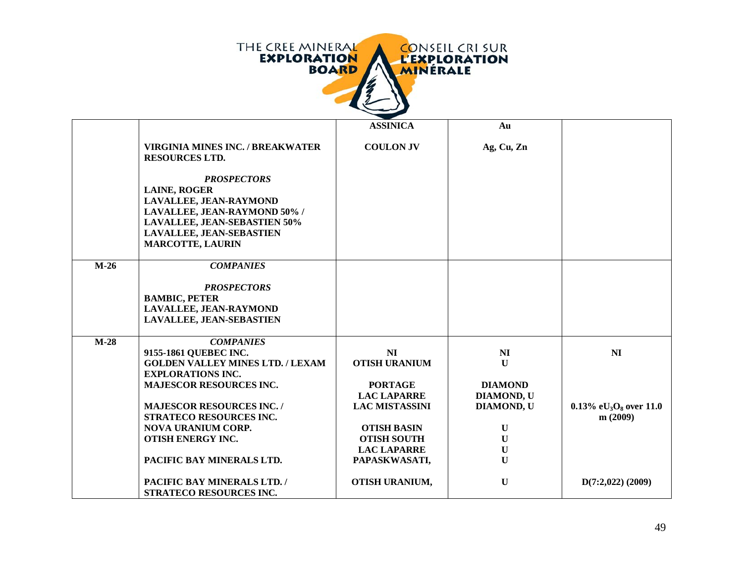

|        |                                                                                                                                                                                                          | <b>ASSINICA</b>            | Au                 |                                                |
|--------|----------------------------------------------------------------------------------------------------------------------------------------------------------------------------------------------------------|----------------------------|--------------------|------------------------------------------------|
|        | <b>VIRGINIA MINES INC. / BREAKWATER</b><br><b>RESOURCES LTD.</b>                                                                                                                                         | <b>COULON JV</b>           | Ag, Cu, Zn         |                                                |
|        | <b>PROSPECTORS</b><br><b>LAINE, ROGER</b><br>LAVALLEE, JEAN-RAYMOND<br>LAVALLEE, JEAN-RAYMOND 50% /<br><b>LAVALLEE, JEAN-SEBASTIEN 50%</b><br><b>LAVALLEE, JEAN-SEBASTIEN</b><br><b>MARCOTTE, LAURIN</b> |                            |                    |                                                |
| $M-26$ | <b>COMPANIES</b>                                                                                                                                                                                         |                            |                    |                                                |
|        | <b>PROSPECTORS</b><br><b>BAMBIC, PETER</b><br>LAVALLEE, JEAN-RAYMOND<br><b>LAVALLEE, JEAN-SEBASTIEN</b>                                                                                                  |                            |                    |                                                |
| $M-28$ | <b>COMPANIES</b><br>9155-1861 QUEBEC INC.                                                                                                                                                                |                            |                    | N <sub>I</sub>                                 |
|        | <b>GOLDEN VALLEY MINES LTD. / LEXAM</b>                                                                                                                                                                  | NI<br><b>OTISH URANIUM</b> | NI<br>$\mathbf{U}$ |                                                |
|        | <b>EXPLORATIONS INC.</b>                                                                                                                                                                                 |                            |                    |                                                |
|        | <b>MAJESCOR RESOURCES INC.</b>                                                                                                                                                                           | <b>PORTAGE</b>             | <b>DIAMOND</b>     |                                                |
|        |                                                                                                                                                                                                          | <b>LAC LAPARRE</b>         | <b>DIAMOND, U</b>  |                                                |
|        | <b>MAJESCOR RESOURCES INC. /</b>                                                                                                                                                                         | <b>LAC MISTASSINI</b>      | DIAMOND, U         | 0.13% eU <sub>3</sub> O <sub>8</sub> over 11.0 |
|        | STRATECO RESOURCES INC.<br><b>NOVA URANIUM CORP.</b>                                                                                                                                                     | <b>OTISH BASIN</b>         | $\mathbf U$        | m(2009)                                        |
|        | <b>OTISH ENERGY INC.</b>                                                                                                                                                                                 | <b>OTISH SOUTH</b>         | $\mathbf U$        |                                                |
|        |                                                                                                                                                                                                          | <b>LAC LAPARRE</b>         | $\mathbf U$        |                                                |
|        | PACIFIC BAY MINERALS LTD.                                                                                                                                                                                | PAPASKWASATI,              | $\mathbf U$        |                                                |
|        | PACIFIC BAY MINERALS LTD. /<br>STRATECO RESOURCES INC.                                                                                                                                                   | OTISH URANIUM,             | $\mathbf{U}$       | $D(7:2,022)$ (2009)                            |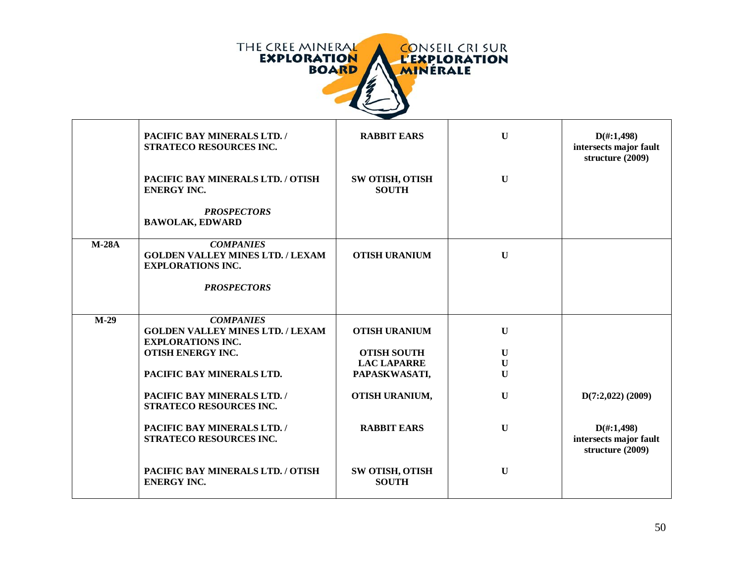

|         | PACIFIC BAY MINERALS LTD. /<br>STRATECO RESOURCES INC.                                  | <b>RABBIT EARS</b>                     | $\mathbf{U}$ | $D(\text{\#}:1,498)$<br>intersects major fault<br>structure (2009) |
|---------|-----------------------------------------------------------------------------------------|----------------------------------------|--------------|--------------------------------------------------------------------|
|         | PACIFIC BAY MINERALS LTD. / OTISH<br><b>ENERGY INC.</b>                                 | <b>SW OTISH, OTISH</b><br><b>SOUTH</b> | $\mathbf U$  |                                                                    |
|         | <b>PROSPECTORS</b><br><b>BAWOLAK, EDWARD</b>                                            |                                        |              |                                                                    |
| $M-28A$ | <b>COMPANIES</b><br><b>GOLDEN VALLEY MINES LTD. / LEXAM</b><br><b>EXPLORATIONS INC.</b> | <b>OTISH URANIUM</b>                   | $\mathbf{U}$ |                                                                    |
|         | <b>PROSPECTORS</b>                                                                      |                                        |              |                                                                    |
| $M-29$  | <b>COMPANIES</b><br><b>GOLDEN VALLEY MINES LTD. / LEXAM</b><br><b>EXPLORATIONS INC.</b> | <b>OTISH URANIUM</b>                   | $\mathbf U$  |                                                                    |
|         | <b>OTISH ENERGY INC.</b>                                                                | <b>OTISH SOUTH</b>                     | $\mathbf U$  |                                                                    |
|         |                                                                                         | <b>LAC LAPARRE</b>                     | $\mathbf U$  |                                                                    |
|         | PACIFIC BAY MINERALS LTD.                                                               | PAPASKWASATI,                          | $\mathbf U$  |                                                                    |
|         | PACIFIC BAY MINERALS LTD. /<br>STRATECO RESOURCES INC.                                  | OTISH URANIUM,                         | $\mathbf{U}$ | $D(7:2,022)$ (2009)                                                |
|         | PACIFIC BAY MINERALS LTD. /<br><b>STRATECO RESOURCES INC.</b>                           | <b>RABBIT EARS</b>                     | $\mathbf U$  | $D(\text{\#}:1,498)$<br>intersects major fault<br>structure (2009) |
|         | PACIFIC BAY MINERALS LTD. / OTISH<br><b>ENERGY INC.</b>                                 | SW OTISH, OTISH<br><b>SOUTH</b>        | $\mathbf U$  |                                                                    |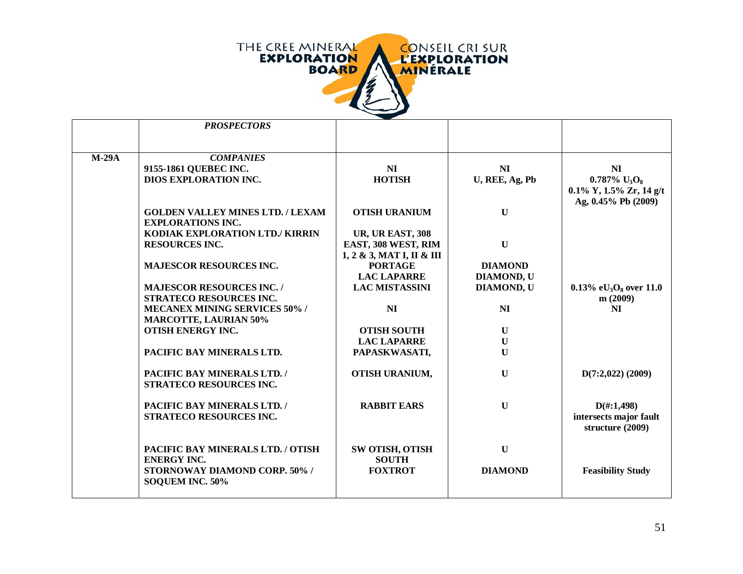

|         | <b>PROSPECTORS</b>                      |                                                    |                   |                                         |
|---------|-----------------------------------------|----------------------------------------------------|-------------------|-----------------------------------------|
|         |                                         |                                                    |                   |                                         |
|         |                                         |                                                    |                   |                                         |
| $M-29A$ | <b>COMPANIES</b>                        |                                                    |                   |                                         |
|         | 9155-1861 QUEBEC INC.                   | NI                                                 | NI                | NI                                      |
|         | <b>DIOS EXPLORATION INC.</b>            | <b>HOTISH</b>                                      | U, REE, Ag, Pb    | $0.787\%$ U <sub>3</sub> O <sub>8</sub> |
|         |                                         |                                                    |                   | $0.1\%$ Y, $1.5\%$ Zr, $14$ g/t         |
|         |                                         |                                                    |                   | Ag, 0.45% Pb (2009)                     |
|         | <b>GOLDEN VALLEY MINES LTD. / LEXAM</b> | <b>OTISH URANIUM</b>                               | $\mathbf{U}$      |                                         |
|         | <b>EXPLORATIONS INC.</b>                |                                                    |                   |                                         |
|         | KODIAK EXPLORATION LTD./ KIRRIN         | <b>UR, UR EAST, 308</b>                            |                   |                                         |
|         | <b>RESOURCES INC.</b>                   | EAST, 308 WEST, RIM                                | $\mathbf U$       |                                         |
|         |                                         | $1, 2 \& 3, \text{MAT I}, \text{II} \& \text{III}$ |                   |                                         |
|         | <b>MAJESCOR RESOURCES INC.</b>          | <b>PORTAGE</b>                                     | <b>DIAMOND</b>    |                                         |
|         |                                         | <b>LAC LAPARRE</b>                                 | <b>DIAMOND, U</b> |                                         |
|         | <b>MAJESCOR RESOURCES INC. /</b>        | <b>LAC MISTASSINI</b>                              | DIAMOND, U        | 0.13% e $U_3O_8$ over 11.0              |
|         | <b>STRATECO RESOURCES INC.</b>          |                                                    |                   | m(2009)                                 |
|         | <b>MECANEX MINING SERVICES 50% /</b>    | NI                                                 | <b>NI</b>         | NI                                      |
|         | <b>MARCOTTE, LAURIAN 50%</b>            |                                                    |                   |                                         |
|         | <b>OTISH ENERGY INC.</b>                | <b>OTISH SOUTH</b>                                 | $\mathbf U$       |                                         |
|         |                                         | <b>LAC LAPARRE</b>                                 | $\mathbf U$       |                                         |
|         | PACIFIC BAY MINERALS LTD.               | PAPASKWASATI,                                      | $\mathbf{U}$      |                                         |
|         | PACIFIC BAY MINERALS LTD. /             | OTISH URANIUM,                                     | $\mathbf U$       | $D(7:2,022)$ (2009)                     |
|         | STRATECO RESOURCES INC.                 |                                                    |                   |                                         |
|         |                                         |                                                    |                   |                                         |
|         | PACIFIC BAY MINERALS LTD. /             | <b>RABBIT EARS</b>                                 | $\mathbf U$       | $D(\text{\#}:1,498)$                    |
|         | STRATECO RESOURCES INC.                 |                                                    |                   | intersects major fault                  |
|         |                                         |                                                    |                   | structure (2009)                        |
|         |                                         |                                                    |                   |                                         |
|         | PACIFIC BAY MINERALS LTD. / OTISH       | SW OTISH, OTISH                                    | $\mathbf U$       |                                         |
|         | <b>ENERGY INC.</b>                      | <b>SOUTH</b>                                       |                   |                                         |
|         | STORNOWAY DIAMOND CORP. 50% /           | <b>FOXTROT</b>                                     | <b>DIAMOND</b>    | <b>Feasibility Study</b>                |
|         | SOQUEM INC. 50%                         |                                                    |                   |                                         |
|         |                                         |                                                    |                   |                                         |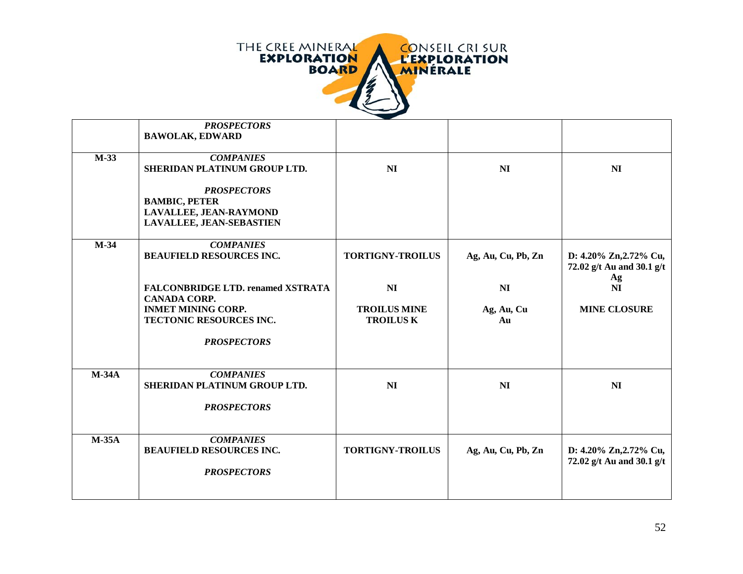

|              | <b>PROSPECTORS</b>                       |                         |                    |                           |
|--------------|------------------------------------------|-------------------------|--------------------|---------------------------|
|              | <b>BAWOLAK, EDWARD</b>                   |                         |                    |                           |
|              |                                          |                         |                    |                           |
| $M-33$       | <b>COMPANIES</b>                         |                         |                    |                           |
|              | SHERIDAN PLATINUM GROUP LTD.             | NI                      | N <sub>I</sub>     | NI                        |
|              | <b>PROSPECTORS</b>                       |                         |                    |                           |
|              | <b>BAMBIC, PETER</b>                     |                         |                    |                           |
|              | LAVALLEE, JEAN-RAYMOND                   |                         |                    |                           |
|              | <b>LAVALLEE, JEAN-SEBASTIEN</b>          |                         |                    |                           |
|              |                                          |                         |                    |                           |
| $M-34$       | <b>COMPANIES</b>                         |                         |                    |                           |
|              | <b>BEAUFIELD RESOURCES INC.</b>          | <b>TORTIGNY-TROILUS</b> | Ag, Au, Cu, Pb, Zn | D: 4.20% Zn, 2.72% Cu,    |
|              |                                          |                         |                    | 72.02 g/t Au and 30.1 g/t |
|              |                                          |                         |                    | Ag                        |
|              | <b>FALCONBRIDGE LTD. renamed XSTRATA</b> | N <sub>I</sub>          | N <sub>I</sub>     | N <sub>I</sub>            |
|              | <b>CANADA CORP.</b>                      |                         |                    |                           |
|              | <b>INMET MINING CORP.</b>                | <b>TROILUS MINE</b>     | Ag, Au, Cu         | <b>MINE CLOSURE</b>       |
|              | TECTONIC RESOURCES INC.                  | <b>TROILUS K</b>        | Au                 |                           |
|              | <b>PROSPECTORS</b>                       |                         |                    |                           |
|              |                                          |                         |                    |                           |
|              |                                          |                         |                    |                           |
| $M-34A$      | <b>COMPANIES</b>                         |                         |                    |                           |
|              | SHERIDAN PLATINUM GROUP LTD.             | NI                      | N <sub>I</sub>     | NI                        |
|              |                                          |                         |                    |                           |
|              | <b>PROSPECTORS</b>                       |                         |                    |                           |
|              |                                          |                         |                    |                           |
|              |                                          |                         |                    |                           |
| <b>M-35A</b> | <b>COMPANIES</b>                         |                         |                    |                           |
|              | <b>BEAUFIELD RESOURCES INC.</b>          | <b>TORTIGNY-TROILUS</b> | Ag, Au, Cu, Pb, Zn | D: 4.20% Zn, 2.72% Cu,    |
|              |                                          |                         |                    | 72.02 g/t Au and 30.1 g/t |
|              | <b>PROSPECTORS</b>                       |                         |                    |                           |
|              |                                          |                         |                    |                           |
|              |                                          |                         |                    |                           |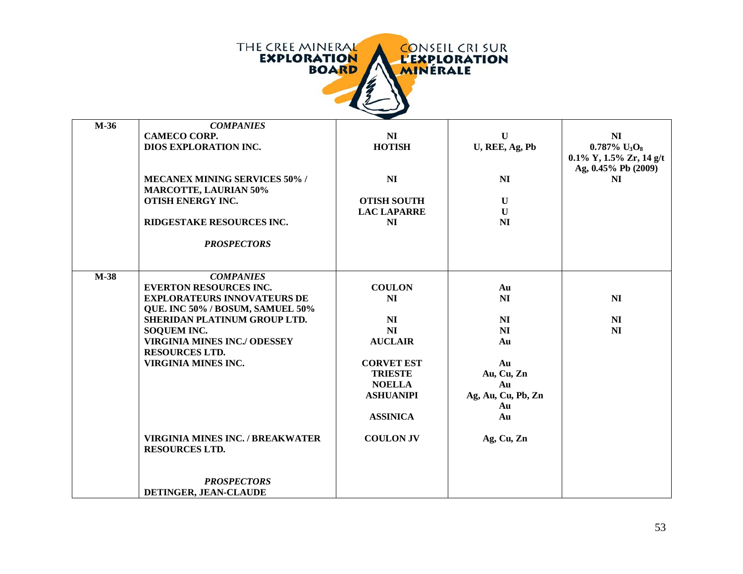

| $M-36$ | <b>COMPANIES</b>                        |                    |                    |                                         |
|--------|-----------------------------------------|--------------------|--------------------|-----------------------------------------|
|        | <b>CAMECO CORP.</b>                     | N <sub>I</sub>     | $\mathbf{U}$       | NI                                      |
|        | DIOS EXPLORATION INC.                   | <b>HOTISH</b>      | U, REE, Ag, Pb     | $0.787\%$ U <sub>3</sub> O <sub>8</sub> |
|        |                                         |                    |                    | $0.1\%$ Y, $1.5\%$ Zr, $14$ g/t         |
|        |                                         |                    |                    | Ag, 0.45% Pb (2009)                     |
|        | <b>MECANEX MINING SERVICES 50% /</b>    | N <sub>I</sub>     | N <sub>I</sub>     | <b>NI</b>                               |
|        | <b>MARCOTTE, LAURIAN 50%</b>            |                    |                    |                                         |
|        | <b>OTISH ENERGY INC.</b>                | <b>OTISH SOUTH</b> | $\mathbf U$        |                                         |
|        |                                         | <b>LAC LAPARRE</b> | $\mathbf U$        |                                         |
|        | RIDGESTAKE RESOURCES INC.               | NI                 | <b>NI</b>          |                                         |
|        |                                         |                    |                    |                                         |
|        | <b>PROSPECTORS</b>                      |                    |                    |                                         |
|        |                                         |                    |                    |                                         |
|        |                                         |                    |                    |                                         |
| $M-38$ | <b>COMPANIES</b>                        |                    |                    |                                         |
|        | <b>EVERTON RESOURCES INC.</b>           | <b>COULON</b>      | Au                 |                                         |
|        | <b>EXPLORATEURS INNOVATEURS DE</b>      | NI                 | N <sub>I</sub>     | N <sub>I</sub>                          |
|        | QUE. INC 50% / BOSUM, SAMUEL 50%        |                    |                    |                                         |
|        | SHERIDAN PLATINUM GROUP LTD.            | N <sub>I</sub>     | N <sub>I</sub>     | N <sub>I</sub>                          |
|        | <b>SOQUEM INC.</b>                      | N <sub>I</sub>     | <b>NI</b>          | NI                                      |
|        | <b>VIRGINIA MINES INC./ ODESSEY</b>     | <b>AUCLAIR</b>     | Au                 |                                         |
|        | <b>RESOURCES LTD.</b>                   |                    |                    |                                         |
|        | <b>VIRGINIA MINES INC.</b>              | <b>CORVET EST</b>  |                    |                                         |
|        |                                         |                    | Au                 |                                         |
|        |                                         | <b>TRIESTE</b>     | Au, Cu, Zn         |                                         |
|        |                                         | <b>NOELLA</b>      | Au                 |                                         |
|        |                                         | <b>ASHUANIPI</b>   | Ag, Au, Cu, Pb, Zn |                                         |
|        |                                         |                    | Au                 |                                         |
|        |                                         | <b>ASSINICA</b>    | Au                 |                                         |
|        |                                         |                    |                    |                                         |
|        | <b>VIRGINIA MINES INC. / BREAKWATER</b> | <b>COULON JV</b>   | Ag, Cu, Zn         |                                         |
|        | <b>RESOURCES LTD.</b>                   |                    |                    |                                         |
|        |                                         |                    |                    |                                         |
|        |                                         |                    |                    |                                         |
|        | <b>PROSPECTORS</b>                      |                    |                    |                                         |
|        | DETINGER, JEAN-CLAUDE                   |                    |                    |                                         |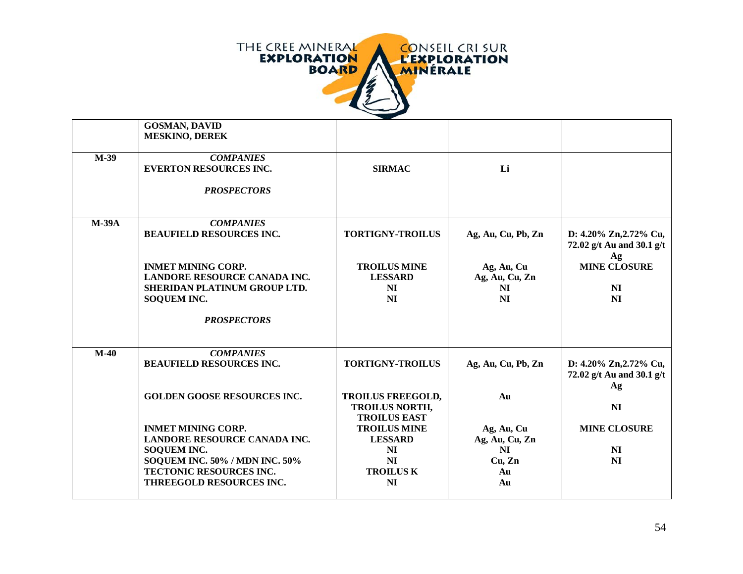

| <b>GOSMAN, DAVID</b><br><b>MESKINO, DEREK</b>                                                                          |                                                   |                                                      |                                                           |
|------------------------------------------------------------------------------------------------------------------------|---------------------------------------------------|------------------------------------------------------|-----------------------------------------------------------|
| <b>COMPANIES</b><br><b>EVERTON RESOURCES INC.</b><br><b>PROSPECTORS</b>                                                | <b>SIRMAC</b>                                     | Li                                                   |                                                           |
| <b>COMPANIES</b><br><b>BEAUFIELD RESOURCES INC.</b>                                                                    | <b>TORTIGNY-TROILUS</b>                           | Ag, Au, Cu, Pb, Zn                                   | D: 4.20% Zn, 2.72% Cu,<br>72.02 g/t Au and 30.1 g/t<br>Ag |
| <b>INMET MINING CORP.</b><br><b>LANDORE RESOURCE CANADA INC.</b><br>SHERIDAN PLATINUM GROUP LTD.<br><b>SOQUEM INC.</b> | <b>TROILUS MINE</b><br><b>LESSARD</b><br>NI<br>NI | Ag, Au, Cu<br>Ag, Au, Cu, Zn<br>NI<br>N <sub>I</sub> | <b>MINE CLOSURE</b><br>NI<br>NI                           |
|                                                                                                                        |                                                   |                                                      |                                                           |
| <b>COMPANIES</b><br><b>BEAUFIELD RESOURCES INC.</b>                                                                    | <b>TORTIGNY-TROILUS</b>                           | Ag, Au, Cu, Pb, Zn                                   | D: 4.20% Zn, 2.72% Cu,<br>72.02 g/t Au and 30.1 g/t<br>Ag |
| <b>GOLDEN GOOSE RESOURCES INC.</b>                                                                                     | <b>TROILUS FREEGOLD,</b><br><b>TROILUS NORTH,</b> | Au                                                   | NI                                                        |
| <b>INMET MINING CORP.</b><br>LANDORE RESOURCE CANADA INC.                                                              | <b>TROILUS MINE</b><br><b>LESSARD</b>             | Ag, Au, Cu<br>Ag, Au, Cu, Zn                         | <b>MINE CLOSURE</b>                                       |
| SOQUEM INC. 50% / MDN INC. 50%<br><b>TECTONIC RESOURCES INC.</b><br>THREEGOLD RESOURCES INC.                           | NI<br><b>TROILUS K</b><br><b>NI</b>               | Cu, Zn<br>Au<br>Au                                   | N <sub>I</sub><br>N <sub>I</sub>                          |
|                                                                                                                        | <b>PROSPECTORS</b><br><b>SOQUEM INC.</b>          | <b>TROILUS EAST</b><br>N <sub>I</sub>                | N <sub>I</sub>                                            |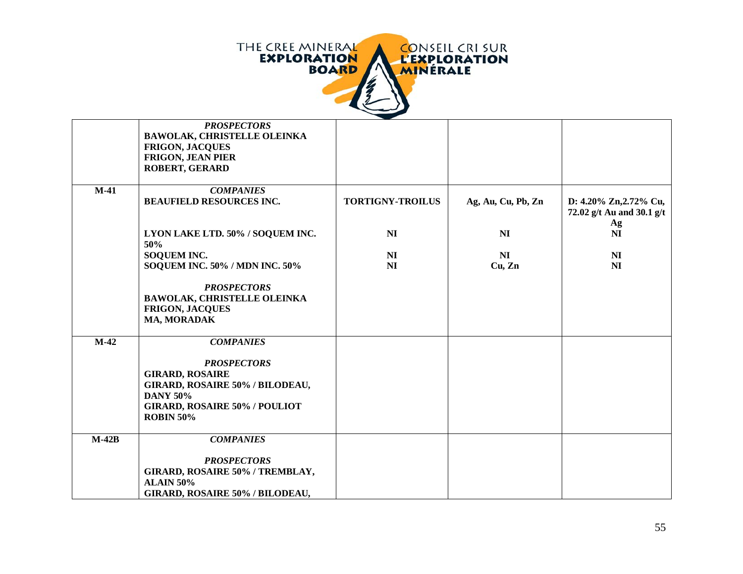

|         | <b>PROSPECTORS</b><br><b>BAWOLAK, CHRISTELLE OLEINKA</b><br><b>FRIGON, JACQUES</b><br><b>FRIGON, JEAN PIER</b><br><b>ROBERT, GERARD</b>                                            |                         |                    |                                                           |
|---------|------------------------------------------------------------------------------------------------------------------------------------------------------------------------------------|-------------------------|--------------------|-----------------------------------------------------------|
| $M-41$  | <b>COMPANIES</b><br><b>BEAUFIELD RESOURCES INC.</b>                                                                                                                                | <b>TORTIGNY-TROILUS</b> | Ag, Au, Cu, Pb, Zn | D: 4.20% Zn, 2.72% Cu,<br>72.02 g/t Au and 30.1 g/t<br>Ag |
|         | LYON LAKE LTD. 50% / SOQUEM INC.<br>50%                                                                                                                                            | N <sub>I</sub>          | N <sub>I</sub>     | N <sub>I</sub>                                            |
|         | <b>SOQUEM INC.</b><br><b>SOQUEM INC. 50% / MDN INC. 50%</b>                                                                                                                        | N <sub>I</sub><br>NI    | NI<br>Cu, Zn       | N <sub>I</sub><br>NI                                      |
|         | <b>PROSPECTORS</b><br><b>BAWOLAK, CHRISTELLE OLEINKA</b><br><b>FRIGON, JACQUES</b><br>MA, MORADAK                                                                                  |                         |                    |                                                           |
| $M-42$  | <b>COMPANIES</b><br><b>PROSPECTORS</b><br><b>GIRARD, ROSAIRE</b><br>GIRARD, ROSAIRE 50% / BILODEAU,<br><b>DANY 50%</b><br><b>GIRARD, ROSAIRE 50% / POULIOT</b><br><b>ROBIN 50%</b> |                         |                    |                                                           |
| $M-42B$ | <b>COMPANIES</b><br><b>PROSPECTORS</b><br>GIRARD, ROSAIRE 50% / TREMBLAY,<br><b>ALAIN 50%</b><br>GIRARD, ROSAIRE 50% / BILODEAU,                                                   |                         |                    |                                                           |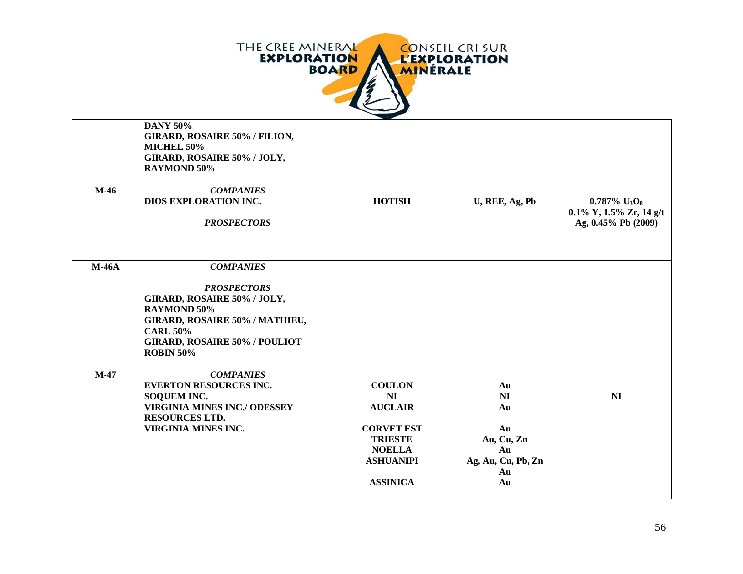

|         | <b>DANY 50%</b><br><b>GIRARD, ROSAIRE 50% / FILION,</b><br>MICHEL 50%<br>GIRARD, ROSAIRE 50% / JOLY,<br><b>RAYMOND 50%</b>                                                                                   |                                                                                                                                      |                                                                            |                                                                                                   |
|---------|--------------------------------------------------------------------------------------------------------------------------------------------------------------------------------------------------------------|--------------------------------------------------------------------------------------------------------------------------------------|----------------------------------------------------------------------------|---------------------------------------------------------------------------------------------------|
| $M-46$  | <b>COMPANIES</b><br>DIOS EXPLORATION INC.<br><b>PROSPECTORS</b>                                                                                                                                              | <b>HOTISH</b>                                                                                                                        | U, REE, Ag, Pb                                                             | $0.787\%$ U <sub>3</sub> O <sub>8</sub><br>$0.1\%$ Y, $1.5\%$ Zr, $14$ g/t<br>Ag, 0.45% Pb (2009) |
| $M-46A$ | <b>COMPANIES</b><br><b>PROSPECTORS</b><br>GIRARD, ROSAIRE 50% / JOLY,<br><b>RAYMOND 50%</b><br>GIRARD, ROSAIRE 50% / MATHIEU,<br><b>CARL 50%</b><br><b>GIRARD, ROSAIRE 50% / POULIOT</b><br><b>ROBIN 50%</b> |                                                                                                                                      |                                                                            |                                                                                                   |
| $M-47$  | <b>COMPANIES</b><br><b>EVERTON RESOURCES INC.</b><br><b>SOQUEM INC.</b><br><b>VIRGINIA MINES INC./ ODESSEY</b><br><b>RESOURCES LTD.</b><br><b>VIRGINIA MINES INC.</b>                                        | <b>COULON</b><br>NI<br><b>AUCLAIR</b><br><b>CORVET EST</b><br><b>TRIESTE</b><br><b>NOELLA</b><br><b>ASHUANIPI</b><br><b>ASSINICA</b> | Au<br>NI<br>Au<br>Au<br>Au, Cu, Zn<br>Au<br>Ag, Au, Cu, Pb, Zn<br>Au<br>Au | N <sub>I</sub>                                                                                    |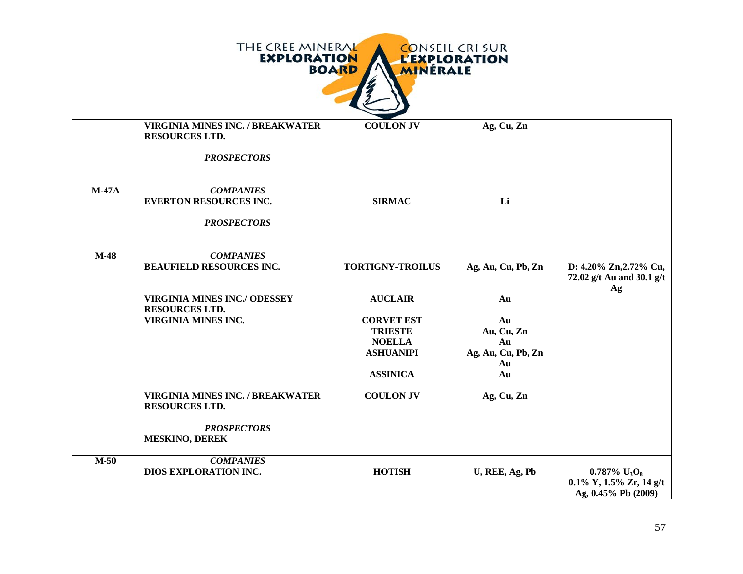

|         | <b>VIRGINIA MINES INC. / BREAKWATER</b><br><b>RESOURCES LTD.</b><br><b>PROSPECTORS</b> | <b>COULON JV</b>                                                                            | Ag, Cu, Zn                                               |                                                                                                   |
|---------|----------------------------------------------------------------------------------------|---------------------------------------------------------------------------------------------|----------------------------------------------------------|---------------------------------------------------------------------------------------------------|
| $M-47A$ | <b>COMPANIES</b><br><b>EVERTON RESOURCES INC.</b><br><b>PROSPECTORS</b>                | <b>SIRMAC</b>                                                                               | Li                                                       |                                                                                                   |
| $M-48$  | <b>COMPANIES</b><br><b>BEAUFIELD RESOURCES INC.</b>                                    | <b>TORTIGNY-TROILUS</b>                                                                     | Ag, Au, Cu, Pb, Zn                                       | D: 4.20% Zn, 2.72% Cu,<br>72.02 g/t Au and 30.1 g/t<br>Ag                                         |
|         | <b>VIRGINIA MINES INC./ ODESSEY</b><br><b>RESOURCES LTD.</b>                           | <b>AUCLAIR</b>                                                                              | Au                                                       |                                                                                                   |
|         | VIRGINIA MINES INC.                                                                    | <b>CORVET EST</b><br><b>TRIESTE</b><br><b>NOELLA</b><br><b>ASHUANIPI</b><br><b>ASSINICA</b> | Au<br>Au, Cu, Zn<br>Au<br>Ag, Au, Cu, Pb, Zn<br>Au<br>Au |                                                                                                   |
|         | <b>VIRGINIA MINES INC. / BREAKWATER</b><br><b>RESOURCES LTD.</b>                       | <b>COULON JV</b>                                                                            | Ag, Cu, Zn                                               |                                                                                                   |
|         | <b>PROSPECTORS</b><br><b>MESKINO, DEREK</b>                                            |                                                                                             |                                                          |                                                                                                   |
| $M-50$  | <b>COMPANIES</b><br>DIOS EXPLORATION INC.                                              | <b>HOTISH</b>                                                                               | U, REE, Ag, Pb                                           | $0.787\%$ U <sub>3</sub> O <sub>8</sub><br>$0.1\%$ Y, $1.5\%$ Zr, $14$ g/t<br>Ag, 0.45% Pb (2009) |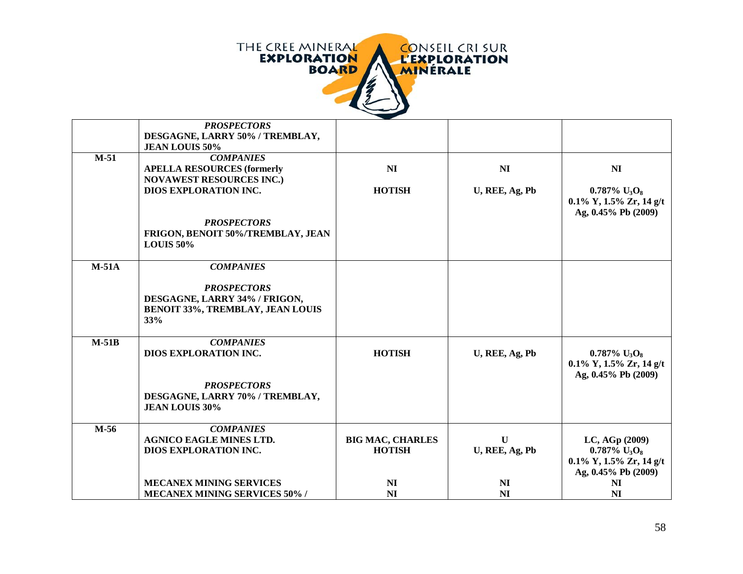

|         | <b>PROSPECTORS</b><br>DESGAGNE, LARRY 50% / TREMBLAY,<br><b>JEAN LOUIS 50%</b>                        |                         |                |                                                                                                 |
|---------|-------------------------------------------------------------------------------------------------------|-------------------------|----------------|-------------------------------------------------------------------------------------------------|
| $M-51$  | <b>COMPANIES</b><br><b>APELLA RESOURCES (formerly</b><br><b>NOVAWEST RESOURCES INC.)</b>              | NI                      | N <sub>I</sub> | NI                                                                                              |
|         | <b>DIOS EXPLORATION INC.</b>                                                                          | <b>HOTISH</b>           | U, REE, Ag, Pb | $0.787\%$ U <sub>3</sub> O <sub>8</sub><br>$0.1\%$ Y, $1.5\%$ Zr, 14 g/t<br>Ag, 0.45% Pb (2009) |
|         | <b>PROSPECTORS</b><br>FRIGON, BENOIT 50%/TREMBLAY, JEAN<br><b>LOUIS 50%</b>                           |                         |                |                                                                                                 |
| $M-51A$ | <b>COMPANIES</b>                                                                                      |                         |                |                                                                                                 |
|         | <b>PROSPECTORS</b><br>DESGAGNE, LARRY 34% / FRIGON,<br><b>BENOIT 33%, TREMBLAY, JEAN LOUIS</b><br>33% |                         |                |                                                                                                 |
| $M-51B$ | <b>COMPANIES</b><br><b>DIOS EXPLORATION INC.</b>                                                      | <b>HOTISH</b>           | U, REE, Ag, Pb | $0.787\%$ U <sub>3</sub> O <sub>8</sub><br>$0.1\%$ Y, $1.5\%$ Zr, 14 g/t                        |
|         | <b>PROSPECTORS</b><br>DESGAGNE, LARRY 70% / TREMBLAY,<br><b>JEAN LOUIS 30%</b>                        |                         |                | Ag, 0.45% Pb (2009)                                                                             |
| $M-56$  | <b>COMPANIES</b><br><b>AGNICO EAGLE MINES LTD.</b>                                                    | <b>BIG MAC, CHARLES</b> | $\mathbf{U}$   | LC, AGp (2009)                                                                                  |
|         | <b>DIOS EXPLORATION INC.</b>                                                                          | <b>HOTISH</b>           | U, REE, Ag, Pb | $0.787\%$ U <sub>3</sub> O <sub>8</sub>                                                         |
|         |                                                                                                       |                         |                | $0.1\%$ Y, $1.5\%$ Zr, $14$ g/t<br>Ag, 0.45% Pb (2009)                                          |
|         | <b>MECANEX MINING SERVICES</b>                                                                        | NI                      | N <sub>I</sub> | NI                                                                                              |
|         | <b>MECANEX MINING SERVICES 50%/</b>                                                                   | NI                      | NI             | NI                                                                                              |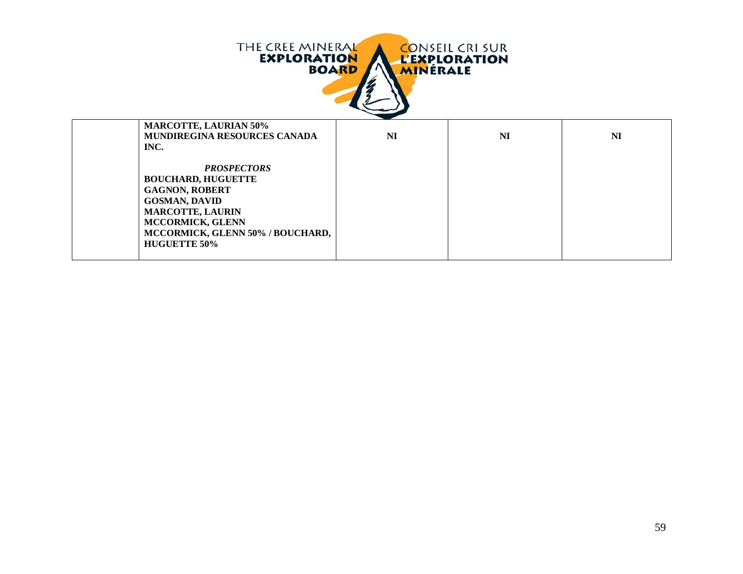| THE CREE MINERAL<br><b>CONSEIL CRI SUR</b><br><b>EXPLORATION</b><br><b>L'EXPLORATION</b><br><b>BOARD</b><br><b>MINÉRALE</b> |                                                                                                                                                                                                            |    |    |                |
|-----------------------------------------------------------------------------------------------------------------------------|------------------------------------------------------------------------------------------------------------------------------------------------------------------------------------------------------------|----|----|----------------|
|                                                                                                                             | <b>MARCOTTE, LAURIAN 50%</b><br><b>MUNDIREGINA RESOURCES CANADA</b><br>INC.                                                                                                                                | NI | NI | N <sub>I</sub> |
|                                                                                                                             | <b>PROSPECTORS</b><br><b>BOUCHARD, HUGUETTE</b><br><b>GAGNON, ROBERT</b><br><b>GOSMAN, DAVID</b><br><b>MARCOTTE, LAURIN</b><br>MCCORMICK, GLENN<br>MCCORMICK, GLENN 50% / BOUCHARD,<br><b>HUGUETTE 50%</b> |    |    |                |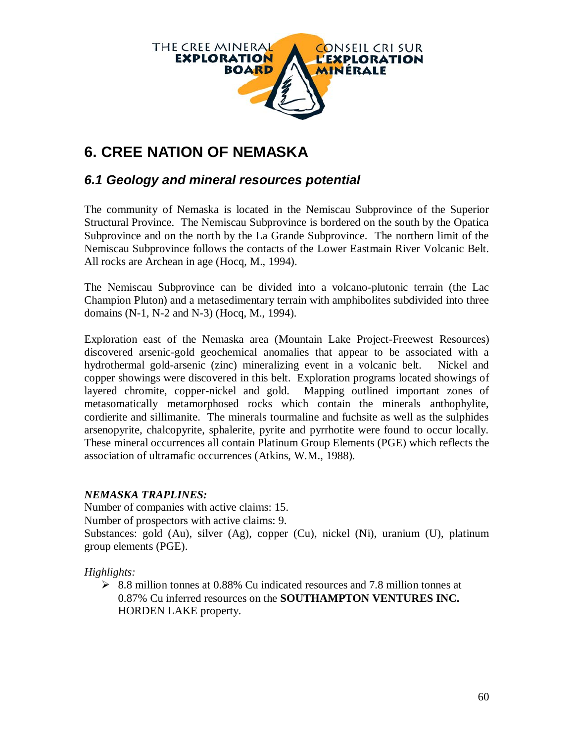

# **6. CREE NATION OF NEMASKA**

### *6.1 Geology and mineral resources potential*

The community of Nemaska is located in the Nemiscau Subprovince of the Superior Structural Province. The Nemiscau Subprovince is bordered on the south by the Opatica Subprovince and on the north by the La Grande Subprovince. The northern limit of the Nemiscau Subprovince follows the contacts of the Lower Eastmain River Volcanic Belt. All rocks are Archean in age (Hocq, M., 1994).

The Nemiscau Subprovince can be divided into a volcano-plutonic terrain (the Lac Champion Pluton) and a metasedimentary terrain with amphibolites subdivided into three domains (N-1, N-2 and N-3) (Hocq, M., 1994).

Exploration east of the Nemaska area (Mountain Lake Project-Freewest Resources) discovered arsenic-gold geochemical anomalies that appear to be associated with a hydrothermal gold-arsenic (zinc) mineralizing event in a volcanic belt. Nickel and copper showings were discovered in this belt. Exploration programs located showings of layered chromite, copper-nickel and gold. Mapping outlined important zones of metasomatically metamorphosed rocks which contain the minerals anthophylite, cordierite and sillimanite. The minerals tourmaline and fuchsite as well as the sulphides arsenopyrite, chalcopyrite, sphalerite, pyrite and pyrrhotite were found to occur locally. These mineral occurrences all contain Platinum Group Elements (PGE) which reflects the association of ultramafic occurrences (Atkins, W.M., 1988).

#### *NEMASKA TRAPLINES:*

Number of companies with active claims: 15. Number of prospectors with active claims: 9. Substances: gold (Au), silver (Ag), copper (Cu), nickel (Ni), uranium (U), platinum group elements (PGE).

*Highlights:*

 $\geq$  8.8 million tonnes at 0.88% Cu indicated resources and 7.8 million tonnes at 0.87% Cu inferred resources on the **SOUTHAMPTON VENTURES INC.** HORDEN LAKE property.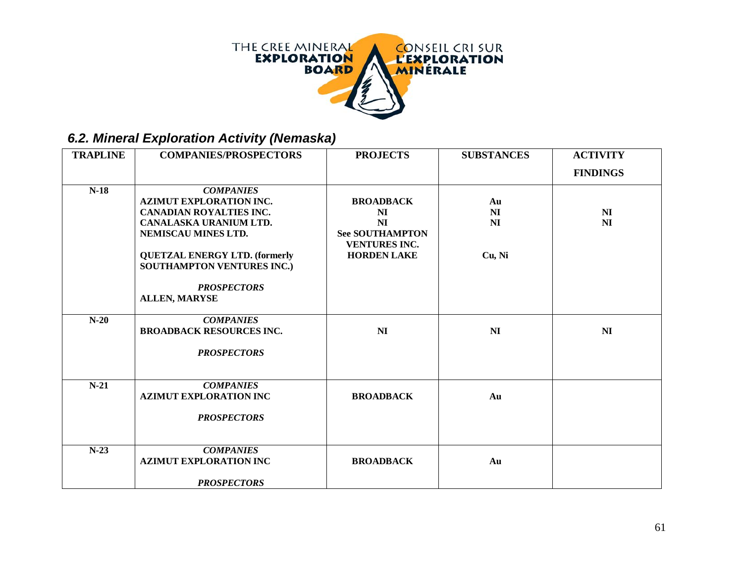

### *6.2. Mineral Exploration Activity (Nemaska)*

| <b>TRAPLINE</b> | <b>COMPANIES/PROSPECTORS</b>                                                                                                                                                                                                                                     | <b>PROJECTS</b>                                                                               | <b>SUBSTANCES</b>               | <b>ACTIVITY</b>                  |
|-----------------|------------------------------------------------------------------------------------------------------------------------------------------------------------------------------------------------------------------------------------------------------------------|-----------------------------------------------------------------------------------------------|---------------------------------|----------------------------------|
|                 |                                                                                                                                                                                                                                                                  |                                                                                               |                                 | <b>FINDINGS</b>                  |
| $N-18$          | <b>COMPANIES</b><br><b>AZIMUT EXPLORATION INC.</b><br><b>CANADIAN ROYALTIES INC.</b><br>CANALASKA URANIUM LTD.<br>NEMISCAU MINES LTD.<br><b>QUETZAL ENERGY LTD. (formerly</b><br><b>SOUTHAMPTON VENTURES INC.)</b><br><b>PROSPECTORS</b><br><b>ALLEN, MARYSE</b> | <b>BROADBACK</b><br>NI<br>NI<br><b>See SOUTHAMPTON</b><br>VENTURES INC.<br><b>HORDEN LAKE</b> | Au<br><b>NI</b><br>NI<br>Cu, Ni | N <sub>I</sub><br>N <sub>I</sub> |
| $N-20$          | <b>COMPANIES</b><br><b>BROADBACK RESOURCES INC.</b><br><b>PROSPECTORS</b>                                                                                                                                                                                        | N <sub>I</sub>                                                                                | <b>NI</b>                       | N <sub>I</sub>                   |
| $N-21$          | <b>COMPANIES</b><br><b>AZIMUT EXPLORATION INC</b><br><b>PROSPECTORS</b>                                                                                                                                                                                          | <b>BROADBACK</b>                                                                              | Au                              |                                  |
| $N-23$          | <b>COMPANIES</b><br><b>AZIMUT EXPLORATION INC</b><br><b>PROSPECTORS</b>                                                                                                                                                                                          | <b>BROADBACK</b>                                                                              | Au                              |                                  |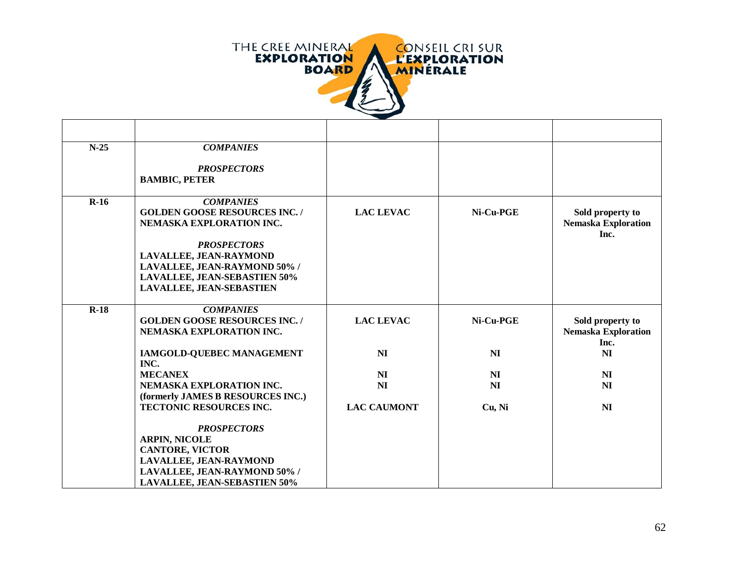

| $N-25$ | <b>COMPANIES</b>                                                                                                                                                                                                                              |                    |                |                                                        |
|--------|-----------------------------------------------------------------------------------------------------------------------------------------------------------------------------------------------------------------------------------------------|--------------------|----------------|--------------------------------------------------------|
|        | <b>PROSPECTORS</b><br><b>BAMBIC, PETER</b>                                                                                                                                                                                                    |                    |                |                                                        |
| $R-16$ | <b>COMPANIES</b><br><b>GOLDEN GOOSE RESOURCES INC./</b><br>NEMASKA EXPLORATION INC.<br><b>PROSPECTORS</b><br>LAVALLEE, JEAN-RAYMOND<br>LAVALLEE, JEAN-RAYMOND 50% /<br><b>LAVALLEE, JEAN-SEBASTIEN 50%</b><br><b>LAVALLEE, JEAN-SEBASTIEN</b> | <b>LAC LEVAC</b>   | Ni-Cu-PGE      | Sold property to<br><b>Nemaska Exploration</b><br>Inc. |
| $R-18$ | <b>COMPANIES</b><br><b>GOLDEN GOOSE RESOURCES INC./</b><br>NEMASKA EXPLORATION INC.                                                                                                                                                           | <b>LAC LEVAC</b>   | Ni-Cu-PGE      | Sold property to<br><b>Nemaska Exploration</b><br>Inc. |
|        | IAMGOLD-QUEBEC MANAGEMENT<br>INC.                                                                                                                                                                                                             | NI                 | NI             | N <sub>I</sub>                                         |
|        | <b>MECANEX</b>                                                                                                                                                                                                                                | N <sub>I</sub>     | N <sub>I</sub> | N <sub>I</sub>                                         |
|        | NEMASKA EXPLORATION INC.                                                                                                                                                                                                                      | <b>NI</b>          | N <sub>I</sub> | <b>NI</b>                                              |
|        | (formerly JAMES B RESOURCES INC.)                                                                                                                                                                                                             |                    |                |                                                        |
|        | <b>TECTONIC RESOURCES INC.</b>                                                                                                                                                                                                                | <b>LAC CAUMONT</b> | Cu, Ni         | <b>NI</b>                                              |
|        | <b>PROSPECTORS</b><br><b>ARPIN, NICOLE</b><br><b>CANTORE, VICTOR</b><br>LAVALLEE, JEAN-RAYMOND<br>LAVALLEE, JEAN-RAYMOND 50% /<br><b>LAVALLEE, JEAN-SEBASTIEN 50%</b>                                                                         |                    |                |                                                        |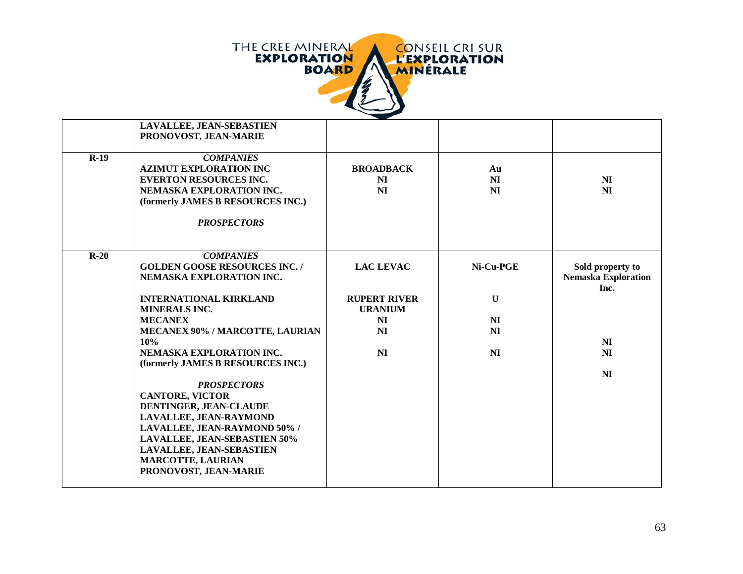

|        | LAVALLEE, JEAN-SEBASTIEN<br>PRONOVOST, JEAN-MARIE                                                                                                                         |                              |                              |                                                |
|--------|---------------------------------------------------------------------------------------------------------------------------------------------------------------------------|------------------------------|------------------------------|------------------------------------------------|
| $R-19$ | <b>COMPANIES</b><br><b>AZIMUT EXPLORATION INC</b><br><b>EVERTON RESOURCES INC.</b><br>NEMASKA EXPLORATION INC.<br>(formerly JAMES B RESOURCES INC.)<br><b>PROSPECTORS</b> | <b>BROADBACK</b><br>NI<br>NI | Au<br><b>NI</b><br><b>NI</b> | N <sub>I</sub><br>NI                           |
| $R-20$ | <b>COMPANIES</b><br><b>GOLDEN GOOSE RESOURCES INC./</b><br>NEMASKA EXPLORATION INC.                                                                                       | <b>LAC LEVAC</b>             | Ni-Cu-PGE                    | Sold property to<br><b>Nemaska Exploration</b> |
|        | <b>INTERNATIONAL KIRKLAND</b>                                                                                                                                             | <b>RUPERT RIVER</b>          | $\mathbf U$                  | Inc.                                           |
|        | <b>MINERALS INC.</b>                                                                                                                                                      | <b>URANIUM</b>               |                              |                                                |
|        | <b>MECANEX</b>                                                                                                                                                            | NI                           | <b>NI</b>                    |                                                |
|        | MECANEX 90% / MARCOTTE, LAURIAN                                                                                                                                           | N <sub>I</sub>               | <b>NI</b>                    |                                                |
|        | 10%                                                                                                                                                                       |                              |                              | N <sub>I</sub>                                 |
|        | NEMASKA EXPLORATION INC.                                                                                                                                                  | NI                           | <b>NI</b>                    | N <sub>I</sub>                                 |
|        | (formerly JAMES B RESOURCES INC.)                                                                                                                                         |                              |                              |                                                |
|        | <b>PROSPECTORS</b>                                                                                                                                                        |                              |                              | N <sub>I</sub>                                 |
|        | <b>CANTORE, VICTOR</b>                                                                                                                                                    |                              |                              |                                                |
|        | DENTINGER, JEAN-CLAUDE                                                                                                                                                    |                              |                              |                                                |
|        | LAVALLEE, JEAN-RAYMOND                                                                                                                                                    |                              |                              |                                                |
|        | LAVALLEE, JEAN-RAYMOND 50% /                                                                                                                                              |                              |                              |                                                |
|        | <b>LAVALLEE, JEAN-SEBASTIEN 50%</b>                                                                                                                                       |                              |                              |                                                |
|        | LAVALLEE, JEAN-SEBASTIEN                                                                                                                                                  |                              |                              |                                                |
|        | <b>MARCOTTE, LAURIAN</b>                                                                                                                                                  |                              |                              |                                                |
|        | PRONOVOST, JEAN-MARIE                                                                                                                                                     |                              |                              |                                                |
|        |                                                                                                                                                                           |                              |                              |                                                |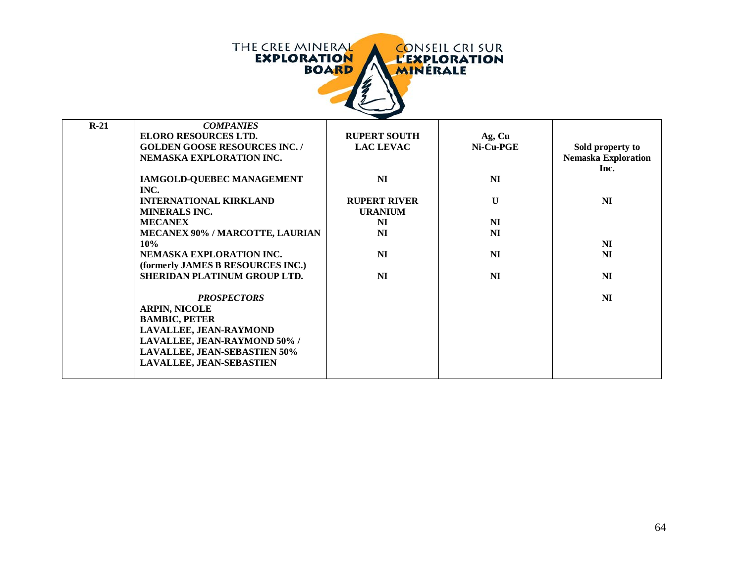| THE CREE MINERAL<br><b>EXPLORATION</b><br><b>BOARD</b> | <b>CONSEIL CRISUR</b><br><b>L'EXPLORATION</b><br><b>MINERALE</b> |
|--------------------------------------------------------|------------------------------------------------------------------|
|                                                        |                                                                  |

| $R-21$ | <b>COMPANIES</b>                       |                     |                     |                            |
|--------|----------------------------------------|---------------------|---------------------|----------------------------|
|        | <b>ELORO RESOURCES LTD.</b>            | <b>RUPERT SOUTH</b> | Ag, Cu              |                            |
|        | <b>GOLDEN GOOSE RESOURCES INC./</b>    | <b>LAC LEVAC</b>    | $Ni$ - $Cu$ - $PGE$ | Sold property to           |
|        | NEMASKA EXPLORATION INC.               |                     |                     | <b>Nemaska Exploration</b> |
|        |                                        |                     |                     | Inc.                       |
|        | IAMGOLD-QUEBEC MANAGEMENT              | NI                  | NI                  |                            |
|        | INC.                                   |                     |                     |                            |
|        | <b>INTERNATIONAL KIRKLAND</b>          | <b>RUPERT RIVER</b> | $\mathbf{U}$        | NI                         |
|        | <b>MINERALS INC.</b>                   | <b>URANIUM</b>      |                     |                            |
|        | <b>MECANEX</b>                         | NI                  | NI                  |                            |
|        | <b>MECANEX 90% / MARCOTTE, LAURIAN</b> | <b>NI</b>           | <b>NI</b>           |                            |
|        | 10%                                    |                     |                     | NI                         |
|        | NEMASKA EXPLORATION INC.               | NI                  | NI                  | <b>NI</b>                  |
|        | (formerly JAMES B RESOURCES INC.)      |                     |                     |                            |
|        | SHERIDAN PLATINUM GROUP LTD.           | NI                  | NI                  | N <sub>I</sub>             |
|        |                                        |                     |                     |                            |
|        | <b>PROSPECTORS</b>                     |                     |                     | NI                         |
|        | <b>ARPIN, NICOLE</b>                   |                     |                     |                            |
|        | <b>BAMBIC, PETER</b>                   |                     |                     |                            |
|        | LAVALLEE, JEAN-RAYMOND                 |                     |                     |                            |
|        | LAVALLEE, JEAN-RAYMOND 50% /           |                     |                     |                            |
|        | <b>LAVALLEE, JEAN-SEBASTIEN 50%</b>    |                     |                     |                            |
|        | <b>LAVALLEE, JEAN-SEBASTIEN</b>        |                     |                     |                            |
|        |                                        |                     |                     |                            |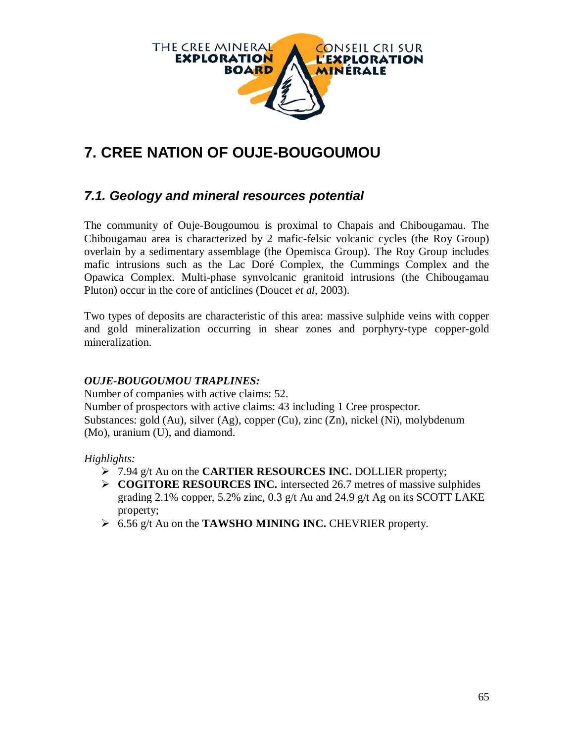

# **7. CREE NATION OF OUJE-BOUGOUMOU**

### *7.1. Geology and mineral resources potential*

The community of Ouje-Bougoumou is proximal to Chapais and Chibougamau. The Chibougamau area is characterized by 2 mafic-felsic volcanic cycles (the Roy Group) overlain by a sedimentary assemblage (the Opemisca Group). The Roy Group includes mafic intrusions such as the Lac Doré Complex, the Cummings Complex and the Opawica Complex. Multi-phase synvolcanic granitoid intrusions (the Chibougamau Pluton) occur in the core of anticlines (Doucet *et al*, 2003).

Two types of deposits are characteristic of this area: massive sulphide veins with copper and gold mineralization occurring in shear zones and porphyry-type copper-gold mineralization.

#### *OUJE-BOUGOUMOU TRAPLINES:*

Number of companies with active claims: 52. Number of prospectors with active claims: 43 including 1 Cree prospector. Substances: gold (Au), silver (Ag), copper (Cu), zinc (Zn), nickel (Ni), molybdenum (Mo), uranium (U), and diamond.

*Highlights:*

- 7.94 g/t Au on the **CARTIER RESOURCES INC.** DOLLIER property;
- **COGITORE RESOURCES INC.** intersected 26.7 metres of massive sulphides grading 2.1% copper, 5.2% zinc, 0.3 g/t Au and 24.9 g/t Ag on its SCOTT LAKE property;
- 6.56 g/t Au on the **TAWSHO MINING INC.** CHEVRIER property.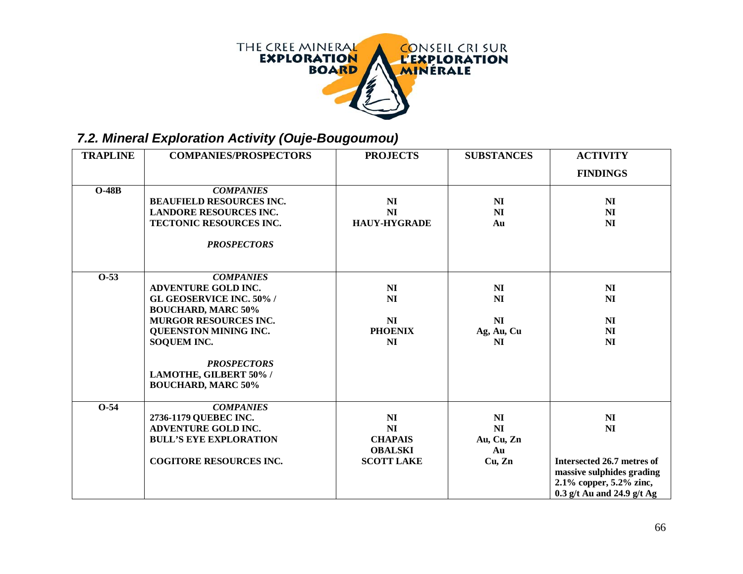

## *7.2. Mineral Exploration Activity (Ouje-Bougoumou)*

| <b>TRAPLINE</b> | <b>COMPANIES/PROSPECTORS</b>    | <b>PROJECTS</b>     | <b>SUBSTANCES</b> | <b>ACTIVITY</b>              |
|-----------------|---------------------------------|---------------------|-------------------|------------------------------|
|                 |                                 |                     |                   | <b>FINDINGS</b>              |
| $O-48B$         | <b>COMPANIES</b>                |                     |                   |                              |
|                 | <b>BEAUFIELD RESOURCES INC.</b> | NI                  | NI                | NI                           |
|                 | <b>LANDORE RESOURCES INC.</b>   | NI                  | N <sub>I</sub>    | N <sub>I</sub>               |
|                 | TECTONIC RESOURCES INC.         | <b>HAUY-HYGRADE</b> | Au                | N <sub>I</sub>               |
|                 |                                 |                     |                   |                              |
|                 | <b>PROSPECTORS</b>              |                     |                   |                              |
|                 |                                 |                     |                   |                              |
| $0-53$          | <b>COMPANIES</b>                |                     |                   |                              |
|                 | <b>ADVENTURE GOLD INC.</b>      | N <sub>I</sub>      | NI                | N <sub>I</sub>               |
|                 | <b>GL GEOSERVICE INC. 50%/</b>  | <b>NI</b>           | NI                | NI                           |
|                 | <b>BOUCHARD, MARC 50%</b>       |                     |                   |                              |
|                 | <b>MURGOR RESOURCES INC.</b>    | NI                  | NI                | N <sub>I</sub>               |
|                 | QUEENSTON MINING INC.           | <b>PHOENIX</b>      | Ag, Au, Cu        | NI                           |
|                 | <b>SOQUEM INC.</b>              | N <sub>I</sub>      | NI                | N <sub>I</sub>               |
|                 | <b>PROSPECTORS</b>              |                     |                   |                              |
|                 | LAMOTHE, GILBERT 50% /          |                     |                   |                              |
|                 | <b>BOUCHARD, MARC 50%</b>       |                     |                   |                              |
|                 |                                 |                     |                   |                              |
| $O-54$          | <b>COMPANIES</b>                |                     |                   |                              |
|                 | 2736-1179 QUEBEC INC.           | N <sub>I</sub>      | N <sub>I</sub>    | N <sub>I</sub>               |
|                 | <b>ADVENTURE GOLD INC.</b>      | N <sub>I</sub>      | NI                | N <sub>I</sub>               |
|                 | <b>BULL'S EYE EXPLORATION</b>   | <b>CHAPAIS</b>      | Au, Cu, Zn        |                              |
|                 |                                 | <b>OBALSKI</b>      | Au                |                              |
|                 | <b>COGITORE RESOURCES INC.</b>  | <b>SCOTT LAKE</b>   | Cu, Zn            | Intersected 26.7 metres of   |
|                 |                                 |                     |                   | massive sulphides grading    |
|                 |                                 |                     |                   | 2.1% copper, 5.2% zinc,      |
|                 |                                 |                     |                   | $0.3$ g/t Au and 24.9 g/t Ag |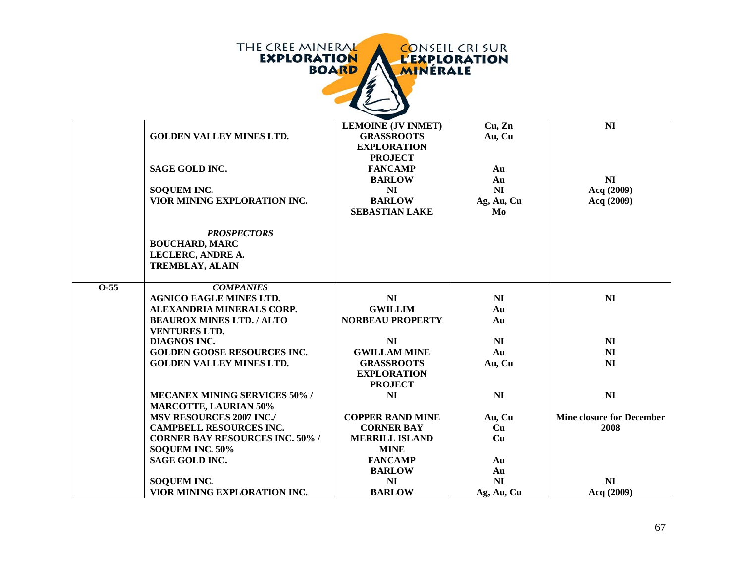

|        |                                        | <b>LEMOINE (JV INMET)</b> | Cu, Zn         | NI                               |
|--------|----------------------------------------|---------------------------|----------------|----------------------------------|
|        | <b>GOLDEN VALLEY MINES LTD.</b>        | <b>GRASSROOTS</b>         | Au, Cu         |                                  |
|        |                                        | <b>EXPLORATION</b>        |                |                                  |
|        |                                        | <b>PROJECT</b>            |                |                                  |
|        | <b>SAGE GOLD INC.</b>                  | <b>FANCAMP</b>            | Au             |                                  |
|        |                                        | <b>BARLOW</b>             | Au             | N <sub>I</sub>                   |
|        | <b>SOQUEM INC.</b>                     | NI                        | NI             | Acq (2009)                       |
|        | VIOR MINING EXPLORATION INC.           | <b>BARLOW</b>             | Ag, Au, Cu     | Acq (2009)                       |
|        |                                        | <b>SEBASTIAN LAKE</b>     | Mo             |                                  |
|        |                                        |                           |                |                                  |
|        | <b>PROSPECTORS</b>                     |                           |                |                                  |
|        | <b>BOUCHARD, MARC</b>                  |                           |                |                                  |
|        | LECLERC, ANDRE A.                      |                           |                |                                  |
|        | <b>TREMBLAY, ALAIN</b>                 |                           |                |                                  |
|        |                                        |                           |                |                                  |
| $O-55$ | <b>COMPANIES</b>                       |                           |                |                                  |
|        | <b>AGNICO EAGLE MINES LTD.</b>         | N <sub>I</sub>            | N <sub>I</sub> | NI                               |
|        | ALEXANDRIA MINERALS CORP.              | <b>GWILLIM</b>            | Au             |                                  |
|        | <b>BEAUROX MINES LTD. / ALTO</b>       | <b>NORBEAU PROPERTY</b>   | Au             |                                  |
|        | <b>VENTURES LTD.</b>                   |                           |                |                                  |
|        | <b>DIAGNOS INC.</b>                    | N <sub>I</sub>            | N <sub>I</sub> | N <sub>I</sub>                   |
|        | <b>GOLDEN GOOSE RESOURCES INC.</b>     | <b>GWILLAM MINE</b>       | Au             | NI                               |
|        | <b>GOLDEN VALLEY MINES LTD.</b>        | <b>GRASSROOTS</b>         | Au, Cu         | N <sub>I</sub>                   |
|        |                                        | <b>EXPLORATION</b>        |                |                                  |
|        |                                        | <b>PROJECT</b>            |                |                                  |
|        | <b>MECANEX MINING SERVICES 50% /</b>   | N <sub>I</sub>            | NI             | NI                               |
|        | <b>MARCOTTE, LAURIAN 50%</b>           |                           |                |                                  |
|        | <b>MSV RESOURCES 2007 INC./</b>        | <b>COPPER RAND MINE</b>   | Au, Cu         | <b>Mine closure for December</b> |
|        | <b>CAMPBELL RESOURCES INC.</b>         | <b>CORNER BAY</b>         | Cu             | 2008                             |
|        | <b>CORNER BAY RESOURCES INC. 50% /</b> | <b>MERRILL ISLAND</b>     | Cu             |                                  |
|        | SOQUEM INC. 50%                        | <b>MINE</b>               |                |                                  |
|        | <b>SAGE GOLD INC.</b>                  | <b>FANCAMP</b>            | Au             |                                  |
|        |                                        | <b>BARLOW</b>             | Au             |                                  |
|        | <b>SOQUEM INC.</b>                     | N <sub>I</sub>            | NI             | NI                               |
|        | VIOR MINING EXPLORATION INC.           | <b>BARLOW</b>             | Ag, Au, Cu     | Acq (2009)                       |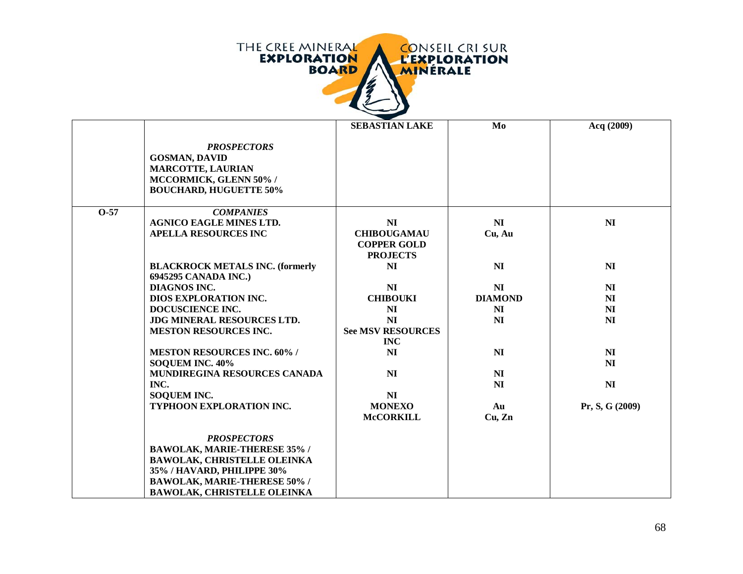

|        |                                                                                                                                                                                                            | <b>SEBASTIAN LAKE</b>                                                         | Mo             | Acq (2009)      |
|--------|------------------------------------------------------------------------------------------------------------------------------------------------------------------------------------------------------------|-------------------------------------------------------------------------------|----------------|-----------------|
|        | <b>PROSPECTORS</b><br><b>GOSMAN, DAVID</b><br><b>MARCOTTE, LAURIAN</b><br>MCCORMICK, GLENN 50% /<br><b>BOUCHARD, HUGUETTE 50%</b>                                                                          |                                                                               |                |                 |
| $O-57$ | <b>COMPANIES</b>                                                                                                                                                                                           |                                                                               |                |                 |
|        | <b>AGNICO EAGLE MINES LTD.</b><br><b>APELLA RESOURCES INC</b>                                                                                                                                              | N <sub>I</sub><br><b>CHIBOUGAMAU</b><br><b>COPPER GOLD</b><br><b>PROJECTS</b> | NI<br>Cu, Au   | N <sub>I</sub>  |
|        | <b>BLACKROCK METALS INC. (formerly</b><br>6945295 CANADA INC.)                                                                                                                                             | N <sub>I</sub>                                                                | NI             | N <sub>I</sub>  |
|        | <b>DIAGNOS INC.</b>                                                                                                                                                                                        | NI                                                                            | NI             | N <sub>I</sub>  |
|        | DIOS EXPLORATION INC.                                                                                                                                                                                      | <b>CHIBOUKI</b>                                                               | <b>DIAMOND</b> | NI              |
|        | DOCUSCIENCE INC.                                                                                                                                                                                           | N <sub>I</sub>                                                                | NI             | N <sub>I</sub>  |
|        | JDG MINERAL RESOURCES LTD.<br><b>MESTON RESOURCES INC.</b>                                                                                                                                                 | N <sub>I</sub><br><b>See MSV RESOURCES</b><br><b>INC</b>                      | N <sub>I</sub> | N <sub>I</sub>  |
|        | <b>MESTON RESOURCES INC. 60% /</b>                                                                                                                                                                         | NI                                                                            | NI             | NI              |
|        | <b>SOQUEM INC. 40%</b>                                                                                                                                                                                     |                                                                               |                | N <sub>I</sub>  |
|        | MUNDIREGINA RESOURCES CANADA                                                                                                                                                                               | N <sub>I</sub>                                                                | NI             |                 |
|        | INC.                                                                                                                                                                                                       |                                                                               | NI             | N <sub>I</sub>  |
|        | <b>SOQUEM INC.</b>                                                                                                                                                                                         | N <sub>I</sub>                                                                |                |                 |
|        | TYPHOON EXPLORATION INC.                                                                                                                                                                                   | <b>MONEXO</b><br><b>McCORKILL</b>                                             | Au<br>Cu, Zn   | Pr, S, G (2009) |
|        | <b>PROSPECTORS</b><br><b>BAWOLAK, MARIE-THERESE 35% /</b><br><b>BAWOLAK, CHRISTELLE OLEINKA</b><br>35% / HAVARD, PHILIPPE 30%<br><b>BAWOLAK, MARIE-THERESE 50% /</b><br><b>BAWOLAK, CHRISTELLE OLEINKA</b> |                                                                               |                |                 |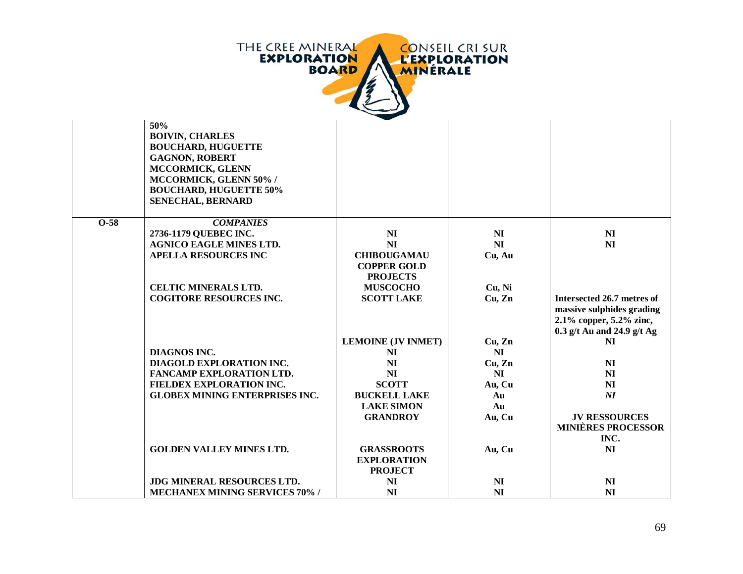

|        | 50%                                   |                           |                |                            |
|--------|---------------------------------------|---------------------------|----------------|----------------------------|
|        | <b>BOIVIN, CHARLES</b>                |                           |                |                            |
|        | <b>BOUCHARD, HUGUETTE</b>             |                           |                |                            |
|        | <b>GAGNON, ROBERT</b>                 |                           |                |                            |
|        | MCCORMICK, GLENN                      |                           |                |                            |
|        | MCCORMICK, GLENN 50% /                |                           |                |                            |
|        | <b>BOUCHARD, HUGUETTE 50%</b>         |                           |                |                            |
|        | <b>SENECHAL, BERNARD</b>              |                           |                |                            |
|        |                                       |                           |                |                            |
| $O-58$ | <b>COMPANIES</b>                      |                           |                |                            |
|        | 2736-1179 QUEBEC INC.                 | NI                        | NI             | NI                         |
|        | <b>AGNICO EAGLE MINES LTD.</b>        | NI                        | NI             | NI                         |
|        | <b>APELLA RESOURCES INC</b>           | <b>CHIBOUGAMAU</b>        | Cu, Au         |                            |
|        |                                       | <b>COPPER GOLD</b>        |                |                            |
|        |                                       | <b>PROJECTS</b>           |                |                            |
|        | <b>CELTIC MINERALS LTD.</b>           | <b>MUSCOCHO</b>           | Cu, Ni         |                            |
|        | <b>COGITORE RESOURCES INC.</b>        | <b>SCOTT LAKE</b>         | Cu, Zn         | Intersected 26.7 metres of |
|        |                                       |                           |                | massive sulphides grading  |
|        |                                       |                           |                | 2.1% copper, $5.2\%$ zinc, |
|        |                                       |                           |                | 0.3 g/t Au and 24.9 g/t Ag |
|        |                                       | <b>LEMOINE (JV INMET)</b> | Cu, Zn         | NI                         |
|        | DIAGNOS INC.                          | NI                        | N <sub>I</sub> |                            |
|        | DIAGOLD EXPLORATION INC.              | N <sub>I</sub>            | Cu, Zn         | <b>NI</b>                  |
|        | <b>FANCAMP EXPLORATION LTD.</b>       | <b>NI</b>                 | NI             | <b>NI</b>                  |
|        | FIELDEX EXPLORATION INC.              | <b>SCOTT</b>              | Au, Cu         | N <sub>I</sub>             |
|        | <b>GLOBEX MINING ENTERPRISES INC.</b> | <b>BUCKELL LAKE</b>       | Au             | NI                         |
|        |                                       | <b>LAKE SIMON</b>         | Au             |                            |
|        |                                       | <b>GRANDROY</b>           | Au, Cu         | <b>JV RESSOURCES</b>       |
|        |                                       |                           |                | <b>MINIÈRES PROCESSOR</b>  |
|        |                                       |                           |                | INC.                       |
|        | <b>GOLDEN VALLEY MINES LTD.</b>       | <b>GRASSROOTS</b>         | Au, Cu         | N <sub>I</sub>             |
|        |                                       | <b>EXPLORATION</b>        |                |                            |
|        |                                       | <b>PROJECT</b>            |                |                            |
|        | JDG MINERAL RESOURCES LTD.            | <b>NI</b>                 | NI             | <b>NI</b>                  |
|        | <b>MECHANEX MINING SERVICES 70%/</b>  | <b>NI</b>                 | N <sub>I</sub> | NI                         |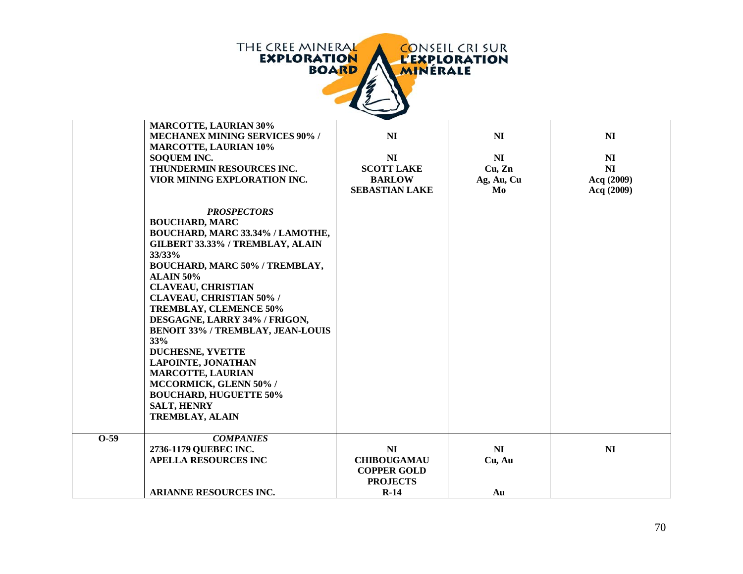

|        | <b>MARCOTTE, LAURIAN 30%</b><br><b>MECHANEX MINING SERVICES 90% /</b> | NI                    | N <sub>I</sub> | N <sub>I</sub> |
|--------|-----------------------------------------------------------------------|-----------------------|----------------|----------------|
|        | <b>MARCOTTE, LAURIAN 10%</b>                                          |                       |                |                |
|        | SOQUEM INC.                                                           | N <sub>I</sub>        | NI             | NI             |
|        | THUNDERMIN RESOURCES INC.                                             | <b>SCOTT LAKE</b>     | Cu, Zn         | NI             |
|        | VIOR MINING EXPLORATION INC.                                          | <b>BARLOW</b>         | Ag, Au, Cu     | Acq (2009)     |
|        |                                                                       | <b>SEBASTIAN LAKE</b> | Mo             | Acq (2009)     |
|        | <b>PROSPECTORS</b><br><b>BOUCHARD, MARC</b>                           |                       |                |                |
|        | BOUCHARD, MARC 33.34% / LAMOTHE,                                      |                       |                |                |
|        | GILBERT 33.33% / TREMBLAY, ALAIN                                      |                       |                |                |
|        | 33/33%                                                                |                       |                |                |
|        | BOUCHARD, MARC 50% / TREMBLAY,                                        |                       |                |                |
|        | <b>ALAIN 50%</b>                                                      |                       |                |                |
|        | <b>CLAVEAU, CHRISTIAN</b>                                             |                       |                |                |
|        | <b>CLAVEAU, CHRISTIAN 50% /</b>                                       |                       |                |                |
|        | <b>TREMBLAY, CLEMENCE 50%</b>                                         |                       |                |                |
|        | DESGAGNE, LARRY 34% / FRIGON,                                         |                       |                |                |
|        | <b>BENOIT 33% / TREMBLAY, JEAN-LOUIS</b>                              |                       |                |                |
|        | 33%                                                                   |                       |                |                |
|        | <b>DUCHESNE, YVETTE</b><br><b>LAPOINTE, JONATHAN</b>                  |                       |                |                |
|        | <b>MARCOTTE, LAURIAN</b>                                              |                       |                |                |
|        | MCCORMICK, GLENN 50% /                                                |                       |                |                |
|        | <b>BOUCHARD, HUGUETTE 50%</b>                                         |                       |                |                |
|        | <b>SALT, HENRY</b>                                                    |                       |                |                |
|        | <b>TREMBLAY, ALAIN</b>                                                |                       |                |                |
|        |                                                                       |                       |                |                |
| $0-59$ | <b>COMPANIES</b>                                                      |                       |                |                |
|        | 2736-1179 QUEBEC INC.                                                 | N <sub>I</sub>        | NI             | NI             |
|        | <b>APELLA RESOURCES INC</b>                                           | <b>CHIBOUGAMAU</b>    | Cu, Au         |                |
|        |                                                                       | <b>COPPER GOLD</b>    |                |                |
|        |                                                                       | <b>PROJECTS</b>       |                |                |
|        | <b>ARIANNE RESOURCES INC.</b>                                         | $R-14$                | Au             |                |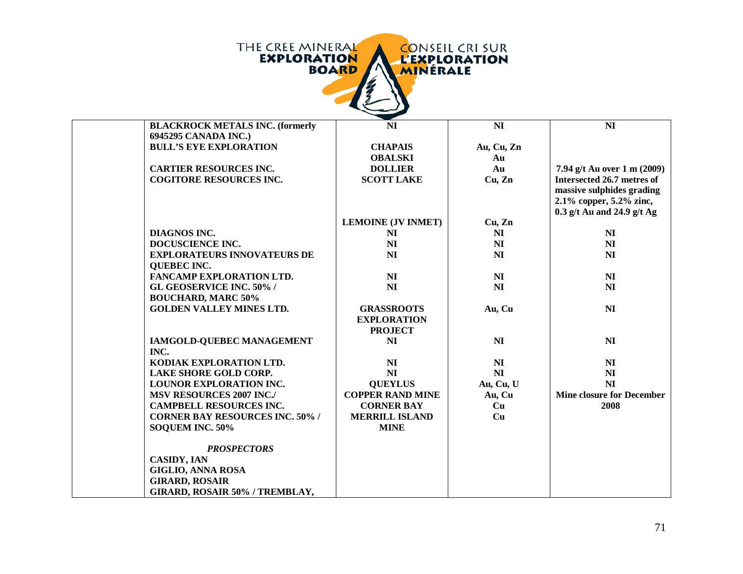

| <b>BLACKROCK METALS INC. (formerly</b> | N <sub>I</sub>            | N <sub>I</sub> | N <sub>I</sub>                   |
|----------------------------------------|---------------------------|----------------|----------------------------------|
| 6945295 CANADA INC.)                   |                           |                |                                  |
| <b>BULL'S EYE EXPLORATION</b>          | <b>CHAPAIS</b>            | Au, Cu, Zn     |                                  |
|                                        | <b>OBALSKI</b>            | Au             |                                  |
| <b>CARTIER RESOURCES INC.</b>          | <b>DOLLIER</b>            | Au             | 7.94 g/t Au over 1 m (2009)      |
| <b>COGITORE RESOURCES INC.</b>         | <b>SCOTT LAKE</b>         | Cu, Zn         | Intersected 26.7 metres of       |
|                                        |                           |                | massive sulphides grading        |
|                                        |                           |                | 2.1% copper, 5.2% zinc,          |
|                                        |                           |                | 0.3 g/t Au and 24.9 g/t Ag       |
|                                        | <b>LEMOINE (JV INMET)</b> | Cu, Zn         |                                  |
| <b>DIAGNOS INC.</b>                    | NI                        | N <sub>I</sub> | N <sub>I</sub>                   |
| DOCUSCIENCE INC.                       | N <sub>I</sub>            | NI             | NI                               |
| <b>EXPLORATEURS INNOVATEURS DE</b>     | <b>NI</b>                 | N <sub>I</sub> | NI                               |
| <b>QUEBEC INC.</b>                     |                           |                |                                  |
| <b>FANCAMP EXPLORATION LTD.</b>        | N <sub>I</sub>            | N <sub>I</sub> | N <sub>I</sub>                   |
| <b>GL GEOSERVICE INC. 50%/</b>         | N <sub>I</sub>            | N <sub>I</sub> | NI                               |
| <b>BOUCHARD, MARC 50%</b>              |                           |                |                                  |
| <b>GOLDEN VALLEY MINES LTD.</b>        | <b>GRASSROOTS</b>         | Au, Cu         | N <sub>I</sub>                   |
|                                        | <b>EXPLORATION</b>        |                |                                  |
|                                        | <b>PROJECT</b>            |                |                                  |
| IAMGOLD-QUEBEC MANAGEMENT              | <b>NI</b>                 | N <sub>I</sub> | N <sub>I</sub>                   |
| INC.                                   |                           |                |                                  |
| KODIAK EXPLORATION LTD.                | N <sub>I</sub>            | N <sub>I</sub> | N <sub>I</sub>                   |
| <b>LAKE SHORE GOLD CORP.</b>           | NI                        | NI             | NI                               |
| <b>LOUNOR EXPLORATION INC.</b>         | <b>QUEYLUS</b>            | Au, Cu, U      | NI                               |
| <b>MSV RESOURCES 2007 INC./</b>        | <b>COPPER RAND MINE</b>   | Au, Cu         | <b>Mine closure for December</b> |
| <b>CAMPBELL RESOURCES INC.</b>         | <b>CORNER BAY</b>         | Cu             | 2008                             |
| <b>CORNER BAY RESOURCES INC. 50% /</b> | <b>MERRILL ISLAND</b>     | Cu             |                                  |
| SOQUEM INC. 50%                        | <b>MINE</b>               |                |                                  |
|                                        |                           |                |                                  |
| <b>PROSPECTORS</b>                     |                           |                |                                  |
| <b>CASIDY, IAN</b>                     |                           |                |                                  |
| <b>GIGLIO, ANNA ROSA</b>               |                           |                |                                  |
| <b>GIRARD, ROSAIR</b>                  |                           |                |                                  |
| GIRARD, ROSAIR 50% / TREMBLAY,         |                           |                |                                  |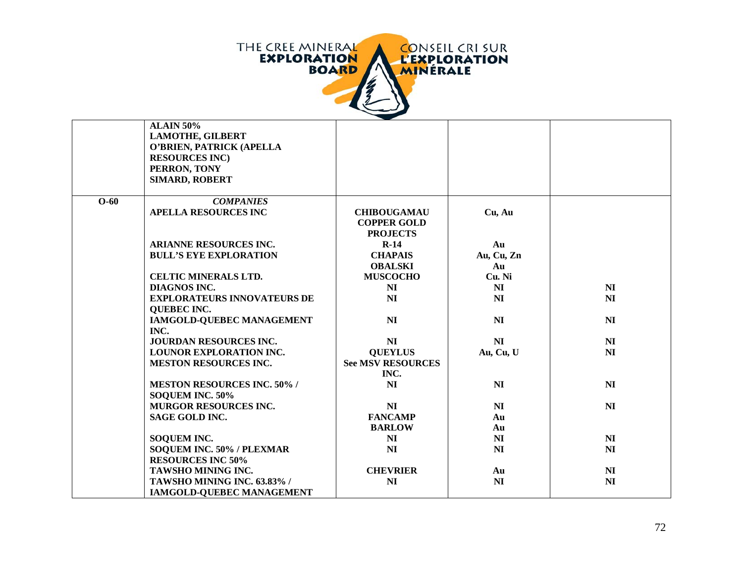

|        | <b>ALAIN 50%</b>                   |                          |            |                |
|--------|------------------------------------|--------------------------|------------|----------------|
|        | <b>LAMOTHE, GILBERT</b>            |                          |            |                |
|        | O'BRIEN, PATRICK (APELLA           |                          |            |                |
|        | <b>RESOURCES INC</b> )             |                          |            |                |
|        | PERRON, TONY                       |                          |            |                |
|        | SIMARD, ROBERT                     |                          |            |                |
|        |                                    |                          |            |                |
| $O-60$ | <b>COMPANIES</b>                   |                          |            |                |
|        | <b>APELLA RESOURCES INC</b>        | <b>CHIBOUGAMAU</b>       | Cu, Au     |                |
|        |                                    | <b>COPPER GOLD</b>       |            |                |
|        |                                    | <b>PROJECTS</b>          |            |                |
|        | <b>ARIANNE RESOURCES INC.</b>      | $R-14$                   | Au         |                |
|        | <b>BULL'S EYE EXPLORATION</b>      | <b>CHAPAIS</b>           | Au, Cu, Zn |                |
|        |                                    | <b>OBALSKI</b>           | Au         |                |
|        | <b>CELTIC MINERALS LTD.</b>        | <b>MUSCOCHO</b>          | Cu. Ni     |                |
|        | <b>DIAGNOS INC.</b>                | NI                       | NI         | NI             |
|        | <b>EXPLORATEURS INNOVATEURS DE</b> | N <sub>I</sub>           | NI         | NI             |
|        | <b>QUEBEC INC.</b>                 |                          |            |                |
|        | IAMGOLD-QUEBEC MANAGEMENT          | NI                       | NI         | NI             |
|        | INC.                               |                          |            |                |
|        | <b>JOURDAN RESOURCES INC.</b>      | N <sub>I</sub>           | NI         | NI             |
|        | LOUNOR EXPLORATION INC.            | <b>QUEYLUS</b>           | Au, Cu, U  | NI             |
|        | <b>MESTON RESOURCES INC.</b>       | <b>See MSV RESOURCES</b> |            |                |
|        |                                    | INC.                     |            |                |
|        | <b>MESTON RESOURCES INC. 50% /</b> | N <sub>I</sub>           | NI         | N <sub>I</sub> |
|        | SOQUEM INC. 50%                    |                          |            |                |
|        | <b>MURGOR RESOURCES INC.</b>       | NI                       | NI         | N <sub>I</sub> |
|        | <b>SAGE GOLD INC.</b>              | <b>FANCAMP</b>           | Au         |                |
|        |                                    | <b>BARLOW</b>            | Au         |                |
|        | <b>SOQUEM INC.</b>                 | NI                       | NI         | NI             |
|        | SOQUEM INC. 50% / PLEXMAR          | NI                       | NI         | N <sub>I</sub> |
|        | <b>RESOURCES INC 50%</b>           |                          |            |                |
|        | TAWSHO MINING INC.                 | <b>CHEVRIER</b>          | Au         | N <sub>I</sub> |
|        | TAWSHO MINING INC. 63.83% /        | N <sub>I</sub>           | NI         | N <sub>I</sub> |
|        | <b>IAMGOLD-QUEBEC MANAGEMENT</b>   |                          |            |                |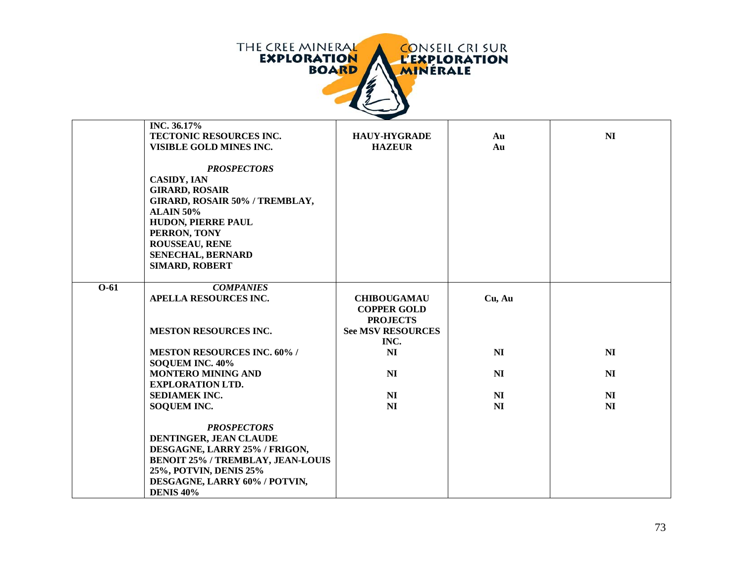

|        | INC. 36.17%<br>TECTONIC RESOURCES INC.<br>VISIBLE GOLD MINES INC.                                                                                                                                                                           | <b>HAUY-HYGRADE</b><br><b>HAZEUR</b>                        | Au<br>Au       | N <sub>I</sub> |
|--------|---------------------------------------------------------------------------------------------------------------------------------------------------------------------------------------------------------------------------------------------|-------------------------------------------------------------|----------------|----------------|
|        | <b>PROSPECTORS</b><br><b>CASIDY, IAN</b><br><b>GIRARD, ROSAIR</b><br>GIRARD, ROSAIR 50% / TREMBLAY,<br><b>ALAIN 50%</b><br>HUDON, PIERRE PAUL<br>PERRON, TONY<br><b>ROUSSEAU, RENE</b><br><b>SENECHAL, BERNARD</b><br><b>SIMARD, ROBERT</b> |                                                             |                |                |
| $O-61$ | <b>COMPANIES</b><br><b>APELLA RESOURCES INC.</b>                                                                                                                                                                                            | <b>CHIBOUGAMAU</b><br><b>COPPER GOLD</b><br><b>PROJECTS</b> | Cu, Au         |                |
|        | <b>MESTON RESOURCES INC.</b>                                                                                                                                                                                                                | <b>See MSV RESOURCES</b><br>INC.                            |                |                |
|        | <b>MESTON RESOURCES INC. 60% /</b><br>SOQUEM INC. 40%                                                                                                                                                                                       | NI                                                          | NI             | N <sub>I</sub> |
|        | <b>MONTERO MINING AND</b><br><b>EXPLORATION LTD.</b>                                                                                                                                                                                        | N <sub>I</sub>                                              | NI             | NI             |
|        | <b>SEDIAMEK INC.</b>                                                                                                                                                                                                                        | NI                                                          | N <sub>I</sub> | NI             |
|        | <b>SOQUEM INC.</b>                                                                                                                                                                                                                          | NI                                                          | N <sub>I</sub> | NI             |
|        | <b>PROSPECTORS</b><br>DENTINGER, JEAN CLAUDE<br>DESGAGNE, LARRY 25% / FRIGON,<br><b>BENOIT 25% / TREMBLAY, JEAN-LOUIS</b><br>25%, POTVIN, DENIS 25%<br>DESGAGNE, LARRY 60% / POTVIN,<br><b>DENIS 40%</b>                                    |                                                             |                |                |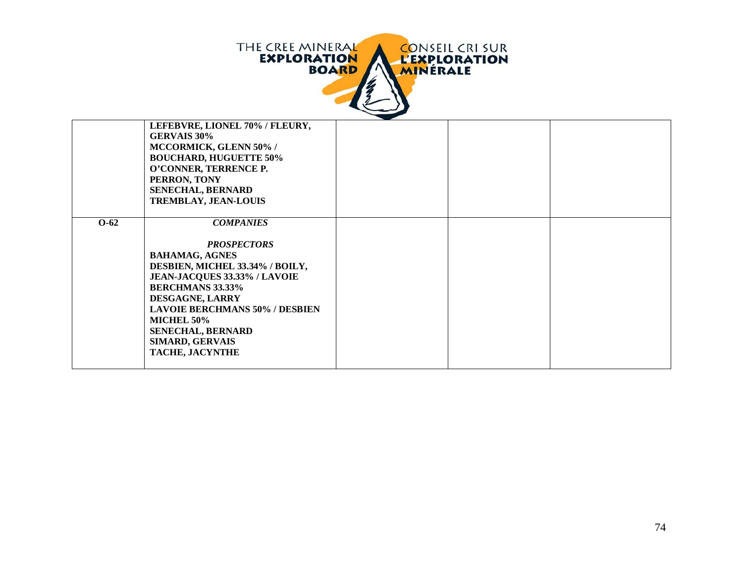

|        | LEFEBVRE, LIONEL 70% / FLEURY,        |  |  |
|--------|---------------------------------------|--|--|
|        | <b>GERVAIS 30%</b>                    |  |  |
|        | MCCORMICK, GLENN 50% /                |  |  |
|        | <b>BOUCHARD, HUGUETTE 50%</b>         |  |  |
|        | O'CONNER, TERRENCE P.                 |  |  |
|        | PERRON, TONY                          |  |  |
|        | <b>SENECHAL, BERNARD</b>              |  |  |
|        | <b>TREMBLAY, JEAN-LOUIS</b>           |  |  |
|        |                                       |  |  |
| $O-62$ |                                       |  |  |
|        | <b>COMPANIES</b>                      |  |  |
|        |                                       |  |  |
|        | <b>PROSPECTORS</b>                    |  |  |
|        | <b>BAHAMAG, AGNES</b>                 |  |  |
|        | DESBIEN, MICHEL 33.34% / BOILY,       |  |  |
|        | JEAN-JACQUES 33.33% / LAVOIE          |  |  |
|        | <b>BERCHMANS 33.33%</b>               |  |  |
|        | DESGAGNE, LARRY                       |  |  |
|        | <b>LAVOIE BERCHMANS 50% / DESBIEN</b> |  |  |
|        | MICHEL 50%                            |  |  |
|        | <b>SENECHAL, BERNARD</b>              |  |  |
|        | <b>SIMARD, GERVAIS</b>                |  |  |
|        | <b>TACHE, JACYNTHE</b>                |  |  |
|        |                                       |  |  |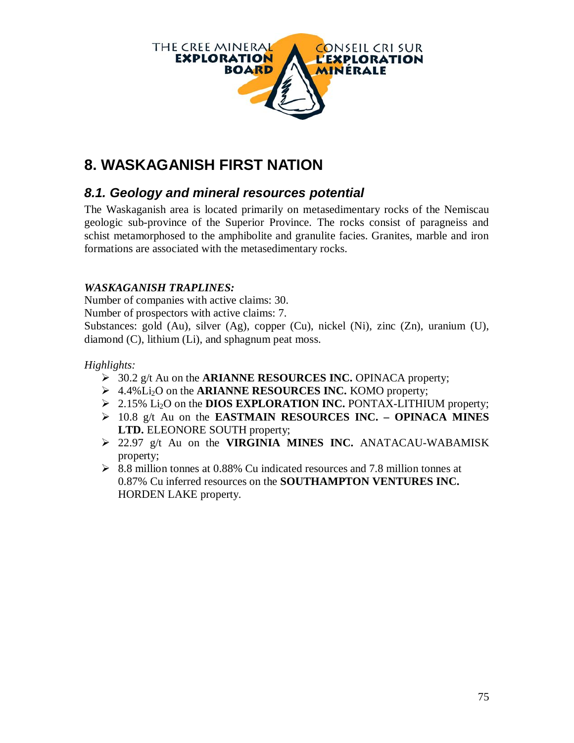

# **8. WASKAGANISH FIRST NATION**

## *8.1. Geology and mineral resources potential*

The Waskaganish area is located primarily on metasedimentary rocks of the Nemiscau geologic sub-province of the Superior Province. The rocks consist of paragneiss and schist metamorphosed to the amphibolite and granulite facies. Granites, marble and iron formations are associated with the metasedimentary rocks.

#### *WASKAGANISH TRAPLINES:*

Number of companies with active claims: 30.

Number of prospectors with active claims: 7.

Substances: gold (Au), silver (Ag), copper (Cu), nickel (Ni), zinc (Zn), uranium (U), diamond (C), lithium (Li), and sphagnum peat moss.

#### *Highlights:*

- 30.2 g/t Au on the **ARIANNE RESOURCES INC.** OPINACA property;
- 4.4%Li2O on the **ARIANNE RESOURCES INC.** KOMO property;
- 2.15% Li2O on the **DIOS EXPLORATION INC.** PONTAX-LITHIUM property;
- 10.8 g/t Au on the **EASTMAIN RESOURCES INC. – OPINACA MINES LTD.** ELEONORE SOUTH property;
- 22.97 g/t Au on the **VIRGINIA MINES INC.** ANATACAU-WABAMISK property;
- $\geq$  8.8 million tonnes at 0.88% Cu indicated resources and 7.8 million tonnes at 0.87% Cu inferred resources on the **SOUTHAMPTON VENTURES INC.** HORDEN LAKE property.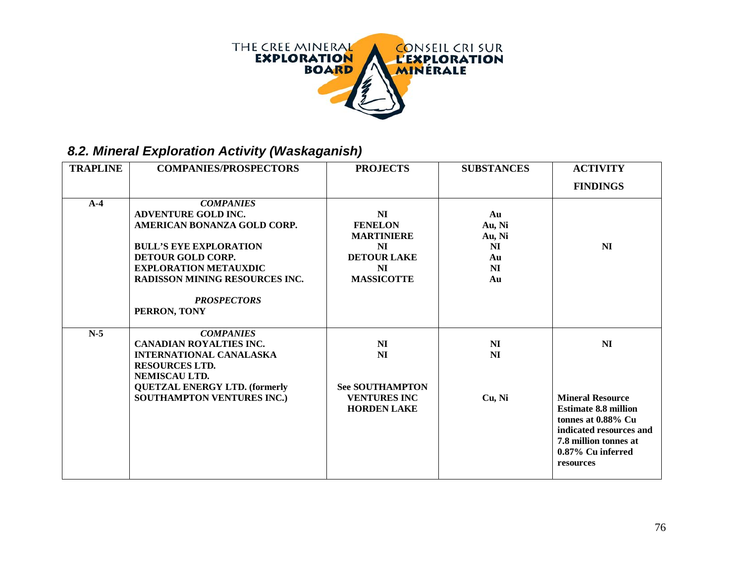

# *8.2. Mineral Exploration Activity (Waskaganish)*

| <b>TRAPLINE</b> | <b>COMPANIES/PROSPECTORS</b>                                                                                                                                                                                                                       | <b>PROJECTS</b>                                                                                                | <b>SUBSTANCES</b>                                                 | <b>ACTIVITY</b>                                                                                                                                                                      |
|-----------------|----------------------------------------------------------------------------------------------------------------------------------------------------------------------------------------------------------------------------------------------------|----------------------------------------------------------------------------------------------------------------|-------------------------------------------------------------------|--------------------------------------------------------------------------------------------------------------------------------------------------------------------------------------|
|                 |                                                                                                                                                                                                                                                    |                                                                                                                |                                                                   | <b>FINDINGS</b>                                                                                                                                                                      |
| $A-4$           | <b>COMPANIES</b><br><b>ADVENTURE GOLD INC.</b><br>AMERICAN BONANZA GOLD CORP.<br><b>BULL'S EYE EXPLORATION</b><br>DETOUR GOLD CORP.<br><b>EXPLORATION METAUXDIC</b><br><b>RADISSON MINING RESOURCES INC.</b><br><b>PROSPECTORS</b><br>PERRON, TONY | NI<br><b>FENELON</b><br><b>MARTINIERE</b><br><b>NI</b><br><b>DETOUR LAKE</b><br><b>NI</b><br><b>MASSICOTTE</b> | Au<br>Au, Ni<br>Au, Ni<br><b>NI</b><br>Au<br>N <sub>I</sub><br>Au | N <sub>I</sub>                                                                                                                                                                       |
| $N-5$           | <b>COMPANIES</b><br><b>CANADIAN ROYALTIES INC.</b><br><b>INTERNATIONAL CANALASKA</b><br><b>RESOURCES LTD.</b><br>NEMISCAU LTD.<br><b>QUETZAL ENERGY LTD. (formerly</b><br>SOUTHAMPTON VENTURES INC.)                                               | NI<br><b>NI</b><br><b>See SOUTHAMPTON</b><br><b>VENTURES INC</b><br><b>HORDEN LAKE</b>                         | NI<br>NI<br>Cu, Ni                                                | N <sub>I</sub><br><b>Mineral Resource</b><br><b>Estimate 8.8 million</b><br>tonnes at 0.88% Cu<br>indicated resources and<br>7.8 million tonnes at<br>0.87% Cu inferred<br>resources |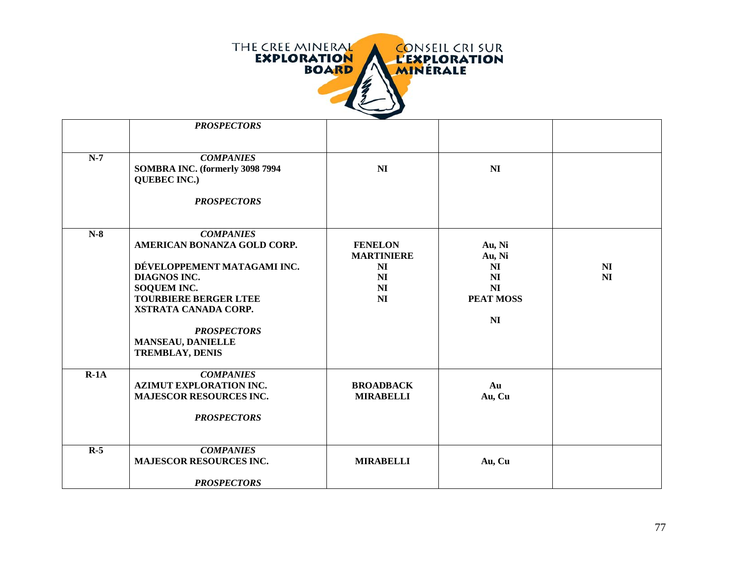

|        | <b>PROSPECTORS</b>                                                                                                                                                                                                                                       |                                                                                     |                                                                                                              |                                  |
|--------|----------------------------------------------------------------------------------------------------------------------------------------------------------------------------------------------------------------------------------------------------------|-------------------------------------------------------------------------------------|--------------------------------------------------------------------------------------------------------------|----------------------------------|
|        |                                                                                                                                                                                                                                                          |                                                                                     |                                                                                                              |                                  |
| $N-7$  | <b>COMPANIES</b><br>SOMBRA INC. (formerly 3098 7994<br><b>QUEBEC INC.)</b><br><b>PROSPECTORS</b>                                                                                                                                                         | <b>NI</b>                                                                           | N <sub>I</sub>                                                                                               |                                  |
| $N-8$  | <b>COMPANIES</b><br>AMERICAN BONANZA GOLD CORP.<br>DÉVELOPPEMENT MATAGAMI INC.<br>DIAGNOS INC.<br><b>SOQUEM INC.</b><br><b>TOURBIERE BERGER LTEE</b><br>XSTRATA CANADA CORP.<br><b>PROSPECTORS</b><br><b>MANSEAU, DANIELLE</b><br><b>TREMBLAY, DENIS</b> | <b>FENELON</b><br><b>MARTINIERE</b><br>NI<br>NI<br>N <sub>I</sub><br>N <sub>I</sub> | Au, Ni<br>Au, Ni<br>N <sub>I</sub><br>N <sub>I</sub><br>N <sub>I</sub><br><b>PEAT MOSS</b><br>N <sub>I</sub> | N <sub>I</sub><br>N <sub>I</sub> |
| $R-1A$ | <b>COMPANIES</b><br><b>AZIMUT EXPLORATION INC.</b><br><b>MAJESCOR RESOURCES INC.</b><br><b>PROSPECTORS</b>                                                                                                                                               | <b>BROADBACK</b><br><b>MIRABELLI</b>                                                | Au<br>Au, Cu                                                                                                 |                                  |
| $R-5$  | <b>COMPANIES</b><br><b>MAJESCOR RESOURCES INC.</b><br><b>PROSPECTORS</b>                                                                                                                                                                                 | <b>MIRABELLI</b>                                                                    | Au, Cu                                                                                                       |                                  |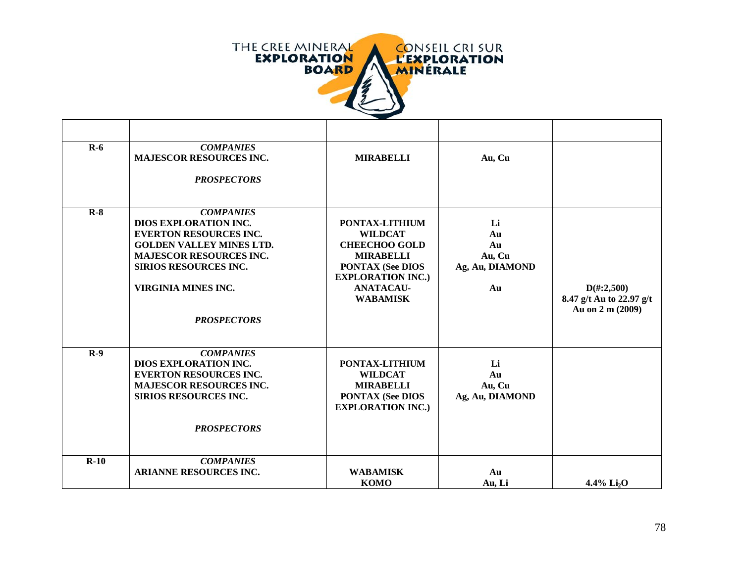

| $R-6$  | <b>COMPANIES</b><br><b>MAJESCOR RESOURCES INC.</b> | <b>MIRABELLI</b>                                    | Au, Cu          |                          |
|--------|----------------------------------------------------|-----------------------------------------------------|-----------------|--------------------------|
|        | <b>PROSPECTORS</b>                                 |                                                     |                 |                          |
| $R-8$  | <b>COMPANIES</b>                                   |                                                     |                 |                          |
|        | <b>DIOS EXPLORATION INC.</b>                       | PONTAX-LITHIUM                                      | Li              |                          |
|        | <b>EVERTON RESOURCES INC.</b>                      | <b>WILDCAT</b>                                      | Au              |                          |
|        | <b>GOLDEN VALLEY MINES LTD.</b>                    | <b>CHEECHOO GOLD</b>                                | Au              |                          |
|        | <b>MAJESCOR RESOURCES INC.</b>                     | <b>MIRABELLI</b>                                    | Au, Cu          |                          |
|        | <b>SIRIOS RESOURCES INC.</b>                       | <b>PONTAX (See DIOS</b><br><b>EXPLORATION INC.)</b> | Ag, Au, DIAMOND |                          |
|        | VIRGINIA MINES INC.                                | <b>ANATACAU-</b>                                    | Au              | $D(\text{\#}:2,500)$     |
|        |                                                    | <b>WABAMISK</b>                                     |                 | 8.47 g/t Au to 22.97 g/t |
|        |                                                    |                                                     |                 | Au on 2 m (2009)         |
|        | <b>PROSPECTORS</b>                                 |                                                     |                 |                          |
|        |                                                    |                                                     |                 |                          |
| $R-9$  | <b>COMPANIES</b>                                   |                                                     |                 |                          |
|        | DIOS EXPLORATION INC.                              | PONTAX-LITHIUM                                      | Li              |                          |
|        | <b>EVERTON RESOURCES INC.</b>                      | <b>WILDCAT</b>                                      | Au              |                          |
|        | <b>MAJESCOR RESOURCES INC.</b>                     | <b>MIRABELLI</b>                                    | Au, Cu          |                          |
|        | <b>SIRIOS RESOURCES INC.</b>                       | <b>PONTAX (See DIOS</b>                             | Ag, Au, DIAMOND |                          |
|        |                                                    | <b>EXPLORATION INC.)</b>                            |                 |                          |
|        | <b>PROSPECTORS</b>                                 |                                                     |                 |                          |
|        |                                                    |                                                     |                 |                          |
| $R-10$ | <b>COMPANIES</b>                                   |                                                     |                 |                          |
|        | <b>ARIANNE RESOURCES INC.</b>                      | <b>WABAMISK</b>                                     | Au              |                          |
|        |                                                    | <b>KOMO</b>                                         | Au, Li          | 4.4% $Li2O$              |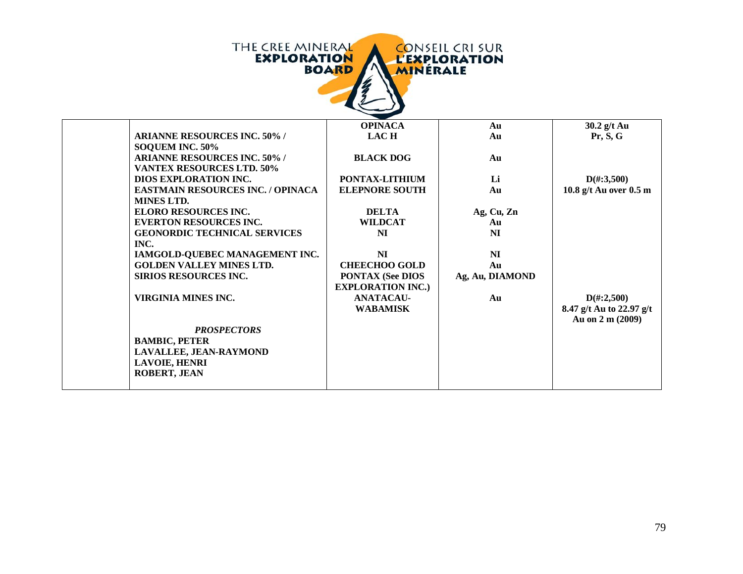| <b>THE CREE MINERAL</b><br><b>CONSEIL CRI SUR</b><br><b>EXPLORATION</b><br><b>L'EXPLORATION</b><br><b>BOARD</b><br><b>MINERALE</b> |                                                     |                 |                                                                      |  |
|------------------------------------------------------------------------------------------------------------------------------------|-----------------------------------------------------|-----------------|----------------------------------------------------------------------|--|
|                                                                                                                                    | <b>OPINACA</b>                                      | Au              | 30.2 g/t Au                                                          |  |
| <b>ARIANNE RESOURCES INC. 50%/</b>                                                                                                 | <b>LACH</b>                                         | Au              | Pr, S, G                                                             |  |
| SOQUEM INC. 50%<br><b>ARIANNE RESOURCES INC. 50% /</b><br><b>VANTEX RESOURCES LTD. 50%</b>                                         | <b>BLACK DOG</b>                                    | Au              |                                                                      |  |
| <b>DIOS EXPLORATION INC.</b>                                                                                                       | PONTAX-LITHIUM                                      | Li              | $D(\text{\#}:3,500)$                                                 |  |
| <b>EASTMAIN RESOURCES INC. / OPINACA</b><br><b>MINES LTD.</b>                                                                      | <b>ELEPNORE SOUTH</b>                               | Au              | 10.8 g/t Au over 0.5 m                                               |  |
| <b>ELORO RESOURCES INC.</b>                                                                                                        | <b>DELTA</b>                                        | Ag, Cu, Zn      |                                                                      |  |
| <b>EVERTON RESOURCES INC.</b>                                                                                                      | <b>WILDCAT</b>                                      | Au              |                                                                      |  |
| <b>GEONORDIC TECHNICAL SERVICES</b><br>INC.                                                                                        | <b>NI</b>                                           | NI              |                                                                      |  |
| IAMGOLD-QUEBEC MANAGEMENT INC.                                                                                                     | <b>NI</b>                                           | <b>NI</b>       |                                                                      |  |
| <b>GOLDEN VALLEY MINES LTD.</b>                                                                                                    | <b>CHEECHOO GOLD</b>                                | Au              |                                                                      |  |
| <b>SIRIOS RESOURCES INC.</b>                                                                                                       | <b>PONTAX (See DIOS</b><br><b>EXPLORATION INC.)</b> | Ag, Au, DIAMOND |                                                                      |  |
| <b>VIRGINIA MINES INC.</b>                                                                                                         | <b>ANATACAU-</b><br><b>WABAMISK</b>                 | Au              | $D(\text{\#}:2,500)$<br>8.47 g/t Au to 22.97 g/t<br>Au on 2 m (2009) |  |
| <b>PROSPECTORS</b><br><b>BAMBIC, PETER</b><br>LAVALLEE, JEAN-RAYMOND                                                               |                                                     |                 |                                                                      |  |
| <b>LAVOIE, HENRI</b><br><b>ROBERT, JEAN</b>                                                                                        |                                                     |                 |                                                                      |  |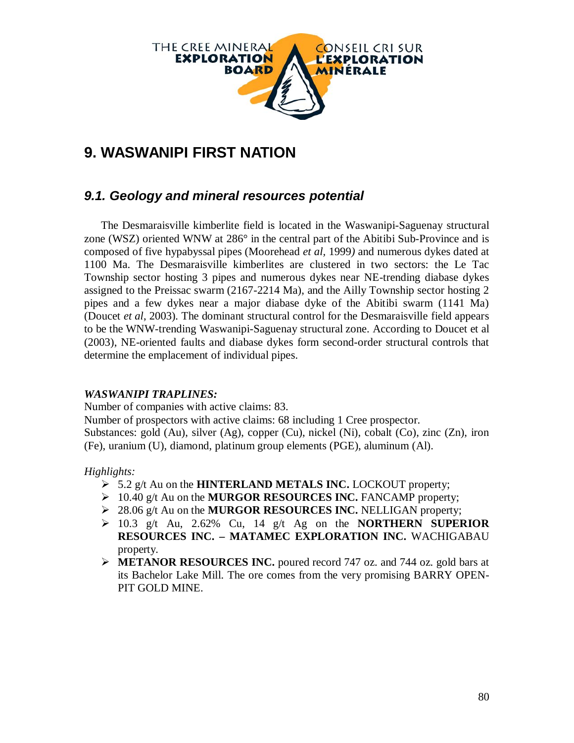

# **9. WASWANIPI FIRST NATION**

### *9.1. Geology and mineral resources potential*

The Desmaraisville kimberlite field is located in the Waswanipi-Saguenay structural zone (WSZ) oriented WNW at  $286^\circ$  in the central part of the Abitibi Sub-Province and is composed of five hypabyssal pipes (Moorehead *et al,* 1999*)* and numerous dykes dated at 1100 Ma. The Desmaraisville kimberlites are clustered in two sectors: the Le Tac Township sector hosting 3 pipes and numerous dykes near NE-trending diabase dykes assigned to the Preissac swarm (2167-2214 Ma), and the Ailly Township sector hosting 2 pipes and a few dykes near a major diabase dyke of the Abitibi swarm (1141 Ma) (Doucet *et al*, 2003). The dominant structural control for the Desmaraisville field appears to be the WNW-trending Waswanipi-Saguenay structural zone. According to Doucet et al (2003), NE-oriented faults and diabase dykes form second-order structural controls that determine the emplacement of individual pipes.

#### *WASWANIPI TRAPLINES:*

Number of companies with active claims: 83.

Number of prospectors with active claims: 68 including 1 Cree prospector.

Substances: gold (Au), silver (Ag), copper (Cu), nickel (Ni), cobalt (Co), zinc (Zn), iron (Fe), uranium (U), diamond, platinum group elements (PGE), aluminum (Al).

*Highlights:*

- 5.2 g/t Au on the **HINTERLAND METALS INC.** LOCKOUT property;
- 10.40 g/t Au on the **MURGOR RESOURCES INC.** FANCAMP property;
- 28.06 g/t Au on the **MURGOR RESOURCES INC.** NELLIGAN property;
- 10.3 g/t Au, 2.62% Cu, 14 g/t Ag on the **NORTHERN SUPERIOR RESOURCES INC. – MATAMEC EXPLORATION INC.** WACHIGABAU property.
- **METANOR RESOURCES INC.** poured record 747 oz. and 744 oz. gold bars at its Bachelor Lake Mill. The ore comes from the very promising BARRY OPEN-PIT GOLD MINE.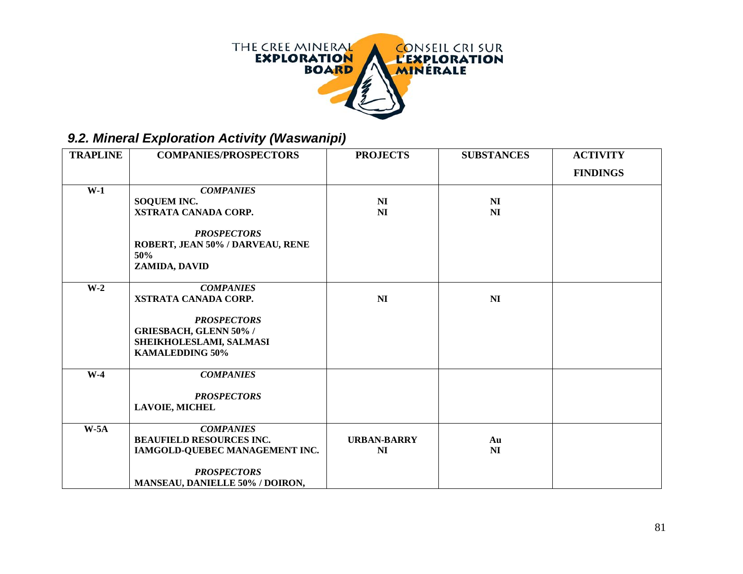

## *9.2. Mineral Exploration Activity (Waswanipi)*

| <b>TRAPLINE</b> | <b>COMPANIES/PROSPECTORS</b>                                                                                                                         | <b>PROJECTS</b>                  | <b>SUBSTANCES</b>                | <b>ACTIVITY</b> |
|-----------------|------------------------------------------------------------------------------------------------------------------------------------------------------|----------------------------------|----------------------------------|-----------------|
|                 |                                                                                                                                                      |                                  |                                  | <b>FINDINGS</b> |
| $W-1$           | <b>COMPANIES</b><br><b>SOQUEM INC.</b><br>XSTRATA CANADA CORP.<br><b>PROSPECTORS</b><br>ROBERT, JEAN 50% / DARVEAU, RENE<br>50%<br>ZAMIDA, DAVID     | N <sub>I</sub><br>N <sub>I</sub> | N <sub>I</sub><br>N <sub>I</sub> |                 |
| $W-2$           | <b>COMPANIES</b><br>XSTRATA CANADA CORP.<br><b>PROSPECTORS</b><br><b>GRIESBACH, GLENN 50% /</b><br>SHEIKHOLESLAMI, SALMASI<br><b>KAMALEDDING 50%</b> | N <sub>I</sub>                   | N <sub>I</sub>                   |                 |
| $W-4$           | <b>COMPANIES</b><br><b>PROSPECTORS</b><br><b>LAVOIE, MICHEL</b>                                                                                      |                                  |                                  |                 |
| $W-5A$          | <b>COMPANIES</b><br><b>BEAUFIELD RESOURCES INC.</b><br>IAMGOLD-QUEBEC MANAGEMENT INC.<br><b>PROSPECTORS</b><br>MANSEAU, DANIELLE 50% / DOIRON,       | <b>URBAN-BARRY</b><br>NI         | Au<br>NI                         |                 |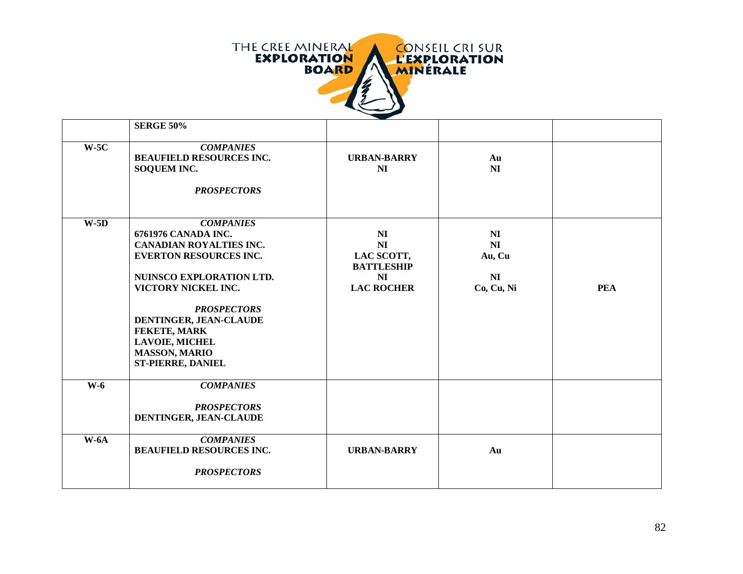

|        | <b>SERGE 50%</b>                                                                                                                                                                                                                                                                                           |                                                                                                            |                                                                            |            |
|--------|------------------------------------------------------------------------------------------------------------------------------------------------------------------------------------------------------------------------------------------------------------------------------------------------------------|------------------------------------------------------------------------------------------------------------|----------------------------------------------------------------------------|------------|
| $W-5C$ | <b>COMPANIES</b><br><b>BEAUFIELD RESOURCES INC.</b><br>SOQUEM INC.<br><b>PROSPECTORS</b>                                                                                                                                                                                                                   | <b>URBAN-BARRY</b><br>N <sub>I</sub>                                                                       | Au<br>N <sub>I</sub>                                                       |            |
| $W-5D$ | <b>COMPANIES</b><br>6761976 CANADA INC.<br><b>CANADIAN ROYALTIES INC.</b><br><b>EVERTON RESOURCES INC.</b><br>NUINSCO EXPLORATION LTD.<br>VICTORY NICKEL INC.<br><b>PROSPECTORS</b><br>DENTINGER, JEAN-CLAUDE<br>FEKETE, MARK<br><b>LAVOIE, MICHEL</b><br><b>MASSON, MARIO</b><br><b>ST-PIERRE, DANIEL</b> | N <sub>I</sub><br>N <sub>I</sub><br>LAC SCOTT,<br><b>BATTLESHIP</b><br>N <sub>I</sub><br><b>LAC ROCHER</b> | N <sub>I</sub><br>N <sub>I</sub><br>Au, Cu<br>N <sub>I</sub><br>Co, Cu, Ni | <b>PEA</b> |
| $W-6$  | <b>COMPANIES</b><br><b>PROSPECTORS</b><br>DENTINGER, JEAN-CLAUDE                                                                                                                                                                                                                                           |                                                                                                            |                                                                            |            |
| $W-6A$ | <b>COMPANIES</b><br><b>BEAUFIELD RESOURCES INC.</b><br><b>PROSPECTORS</b>                                                                                                                                                                                                                                  | <b>URBAN-BARRY</b>                                                                                         | Au                                                                         |            |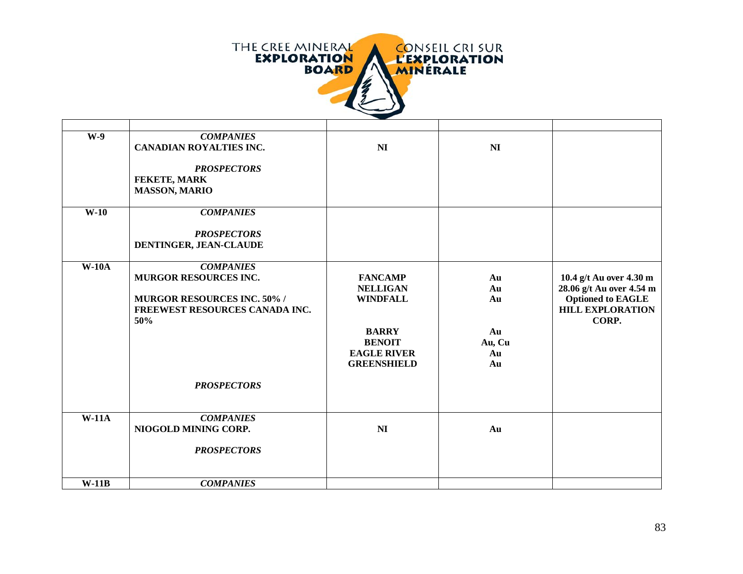

| $W-9$   | <b>COMPANIES</b><br><b>CANADIAN ROYALTIES INC.</b><br><b>PROSPECTORS</b><br>FEKETE, MARK<br><b>MASSON, MARIO</b>                               | N <sub>I</sub>                                                                                                                    | <b>NI</b>                                  |                                                                                                                     |
|---------|------------------------------------------------------------------------------------------------------------------------------------------------|-----------------------------------------------------------------------------------------------------------------------------------|--------------------------------------------|---------------------------------------------------------------------------------------------------------------------|
| $W-10$  | <b>COMPANIES</b><br><b>PROSPECTORS</b><br>DENTINGER, JEAN-CLAUDE                                                                               |                                                                                                                                   |                                            |                                                                                                                     |
| $W-10A$ | <b>COMPANIES</b><br>MURGOR RESOURCES INC.<br><b>MURGOR RESOURCES INC. 50% /</b><br>FREEWEST RESOURCES CANADA INC.<br>50%<br><b>PROSPECTORS</b> | <b>FANCAMP</b><br><b>NELLIGAN</b><br><b>WINDFALL</b><br><b>BARRY</b><br><b>BENOIT</b><br><b>EAGLE RIVER</b><br><b>GREENSHIELD</b> | Au<br>Au<br>Au<br>Au<br>Au, Cu<br>Au<br>Au | 10.4 g/t Au over 4.30 m<br>28.06 g/t Au over 4.54 m<br><b>Optioned to EAGLE</b><br><b>HILL EXPLORATION</b><br>CORP. |
| $W-11A$ | <b>COMPANIES</b><br>NIOGOLD MINING CORP.<br><b>PROSPECTORS</b>                                                                                 | N <sub>I</sub>                                                                                                                    | Au                                         |                                                                                                                     |
| $W-11B$ | <b>COMPANIES</b>                                                                                                                               |                                                                                                                                   |                                            |                                                                                                                     |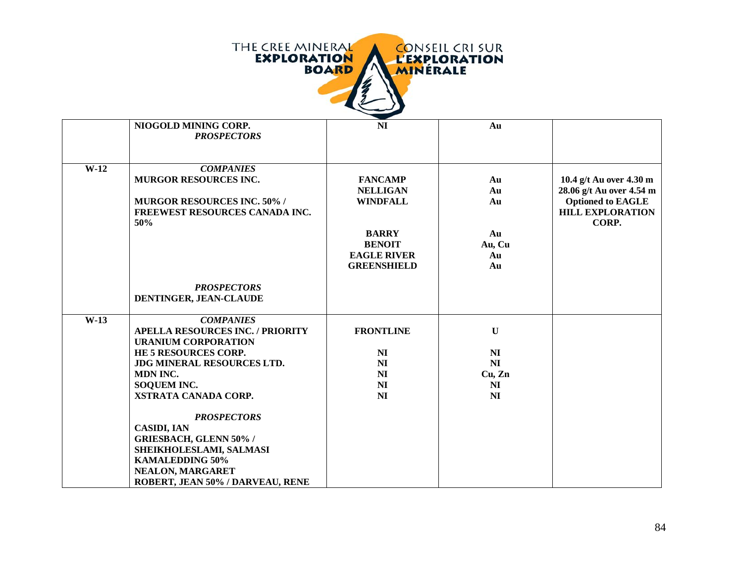|        | <b>THE CREE MINERAL</b><br><b>CONSEIL CRI SUR</b><br><b>EXPLORATION</b><br><b>L'EXPLORATION</b><br><b>BOARD</b><br><b>MINERALE</b>                                                                                                                                                                                                                                                                  |                                                                                                                                   |                                                                                    |                                                                                                                     |  |
|--------|-----------------------------------------------------------------------------------------------------------------------------------------------------------------------------------------------------------------------------------------------------------------------------------------------------------------------------------------------------------------------------------------------------|-----------------------------------------------------------------------------------------------------------------------------------|------------------------------------------------------------------------------------|---------------------------------------------------------------------------------------------------------------------|--|
|        | NIOGOLD MINING CORP.<br><b>PROSPECTORS</b>                                                                                                                                                                                                                                                                                                                                                          | <b>NI</b>                                                                                                                         | Au                                                                                 |                                                                                                                     |  |
| $W-12$ | <b>COMPANIES</b><br><b>MURGOR RESOURCES INC.</b><br><b>MURGOR RESOURCES INC. 50% /</b><br>FREEWEST RESOURCES CANADA INC.<br>50%                                                                                                                                                                                                                                                                     | <b>FANCAMP</b><br><b>NELLIGAN</b><br><b>WINDFALL</b><br><b>BARRY</b><br><b>BENOIT</b><br><b>EAGLE RIVER</b><br><b>GREENSHIELD</b> | Au<br>Au<br>Au<br>Au<br>Au, Cu<br>Au<br>Au                                         | 10.4 g/t Au over 4.30 m<br>28.06 g/t Au over 4.54 m<br><b>Optioned to EAGLE</b><br><b>HILL EXPLORATION</b><br>CORP. |  |
|        | <b>PROSPECTORS</b><br>DENTINGER, JEAN-CLAUDE                                                                                                                                                                                                                                                                                                                                                        |                                                                                                                                   |                                                                                    |                                                                                                                     |  |
| $W-13$ | <b>COMPANIES</b><br><b>APELLA RESOURCES INC. / PRIORITY</b><br><b>URANIUM CORPORATION</b><br>HE 5 RESOURCES CORP.<br><b>JDG MINERAL RESOURCES LTD.</b><br>MDN INC.<br>SOQUEM INC.<br>XSTRATA CANADA CORP.<br><b>PROSPECTORS</b><br><b>CASIDI, IAN</b><br><b>GRIESBACH, GLENN 50% /</b><br>SHEIKHOLESLAMI, SALMASI<br><b>KAMALEDDING 50%</b><br>NEALON, MARGARET<br>ROBERT, JEAN 50% / DARVEAU, RENE | <b>FRONTLINE</b><br>N <sub>I</sub><br>N <sub>I</sub><br>N <sub>I</sub><br>N <sub>I</sub><br>N <sub>I</sub>                        | $\mathbf{U}$<br>N <sub>I</sub><br>NI<br>Cu, Zn<br>N <sub>I</sub><br>N <sub>I</sub> |                                                                                                                     |  |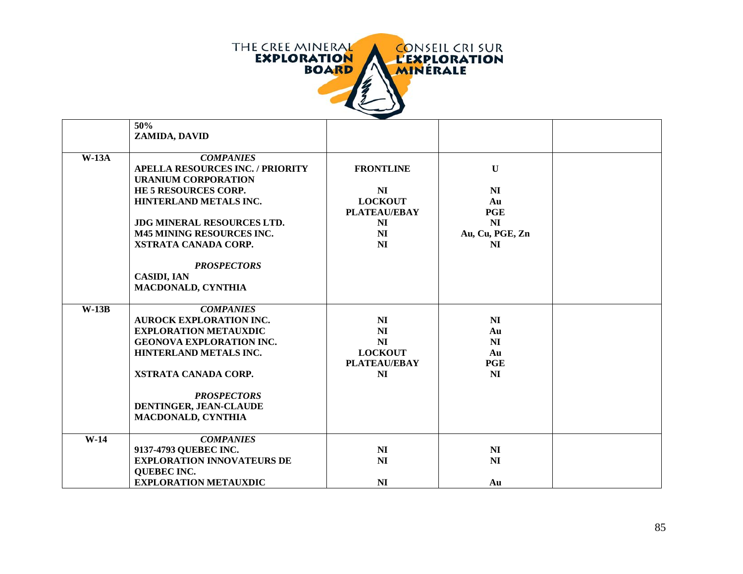

|         | 50%                                     |                      |                  |  |
|---------|-----------------------------------------|----------------------|------------------|--|
|         | ZAMIDA, DAVID                           |                      |                  |  |
|         |                                         |                      |                  |  |
| $W-13A$ | <b>COMPANIES</b>                        |                      |                  |  |
|         | <b>APELLA RESOURCES INC. / PRIORITY</b> | <b>FRONTLINE</b>     | $\mathbf U$      |  |
|         | <b>URANIUM CORPORATION</b>              |                      |                  |  |
|         | HE 5 RESOURCES CORP.                    | <b>NI</b>            | NI               |  |
|         | HINTERLAND METALS INC.                  | <b>LOCKOUT</b>       | Au               |  |
|         |                                         | <b>PLATEAU/EBAY</b>  | <b>PGE</b>       |  |
|         | <b>JDG MINERAL RESOURCES LTD.</b>       | NI                   | NI               |  |
|         | <b>M45 MINING RESOURCES INC.</b>        | NI                   | Au, Cu, PGE, Zn  |  |
|         | XSTRATA CANADA CORP.                    | NI                   | N <sub>I</sub>   |  |
|         |                                         |                      |                  |  |
|         | <b>PROSPECTORS</b>                      |                      |                  |  |
|         | <b>CASIDI, IAN</b>                      |                      |                  |  |
|         | <b>MACDONALD, CYNTHIA</b>               |                      |                  |  |
|         |                                         |                      |                  |  |
| $W-13B$ | <b>COMPANIES</b>                        |                      |                  |  |
|         | <b>AUROCK EXPLORATION INC.</b>          | NI                   | NI               |  |
|         | <b>EXPLORATION METAUXDIC</b>            | NI                   | Au               |  |
|         | <b>GEONOVA EXPLORATION INC.</b>         | NI<br><b>LOCKOUT</b> | N <sub>I</sub>   |  |
|         | HINTERLAND METALS INC.                  | <b>PLATEAU/EBAY</b>  | Au<br><b>PGE</b> |  |
|         | XSTRATA CANADA CORP.                    | N <sub>I</sub>       | N <sub>I</sub>   |  |
|         |                                         |                      |                  |  |
|         | <b>PROSPECTORS</b>                      |                      |                  |  |
|         | DENTINGER, JEAN-CLAUDE                  |                      |                  |  |
|         | <b>MACDONALD, CYNTHIA</b>               |                      |                  |  |
|         |                                         |                      |                  |  |
| $W-14$  | <b>COMPANIES</b>                        |                      |                  |  |
|         | 9137-4793 QUEBEC INC.                   | NI                   | N <sub>I</sub>   |  |
|         | <b>EXPLORATION INNOVATEURS DE</b>       | N <sub>I</sub>       | N <sub>I</sub>   |  |
|         | <b>QUEBEC INC.</b>                      |                      |                  |  |
|         | <b>EXPLORATION METAUXDIC</b>            | N <sub>I</sub>       | Au               |  |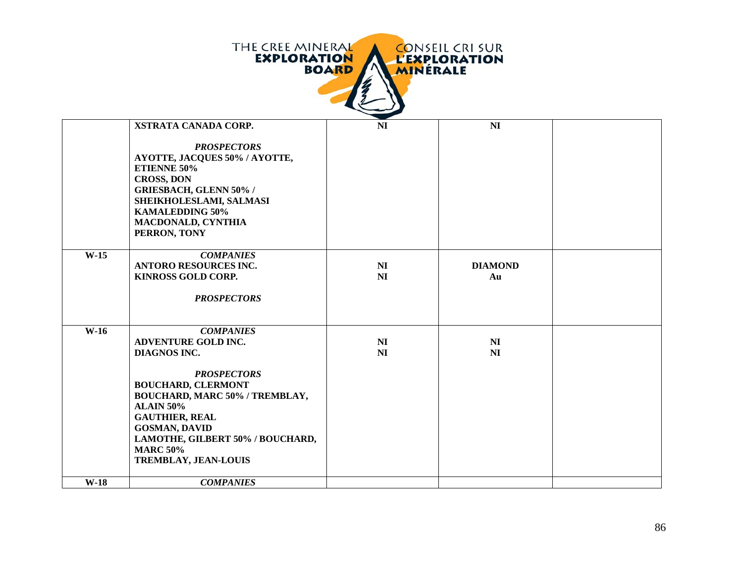|        | THE CREE MINERAL<br><b>EXPLORATION</b>                                                                                                                                                                                                                                                                                | <b>BOARD</b><br>MINÉRALE | <b>CONSEIL CRI SUR</b><br><b>L'EXPLORATION</b> |  |
|--------|-----------------------------------------------------------------------------------------------------------------------------------------------------------------------------------------------------------------------------------------------------------------------------------------------------------------------|--------------------------|------------------------------------------------|--|
|        | XSTRATA CANADA CORP.<br><b>PROSPECTORS</b><br>AYOTTE, JACQUES 50% / AYOTTE,<br>ETIENNE 50%<br><b>CROSS, DON</b><br><b>GRIESBACH, GLENN 50% /</b><br>SHEIKHOLESLAMI, SALMASI<br><b>KAMALEDDING 50%</b><br><b>MACDONALD, CYNTHIA</b><br>PERRON, TONY                                                                    | NI                       | NI                                             |  |
| $W-15$ | <b>COMPANIES</b><br><b>ANTORO RESOURCES INC.</b><br><b>KINROSS GOLD CORP.</b><br><b>PROSPECTORS</b>                                                                                                                                                                                                                   | N <sub>I</sub><br>NI     | <b>DIAMOND</b><br>Au                           |  |
| $W-16$ | <b>COMPANIES</b><br><b>ADVENTURE GOLD INC.</b><br><b>DIAGNOS INC.</b><br><b>PROSPECTORS</b><br><b>BOUCHARD, CLERMONT</b><br>BOUCHARD, MARC 50% / TREMBLAY,<br><b>ALAIN 50%</b><br><b>GAUTHIER, REAL</b><br><b>GOSMAN, DAVID</b><br>LAMOTHE, GILBERT 50% / BOUCHARD,<br><b>MARC 50%</b><br><b>TREMBLAY, JEAN-LOUIS</b> | N <sub>I</sub><br>NI     | N <sub>I</sub><br>NI                           |  |
| $W-18$ | <b>COMPANIES</b>                                                                                                                                                                                                                                                                                                      |                          |                                                |  |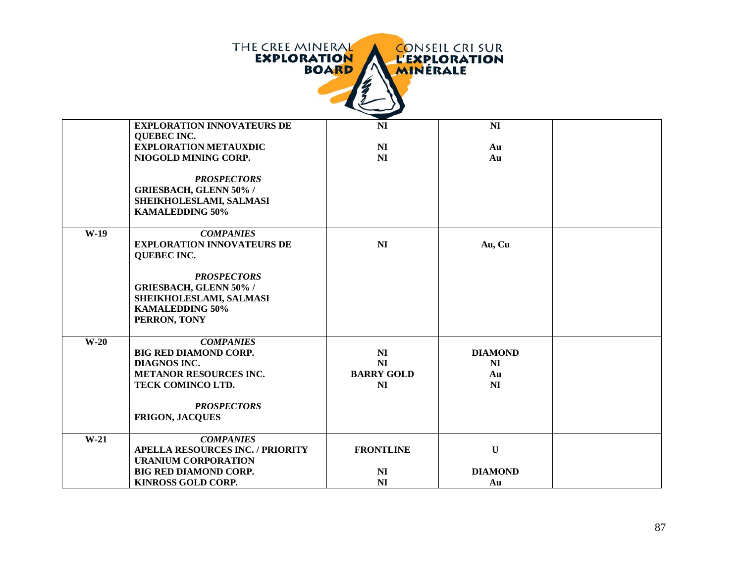|        | THE CREE MINERAL<br><b>EXPLORATION</b>               | <b>BOARD</b><br><b>MINERALE</b> | <b>CONSEIL CRI SUR</b><br><b>L'EXPLORATION</b> |  |
|--------|------------------------------------------------------|---------------------------------|------------------------------------------------|--|
|        | <b>EXPLORATION INNOVATEURS DE</b>                    | <b>NI</b>                       | NI                                             |  |
|        | <b>QUEBEC INC.</b>                                   |                                 |                                                |  |
|        | <b>EXPLORATION METAUXDIC</b><br>NIOGOLD MINING CORP. | N <sub>I</sub><br>NI            | Au<br>Au                                       |  |
|        |                                                      |                                 |                                                |  |
|        | <b>PROSPECTORS</b>                                   |                                 |                                                |  |
|        | <b>GRIESBACH, GLENN 50% /</b>                        |                                 |                                                |  |
|        | SHEIKHOLESLAMI, SALMASI                              |                                 |                                                |  |
|        | <b>KAMALEDDING 50%</b>                               |                                 |                                                |  |
| $W-19$ | <b>COMPANIES</b>                                     |                                 |                                                |  |
|        | <b>EXPLORATION INNOVATEURS DE</b>                    | NI                              | Au, Cu                                         |  |
|        | <b>QUEBEC INC.</b>                                   |                                 |                                                |  |
|        | <b>PROSPECTORS</b>                                   |                                 |                                                |  |
|        | <b>GRIESBACH, GLENN 50% /</b>                        |                                 |                                                |  |
|        | SHEIKHOLESLAMI, SALMASI                              |                                 |                                                |  |
|        | <b>KAMALEDDING 50%</b>                               |                                 |                                                |  |
|        | PERRON, TONY                                         |                                 |                                                |  |
| $W-20$ | <b>COMPANIES</b>                                     |                                 |                                                |  |
|        | <b>BIG RED DIAMOND CORP.</b>                         | N <sub>I</sub>                  | <b>DIAMOND</b>                                 |  |
|        | <b>DIAGNOS INC.</b>                                  | N <sub>I</sub>                  | N <sub>I</sub>                                 |  |
|        | <b>METANOR RESOURCES INC.</b>                        | <b>BARRY GOLD</b>               | Au                                             |  |
|        | TECK COMINCO LTD.                                    | NI                              | NI                                             |  |
|        | <b>PROSPECTORS</b>                                   |                                 |                                                |  |
|        | <b>FRIGON, JACQUES</b>                               |                                 |                                                |  |
| $W-21$ | <b>COMPANIES</b>                                     |                                 |                                                |  |
|        | <b>APELLA RESOURCES INC. / PRIORITY</b>              | <b>FRONTLINE</b>                | $\mathbf{U}$                                   |  |
|        | <b>URANIUM CORPORATION</b>                           |                                 |                                                |  |
|        | <b>BIG RED DIAMOND CORP.</b>                         | NI                              | <b>DIAMOND</b>                                 |  |
|        | <b>KINROSS GOLD CORP.</b>                            | N <sub>I</sub>                  | Au                                             |  |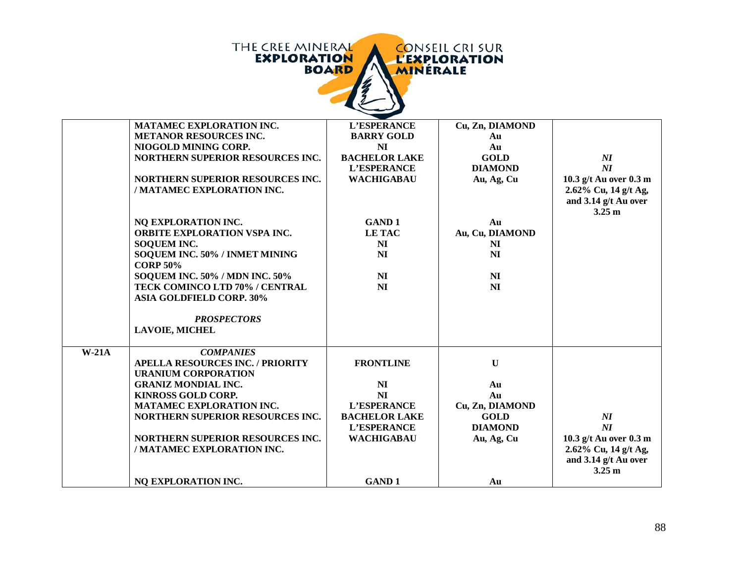|         | THE CREE MINERAL<br><b>CONSEIL CRI SUR</b><br><b>EXPLORATION</b><br><b>L'EXPLORATION</b><br><b>BOARD</b><br><b>MINERALE</b> |                                  |                              |                                                          |  |  |
|---------|-----------------------------------------------------------------------------------------------------------------------------|----------------------------------|------------------------------|----------------------------------------------------------|--|--|
|         | MATAMEC EXPLORATION INC.                                                                                                    | L'ESPERANCE                      | Cu, Zn, DIAMOND              |                                                          |  |  |
|         | <b>METANOR RESOURCES INC.</b>                                                                                               | <b>BARRY GOLD</b>                | Au                           |                                                          |  |  |
|         | NIOGOLD MINING CORP.                                                                                                        | NI                               | Au                           |                                                          |  |  |
|         | NORTHERN SUPERIOR RESOURCES INC.                                                                                            | <b>BACHELOR LAKE</b>             | <b>GOLD</b>                  | $\boldsymbol{N}\boldsymbol{I}$                           |  |  |
|         |                                                                                                                             | L'ESPERANCE                      | <b>DIAMOND</b>               | $\boldsymbol{M}$                                         |  |  |
|         | <b>NORTHERN SUPERIOR RESOURCES INC.</b><br>/ MATAMEC EXPLORATION INC.                                                       | <b>WACHIGABAU</b>                | Au, Ag, Cu                   | 10.3 g/t Au over 0.3 m                                   |  |  |
|         |                                                                                                                             |                                  |                              | 2.62% Cu, 14 g/t Ag,<br>and 3.14 g/t Au over             |  |  |
|         |                                                                                                                             |                                  |                              | $3.25 \text{ m}$                                         |  |  |
|         | NQ EXPLORATION INC.                                                                                                         | <b>GAND1</b>                     | Au                           |                                                          |  |  |
|         | ORBITE EXPLORATION VSPA INC.                                                                                                | <b>LETAC</b>                     | Au, Cu, DIAMOND              |                                                          |  |  |
|         | <b>SOQUEM INC.</b>                                                                                                          | NI                               | NI                           |                                                          |  |  |
|         | SOQUEM INC. 50% / INMET MINING                                                                                              | NI                               | N <sub>I</sub>               |                                                          |  |  |
|         | <b>CORP 50%</b>                                                                                                             |                                  |                              |                                                          |  |  |
|         | <b>SOQUEM INC. 50% / MDN INC. 50%</b>                                                                                       | NI                               | NI                           |                                                          |  |  |
|         | TECK COMINCO LTD 70% / CENTRAL<br><b>ASIA GOLDFIELD CORP. 30%</b>                                                           | NI                               | NI                           |                                                          |  |  |
|         | <b>PROSPECTORS</b>                                                                                                          |                                  |                              |                                                          |  |  |
|         | <b>LAVOIE, MICHEL</b>                                                                                                       |                                  |                              |                                                          |  |  |
| $W-21A$ | <b>COMPANIES</b>                                                                                                            |                                  |                              |                                                          |  |  |
|         | <b>APELLA RESOURCES INC. / PRIORITY</b>                                                                                     | <b>FRONTLINE</b>                 | $\mathbf U$                  |                                                          |  |  |
|         | <b>URANIUM CORPORATION</b>                                                                                                  |                                  |                              |                                                          |  |  |
|         | <b>GRANIZ MONDIAL INC.</b>                                                                                                  | N <sub>I</sub>                   | Au                           |                                                          |  |  |
|         | <b>KINROSS GOLD CORP.</b>                                                                                                   | NI                               | Au                           |                                                          |  |  |
|         | <b>MATAMEC EXPLORATION INC.</b>                                                                                             | L'ESPERANCE                      | Cu, Zn, DIAMOND              |                                                          |  |  |
|         | NORTHERN SUPERIOR RESOURCES INC.                                                                                            | <b>BACHELOR LAKE</b>             | <b>GOLD</b>                  | $\boldsymbol{N\!I}$                                      |  |  |
|         | NORTHERN SUPERIOR RESOURCES INC.                                                                                            | L'ESPERANCE<br><b>WACHIGABAU</b> | <b>DIAMOND</b><br>Au, Ag, Cu | $\boldsymbol{N}\boldsymbol{I}$<br>10.3 g/t Au over 0.3 m |  |  |
|         | / MATAMEC EXPLORATION INC.                                                                                                  |                                  |                              | 2.62% Cu, 14 g/t Ag,                                     |  |  |
|         |                                                                                                                             |                                  |                              | and 3.14 g/t Au over                                     |  |  |
|         |                                                                                                                             |                                  |                              | 3.25 <sub>m</sub>                                        |  |  |
|         | NQ EXPLORATION INC.                                                                                                         | <b>GAND1</b>                     | Au                           |                                                          |  |  |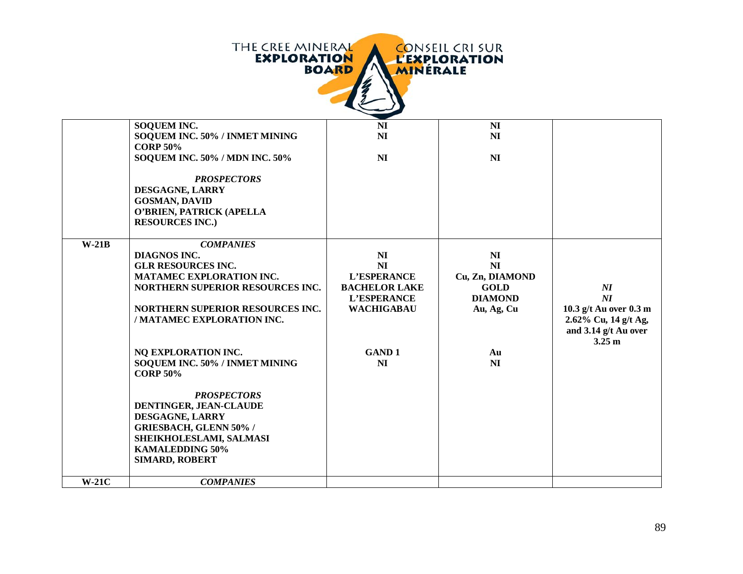| THE CREE MINERAL<br><b>CONSEIL CRI SUR</b><br><b>EXPLORATION</b><br><b>L'EXPLORATION</b><br><b>BOARD</b><br>MINÉRALE |                                                                |                      |                      |                                                |  |
|----------------------------------------------------------------------------------------------------------------------|----------------------------------------------------------------|----------------------|----------------------|------------------------------------------------|--|
|                                                                                                                      | <b>SOQUEM INC.</b>                                             | NI                   | N <sub>I</sub>       |                                                |  |
|                                                                                                                      | SOQUEM INC. 50% / INMET MINING<br><b>CORP 50%</b>              | NI                   | NI                   |                                                |  |
|                                                                                                                      | <b>SOQUEM INC. 50% / MDN INC. 50%</b>                          | N <sub>I</sub>       | N <sub>I</sub>       |                                                |  |
|                                                                                                                      | <b>PROSPECTORS</b>                                             |                      |                      |                                                |  |
|                                                                                                                      | DESGAGNE, LARRY                                                |                      |                      |                                                |  |
|                                                                                                                      | <b>GOSMAN, DAVID</b><br>O'BRIEN, PATRICK (APELLA               |                      |                      |                                                |  |
|                                                                                                                      | <b>RESOURCES INC.)</b>                                         |                      |                      |                                                |  |
| $W-21B$                                                                                                              | <b>COMPANIES</b>                                               |                      |                      |                                                |  |
|                                                                                                                      | <b>DIAGNOS INC.</b><br><b>GLR RESOURCES INC.</b>               | NI<br>NI             | NI<br>N <sub>I</sub> |                                                |  |
|                                                                                                                      | MATAMEC EXPLORATION INC.                                       | L'ESPERANCE          | Cu, Zn, DIAMOND      |                                                |  |
|                                                                                                                      | NORTHERN SUPERIOR RESOURCES INC.                               | <b>BACHELOR LAKE</b> | <b>GOLD</b>          | $\boldsymbol{M}$                               |  |
|                                                                                                                      |                                                                | L'ESPERANCE          | <b>DIAMOND</b>       | $\overline{M}$                                 |  |
|                                                                                                                      | NORTHERN SUPERIOR RESOURCES INC.<br>/ MATAMEC EXPLORATION INC. | <b>WACHIGABAU</b>    | Au, Ag, Cu           | 10.3 g/t Au over 0.3 m<br>2.62% Cu, 14 g/t Ag, |  |
|                                                                                                                      |                                                                |                      |                      | and 3.14 g/t Au over                           |  |
|                                                                                                                      | NQ EXPLORATION INC.                                            | <b>GAND1</b>         | Au                   | 3.25 <sub>m</sub>                              |  |
|                                                                                                                      | SOQUEM INC. 50% / INMET MINING                                 | N <sub>I</sub>       | NI                   |                                                |  |
|                                                                                                                      | <b>CORP 50%</b>                                                |                      |                      |                                                |  |
|                                                                                                                      | <b>PROSPECTORS</b>                                             |                      |                      |                                                |  |
|                                                                                                                      | DENTINGER, JEAN-CLAUDE                                         |                      |                      |                                                |  |
|                                                                                                                      | DESGAGNE, LARRY                                                |                      |                      |                                                |  |
|                                                                                                                      | <b>GRIESBACH, GLENN 50% /</b><br>SHEIKHOLESLAMI, SALMASI       |                      |                      |                                                |  |
|                                                                                                                      | <b>KAMALEDDING 50%</b>                                         |                      |                      |                                                |  |
|                                                                                                                      | <b>SIMARD, ROBERT</b>                                          |                      |                      |                                                |  |
| $W-21C$                                                                                                              | <b>COMPANIES</b>                                               |                      |                      |                                                |  |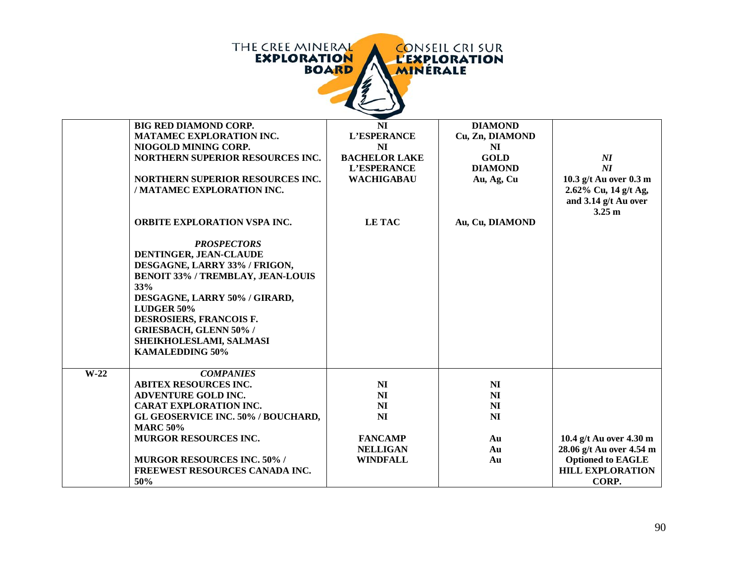| <b>THE CREE MINERAL</b><br><b>CONSEIL CRI SUR</b><br><b>EXPLORATION</b><br><b>L'EXPLORATION</b><br><b>BOARD</b><br><b>MINERALE</b> |                                          |                      |                 |                                |  |  |
|------------------------------------------------------------------------------------------------------------------------------------|------------------------------------------|----------------------|-----------------|--------------------------------|--|--|
|                                                                                                                                    | <b>BIG RED DIAMOND CORP.</b>             | NI                   | <b>DIAMOND</b>  |                                |  |  |
|                                                                                                                                    | MATAMEC EXPLORATION INC.                 | L'ESPERANCE          | Cu, Zn, DIAMOND |                                |  |  |
|                                                                                                                                    | NIOGOLD MINING CORP.                     | NI                   | NI              |                                |  |  |
|                                                                                                                                    | NORTHERN SUPERIOR RESOURCES INC.         | <b>BACHELOR LAKE</b> | <b>GOLD</b>     | $\boldsymbol{N}\boldsymbol{I}$ |  |  |
|                                                                                                                                    |                                          | L'ESPERANCE          | <b>DIAMOND</b>  | $\boldsymbol{N}\boldsymbol{I}$ |  |  |
|                                                                                                                                    | NORTHERN SUPERIOR RESOURCES INC.         | <b>WACHIGABAU</b>    | Au, Ag, Cu      | 10.3 g/t Au over 0.3 m         |  |  |
|                                                                                                                                    | / MATAMEC EXPLORATION INC.               |                      |                 | 2.62% Cu, 14 g/t Ag,           |  |  |
|                                                                                                                                    |                                          |                      |                 | and 3.14 g/t Au over           |  |  |
|                                                                                                                                    |                                          |                      |                 | 3.25 <sub>m</sub>              |  |  |
|                                                                                                                                    | ORBITE EXPLORATION VSPA INC.             | <b>LETAC</b>         | Au, Cu, DIAMOND |                                |  |  |
|                                                                                                                                    | <b>PROSPECTORS</b>                       |                      |                 |                                |  |  |
|                                                                                                                                    | DENTINGER, JEAN-CLAUDE                   |                      |                 |                                |  |  |
|                                                                                                                                    | DESGAGNE, LARRY 33% / FRIGON,            |                      |                 |                                |  |  |
|                                                                                                                                    | <b>BENOIT 33% / TREMBLAY, JEAN-LOUIS</b> |                      |                 |                                |  |  |
|                                                                                                                                    | 33%                                      |                      |                 |                                |  |  |
|                                                                                                                                    | DESGAGNE, LARRY 50% / GIRARD,            |                      |                 |                                |  |  |
|                                                                                                                                    | LUDGER 50%                               |                      |                 |                                |  |  |
|                                                                                                                                    | DESROSIERS, FRANCOIS F.                  |                      |                 |                                |  |  |
|                                                                                                                                    | <b>GRIESBACH, GLENN 50% /</b>            |                      |                 |                                |  |  |
|                                                                                                                                    | SHEIKHOLESLAMI, SALMASI                  |                      |                 |                                |  |  |
|                                                                                                                                    | <b>KAMALEDDING 50%</b>                   |                      |                 |                                |  |  |
| $W-22$                                                                                                                             | <b>COMPANIES</b>                         |                      |                 |                                |  |  |
|                                                                                                                                    | <b>ABITEX RESOURCES INC.</b>             | NI                   | NI              |                                |  |  |
|                                                                                                                                    | <b>ADVENTURE GOLD INC.</b>               | NI                   | NI              |                                |  |  |
|                                                                                                                                    | <b>CARAT EXPLORATION INC.</b>            | NI                   | NI              |                                |  |  |
|                                                                                                                                    | GL GEOSERVICE INC. 50% / BOUCHARD,       | <b>NI</b>            | N <sub>I</sub>  |                                |  |  |
|                                                                                                                                    | <b>MARC 50%</b>                          |                      |                 |                                |  |  |
|                                                                                                                                    | <b>MURGOR RESOURCES INC.</b>             | <b>FANCAMP</b>       | Au              | 10.4 g/t Au over 4.30 m        |  |  |
|                                                                                                                                    |                                          | <b>NELLIGAN</b>      | Au              | 28.06 g/t Au over 4.54 m       |  |  |
|                                                                                                                                    | <b>MURGOR RESOURCES INC. 50% /</b>       | <b>WINDFALL</b>      | Au              | <b>Optioned to EAGLE</b>       |  |  |
|                                                                                                                                    | FREEWEST RESOURCES CANADA INC.           |                      |                 | <b>HILL EXPLORATION</b>        |  |  |
|                                                                                                                                    | 50%                                      |                      |                 | CORP.                          |  |  |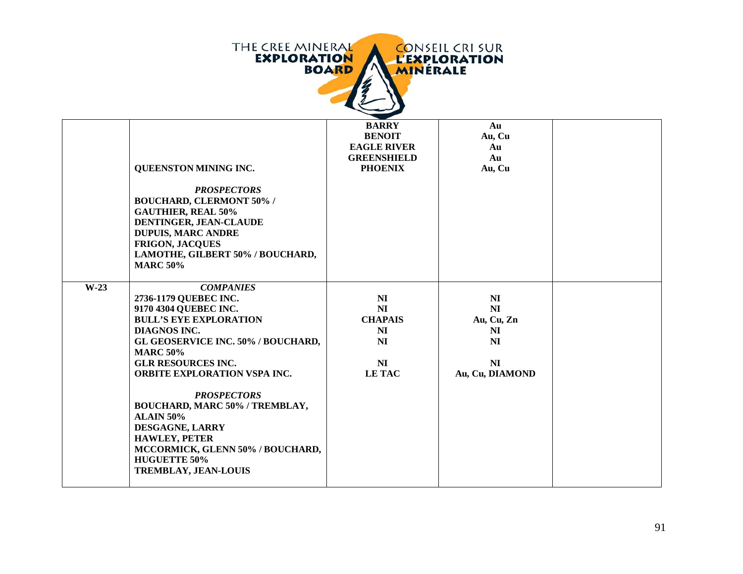

|        | QUEENSTON MINING INC.<br><b>PROSPECTORS</b><br><b>BOUCHARD, CLERMONT 50% /</b><br><b>GAUTHIER, REAL 50%</b><br>DENTINGER, JEAN-CLAUDE<br><b>DUPUIS, MARC ANDRE</b><br><b>FRIGON, JACQUES</b><br>LAMOTHE, GILBERT 50% / BOUCHARD,<br><b>MARC 50%</b>                                                                                                                                                                                                                      | <b>BARRY</b><br><b>BENOIT</b><br><b>EAGLE RIVER</b><br><b>GREENSHIELD</b><br><b>PHOENIX</b>                  | Au<br>Au, Cu<br>Au<br>Au<br>Au, Cu                                                              |  |
|--------|--------------------------------------------------------------------------------------------------------------------------------------------------------------------------------------------------------------------------------------------------------------------------------------------------------------------------------------------------------------------------------------------------------------------------------------------------------------------------|--------------------------------------------------------------------------------------------------------------|-------------------------------------------------------------------------------------------------|--|
| $W-23$ | <b>COMPANIES</b><br>2736-1179 QUEBEC INC.<br>9170 4304 QUEBEC INC.<br><b>BULL'S EYE EXPLORATION</b><br><b>DIAGNOS INC.</b><br>GL GEOSERVICE INC. 50% / BOUCHARD,<br><b>MARC 50%</b><br><b>GLR RESOURCES INC.</b><br><b>ORBITE EXPLORATION VSPA INC.</b><br><b>PROSPECTORS</b><br>BOUCHARD, MARC 50% / TREMBLAY,<br><b>ALAIN 50%</b><br>DESGAGNE, LARRY<br><b>HAWLEY, PETER</b><br>MCCORMICK, GLENN 50% / BOUCHARD,<br><b>HUGUETTE 50%</b><br><b>TREMBLAY, JEAN-LOUIS</b> | N <sub>I</sub><br>N <sub>I</sub><br><b>CHAPAIS</b><br>N <sub>I</sub><br>NI<br>N <sub>I</sub><br><b>LETAC</b> | NI<br>N <sub>I</sub><br>Au, Cu, Zn<br>NI<br>N <sub>I</sub><br>N <sub>I</sub><br>Au, Cu, DIAMOND |  |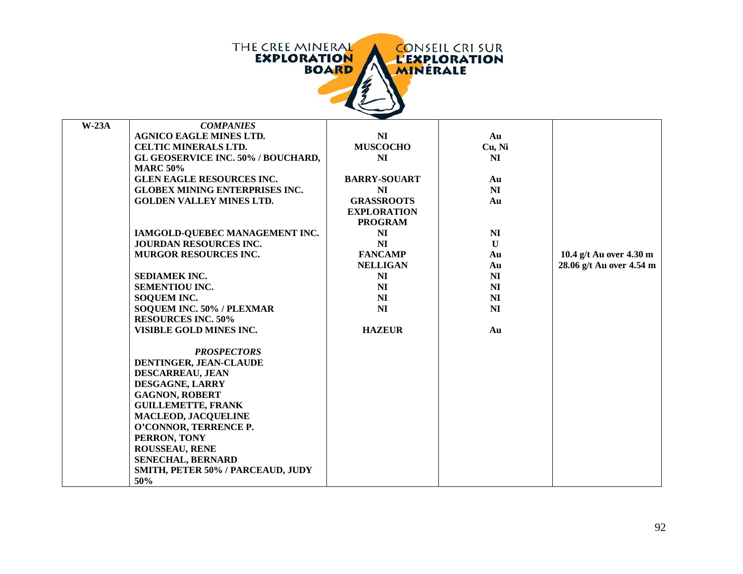THE CREE MINERAL<br>EXPLORATION<br>BOARD CONSEIL CRI SUR<br>L'EXPLORATION

| $W-23A$ | <b>COMPANIES</b>                          |                     |                |                          |
|---------|-------------------------------------------|---------------------|----------------|--------------------------|
|         | <b>AGNICO EAGLE MINES LTD.</b>            | N <sub>I</sub>      | Au             |                          |
|         | <b>CELTIC MINERALS LTD.</b>               | <b>MUSCOCHO</b>     | Cu, Ni         |                          |
|         | <b>GL GEOSERVICE INC. 50% / BOUCHARD,</b> | NI                  | NI             |                          |
|         | <b>MARC 50%</b>                           |                     |                |                          |
|         | <b>GLEN EAGLE RESOURCES INC.</b>          | <b>BARRY-SOUART</b> | Au             |                          |
|         | <b>GLOBEX MINING ENTERPRISES INC.</b>     | NI                  | N <sub>I</sub> |                          |
|         | <b>GOLDEN VALLEY MINES LTD.</b>           | <b>GRASSROOTS</b>   | Au             |                          |
|         |                                           | <b>EXPLORATION</b>  |                |                          |
|         |                                           | <b>PROGRAM</b>      |                |                          |
|         | IAMGOLD-QUEBEC MANAGEMENT INC.            | NI                  | N <sub>I</sub> |                          |
|         | <b>JOURDAN RESOURCES INC.</b>             | NI                  | $\mathbf{U}$   |                          |
|         | MURGOR RESOURCES INC.                     | <b>FANCAMP</b>      | Au             | 10.4 g/t Au over 4.30 m  |
|         |                                           | <b>NELLIGAN</b>     | Au             | 28.06 g/t Au over 4.54 m |
|         | SEDIAMEK INC.                             | N <sub>I</sub>      | N <sub>I</sub> |                          |
|         | <b>SEMENTIOU INC.</b>                     | NI                  | <b>NI</b>      |                          |
|         | SOQUEM INC.                               | NI                  | N <sub>I</sub> |                          |
|         | SOQUEM INC. 50% / PLEXMAR                 | N <sub>I</sub>      | N <sub>I</sub> |                          |
|         | <b>RESOURCES INC. 50%</b>                 |                     |                |                          |
|         | VISIBLE GOLD MINES INC.                   | <b>HAZEUR</b>       | Au             |                          |
|         |                                           |                     |                |                          |
|         | <b>PROSPECTORS</b>                        |                     |                |                          |
|         | DENTINGER, JEAN-CLAUDE                    |                     |                |                          |
|         | <b>DESCARREAU, JEAN</b>                   |                     |                |                          |
|         | DESGAGNE, LARRY                           |                     |                |                          |
|         | <b>GAGNON, ROBERT</b>                     |                     |                |                          |
|         | <b>GUILLEMETTE, FRANK</b>                 |                     |                |                          |
|         | <b>MACLEOD, JACQUELINE</b>                |                     |                |                          |
|         | O'CONNOR, TERRENCE P.                     |                     |                |                          |
|         | PERRON, TONY                              |                     |                |                          |
|         | <b>ROUSSEAU, RENE</b>                     |                     |                |                          |
|         | <b>SENECHAL, BERNARD</b>                  |                     |                |                          |
|         | SMITH, PETER 50% / PARCEAUD, JUDY         |                     |                |                          |
|         | 50%                                       |                     |                |                          |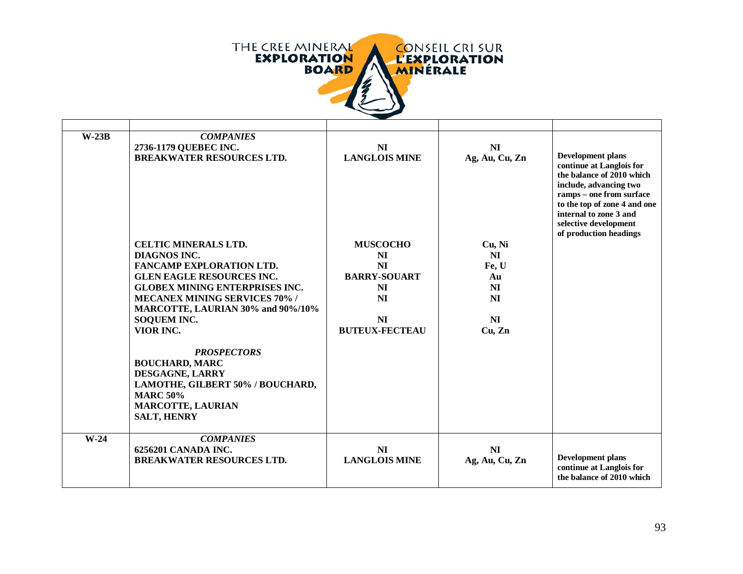

| $W-23B$ | <b>COMPANIES</b><br>2736-1179 QUEBEC INC.<br><b>BREAKWATER RESOURCES LTD.</b>                                                                                                                                                                                               | <b>NI</b><br><b>LANGLOIS MINE</b>                                                                                         | <b>NI</b><br>Ag, Au, Cu, Zn                                           | <b>Development plans</b><br>continue at Langlois for<br>the balance of 2010 which<br>include, advancing two<br>ramps - one from surface<br>to the top of zone 4 and one<br>internal to zone 3 and<br>selective development<br>of production headings |
|---------|-----------------------------------------------------------------------------------------------------------------------------------------------------------------------------------------------------------------------------------------------------------------------------|---------------------------------------------------------------------------------------------------------------------------|-----------------------------------------------------------------------|------------------------------------------------------------------------------------------------------------------------------------------------------------------------------------------------------------------------------------------------------|
|         | <b>CELTIC MINERALS LTD.</b><br>DIAGNOS INC.<br><b>FANCAMP EXPLORATION LTD.</b><br><b>GLEN EAGLE RESOURCES INC.</b><br><b>GLOBEX MINING ENTERPRISES INC.</b><br><b>MECANEX MINING SERVICES 70% /</b><br>MARCOTTE, LAURIAN 30% and 90%/10%<br><b>SOQUEM INC.</b><br>VIOR INC. | <b>MUSCOCHO</b><br>NI<br><b>NI</b><br><b>BARRY-SOUART</b><br><b>NI</b><br><b>NI</b><br><b>NI</b><br><b>BUTEUX-FECTEAU</b> | Cu, Ni<br>NI<br>Fe, U<br>Au<br>NI<br><b>NI</b><br><b>NI</b><br>Cu, Zn |                                                                                                                                                                                                                                                      |
|         | <b>PROSPECTORS</b><br><b>BOUCHARD, MARC</b><br>DESGAGNE, LARRY<br>LAMOTHE, GILBERT 50% / BOUCHARD,<br><b>MARC 50%</b><br><b>MARCOTTE, LAURIAN</b><br><b>SALT, HENRY</b>                                                                                                     |                                                                                                                           |                                                                       |                                                                                                                                                                                                                                                      |
| $W-24$  | <b>COMPANIES</b><br>6256201 CANADA INC.<br><b>BREAKWATER RESOURCES LTD.</b>                                                                                                                                                                                                 | <b>NI</b><br><b>LANGLOIS MINE</b>                                                                                         | <b>NI</b><br>Ag, Au, Cu, Zn                                           | <b>Development plans</b><br>continue at Langlois for<br>the balance of 2010 which                                                                                                                                                                    |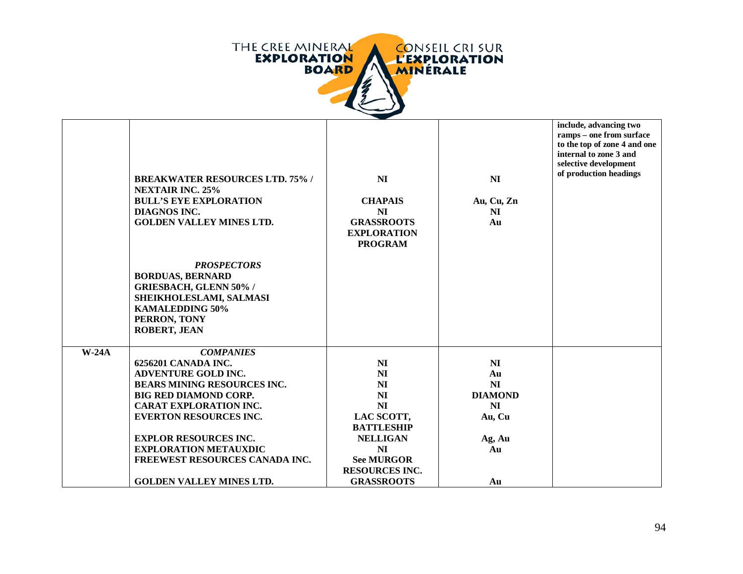

|         | <b>BREAKWATER RESOURCES LTD. 75% /</b><br><b>NEXTAIR INC. 25%</b><br><b>BULL'S EYE EXPLORATION</b><br><b>DIAGNOS INC.</b><br><b>GOLDEN VALLEY MINES LTD.</b><br><b>PROSPECTORS</b><br><b>BORDUAS, BERNARD</b><br><b>GRIESBACH, GLENN 50% /</b><br>SHEIKHOLESLAMI, SALMASI<br><b>KAMALEDDING 50%</b><br>PERRON, TONY<br><b>ROBERT, JEAN</b> | NI<br><b>CHAPAIS</b><br>N <sub>I</sub><br><b>GRASSROOTS</b><br><b>EXPLORATION</b><br><b>PROGRAM</b> | N <sub>I</sub><br>Au, Cu, Zn<br>NI<br>Au | include, advancing two<br>ramps - one from surface<br>to the top of zone 4 and one<br>internal to zone 3 and<br>selective development<br>of production headings |
|---------|--------------------------------------------------------------------------------------------------------------------------------------------------------------------------------------------------------------------------------------------------------------------------------------------------------------------------------------------|-----------------------------------------------------------------------------------------------------|------------------------------------------|-----------------------------------------------------------------------------------------------------------------------------------------------------------------|
| $W-24A$ | <b>COMPANIES</b>                                                                                                                                                                                                                                                                                                                           |                                                                                                     |                                          |                                                                                                                                                                 |
|         | 6256201 CANADA INC.                                                                                                                                                                                                                                                                                                                        | N <sub>I</sub>                                                                                      | NI                                       |                                                                                                                                                                 |
|         | ADVENTURE GOLD INC.                                                                                                                                                                                                                                                                                                                        | N <sub>I</sub>                                                                                      | Au                                       |                                                                                                                                                                 |
|         | <b>BEARS MINING RESOURCES INC.</b>                                                                                                                                                                                                                                                                                                         | NI                                                                                                  | NI                                       |                                                                                                                                                                 |
|         | <b>BIG RED DIAMOND CORP.</b>                                                                                                                                                                                                                                                                                                               | NI                                                                                                  | <b>DIAMOND</b>                           |                                                                                                                                                                 |
|         | <b>CARAT EXPLORATION INC.</b>                                                                                                                                                                                                                                                                                                              | NI                                                                                                  | NI                                       |                                                                                                                                                                 |
|         | <b>EVERTON RESOURCES INC.</b>                                                                                                                                                                                                                                                                                                              | LAC SCOTT,                                                                                          | Au, Cu                                   |                                                                                                                                                                 |
|         |                                                                                                                                                                                                                                                                                                                                            | <b>BATTLESHIP</b>                                                                                   |                                          |                                                                                                                                                                 |
|         | <b>EXPLOR RESOURCES INC.</b>                                                                                                                                                                                                                                                                                                               | <b>NELLIGAN</b>                                                                                     | Ag, Au                                   |                                                                                                                                                                 |
|         | <b>EXPLORATION METAUXDIC</b>                                                                                                                                                                                                                                                                                                               | NI                                                                                                  | Au                                       |                                                                                                                                                                 |
|         | FREEWEST RESOURCES CANADA INC.                                                                                                                                                                                                                                                                                                             | <b>See MURGOR</b>                                                                                   |                                          |                                                                                                                                                                 |
|         |                                                                                                                                                                                                                                                                                                                                            | <b>RESOURCES INC.</b>                                                                               |                                          |                                                                                                                                                                 |
|         | <b>GOLDEN VALLEY MINES LTD.</b>                                                                                                                                                                                                                                                                                                            | <b>GRASSROOTS</b>                                                                                   | Au                                       |                                                                                                                                                                 |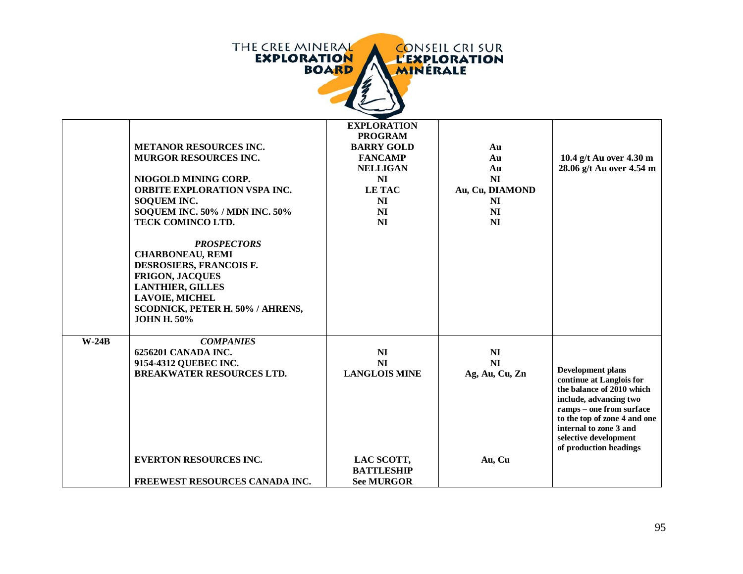| THE CREE MINERAL   | <b>CONSEIL CRISUR</b> |
|--------------------|-----------------------|
| <b>EXPLORATION</b> | <b>L'EXPLORATION</b>  |
| <b>BOARD</b>       | <b>MINERALE</b>       |
|                    |                       |

|         | <b>METANOR RESOURCES INC.</b><br><b>MURGOR RESOURCES INC.</b><br>NIOGOLD MINING CORP.<br><b>ORBITE EXPLORATION VSPA INC.</b><br><b>SOQUEM INC.</b><br>SOQUEM INC. 50% / MDN INC. 50%<br>TECK COMINCO LTD.<br><b>PROSPECTORS</b><br><b>CHARBONEAU, REMI</b><br>DESROSIERS, FRANCOIS F.<br><b>FRIGON, JACQUES</b><br><b>LANTHIER, GILLES</b><br><b>LAVOIE, MICHEL</b><br>SCODNICK, PETER H. 50% / AHRENS,<br><b>JOHN H. 50%</b> | <b>EXPLORATION</b><br><b>PROGRAM</b><br><b>BARRY GOLD</b><br><b>FANCAMP</b><br><b>NELLIGAN</b><br>NI<br><b>LETAC</b><br><b>NI</b><br>NI<br><b>NI</b> | Au<br>Au<br>Au<br>NI<br>Au, Cu, DIAMOND<br>NI<br>N <sub>I</sub><br>N <sub>I</sub> | 10.4 g/t Au over 4.30 m<br>28.06 g/t Au over 4.54 m                                                                                                                                                                      |
|---------|-------------------------------------------------------------------------------------------------------------------------------------------------------------------------------------------------------------------------------------------------------------------------------------------------------------------------------------------------------------------------------------------------------------------------------|------------------------------------------------------------------------------------------------------------------------------------------------------|-----------------------------------------------------------------------------------|--------------------------------------------------------------------------------------------------------------------------------------------------------------------------------------------------------------------------|
| $W-24B$ | <b>COMPANIES</b><br>6256201 CANADA INC.                                                                                                                                                                                                                                                                                                                                                                                       | <b>NI</b>                                                                                                                                            | NI                                                                                |                                                                                                                                                                                                                          |
|         | 9154-4312 QUEBEC INC.<br><b>BREAKWATER RESOURCES LTD.</b>                                                                                                                                                                                                                                                                                                                                                                     | NI<br><b>LANGLOIS MINE</b>                                                                                                                           | NI<br>Ag, Au, Cu, Zn                                                              | <b>Development plans</b>                                                                                                                                                                                                 |
|         |                                                                                                                                                                                                                                                                                                                                                                                                                               |                                                                                                                                                      |                                                                                   | continue at Langlois for<br>the balance of 2010 which<br>include, advancing two<br>ramps - one from surface<br>to the top of zone 4 and one<br>internal to zone 3 and<br>selective development<br>of production headings |
|         | <b>EVERTON RESOURCES INC.</b>                                                                                                                                                                                                                                                                                                                                                                                                 | LAC SCOTT,<br><b>BATTLESHIP</b>                                                                                                                      | Au, Cu                                                                            |                                                                                                                                                                                                                          |
|         | FREEWEST RESOURCES CANADA INC.                                                                                                                                                                                                                                                                                                                                                                                                | <b>See MURGOR</b>                                                                                                                                    |                                                                                   |                                                                                                                                                                                                                          |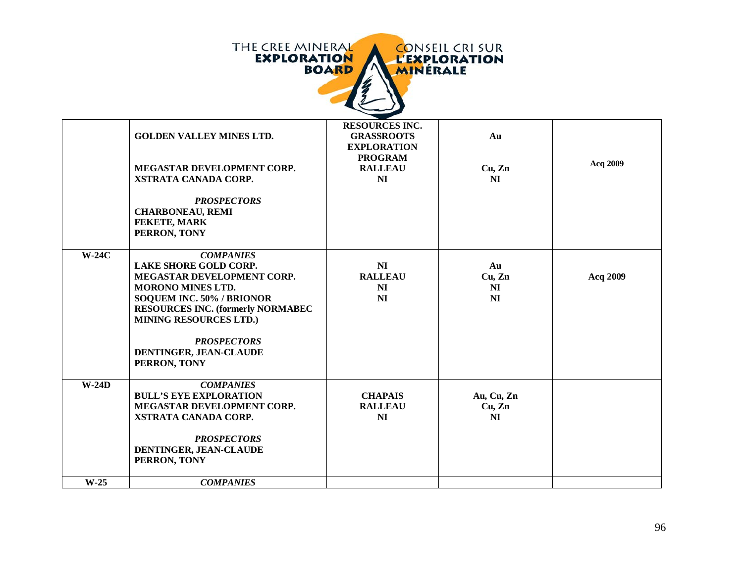| THE CREE MINERAL   | <b>CONSEIL CRI SUR</b> |
|--------------------|------------------------|
| <b>EXPLORATION</b> | <b>L'EXPLORATION</b>   |
| <b>BOARD</b>       | <b>MINERALE</b>        |
|                    |                        |

|         | <b>GOLDEN VALLEY MINES LTD.</b><br>MEGASTAR DEVELOPMENT CORP.<br><b>XSTRATA CANADA CORP.</b><br><b>PROSPECTORS</b><br><b>CHARBONEAU, REMI</b><br>FEKETE, MARK<br>PERRON, TONY                                                                                                                | <b>RESOURCES INC.</b><br><b>GRASSROOTS</b><br><b>EXPLORATION</b><br><b>PROGRAM</b><br><b>RALLEAU</b><br>N <sub>I</sub> | Au<br>Cu, Zn<br><b>NI</b>                        | Acq 2009 |
|---------|----------------------------------------------------------------------------------------------------------------------------------------------------------------------------------------------------------------------------------------------------------------------------------------------|------------------------------------------------------------------------------------------------------------------------|--------------------------------------------------|----------|
| $W-24C$ | <b>COMPANIES</b><br><b>LAKE SHORE GOLD CORP.</b><br><b>MEGASTAR DEVELOPMENT CORP.</b><br><b>MORONO MINES LTD.</b><br>SOQUEM INC. 50% / BRIONOR<br><b>RESOURCES INC. (formerly NORMABEC)</b><br><b>MINING RESOURCES LTD.)</b><br><b>PROSPECTORS</b><br>DENTINGER, JEAN-CLAUDE<br>PERRON, TONY | NI<br><b>RALLEAU</b><br>NI<br>NI                                                                                       | Au<br>Cu, Zn<br>N <sub>I</sub><br>N <sub>I</sub> | Acq 2009 |
| $W-24D$ | <b>COMPANIES</b><br><b>BULL'S EYE EXPLORATION</b><br>MEGASTAR DEVELOPMENT CORP.<br>XSTRATA CANADA CORP.<br><b>PROSPECTORS</b><br>DENTINGER, JEAN-CLAUDE<br>PERRON, TONY                                                                                                                      | <b>CHAPAIS</b><br><b>RALLEAU</b><br><b>NI</b>                                                                          | Au, Cu, Zn<br>Cu, Zn<br>NI                       |          |
| $W-25$  | <b>COMPANIES</b>                                                                                                                                                                                                                                                                             |                                                                                                                        |                                                  |          |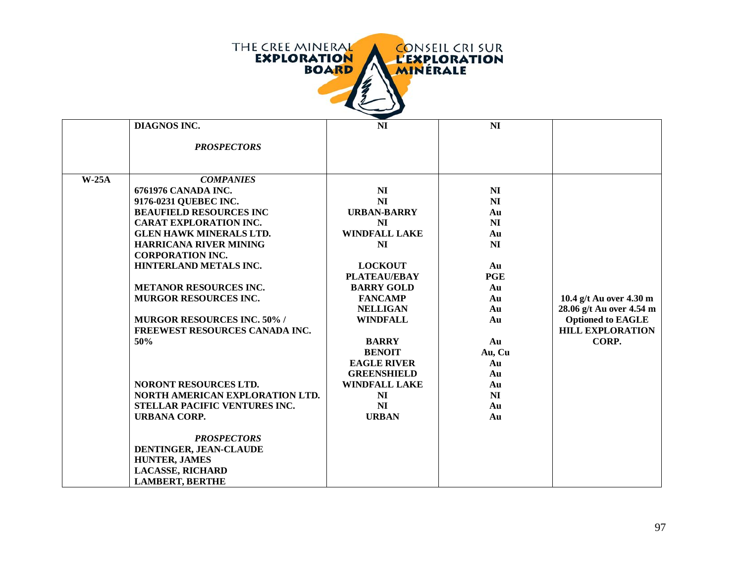

|         | <b>DIAGNOS INC.</b>                | N <sub>I</sub>       | N <sub>I</sub> |                          |
|---------|------------------------------------|----------------------|----------------|--------------------------|
|         |                                    |                      |                |                          |
|         | <b>PROSPECTORS</b>                 |                      |                |                          |
|         |                                    |                      |                |                          |
|         |                                    |                      |                |                          |
| $W-25A$ | <b>COMPANIES</b>                   |                      |                |                          |
|         | 6761976 CANADA INC.                | N <sub>I</sub>       | N <sub>I</sub> |                          |
|         | 9176-0231 QUEBEC INC.              | N <sub>I</sub>       | N <sub>I</sub> |                          |
|         | <b>BEAUFIELD RESOURCES INC</b>     | <b>URBAN-BARRY</b>   | Au             |                          |
|         | <b>CARAT EXPLORATION INC.</b>      | <b>NI</b>            | <b>NI</b>      |                          |
|         | <b>GLEN HAWK MINERALS LTD.</b>     | <b>WINDFALL LAKE</b> | Au             |                          |
|         | <b>HARRICANA RIVER MINING</b>      | N <sub>I</sub>       | N <sub>I</sub> |                          |
|         | <b>CORPORATION INC.</b>            |                      |                |                          |
|         | HINTERLAND METALS INC.             | <b>LOCKOUT</b>       | Au             |                          |
|         |                                    | <b>PLATEAU/EBAY</b>  | <b>PGE</b>     |                          |
|         | <b>METANOR RESOURCES INC.</b>      | <b>BARRY GOLD</b>    | Au             |                          |
|         | MURGOR RESOURCES INC.              | <b>FANCAMP</b>       | Au             | 10.4 g/t Au over 4.30 m  |
|         |                                    | <b>NELLIGAN</b>      | Au             | 28.06 g/t Au over 4.54 m |
|         | <b>MURGOR RESOURCES INC. 50% /</b> | <b>WINDFALL</b>      | Au             | <b>Optioned to EAGLE</b> |
|         | FREEWEST RESOURCES CANADA INC.     |                      |                | <b>HILL EXPLORATION</b>  |
|         | 50%                                | <b>BARRY</b>         | Au             | CORP.                    |
|         |                                    | <b>BENOIT</b>        | Au, Cu         |                          |
|         |                                    | <b>EAGLE RIVER</b>   | Au             |                          |
|         |                                    | <b>GREENSHIELD</b>   | Au             |                          |
|         | <b>NORONT RESOURCES LTD.</b>       | <b>WINDFALL LAKE</b> | Au             |                          |
|         | NORTH AMERICAN EXPLORATION LTD.    | N <sub>I</sub>       | <b>NI</b>      |                          |
|         | STELLAR PACIFIC VENTURES INC.      | N <sub>I</sub>       | Au             |                          |
|         | <b>URBANA CORP.</b>                | <b>URBAN</b>         | Au             |                          |
|         |                                    |                      |                |                          |
|         | <b>PROSPECTORS</b>                 |                      |                |                          |
|         | DENTINGER, JEAN-CLAUDE             |                      |                |                          |
|         | <b>HUNTER, JAMES</b>               |                      |                |                          |
|         | <b>LACASSE, RICHARD</b>            |                      |                |                          |
|         | <b>LAMBERT, BERTHE</b>             |                      |                |                          |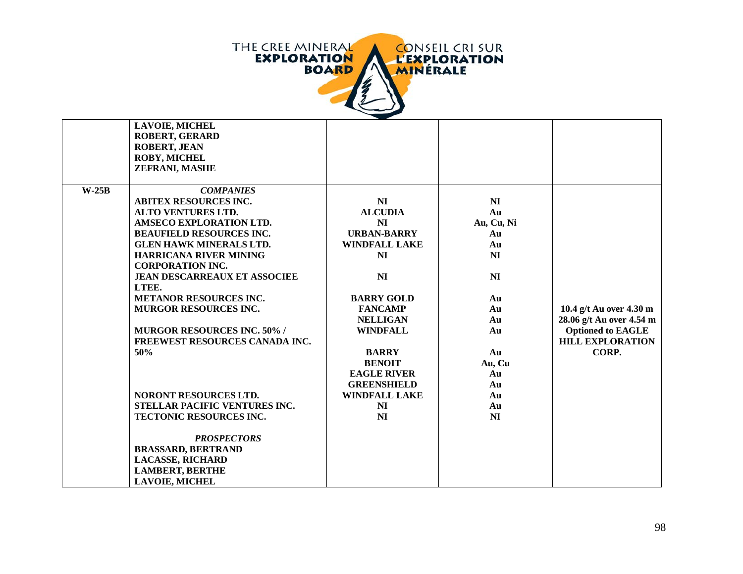

|         | <b>LAVOIE, MICHEL</b>                |                      |                |                          |
|---------|--------------------------------------|----------------------|----------------|--------------------------|
|         | <b>ROBERT, GERARD</b>                |                      |                |                          |
|         | <b>ROBERT, JEAN</b>                  |                      |                |                          |
|         | <b>ROBY, MICHEL</b>                  |                      |                |                          |
|         | ZEFRANI, MASHE                       |                      |                |                          |
|         |                                      |                      |                |                          |
| $W-25B$ | <b>COMPANIES</b>                     |                      |                |                          |
|         | <b>ABITEX RESOURCES INC.</b>         | N <sub>I</sub>       | NI             |                          |
|         | <b>ALTO VENTURES LTD.</b>            | <b>ALCUDIA</b>       | Au             |                          |
|         | <b>AMSECO EXPLORATION LTD.</b>       | NI                   | Au, Cu, Ni     |                          |
|         | <b>BEAUFIELD RESOURCES INC.</b>      | <b>URBAN-BARRY</b>   | Au             |                          |
|         | <b>GLEN HAWK MINERALS LTD.</b>       | <b>WINDFALL LAKE</b> | Au             |                          |
|         | <b>HARRICANA RIVER MINING</b>        | NI                   | NI             |                          |
|         | <b>CORPORATION INC.</b>              |                      |                |                          |
|         | <b>JEAN DESCARREAUX ET ASSOCIEE</b>  | N <sub>I</sub>       | NI             |                          |
|         | LTEE.                                |                      |                |                          |
|         | <b>METANOR RESOURCES INC.</b>        | <b>BARRY GOLD</b>    | Au             |                          |
|         | <b>MURGOR RESOURCES INC.</b>         | <b>FANCAMP</b>       | Au             | 10.4 g/t Au over 4.30 m  |
|         |                                      | <b>NELLIGAN</b>      | Au             | 28.06 g/t Au over 4.54 m |
|         | <b>MURGOR RESOURCES INC. 50% /</b>   | <b>WINDFALL</b>      | Au             | <b>Optioned to EAGLE</b> |
|         | FREEWEST RESOURCES CANADA INC.       |                      |                | <b>HILL EXPLORATION</b>  |
|         | 50%                                  | <b>BARRY</b>         | Au             | CORP.                    |
|         |                                      | <b>BENOIT</b>        | Au, Cu         |                          |
|         |                                      | <b>EAGLE RIVER</b>   | Au             |                          |
|         |                                      | <b>GREENSHIELD</b>   | Au             |                          |
|         | NORONT RESOURCES LTD.                | <b>WINDFALL LAKE</b> | Au             |                          |
|         | <b>STELLAR PACIFIC VENTURES INC.</b> | NI                   | Au             |                          |
|         | TECTONIC RESOURCES INC.              | N <sub>I</sub>       | N <sub>I</sub> |                          |
|         |                                      |                      |                |                          |
|         | <b>PROSPECTORS</b>                   |                      |                |                          |
|         | <b>BRASSARD, BERTRAND</b>            |                      |                |                          |
|         | <b>LACASSE, RICHARD</b>              |                      |                |                          |
|         | <b>LAMBERT, BERTHE</b>               |                      |                |                          |
|         | <b>LAVOIE, MICHEL</b>                |                      |                |                          |
|         |                                      |                      |                |                          |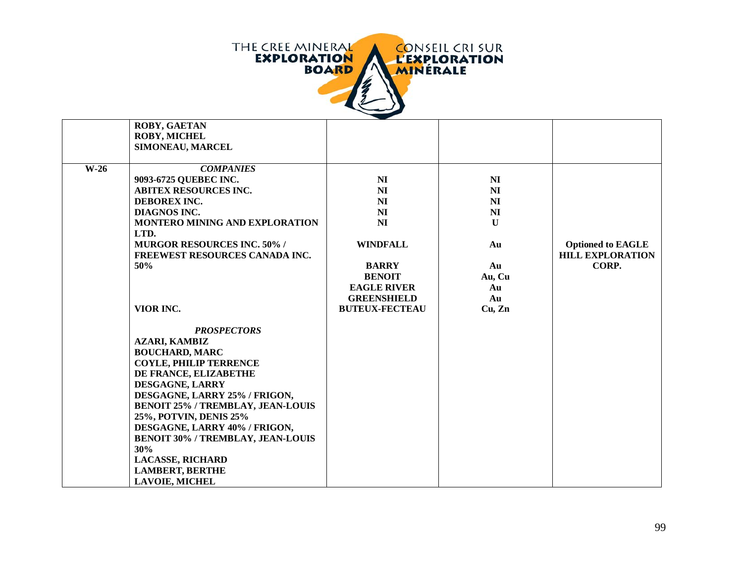

|        | <b>ROBY, GAETAN</b>                                                       |                       |                |                          |
|--------|---------------------------------------------------------------------------|-----------------------|----------------|--------------------------|
|        | <b>ROBY, MICHEL</b>                                                       |                       |                |                          |
|        | SIMONEAU, MARCEL                                                          |                       |                |                          |
|        |                                                                           |                       |                |                          |
| $W-26$ | <b>COMPANIES</b>                                                          |                       |                |                          |
|        | 9093-6725 QUEBEC INC.                                                     | N <sub>I</sub>        | N <sub>I</sub> |                          |
|        | <b>ABITEX RESOURCES INC.</b>                                              | N <sub>I</sub>        | N <sub>I</sub> |                          |
|        | DEBOREX INC.                                                              | N <sub>I</sub>        | NI             |                          |
|        | DIAGNOS INC.                                                              | N <sub>I</sub>        | NI             |                          |
|        | MONTERO MINING AND EXPLORATION                                            | N <sub>I</sub>        | $\mathbf{U}$   |                          |
|        | LTD.                                                                      |                       |                |                          |
|        | <b>MURGOR RESOURCES INC. 50% /</b>                                        | <b>WINDFALL</b>       | Au             | <b>Optioned to EAGLE</b> |
|        | FREEWEST RESOURCES CANADA INC.                                            |                       |                | <b>HILL EXPLORATION</b>  |
|        | 50%                                                                       | <b>BARRY</b>          | Au             | CORP.                    |
|        |                                                                           | <b>BENOIT</b>         | Au, Cu         |                          |
|        |                                                                           | <b>EAGLE RIVER</b>    | Au             |                          |
|        |                                                                           | <b>GREENSHIELD</b>    | Au             |                          |
|        | VIOR INC.                                                                 | <b>BUTEUX-FECTEAU</b> | Cu, Zn         |                          |
|        |                                                                           |                       |                |                          |
|        | <b>PROSPECTORS</b>                                                        |                       |                |                          |
|        | <b>AZARI, KAMBIZ</b>                                                      |                       |                |                          |
|        | <b>BOUCHARD, MARC</b>                                                     |                       |                |                          |
|        | <b>COYLE, PHILIP TERRENCE</b>                                             |                       |                |                          |
|        | DE FRANCE, ELIZABETHE                                                     |                       |                |                          |
|        | DESGAGNE, LARRY                                                           |                       |                |                          |
|        | DESGAGNE, LARRY 25% / FRIGON,                                             |                       |                |                          |
|        | <b>BENOIT 25% / TREMBLAY, JEAN-LOUIS</b>                                  |                       |                |                          |
|        |                                                                           |                       |                |                          |
|        | 25%, POTVIN, DENIS 25%                                                    |                       |                |                          |
|        | DESGAGNE, LARRY 40% / FRIGON,<br><b>BENOIT 30% / TREMBLAY, JEAN-LOUIS</b> |                       |                |                          |
|        | 30%                                                                       |                       |                |                          |
|        |                                                                           |                       |                |                          |
|        | <b>LACASSE, RICHARD</b>                                                   |                       |                |                          |
|        | <b>LAMBERT, BERTHE</b>                                                    |                       |                |                          |
|        | <b>LAVOIE, MICHEL</b>                                                     |                       |                |                          |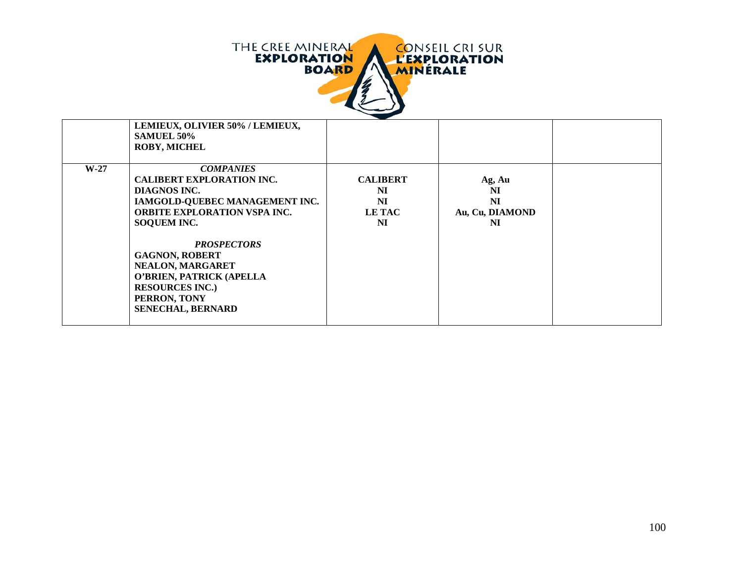

|        | LEMIEUX, OLIVIER 50% / LEMIEUX,<br><b>SAMUEL 50%</b><br><b>ROBY, MICHEL</b>                                                                                                                                                                                                                                                              |                                                    |                                                    |  |
|--------|------------------------------------------------------------------------------------------------------------------------------------------------------------------------------------------------------------------------------------------------------------------------------------------------------------------------------------------|----------------------------------------------------|----------------------------------------------------|--|
| $W-27$ | <b>COMPANIES</b><br><b>CALIBERT EXPLORATION INC.</b><br>DIAGNOS INC.<br>IAMGOLD-QUEBEC MANAGEMENT INC.<br><b>ORBITE EXPLORATION VSPA INC.</b><br><b>SOQUEM INC.</b><br><b>PROSPECTORS</b><br><b>GAGNON, ROBERT</b><br>NEALON, MARGARET<br>O'BRIEN, PATRICK (APELLA<br><b>RESOURCES INC.)</b><br>PERRON, TONY<br><b>SENECHAL, BERNARD</b> | <b>CALIBERT</b><br>NI<br>NI<br><b>LE TAC</b><br>NI | Ag, Au<br>NI<br><b>NI</b><br>Au, Cu, DIAMOND<br>NI |  |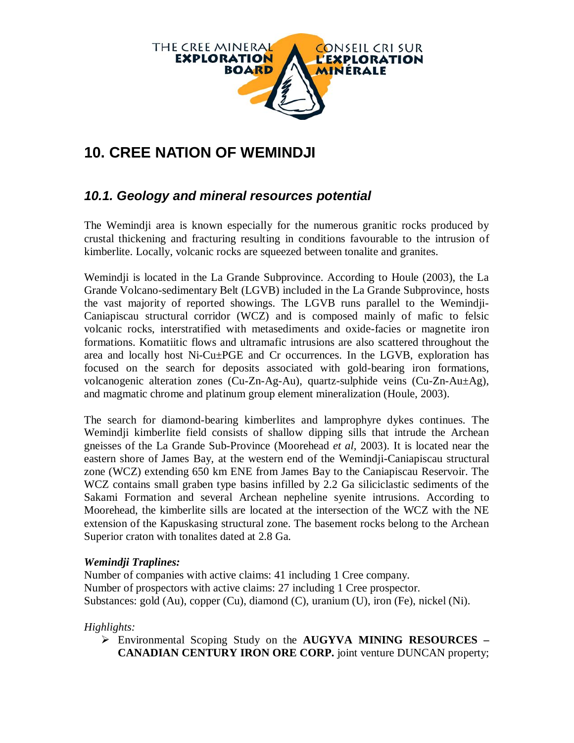

# **10. CREE NATION OF WEMINDJI**

## *10.1. Geology and mineral resources potential*

The Wemindji area is known especially for the numerous granitic rocks produced by crustal thickening and fracturing resulting in conditions favourable to the intrusion of kimberlite. Locally, volcanic rocks are squeezed between tonalite and granites.

Wemindji is located in the La Grande Subprovince. According to Houle (2003), the La Grande Volcano-sedimentary Belt (LGVB) included in the La Grande Subprovince, hosts the vast majority of reported showings. The LGVB runs parallel to the Wemindji-Caniapiscau structural corridor (WCZ) and is composed mainly of mafic to felsic volcanic rocks, interstratified with metasediments and oxide-facies or magnetite iron formations. Komatiitic flows and ultramafic intrusions are also scattered throughout the area and locally host Ni-Cu±PGE and Cr occurrences. In the LGVB, exploration has focused on the search for deposits associated with gold-bearing iron formations, volcanogenic alteration zones (Cu-Zn-Ag-Au), quartz-sulphide veins (Cu-Zn-Au $\pm$ Ag), and magmatic chrome and platinum group element mineralization (Houle, 2003).

The search for diamond-bearing kimberlites and lamprophyre dykes continues. The Wemindji kimberlite field consists of shallow dipping sills that intrude the Archean gneisses of the La Grande Sub-Province (Moorehead *et al,* 2003). It is located near the eastern shore of James Bay, at the western end of the Wemindji-Caniapiscau structural zone (WCZ) extending 650 km ENE from James Bay to the Caniapiscau Reservoir. The WCZ contains small graben type basins infilled by 2.2 Ga siliciclastic sediments of the Sakami Formation and several Archean nepheline syenite intrusions. According to Moorehead, the kimberlite sills are located at the intersection of the WCZ with the NE extension of the Kapuskasing structural zone. The basement rocks belong to the Archean Superior craton with tonalites dated at 2.8 Ga.

#### *Wemindji Traplines:*

Number of companies with active claims: 41 including 1 Cree company. Number of prospectors with active claims: 27 including 1 Cree prospector. Substances: gold (Au), copper (Cu), diamond (C), uranium (U), iron (Fe), nickel (Ni).

#### *Highlights:*

 Environmental Scoping Study on the **AUGYVA MINING RESOURCES – CANADIAN CENTURY IRON ORE CORP.** joint venture DUNCAN property;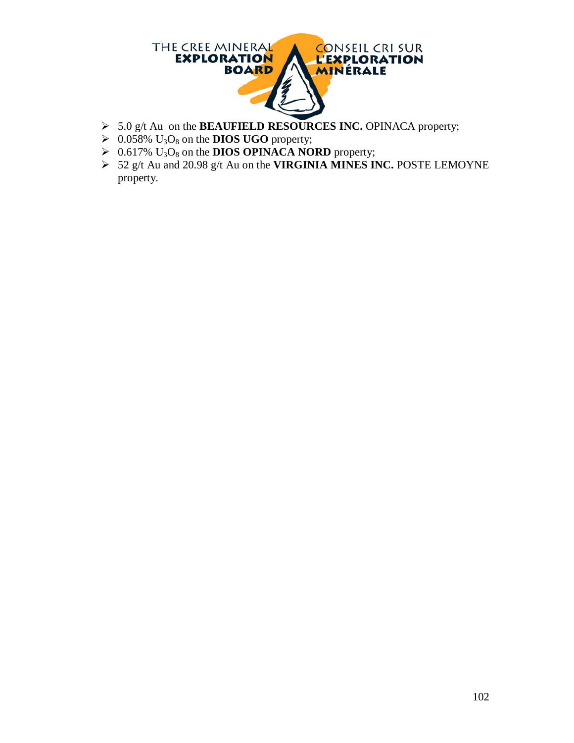

- 5.0 g/t Au on the **BEAUFIELD RESOURCES INC.** OPINACA property;
- $\triangleright$  0.058% U<sub>3</sub>O<sub>8</sub> on the **DIOS UGO** property;
- $\triangleright$  0.617% U<sub>3</sub>O<sub>8</sub> on the **DIOS OPINACA NORD** property;
- 52 g/t Au and 20.98 g/t Au on the **VIRGINIA MINES INC.** POSTE LEMOYNE property.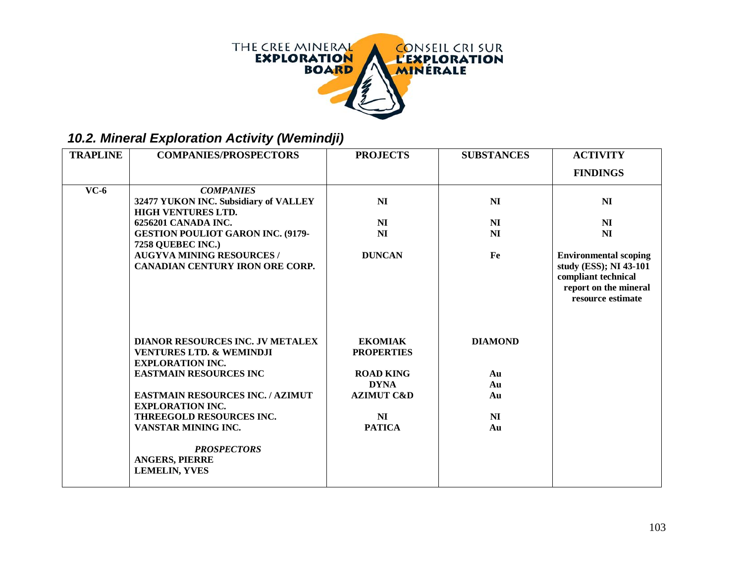

## *10.2. Mineral Exploration Activity (Wemindji)*

| <b>TRAPLINE</b> | <b>COMPANIES/PROSPECTORS</b>                                                                              | <b>PROJECTS</b>                     | <b>SUBSTANCES</b> | <b>ACTIVITY</b>                                                                                                             |
|-----------------|-----------------------------------------------------------------------------------------------------------|-------------------------------------|-------------------|-----------------------------------------------------------------------------------------------------------------------------|
|                 |                                                                                                           |                                     |                   |                                                                                                                             |
|                 |                                                                                                           |                                     |                   | <b>FINDINGS</b>                                                                                                             |
| $VC-6$          | <b>COMPANIES</b>                                                                                          |                                     |                   |                                                                                                                             |
|                 | 32477 YUKON INC. Subsidiary of VALLEY<br><b>HIGH VENTURES LTD.</b>                                        | N <sub>I</sub>                      | <b>NI</b>         | NI                                                                                                                          |
|                 | 6256201 CANADA INC.                                                                                       | NI                                  | NI                | N <sub>I</sub>                                                                                                              |
|                 | <b>GESTION POULIOT GARON INC. (9179-</b><br>7258 QUEBEC INC.)                                             | N <sub>I</sub>                      | NI                | N <sub>I</sub>                                                                                                              |
|                 | <b>AUGYVA MINING RESOURCES /</b><br><b>CANADIAN CENTURY IRON ORE CORP.</b>                                | <b>DUNCAN</b>                       | Fe                | <b>Environmental scoping</b><br>study (ESS); NI 43-101<br>compliant technical<br>report on the mineral<br>resource estimate |
|                 | <b>DIANOR RESOURCES INC. JV METALEX</b><br><b>VENTURES LTD. &amp; WEMINDJI</b><br><b>EXPLORATION INC.</b> | <b>EKOMIAK</b><br><b>PROPERTIES</b> | <b>DIAMOND</b>    |                                                                                                                             |
|                 | <b>EASTMAIN RESOURCES INC</b>                                                                             | <b>ROAD KING</b>                    | Au                |                                                                                                                             |
|                 |                                                                                                           | <b>DYNA</b>                         | Au                |                                                                                                                             |
|                 | <b>EASTMAIN RESOURCES INC. / AZIMUT</b><br><b>EXPLORATION INC.</b>                                        | <b>AZIMUT C&amp;D</b>               | Au                |                                                                                                                             |
|                 | <b>THREEGOLD RESOURCES INC.</b>                                                                           | NI                                  | NI                |                                                                                                                             |
|                 | VANSTAR MINING INC.                                                                                       | <b>PATICA</b>                       | Au                |                                                                                                                             |
|                 | <b>PROSPECTORS</b><br><b>ANGERS, PIERRE</b><br><b>LEMELIN, YVES</b>                                       |                                     |                   |                                                                                                                             |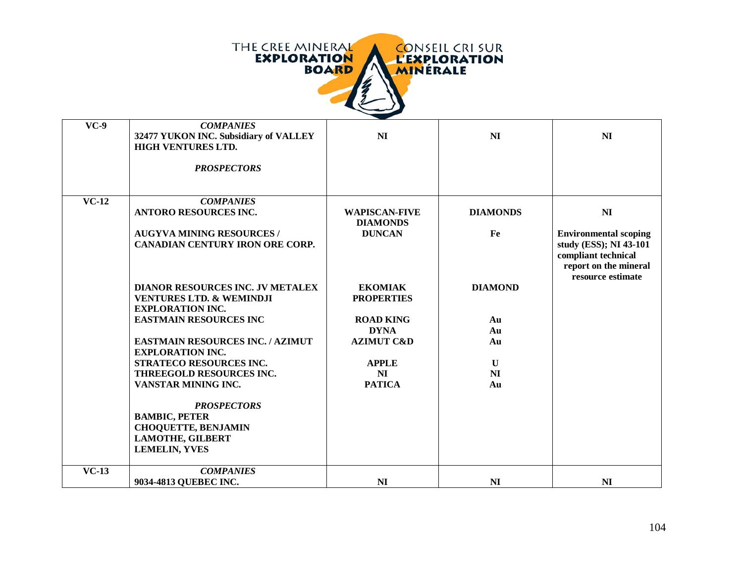

| $VC-9$  | <b>COMPANIES</b><br>32477 YUKON INC. Subsidiary of VALLEY<br><b>HIGH VENTURES LTD.</b> | N <sub>I</sub>                          | N <sub>I</sub>  | N <sub>I</sub>                                                                              |
|---------|----------------------------------------------------------------------------------------|-----------------------------------------|-----------------|---------------------------------------------------------------------------------------------|
|         |                                                                                        |                                         |                 |                                                                                             |
|         | <b>PROSPECTORS</b>                                                                     |                                         |                 |                                                                                             |
|         |                                                                                        |                                         |                 |                                                                                             |
| $VC-12$ | <b>COMPANIES</b>                                                                       |                                         |                 |                                                                                             |
|         | <b>ANTORO RESOURCES INC.</b>                                                           | <b>WAPISCAN-FIVE</b><br><b>DIAMONDS</b> | <b>DIAMONDS</b> | N <sub>I</sub>                                                                              |
|         | <b>AUGYVA MINING RESOURCES /</b>                                                       | <b>DUNCAN</b>                           | Fe              | <b>Environmental scoping</b>                                                                |
|         | <b>CANADIAN CENTURY IRON ORE CORP.</b>                                                 |                                         |                 | study (ESS); NI 43-101<br>compliant technical<br>report on the mineral<br>resource estimate |
|         | <b>DIANOR RESOURCES INC. JV METALEX</b>                                                | <b>EKOMIAK</b>                          | <b>DIAMOND</b>  |                                                                                             |
|         | <b>VENTURES LTD. &amp; WEMINDJI</b>                                                    | <b>PROPERTIES</b>                       |                 |                                                                                             |
|         | <b>EXPLORATION INC.</b>                                                                |                                         |                 |                                                                                             |
|         | <b>EASTMAIN RESOURCES INC</b>                                                          | <b>ROAD KING</b>                        | Au              |                                                                                             |
|         |                                                                                        | <b>DYNA</b>                             | Au              |                                                                                             |
|         | <b>EASTMAIN RESOURCES INC. / AZIMUT</b><br><b>EXPLORATION INC.</b>                     | <b>AZIMUT C&amp;D</b>                   | Au              |                                                                                             |
|         | STRATECO RESOURCES INC.                                                                | <b>APPLE</b>                            | $\mathbf{U}$    |                                                                                             |
|         | THREEGOLD RESOURCES INC.                                                               | NI                                      | NI              |                                                                                             |
|         | VANSTAR MINING INC.                                                                    | <b>PATICA</b>                           | Au              |                                                                                             |
|         | <b>PROSPECTORS</b>                                                                     |                                         |                 |                                                                                             |
|         | <b>BAMBIC, PETER</b>                                                                   |                                         |                 |                                                                                             |
|         | <b>CHOQUETTE, BENJAMIN</b>                                                             |                                         |                 |                                                                                             |
|         | <b>LAMOTHE, GILBERT</b>                                                                |                                         |                 |                                                                                             |
|         | <b>LEMELIN, YVES</b>                                                                   |                                         |                 |                                                                                             |
| $VC-13$ | <b>COMPANIES</b>                                                                       |                                         |                 |                                                                                             |
|         | 9034-4813 QUEBEC INC.                                                                  | N <sub>I</sub>                          | NI              | N <sub>I</sub>                                                                              |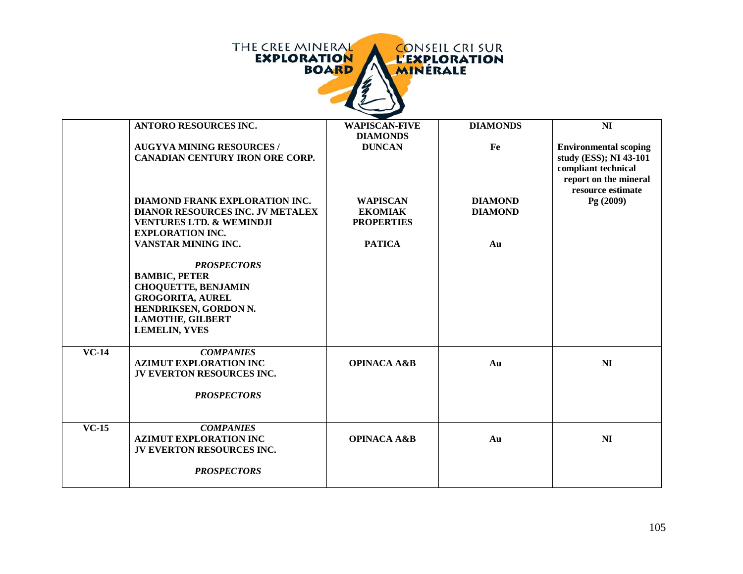|                           | THE CREE MINERAL<br><b>CONSEIL CRI SUR</b><br><b>EXPLORATION</b><br><b>L'EXPLORATION</b><br><b>BOARD</b><br>MINÉRALE                                                                                   |                                                        |                                  |                                                                                                                             |  |  |
|---------------------------|--------------------------------------------------------------------------------------------------------------------------------------------------------------------------------------------------------|--------------------------------------------------------|----------------------------------|-----------------------------------------------------------------------------------------------------------------------------|--|--|
|                           | <b>ANTORO RESOURCES INC.</b>                                                                                                                                                                           | <b>WAPISCAN-FIVE</b><br><b>DIAMONDS</b>                | <b>DIAMONDS</b>                  | N <sub>I</sub>                                                                                                              |  |  |
|                           | <b>AUGYVA MINING RESOURCES /</b><br><b>CANADIAN CENTURY IRON ORE CORP.</b>                                                                                                                             | <b>DUNCAN</b>                                          | Fe                               | <b>Environmental scoping</b><br>study (ESS); NI 43-101<br>compliant technical<br>report on the mineral<br>resource estimate |  |  |
|                           | <b>DIAMOND FRANK EXPLORATION INC.</b><br>DIANOR RESOURCES INC. JV METALEX<br><b>VENTURES LTD. &amp; WEMINDJI</b><br><b>EXPLORATION INC.</b>                                                            | <b>WAPISCAN</b><br><b>EKOMIAK</b><br><b>PROPERTIES</b> | <b>DIAMOND</b><br><b>DIAMOND</b> | Pg (2009)                                                                                                                   |  |  |
|                           | VANSTAR MINING INC.<br><b>PROSPECTORS</b><br><b>BAMBIC, PETER</b><br><b>CHOQUETTE, BENJAMIN</b><br><b>GROGORITA, AUREL</b><br>HENDRIKSEN, GORDON N.<br><b>LAMOTHE, GILBERT</b><br><b>LEMELIN, YVES</b> | <b>PATICA</b>                                          | Au                               |                                                                                                                             |  |  |
| $\overline{\text{VC-14}}$ | <b>COMPANIES</b><br><b>AZIMUT EXPLORATION INC</b><br>JV EVERTON RESOURCES INC.<br><b>PROSPECTORS</b>                                                                                                   | <b>OPINACA A&amp;B</b>                                 | Au                               | N <sub>I</sub>                                                                                                              |  |  |
| $VC-15$                   | <b>COMPANIES</b><br><b>AZIMUT EXPLORATION INC</b><br>JV EVERTON RESOURCES INC.<br><b>PROSPECTORS</b>                                                                                                   | <b>OPINACA A&amp;B</b>                                 | Au                               | N <sub>I</sub>                                                                                                              |  |  |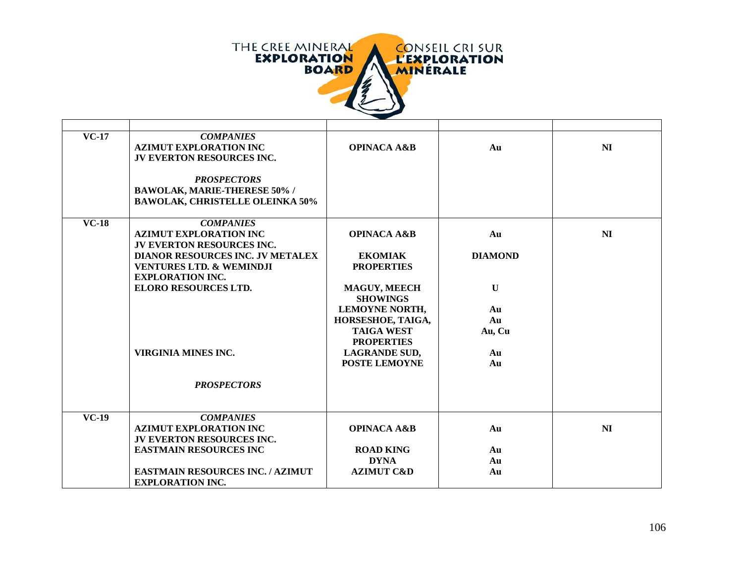

| $VC-17$ | <b>COMPANIES</b><br><b>AZIMUT EXPLORATION INC</b><br>JV EVERTON RESOURCES INC.                            | <b>OPINACA A&amp;B</b>                 | Au             | N <sub>I</sub> |
|---------|-----------------------------------------------------------------------------------------------------------|----------------------------------------|----------------|----------------|
|         | <b>PROSPECTORS</b><br><b>BAWOLAK, MARIE-THERESE 50% /</b>                                                 |                                        |                |                |
|         | <b>BAWOLAK, CHRISTELLE OLEINKA 50%</b>                                                                    |                                        |                |                |
| $VC-18$ | <b>COMPANIES</b>                                                                                          |                                        |                | N <sub>I</sub> |
|         | <b>AZIMUT EXPLORATION INC</b><br>JV EVERTON RESOURCES INC.                                                | <b>OPINACA A&amp;B</b>                 | Au             |                |
|         | <b>DIANOR RESOURCES INC. JV METALEX</b><br><b>VENTURES LTD. &amp; WEMINDJI</b><br><b>EXPLORATION INC.</b> | <b>EKOMIAK</b><br><b>PROPERTIES</b>    | <b>DIAMOND</b> |                |
|         | <b>ELORO RESOURCES LTD.</b>                                                                               | <b>MAGUY, MEECH</b><br><b>SHOWINGS</b> | $\mathbf{U}$   |                |
|         |                                                                                                           | <b>LEMOYNE NORTH,</b>                  | Au             |                |
|         |                                                                                                           | HORSESHOE, TAIGA,                      | Au             |                |
|         |                                                                                                           | <b>TAIGA WEST</b><br><b>PROPERTIES</b> | Au, Cu         |                |
|         | <b>VIRGINIA MINES INC.</b>                                                                                | <b>LAGRANDE SUD,</b>                   | Au             |                |
|         |                                                                                                           | POSTE LEMOYNE                          | Au             |                |
|         | <b>PROSPECTORS</b>                                                                                        |                                        |                |                |
| $VC-19$ | <b>COMPANIES</b>                                                                                          |                                        |                |                |
|         | <b>AZIMUT EXPLORATION INC</b><br><b>JV EVERTON RESOURCES INC.</b>                                         | <b>OPINACA A&amp;B</b>                 | Au             | N <sub>I</sub> |
|         | <b>EASTMAIN RESOURCES INC</b>                                                                             | <b>ROAD KING</b>                       | Au             |                |
|         |                                                                                                           | <b>DYNA</b>                            | Au             |                |
|         | <b>EASTMAIN RESOURCES INC. / AZIMUT</b><br><b>EXPLORATION INC.</b>                                        | <b>AZIMUT C&amp;D</b>                  | Au             |                |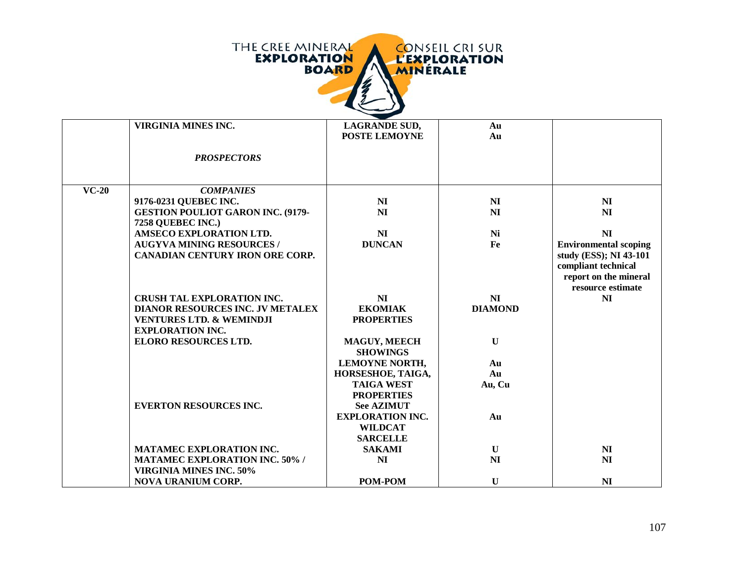| THE CREE MINERAL   |              |                 | <b>CONSEIL CRI SUR</b> |
|--------------------|--------------|-----------------|------------------------|
| <b>EXPLORATION</b> | <b>BOARD</b> | <b>MINERALE</b> | <b>L'EXPLORATION</b>   |
|                    |              |                 |                        |
|                    |              |                 |                        |

|         | VIRGINIA MINES INC.                      | <b>LAGRANDE SUD,</b>    | Au             |                              |
|---------|------------------------------------------|-------------------------|----------------|------------------------------|
|         |                                          | <b>POSTE LEMOYNE</b>    | Au             |                              |
|         |                                          |                         |                |                              |
|         | <b>PROSPECTORS</b>                       |                         |                |                              |
|         |                                          |                         |                |                              |
|         |                                          |                         |                |                              |
| $VC-20$ | <b>COMPANIES</b>                         |                         |                |                              |
|         | 9176-0231 QUEBEC INC.                    | NI                      | N <sub>I</sub> | N <sub>I</sub>               |
|         | <b>GESTION POULIOT GARON INC. (9179-</b> | NI                      | <b>NI</b>      | N <sub>I</sub>               |
|         | 7258 QUEBEC INC.)                        |                         |                |                              |
|         | AMSECO EXPLORATION LTD.                  | N <sub>I</sub>          | Ni             | N <sub>I</sub>               |
|         | <b>AUGYVA MINING RESOURCES /</b>         | <b>DUNCAN</b>           | Fe             | <b>Environmental scoping</b> |
|         | <b>CANADIAN CENTURY IRON ORE CORP.</b>   |                         |                | study (ESS); NI 43-101       |
|         |                                          |                         |                | compliant technical          |
|         |                                          |                         |                | report on the mineral        |
|         |                                          |                         |                | resource estimate            |
|         | <b>CRUSH TAL EXPLORATION INC.</b>        | N <sub>I</sub>          | <b>NI</b>      | N <sub>I</sub>               |
|         | DIANOR RESOURCES INC. JV METALEX         | <b>EKOMIAK</b>          | <b>DIAMOND</b> |                              |
|         | <b>VENTURES LTD. &amp; WEMINDJI</b>      | <b>PROPERTIES</b>       |                |                              |
|         | <b>EXPLORATION INC.</b>                  |                         |                |                              |
|         | <b>ELORO RESOURCES LTD.</b>              | <b>MAGUY, MEECH</b>     | $\mathbf{U}$   |                              |
|         |                                          | <b>SHOWINGS</b>         |                |                              |
|         |                                          | LEMOYNE NORTH,          | Au             |                              |
|         |                                          | HORSESHOE, TAIGA,       | Au             |                              |
|         |                                          | <b>TAIGA WEST</b>       | Au, Cu         |                              |
|         |                                          | <b>PROPERTIES</b>       |                |                              |
|         | <b>EVERTON RESOURCES INC.</b>            | <b>See AZIMUT</b>       |                |                              |
|         |                                          | <b>EXPLORATION INC.</b> | Au             |                              |
|         |                                          | <b>WILDCAT</b>          |                |                              |
|         |                                          | <b>SARCELLE</b>         |                |                              |
|         | MATAMEC EXPLORATION INC.                 | <b>SAKAMI</b>           | $\mathbf U$    | N <sub>I</sub>               |
|         | <b>MATAMEC EXPLORATION INC. 50% /</b>    | NI                      | N <sub>I</sub> | N <sub>I</sub>               |
|         | <b>VIRGINIA MINES INC. 50%</b>           |                         |                |                              |
|         | <b>NOVA URANIUM CORP.</b>                | POM-POM                 | $\mathbf{U}$   | <b>NI</b>                    |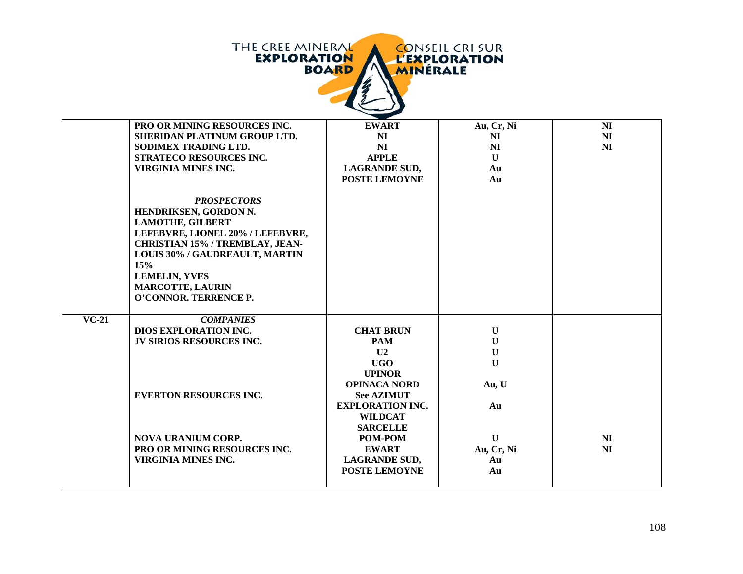|         | THE CREE MINERAL<br><b>EXPLORATION</b>                                                                                                                                                                                                                                    | <b>BOARD</b><br><b>MINERALE</b>                              | <b>CONSEIL CRI SUR</b><br><b>L'EXPLORATION</b> |                                  |
|---------|---------------------------------------------------------------------------------------------------------------------------------------------------------------------------------------------------------------------------------------------------------------------------|--------------------------------------------------------------|------------------------------------------------|----------------------------------|
|         | PRO OR MINING RESOURCES INC.<br>SHERIDAN PLATINUM GROUP LTD.                                                                                                                                                                                                              | <b>EWART</b><br>N <sub>I</sub>                               | Au, Cr, Ni<br>NI                               | N <sub>I</sub><br>N <sub>I</sub> |
|         | SODIMEX TRADING LTD.                                                                                                                                                                                                                                                      | NI                                                           | N <sub>I</sub>                                 | N <sub>I</sub>                   |
|         | STRATECO RESOURCES INC.                                                                                                                                                                                                                                                   | <b>APPLE</b>                                                 | $\mathbf{U}$                                   |                                  |
|         | <b>VIRGINIA MINES INC.</b>                                                                                                                                                                                                                                                | <b>LAGRANDE SUD,</b><br>POSTE LEMOYNE                        | Au<br>Au                                       |                                  |
|         | <b>PROSPECTORS</b><br>HENDRIKSEN, GORDON N.<br><b>LAMOTHE, GILBERT</b><br>LEFEBVRE, LIONEL 20% / LEFEBVRE,<br><b>CHRISTIAN 15% / TREMBLAY, JEAN-</b><br>LOUIS 30% / GAUDREAULT, MARTIN<br>15%<br><b>LEMELIN, YVES</b><br><b>MARCOTTE, LAURIN</b><br>O'CONNOR. TERRENCE P. |                                                              |                                                |                                  |
| $VC-21$ | <b>COMPANIES</b>                                                                                                                                                                                                                                                          |                                                              |                                                |                                  |
|         | <b>DIOS EXPLORATION INC.</b>                                                                                                                                                                                                                                              | <b>CHAT BRUN</b>                                             | $\mathbf U$                                    |                                  |
|         | <b>JV SIRIOS RESOURCES INC.</b>                                                                                                                                                                                                                                           | <b>PAM</b>                                                   | $\mathbf U$                                    |                                  |
|         |                                                                                                                                                                                                                                                                           | U <sub>2</sub><br><b>UGO</b>                                 | $\mathbf U$<br>$\mathbf{U}$                    |                                  |
|         |                                                                                                                                                                                                                                                                           | <b>UPINOR</b>                                                |                                                |                                  |
|         |                                                                                                                                                                                                                                                                           | <b>OPINACA NORD</b>                                          | Au, U                                          |                                  |
|         | <b>EVERTON RESOURCES INC.</b>                                                                                                                                                                                                                                             | <b>See AZIMUT</b>                                            |                                                |                                  |
|         |                                                                                                                                                                                                                                                                           | <b>EXPLORATION INC.</b><br><b>WILDCAT</b><br><b>SARCELLE</b> | Au                                             |                                  |
|         | <b>NOVA URANIUM CORP.</b>                                                                                                                                                                                                                                                 | POM-POM                                                      | $\mathbf{U}$                                   | N <sub>I</sub>                   |
|         | PRO OR MINING RESOURCES INC.                                                                                                                                                                                                                                              | <b>EWART</b>                                                 | Au, Cr, Ni                                     | N <sub>I</sub>                   |
|         | <b>VIRGINIA MINES INC.</b>                                                                                                                                                                                                                                                | <b>LAGRANDE SUD,</b>                                         | Au                                             |                                  |
|         |                                                                                                                                                                                                                                                                           | POSTE LEMOYNE                                                | Au                                             |                                  |
|         |                                                                                                                                                                                                                                                                           |                                                              |                                                |                                  |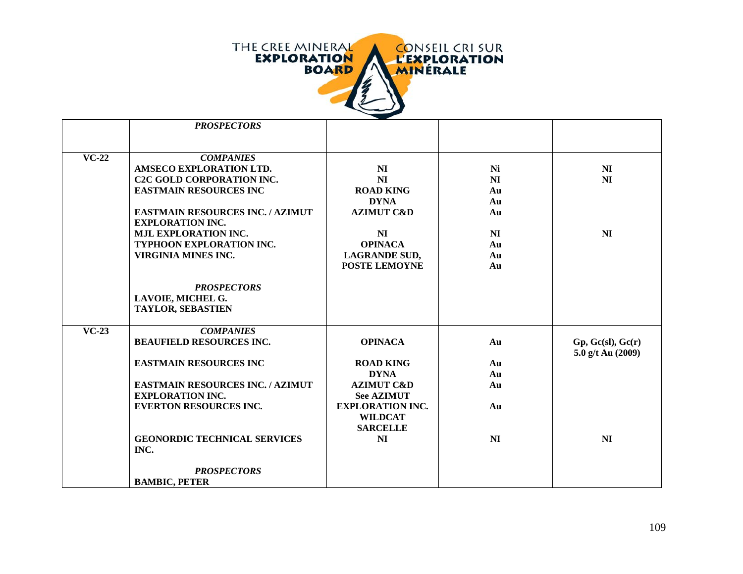

|         | <b>PROSPECTORS</b>                      |                         |                |                   |
|---------|-----------------------------------------|-------------------------|----------------|-------------------|
|         |                                         |                         |                |                   |
| $VC-22$ | <b>COMPANIES</b>                        |                         |                |                   |
|         | AMSECO EXPLORATION LTD.                 | N <sub>I</sub>          | Ni             | N <sub>I</sub>    |
|         | <b>C2C GOLD CORPORATION INC.</b>        | N <sub>I</sub>          | N <sub>I</sub> | N <sub>I</sub>    |
|         | <b>EASTMAIN RESOURCES INC</b>           | <b>ROAD KING</b>        | Au             |                   |
|         |                                         | <b>DYNA</b>             | Au             |                   |
|         | <b>EASTMAIN RESOURCES INC. / AZIMUT</b> | <b>AZIMUT C&amp;D</b>   | Au             |                   |
|         | <b>EXPLORATION INC.</b>                 |                         |                |                   |
|         | <b>MJL EXPLORATION INC.</b>             | NI                      | N <sub>I</sub> | N <sub>I</sub>    |
|         | TYPHOON EXPLORATION INC.                | <b>OPINACA</b>          | Au             |                   |
|         | <b>VIRGINIA MINES INC.</b>              | <b>LAGRANDE SUD,</b>    | Au             |                   |
|         |                                         | <b>POSTE LEMOYNE</b>    | Au             |                   |
|         |                                         |                         |                |                   |
|         | <b>PROSPECTORS</b>                      |                         |                |                   |
|         | LAVOIE, MICHEL G.                       |                         |                |                   |
|         | <b>TAYLOR, SEBASTIEN</b>                |                         |                |                   |
| $VC-23$ | <b>COMPANIES</b>                        |                         |                |                   |
|         | <b>BEAUFIELD RESOURCES INC.</b>         | <b>OPINACA</b>          | Au             | Gp, Gc(sl), Gc(r) |
|         |                                         |                         |                | 5.0 g/t Au (2009) |
|         | <b>EASTMAIN RESOURCES INC</b>           | <b>ROAD KING</b>        | Au             |                   |
|         |                                         | <b>DYNA</b>             | Au             |                   |
|         | <b>EASTMAIN RESOURCES INC. / AZIMUT</b> | <b>AZIMUT C&amp;D</b>   | Au             |                   |
|         | <b>EXPLORATION INC.</b>                 | <b>See AZIMUT</b>       |                |                   |
|         | <b>EVERTON RESOURCES INC.</b>           | <b>EXPLORATION INC.</b> | Au             |                   |
|         |                                         | <b>WILDCAT</b>          |                |                   |
|         |                                         | <b>SARCELLE</b>         |                |                   |
|         | <b>GEONORDIC TECHNICAL SERVICES</b>     | N <sub>I</sub>          | N <sub>I</sub> | N <sub>I</sub>    |
|         | INC.                                    |                         |                |                   |
|         | <b>PROSPECTORS</b>                      |                         |                |                   |
|         | <b>BAMBIC, PETER</b>                    |                         |                |                   |
|         |                                         |                         |                |                   |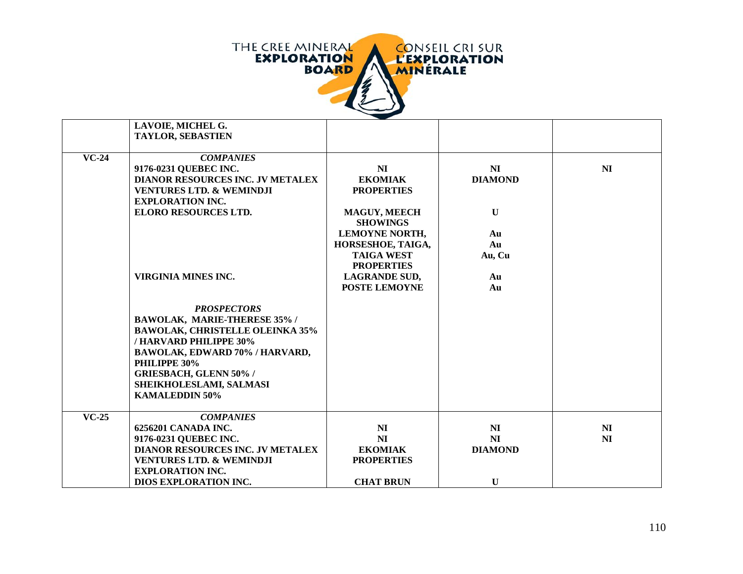

|         | LAVOIE, MICHEL G.                       |                                        |                |                |
|---------|-----------------------------------------|----------------------------------------|----------------|----------------|
|         | <b>TAYLOR, SEBASTIEN</b>                |                                        |                |                |
|         |                                         |                                        |                |                |
| $VC-24$ | <b>COMPANIES</b>                        |                                        |                |                |
|         | 9176-0231 QUEBEC INC.                   | NI                                     | N <sub>I</sub> | N <sub>I</sub> |
|         | <b>DIANOR RESOURCES INC. JV METALEX</b> | <b>EKOMIAK</b>                         | <b>DIAMOND</b> |                |
|         | <b>VENTURES LTD. &amp; WEMINDJI</b>     | <b>PROPERTIES</b>                      |                |                |
|         | <b>EXPLORATION INC.</b>                 |                                        |                |                |
|         | <b>ELORO RESOURCES LTD.</b>             | <b>MAGUY, MEECH</b>                    | $\mathbf U$    |                |
|         |                                         | <b>SHOWINGS</b>                        |                |                |
|         |                                         | <b>LEMOYNE NORTH,</b>                  | Au             |                |
|         |                                         |                                        | Au             |                |
|         |                                         | HORSESHOE, TAIGA,<br><b>TAIGA WEST</b> |                |                |
|         |                                         | <b>PROPERTIES</b>                      | Au, Cu         |                |
|         | <b>VIRGINIA MINES INC.</b>              |                                        |                |                |
|         |                                         | <b>LAGRANDE SUD,</b>                   | Au             |                |
|         |                                         | POSTE LEMOYNE                          | Au             |                |
|         |                                         |                                        |                |                |
|         | <b>PROSPECTORS</b>                      |                                        |                |                |
|         | BAWOLAK, MARIE-THERESE 35% /            |                                        |                |                |
|         | <b>BAWOLAK, CHRISTELLE OLEINKA 35%</b>  |                                        |                |                |
|         | /HARVARD PHILIPPE 30%                   |                                        |                |                |
|         | BAWOLAK, EDWARD 70% / HARVARD,          |                                        |                |                |
|         | PHILIPPE 30%                            |                                        |                |                |
|         | <b>GRIESBACH, GLENN 50% /</b>           |                                        |                |                |
|         | SHEIKHOLESLAMI, SALMASI                 |                                        |                |                |
|         | <b>KAMALEDDIN 50%</b>                   |                                        |                |                |
|         |                                         |                                        |                |                |
| $VC-25$ | <b>COMPANIES</b>                        |                                        |                |                |
|         | 6256201 CANADA INC.                     | NI                                     | NI             | N <sub>I</sub> |
|         | 9176-0231 QUEBEC INC.                   | NI                                     | NI             | N <sub>I</sub> |
|         | DIANOR RESOURCES INC. JV METALEX        | <b>EKOMIAK</b>                         | <b>DIAMOND</b> |                |
|         | <b>VENTURES LTD. &amp; WEMINDJI</b>     | <b>PROPERTIES</b>                      |                |                |
|         | <b>EXPLORATION INC.</b>                 |                                        |                |                |
|         | <b>DIOS EXPLORATION INC.</b>            | <b>CHAT BRUN</b>                       | $\mathbf U$    |                |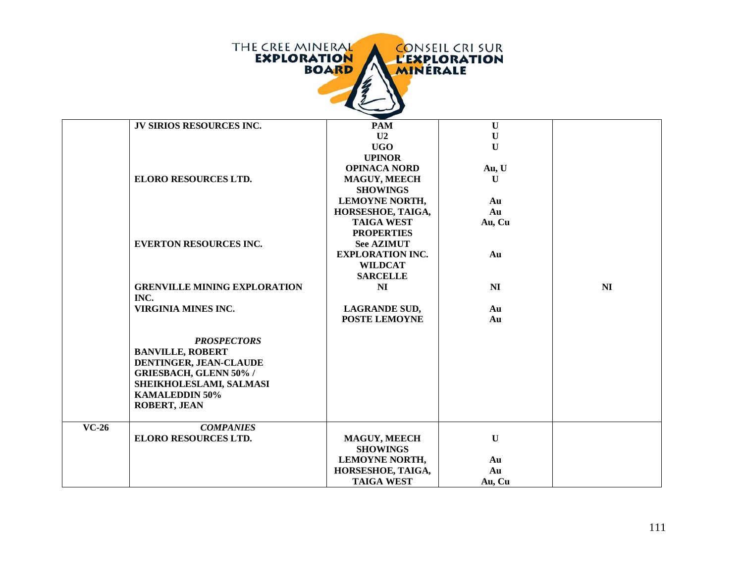|         | THE CREE MINERAL<br><b>EXPLORATION</b>                                                                                                                                              | <b>BOARD</b><br><b>MINERALE</b>   | <b>CONSEIL CRI SUR</b><br><b>L'EXPLORATION</b> |    |
|---------|-------------------------------------------------------------------------------------------------------------------------------------------------------------------------------------|-----------------------------------|------------------------------------------------|----|
|         | JV SIRIOS RESOURCES INC.                                                                                                                                                            | <b>PAM</b>                        | $\mathbf U$                                    |    |
|         |                                                                                                                                                                                     | U2                                | $\mathbf U$                                    |    |
|         |                                                                                                                                                                                     | <b>UGO</b>                        | $\mathbf{U}$                                   |    |
|         |                                                                                                                                                                                     | <b>UPINOR</b>                     |                                                |    |
|         |                                                                                                                                                                                     | <b>OPINACA NORD</b>               | Au, U                                          |    |
|         | <b>ELORO RESOURCES LTD.</b>                                                                                                                                                         | <b>MAGUY, MEECH</b>               | $\mathbf{U}$                                   |    |
|         |                                                                                                                                                                                     | <b>SHOWINGS</b><br>LEMOYNE NORTH, | Au                                             |    |
|         |                                                                                                                                                                                     | HORSESHOE, TAIGA,                 | Au                                             |    |
|         |                                                                                                                                                                                     | <b>TAIGA WEST</b>                 | Au, Cu                                         |    |
|         |                                                                                                                                                                                     | <b>PROPERTIES</b>                 |                                                |    |
|         | <b>EVERTON RESOURCES INC.</b>                                                                                                                                                       | <b>See AZIMUT</b>                 |                                                |    |
|         |                                                                                                                                                                                     | <b>EXPLORATION INC.</b>           | Au                                             |    |
|         |                                                                                                                                                                                     | <b>WILDCAT</b>                    |                                                |    |
|         |                                                                                                                                                                                     | <b>SARCELLE</b>                   |                                                |    |
|         | <b>GRENVILLE MINING EXPLORATION</b><br>INC.                                                                                                                                         | NI                                | NI                                             | NI |
|         | <b>VIRGINIA MINES INC.</b>                                                                                                                                                          | <b>LAGRANDE SUD,</b>              | Au                                             |    |
|         |                                                                                                                                                                                     | <b>POSTE LEMOYNE</b>              | Au                                             |    |
|         | <b>PROSPECTORS</b><br><b>BANVILLE, ROBERT</b><br>DENTINGER, JEAN-CLAUDE<br><b>GRIESBACH, GLENN 50% /</b><br>SHEIKHOLESLAMI, SALMASI<br><b>KAMALEDDIN 50%</b><br><b>ROBERT, JEAN</b> |                                   |                                                |    |
| $VC-26$ | <b>COMPANIES</b>                                                                                                                                                                    |                                   |                                                |    |
|         | <b>ELORO RESOURCES LTD.</b>                                                                                                                                                         | MAGUY, MEECH<br><b>SHOWINGS</b>   | $\mathbf U$                                    |    |
|         |                                                                                                                                                                                     | <b>LEMOYNE NORTH,</b>             | Au                                             |    |
|         |                                                                                                                                                                                     | HORSESHOE, TAIGA,                 | Au                                             |    |
|         |                                                                                                                                                                                     | <b>TAIGA WEST</b>                 | Au, Cu                                         |    |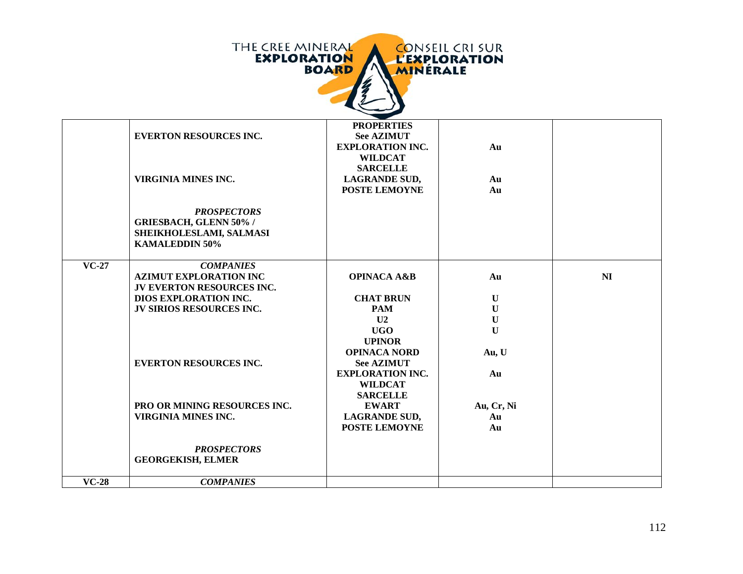| <b>THE CREE MINERAL</b> | <b>CONSEIL CRISUR</b> |
|-------------------------|-----------------------|
| <b>EXPLORATION</b>      | <b>L'EXPLORATION</b>  |
| <b>BOARD</b>            | <b>MINERALE</b>       |
|                         |                       |

|         | <b>EVERTON RESOURCES INC.</b>                                                                           | <b>PROPERTIES</b><br><b>See AZIMUT</b><br><b>EXPLORATION INC.</b><br><b>WILDCAT</b><br><b>SARCELLE</b> | Au           |                |
|---------|---------------------------------------------------------------------------------------------------------|--------------------------------------------------------------------------------------------------------|--------------|----------------|
|         | <b>VIRGINIA MINES INC.</b>                                                                              | <b>LAGRANDE SUD,</b><br><b>POSTE LEMOYNE</b>                                                           | Au<br>Au     |                |
|         | <b>PROSPECTORS</b><br><b>GRIESBACH, GLENN 50% /</b><br>SHEIKHOLESLAMI, SALMASI<br><b>KAMALEDDIN 50%</b> |                                                                                                        |              |                |
| $VC-27$ | <b>COMPANIES</b><br><b>AZIMUT EXPLORATION INC</b><br><b>JV EVERTON RESOURCES INC.</b>                   | <b>OPINACA A&amp;B</b>                                                                                 | Au           | N <sub>I</sub> |
|         | DIOS EXPLORATION INC.                                                                                   | <b>CHAT BRUN</b>                                                                                       | U            |                |
|         | <b>JV SIRIOS RESOURCES INC.</b>                                                                         | <b>PAM</b>                                                                                             | $\mathbf U$  |                |
|         |                                                                                                         | U <sub>2</sub>                                                                                         | ${\bf U}$    |                |
|         |                                                                                                         | <b>UGO</b><br><b>UPINOR</b>                                                                            | $\mathbf{U}$ |                |
|         | <b>EVERTON RESOURCES INC.</b>                                                                           | <b>OPINACA NORD</b><br><b>See AZIMUT</b><br><b>EXPLORATION INC.</b>                                    | Au, U<br>Au  |                |
|         |                                                                                                         | <b>WILDCAT</b><br><b>SARCELLE</b>                                                                      |              |                |
|         | <b>PRO OR MINING RESOURCES INC.</b>                                                                     | <b>EWART</b>                                                                                           | Au, Cr, Ni   |                |
|         | VIRGINIA MINES INC.                                                                                     | <b>LAGRANDE SUD,</b><br><b>POSTE LEMOYNE</b>                                                           | Au<br>Au     |                |
|         | <b>PROSPECTORS</b><br><b>GEORGEKISH, ELMER</b>                                                          |                                                                                                        |              |                |
| $VC-28$ | <b>COMPANIES</b>                                                                                        |                                                                                                        |              |                |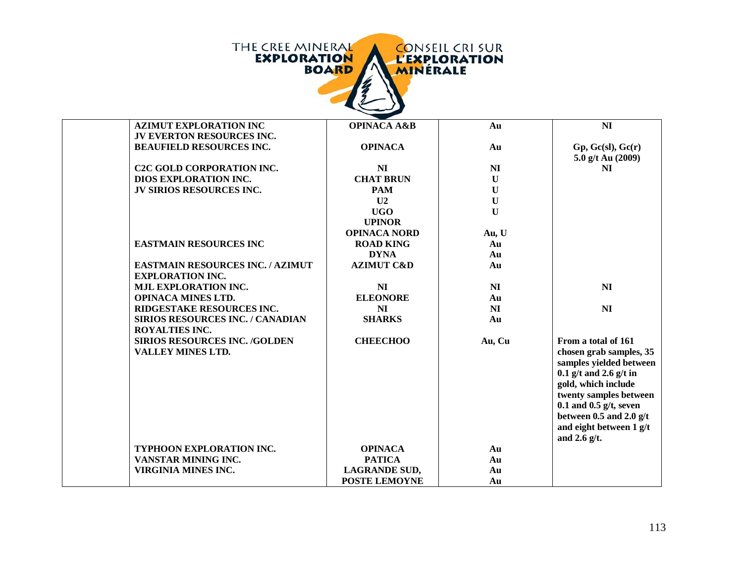|  | THE CREE MINERAL<br><b>EXPLORATION</b><br><b>BOARD</b> |  | <b>CONSEIL CRISUR</b><br><b>L'EXPLORATION</b><br><b>MINERALE</b> |
|--|--------------------------------------------------------|--|------------------------------------------------------------------|
|--|--------------------------------------------------------|--|------------------------------------------------------------------|

| <b>AZIMUT EXPLORATION INC</b>           | <b>OPINACA A&amp;B</b> | Au             | N <sub>I</sub>             |
|-----------------------------------------|------------------------|----------------|----------------------------|
| <b>JV EVERTON RESOURCES INC.</b>        |                        |                |                            |
| <b>BEAUFIELD RESOURCES INC.</b>         | <b>OPINACA</b>         | Au             | Gp, Gc(sl), Gc(r)          |
|                                         |                        |                | 5.0 g/t Au (2009)          |
| <b>C2C GOLD CORPORATION INC.</b>        | <b>NI</b>              | N <sub>I</sub> | <b>NI</b>                  |
| DIOS EXPLORATION INC.                   | <b>CHAT BRUN</b>       | $\mathbf{U}$   |                            |
| <b>JV SIRIOS RESOURCES INC.</b>         | <b>PAM</b>             | $\mathbf{U}$   |                            |
|                                         | U <sub>2</sub>         | $\mathbf U$    |                            |
|                                         | <b>UGO</b>             | $\mathbf{U}$   |                            |
|                                         | <b>UPINOR</b>          |                |                            |
|                                         | <b>OPINACA NORD</b>    | Au, U          |                            |
| <b>EASTMAIN RESOURCES INC</b>           | <b>ROAD KING</b>       | Au             |                            |
|                                         | <b>DYNA</b>            | Au             |                            |
| <b>EASTMAIN RESOURCES INC. / AZIMUT</b> | <b>AZIMUT C&amp;D</b>  | Au             |                            |
| <b>EXPLORATION INC.</b>                 |                        |                |                            |
| <b>MJL EXPLORATION INC.</b>             | <b>NI</b>              | NI             | N <sub>I</sub>             |
| <b>OPINACA MINES LTD.</b>               | <b>ELEONORE</b>        | Au             |                            |
| RIDGESTAKE RESOURCES INC.               | <b>NI</b>              | NI             | N <sub>I</sub>             |
| <b>SIRIOS RESOURCES INC. / CANADIAN</b> | <b>SHARKS</b>          | Au             |                            |
| <b>ROYALTIES INC.</b>                   |                        |                |                            |
| <b>SIRIOS RESOURCES INC. /GOLDEN</b>    | <b>CHEECHOO</b>        | Au, Cu         | From a total of 161        |
| <b>VALLEY MINES LTD.</b>                |                        |                | chosen grab samples, 35    |
|                                         |                        |                | samples yielded between    |
|                                         |                        |                | $0.1$ g/t and 2.6 g/t in   |
|                                         |                        |                | gold, which include        |
|                                         |                        |                | twenty samples between     |
|                                         |                        |                | $0.1$ and $0.5$ g/t, seven |
|                                         |                        |                | between 0.5 and 2.0 $g/t$  |
|                                         |                        |                | and eight between 1 g/t    |
|                                         |                        |                | and 2.6 $g/t$ .            |
| TYPHOON EXPLORATION INC.                | <b>OPINACA</b>         | Au             |                            |
| VANSTAR MINING INC.                     | <b>PATICA</b>          | Au             |                            |
| <b>VIRGINIA MINES INC.</b>              | <b>LAGRANDE SUD,</b>   | Au             |                            |
|                                         | <b>POSTE LEMOYNE</b>   | Au             |                            |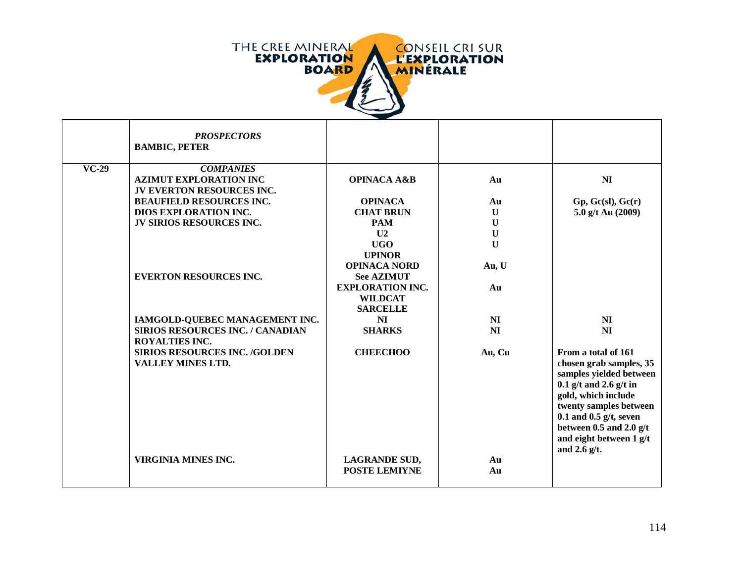

|         | <b>PROSPECTORS</b><br><b>BAMBIC, PETER</b>                                     |                                              |                |                                                                                                                                                                                                                                                              |
|---------|--------------------------------------------------------------------------------|----------------------------------------------|----------------|--------------------------------------------------------------------------------------------------------------------------------------------------------------------------------------------------------------------------------------------------------------|
| $VC-29$ | <b>COMPANIES</b><br><b>AZIMUT EXPLORATION INC</b><br>JV EVERTON RESOURCES INC. | <b>OPINACA A&amp;B</b>                       | Au             | N <sub>I</sub>                                                                                                                                                                                                                                               |
|         | <b>BEAUFIELD RESOURCES INC.</b>                                                | <b>OPINACA</b>                               | Au             | Gp, Gc(sl), Gc(r)                                                                                                                                                                                                                                            |
|         | DIOS EXPLORATION INC.                                                          | <b>CHAT BRUN</b>                             | $\mathbf{U}$   | 5.0 g/t Au (2009)                                                                                                                                                                                                                                            |
|         | <b>JV SIRIOS RESOURCES INC.</b>                                                | <b>PAM</b>                                   | $\mathbf U$    |                                                                                                                                                                                                                                                              |
|         |                                                                                | U <sub>2</sub>                               | $\mathbf U$    |                                                                                                                                                                                                                                                              |
|         |                                                                                | <b>UGO</b>                                   | $\mathbf U$    |                                                                                                                                                                                                                                                              |
|         |                                                                                | <b>UPINOR</b>                                |                |                                                                                                                                                                                                                                                              |
|         |                                                                                | <b>OPINACA NORD</b>                          | Au, U          |                                                                                                                                                                                                                                                              |
|         | <b>EVERTON RESOURCES INC.</b>                                                  | <b>See AZIMUT</b>                            |                |                                                                                                                                                                                                                                                              |
|         |                                                                                | <b>EXPLORATION INC.</b>                      | Au             |                                                                                                                                                                                                                                                              |
|         |                                                                                | <b>WILDCAT</b>                               |                |                                                                                                                                                                                                                                                              |
|         |                                                                                | <b>SARCELLE</b>                              |                |                                                                                                                                                                                                                                                              |
|         | IAMGOLD-QUEBEC MANAGEMENT INC.                                                 | <b>NI</b>                                    | NI             | N <sub>I</sub>                                                                                                                                                                                                                                               |
|         | SIRIOS RESOURCES INC. / CANADIAN                                               | <b>SHARKS</b>                                | N <sub>I</sub> | <b>NI</b>                                                                                                                                                                                                                                                    |
|         | <b>ROYALTIES INC.</b>                                                          |                                              |                |                                                                                                                                                                                                                                                              |
|         | <b>SIRIOS RESOURCES INC. /GOLDEN</b><br><b>VALLEY MINES LTD.</b>               | <b>CHEECHOO</b>                              | Au, Cu         | From a total of 161<br>chosen grab samples, 35<br>samples yielded between<br>$0.1$ g/t and 2.6 g/t in<br>gold, which include<br>twenty samples between<br>$0.1$ and $0.5$ g/t, seven<br>between 0.5 and 2.0 $g/t$<br>and eight between 1 g/t<br>and 2.6 g/t. |
|         | VIRGINIA MINES INC.                                                            | <b>LAGRANDE SUD,</b><br><b>POSTE LEMIYNE</b> | Au<br>Au       |                                                                                                                                                                                                                                                              |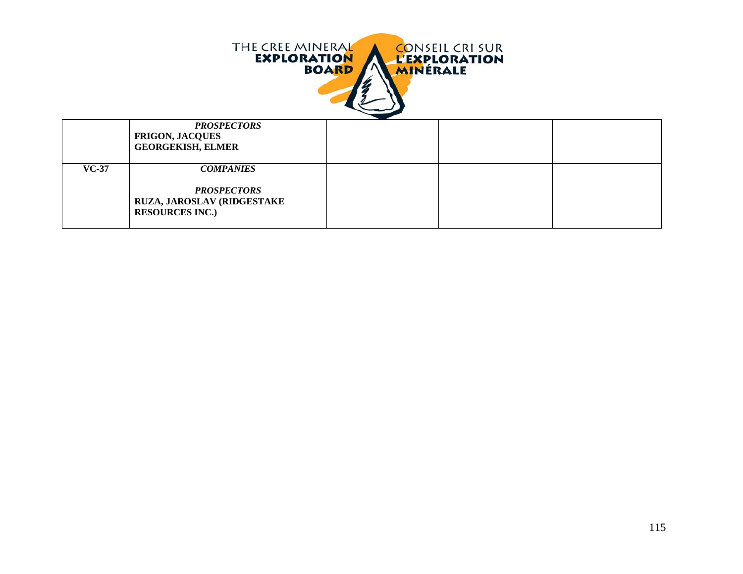

| <b>PROSPECTORS</b><br><b>FRIGON, JACQUES</b><br><b>GEORGEKISH, ELMER</b>                                          |  |  |
|-------------------------------------------------------------------------------------------------------------------|--|--|
| $VC-37$<br><b>COMPANIES</b><br><b>PROSPECTORS</b><br><b>RUZA, JAROSLAV (RIDGESTAKE)</b><br><b>RESOURCES INC.)</b> |  |  |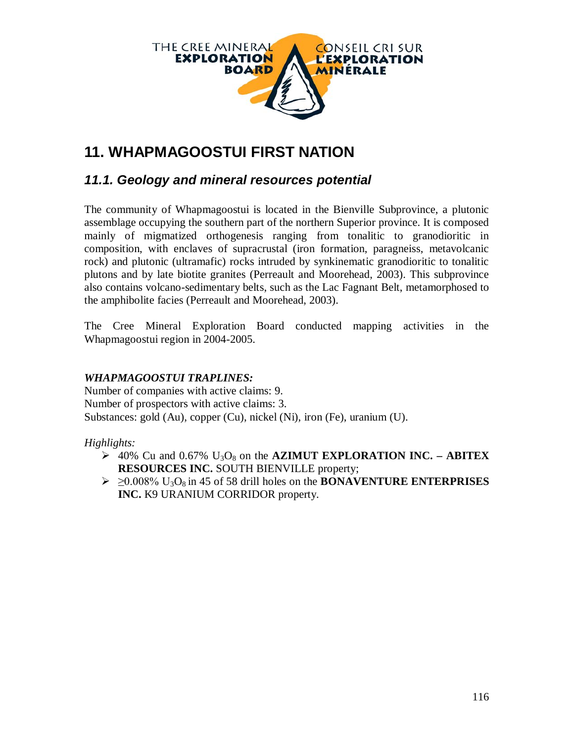

# **11. WHAPMAGOOSTUI FIRST NATION**

### *11.1. Geology and mineral resources potential*

The community of Whapmagoostui is located in the Bienville Subprovince, a plutonic assemblage occupying the southern part of the northern Superior province. It is composed mainly of migmatized orthogenesis ranging from tonalitic to granodioritic in composition, with enclaves of supracrustal (iron formation, paragneiss, metavolcanic rock) and plutonic (ultramafic) rocks intruded by synkinematic granodioritic to tonalitic plutons and by late biotite granites (Perreault and Moorehead, 2003). This subprovince also contains volcano-sedimentary belts, such as the Lac Fagnant Belt, metamorphosed to the amphibolite facies (Perreault and Moorehead, 2003).

The Cree Mineral Exploration Board conducted mapping activities in the Whapmagoostui region in 2004-2005.

### *WHAPMAGOOSTUI TRAPLINES:*

Number of companies with active claims: 9. Number of prospectors with active claims: 3. Substances: gold (Au), copper (Cu), nickel (Ni), iron (Fe), uranium (U).

### *Highlights:*

- $\geq 40\%$  Cu and 0.67% U<sub>3</sub>O<sub>8</sub> on the **AZIMUT EXPLORATION INC. ABITEX RESOURCES INC.** SOUTH BIENVILLE property;
- $\geq 0.008\%$  U<sub>3</sub>O<sub>8</sub> in 45 of 58 drill holes on the **BONAVENTURE ENTERPRISES INC.** K9 URANIUM CORRIDOR property.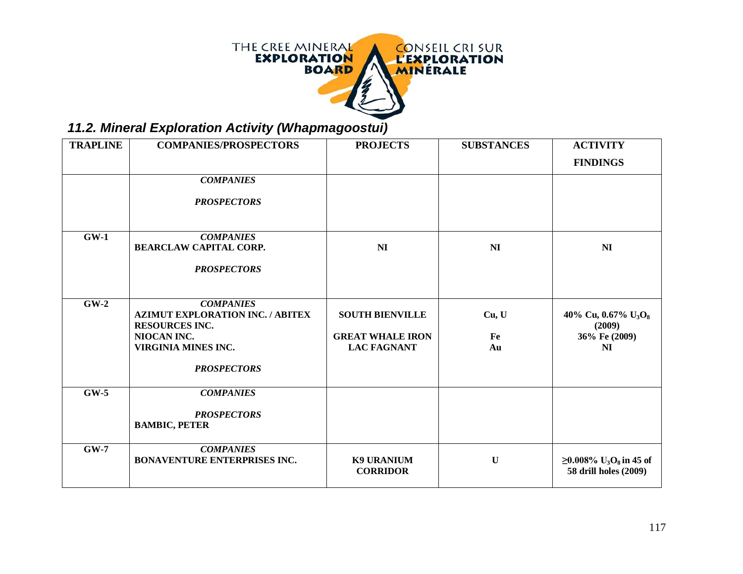

*11.2. Mineral Exploration Activity (Whapmagoostui)*

| <b>TRAPLINE</b> | <b>COMPANIES/PROSPECTORS</b>                                                                                               | <b>PROJECTS</b>                                                         | <b>SUBSTANCES</b> | <b>ACTIVITY</b>                                                            |
|-----------------|----------------------------------------------------------------------------------------------------------------------------|-------------------------------------------------------------------------|-------------------|----------------------------------------------------------------------------|
|                 |                                                                                                                            |                                                                         |                   | <b>FINDINGS</b>                                                            |
|                 | <b>COMPANIES</b>                                                                                                           |                                                                         |                   |                                                                            |
|                 | <b>PROSPECTORS</b>                                                                                                         |                                                                         |                   |                                                                            |
| $GW-1$          | <b>COMPANIES</b>                                                                                                           |                                                                         |                   |                                                                            |
|                 | <b>BEARCLAW CAPITAL CORP.</b>                                                                                              | NI                                                                      | NI                | N <sub>I</sub>                                                             |
|                 | <b>PROSPECTORS</b>                                                                                                         |                                                                         |                   |                                                                            |
|                 |                                                                                                                            |                                                                         |                   |                                                                            |
| $GW-2$          | <b>COMPANIES</b><br><b>AZIMUT EXPLORATION INC. / ABITEX</b><br><b>RESOURCES INC.</b><br>NIOCAN INC.<br>VIRGINIA MINES INC. | <b>SOUTH BIENVILLE</b><br><b>GREAT WHALE IRON</b><br><b>LAC FAGNANT</b> | Cu, U<br>Fe<br>Au | 40% Cu, 0.67% $U_3O_8$<br>(2009)<br>36% Fe (2009)<br>NI                    |
|                 | <b>PROSPECTORS</b>                                                                                                         |                                                                         |                   |                                                                            |
| $GW-5$          | <b>COMPANIES</b><br><b>PROSPECTORS</b><br><b>BAMBIC, PETER</b>                                                             |                                                                         |                   |                                                                            |
| $GW-7$          | <b>COMPANIES</b><br><b>BONAVENTURE ENTERPRISES INC.</b>                                                                    | <b>K9 URANIUM</b><br><b>CORRIDOR</b>                                    | $\mathbf U$       | $≥0.008\%$ U <sub>3</sub> O <sub>8</sub> in 45 of<br>58 drill holes (2009) |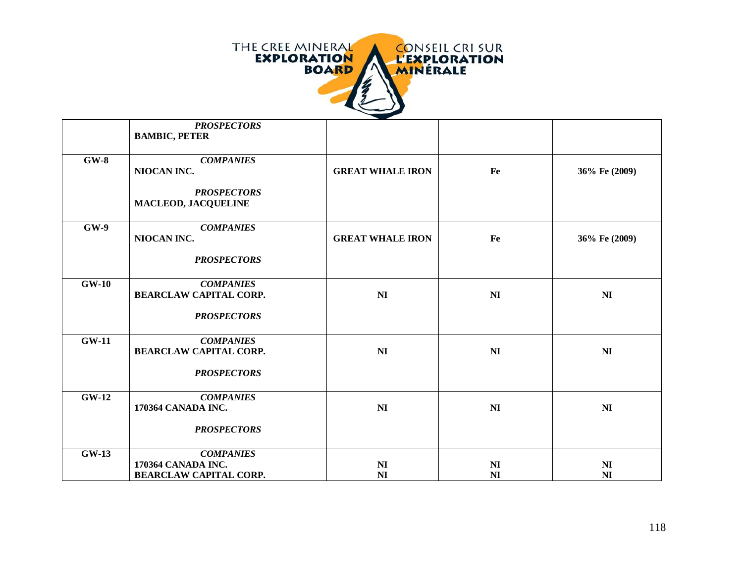

|         | <b>PROSPECTORS</b><br><b>BAMBIC, PETER</b>        |                                  |                                  |                                  |
|---------|---------------------------------------------------|----------------------------------|----------------------------------|----------------------------------|
| $GW-8$  | <b>COMPANIES</b>                                  |                                  |                                  |                                  |
|         | NIOCAN INC.                                       | <b>GREAT WHALE IRON</b>          | Fe                               | 36% Fe (2009)                    |
|         | <b>PROSPECTORS</b><br><b>MACLEOD, JACQUELINE</b>  |                                  |                                  |                                  |
| $GW-9$  | <b>COMPANIES</b><br>NIOCAN INC.                   | <b>GREAT WHALE IRON</b>          | Fe                               | 36% Fe (2009)                    |
|         | <b>PROSPECTORS</b>                                |                                  |                                  |                                  |
| $GW-10$ | <b>COMPANIES</b>                                  |                                  |                                  |                                  |
|         | <b>BEARCLAW CAPITAL CORP.</b>                     | NI                               | N <sub>I</sub>                   | N <sub>I</sub>                   |
|         | <b>PROSPECTORS</b>                                |                                  |                                  |                                  |
| $GW-11$ | <b>COMPANIES</b><br><b>BEARCLAW CAPITAL CORP.</b> | N <sub>I</sub>                   | N <sub>I</sub>                   | N <sub>I</sub>                   |
|         |                                                   |                                  |                                  |                                  |
|         | <b>PROSPECTORS</b>                                |                                  |                                  |                                  |
| $GW-12$ | <b>COMPANIES</b>                                  |                                  |                                  |                                  |
|         | 170364 CANADA INC.                                | NI                               | NI                               | N <sub>I</sub>                   |
|         | <b>PROSPECTORS</b>                                |                                  |                                  |                                  |
| $GW-13$ | <b>COMPANIES</b>                                  |                                  |                                  |                                  |
|         | 170364 CANADA INC.                                | N <sub>I</sub><br>N <sub>I</sub> | N <sub>I</sub><br>N <sub>I</sub> | N <sub>I</sub><br>N <sub>I</sub> |
|         | <b>BEARCLAW CAPITAL CORP.</b>                     |                                  |                                  |                                  |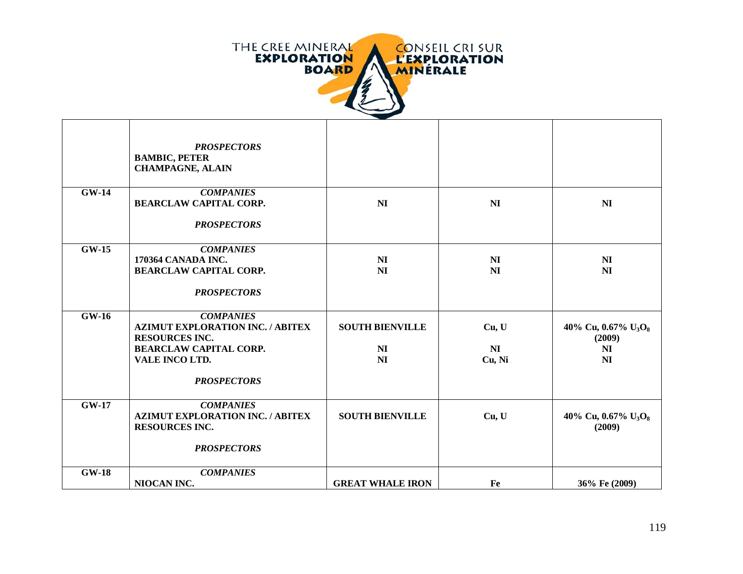

|              | <b>PROSPECTORS</b><br><b>BAMBIC, PETER</b><br><b>CHAMPAGNE, ALAIN</b> |                             |                 |                                  |
|--------------|-----------------------------------------------------------------------|-----------------------------|-----------------|----------------------------------|
| $GW-14$      | <b>COMPANIES</b><br><b>BEARCLAW CAPITAL CORP.</b>                     | N <sub>I</sub>              | N <sub>I</sub>  | N <sub>I</sub>                   |
|              |                                                                       |                             |                 |                                  |
|              | <b>PROSPECTORS</b>                                                    |                             |                 |                                  |
| $GW-15$      | <b>COMPANIES</b>                                                      |                             |                 |                                  |
|              | 170364 CANADA INC.<br><b>BEARCLAW CAPITAL CORP.</b>                   | N <sub>I</sub><br><b>NI</b> | NI<br><b>NI</b> | N <sub>I</sub><br>N <sub>I</sub> |
|              |                                                                       |                             |                 |                                  |
|              | <b>PROSPECTORS</b>                                                    |                             |                 |                                  |
| $GW-16$      | <b>COMPANIES</b>                                                      |                             |                 |                                  |
|              | <b>AZIMUT EXPLORATION INC. / ABITEX</b><br><b>RESOURCES INC.</b>      | <b>SOUTH BIENVILLE</b>      | Cu, U           | 40% Cu, 0.67% $U_3O_8$<br>(2009) |
|              | <b>BEARCLAW CAPITAL CORP.</b>                                         | N <sub>I</sub>              | N <sub>I</sub>  | N <sub>I</sub>                   |
|              | VALE INCO LTD.                                                        | N <sub>I</sub>              | Cu, Ni          | N <sub>I</sub>                   |
|              | <b>PROSPECTORS</b>                                                    |                             |                 |                                  |
| <b>GW-17</b> | <b>COMPANIES</b>                                                      |                             |                 |                                  |
|              | <b>AZIMUT EXPLORATION INC. / ABITEX</b>                               | <b>SOUTH BIENVILLE</b>      | Cu, U           | 40% Cu, 0.67% $U_3O_8$           |
|              | <b>RESOURCES INC.</b>                                                 |                             |                 | (2009)                           |
|              | <b>PROSPECTORS</b>                                                    |                             |                 |                                  |
| <b>GW-18</b> | <b>COMPANIES</b>                                                      |                             |                 |                                  |
|              | NIOCAN INC.                                                           | <b>GREAT WHALE IRON</b>     | Fe              | 36% Fe (2009)                    |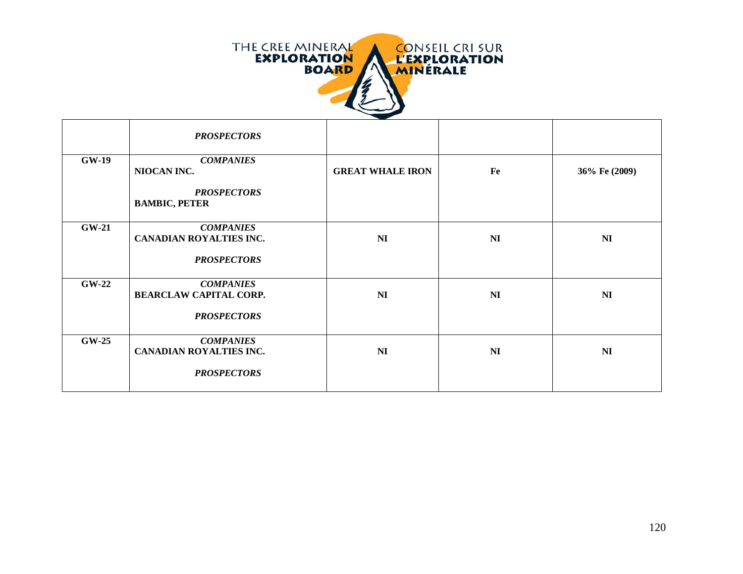

|              | <b>PROSPECTORS</b>                                 |                         |                |                |
|--------------|----------------------------------------------------|-------------------------|----------------|----------------|
| <b>GW-19</b> | <b>COMPANIES</b><br>NIOCAN INC.                    | <b>GREAT WHALE IRON</b> | Fe             | 36% Fe (2009)  |
|              | <b>PROSPECTORS</b><br><b>BAMBIC, PETER</b>         |                         |                |                |
| $GW-21$      | <b>COMPANIES</b><br><b>CANADIAN ROYALTIES INC.</b> | N <sub>I</sub>          | NI             | N <sub>I</sub> |
|              | <b>PROSPECTORS</b>                                 |                         |                |                |
| $GW-22$      | <b>COMPANIES</b><br><b>BEARCLAW CAPITAL CORP.</b>  | N <sub>I</sub>          | N <sub>I</sub> | N <sub>I</sub> |
|              | <b>PROSPECTORS</b>                                 |                         |                |                |
| $GW-25$      | <b>COMPANIES</b><br>CANADIAN ROYALTIES INC.        | N <sub>I</sub>          | NI             | N <sub>I</sub> |
|              | <b>PROSPECTORS</b>                                 |                         |                |                |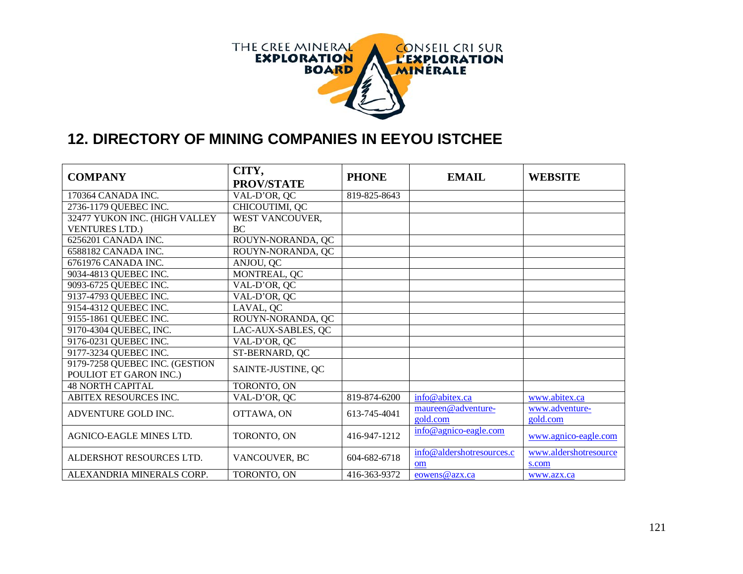

### **12. DIRECTORY OF MINING COMPANIES IN EEYOU ISTCHEE**

| <b>COMPANY</b>                 | CITY,<br><b>PROV/STATE</b> | <b>PHONE</b> | <b>EMAIL</b>                    | <b>WEBSITE</b>                 |
|--------------------------------|----------------------------|--------------|---------------------------------|--------------------------------|
| 170364 CANADA INC.             | VAL-D'OR, QC               | 819-825-8643 |                                 |                                |
| 2736-1179 QUEBEC INC.          | CHICOUTIMI, QC             |              |                                 |                                |
| 32477 YUKON INC. (HIGH VALLEY  | WEST VANCOUVER,            |              |                                 |                                |
| <b>VENTURES LTD.)</b>          | <b>BC</b>                  |              |                                 |                                |
| 6256201 CANADA INC.            | ROUYN-NORANDA, QC          |              |                                 |                                |
| 6588182 CANADA INC.            | ROUYN-NORANDA, QC          |              |                                 |                                |
| 6761976 CANADA INC.            | ANJOU, QC                  |              |                                 |                                |
| 9034-4813 QUEBEC INC.          | MONTREAL, QC               |              |                                 |                                |
| 9093-6725 QUEBEC INC.          | VAL-D'OR, QC               |              |                                 |                                |
| 9137-4793 QUEBEC INC.          | VAL-D'OR, QC               |              |                                 |                                |
| 9154-4312 QUEBEC INC.          | LAVAL, QC                  |              |                                 |                                |
| 9155-1861 QUEBEC INC.          | ROUYN-NORANDA, QC          |              |                                 |                                |
| 9170-4304 QUEBEC, INC.         | LAC-AUX-SABLES, QC         |              |                                 |                                |
| 9176-0231 QUEBEC INC.          | VAL-D'OR, QC               |              |                                 |                                |
| 9177-3234 QUEBEC INC.          | ST-BERNARD, QC             |              |                                 |                                |
| 9179-7258 QUEBEC INC. (GESTION | SAINTE-JUSTINE, QC         |              |                                 |                                |
| POULIOT ET GARON INC.)         |                            |              |                                 |                                |
| <b>48 NORTH CAPITAL</b>        | TORONTO, ON                |              |                                 |                                |
| <b>ABITEX RESOURCES INC.</b>   | VAL-D'OR, QC               | 819-874-6200 | info@abitex.ca                  | www.abitex.ca                  |
| ADVENTURE GOLD INC.            | OTTAWA, ON                 | 613-745-4041 | maureen@adventure-              | www.adventure-                 |
|                                |                            |              | gold.com                        | gold.com                       |
| AGNICO-EAGLE MINES LTD.        | TORONTO, ON                | 416-947-1212 | info@agnico-eagle.com           | www.agnico-eagle.com           |
| ALDERSHOT RESOURCES LTD.       | VANCOUVER, BC              | 604-682-6718 | info@aldershotresources.c<br>om | www.aldershotresource<br>s.com |
| ALEXANDRIA MINERALS CORP.      | TORONTO, ON                | 416-363-9372 | eowens@azx.ca                   | www.azx.ca                     |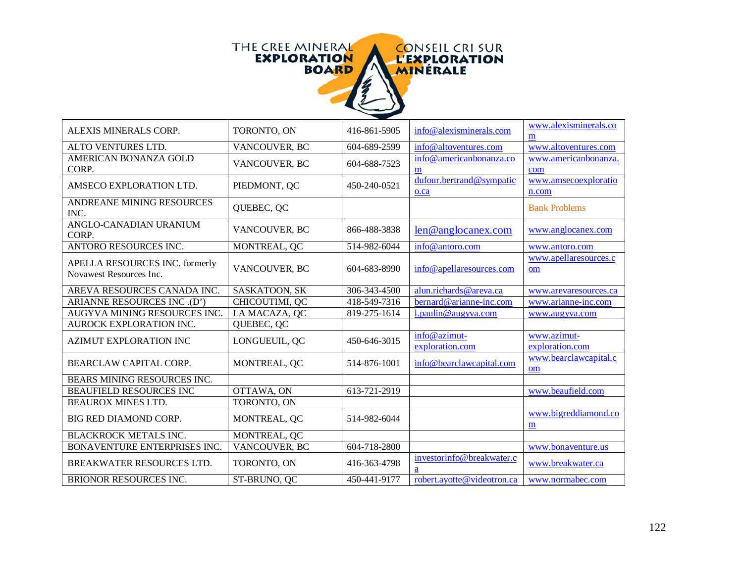

Г

| ALEXIS MINERALS CORP.                                     | TORONTO, ON    | 416-861-5905 | info@alexisminerals.com          | www.alexisminerals.co<br>m     |
|-----------------------------------------------------------|----------------|--------------|----------------------------------|--------------------------------|
| ALTO VENTURES LTD.                                        | VANCOUVER, BC  | 604-689-2599 | info@altoventures.com            | www.altoventures.com           |
| AMERICAN BONANZA GOLD<br>CORP.                            | VANCOUVER, BC  | 604-688-7523 | info@americanbonanza.co<br>m     | www.americanbonanza.<br>com    |
| AMSECO EXPLORATION LTD.                                   | PIEDMONT, QC   | 450-240-0521 | dufour.bertrand@sympatic<br>o.ca | www.amsecoexploratio<br>n.com  |
| ANDREANE MINING RESOURCES<br>INC.                         | QUEBEC, QC     |              |                                  | <b>Bank Problems</b>           |
| ANGLO-CANADIAN URANIUM<br>CORP.                           | VANCOUVER, BC  | 866-488-3838 | len@anglocanex.com               | www.anglocanex.com             |
| <b>ANTORO RESOURCES INC.</b>                              | MONTREAL, QC   | 514-982-6044 | info@antoro.com                  | www.antoro.com                 |
| APELLA RESOURCES INC. formerly<br>Novawest Resources Inc. | VANCOUVER, BC  | 604-683-8990 | info@apellaresources.com         | www.apellaresources.c<br>om    |
| AREVA RESOURCES CANADA INC.                               | SASKATOON, SK  | 306-343-4500 | alun.richards@areva.ca           | www.arevaresources.ca          |
| ARIANNE RESOURCES INC.(D')                                | CHICOUTIMI, QC | 418-549-7316 | bernard@arianne-inc.com          | www.arianne-inc.com            |
| AUGYVA MINING RESOURCES INC.                              | LA MACAZA, QC  | 819-275-1614 | l.paulin@augyva.com              | www.augyva.com                 |
| AUROCK EXPLORATION INC.                                   | QUEBEC, QC     |              |                                  |                                |
| AZIMUT EXPLORATION INC                                    | LONGUEUIL, QC  | 450-646-3015 | info@azimut-<br>exploration.com  | www.azimut-<br>exploration.com |
| BEARCLAW CAPITAL CORP.                                    | MONTREAL, QC   | 514-876-1001 | info@bearclawcapital.com         | www.bearclawcapital.c<br>om    |
| BEARS MINING RESOURCES INC.                               |                |              |                                  |                                |
| <b>BEAUFIELD RESOURCES INC</b>                            | OTTAWA, ON     | 613-721-2919 |                                  | www.beaufield.com              |
| BEAUROX MINES LTD.                                        | TORONTO, ON    |              |                                  |                                |
| BIG RED DIAMOND CORP.                                     | MONTREAL, QC   | 514-982-6044 |                                  | www.bigreddiamond.co<br>m      |
| <b>BLACKROCK METALS INC.</b>                              | MONTREAL, QC   |              |                                  |                                |
| BONAVENTURE ENTERPRISES INC.                              | VANCOUVER, BC  | 604-718-2800 |                                  | www.bonaventure.us             |
| BREAKWATER RESOURCES LTD.                                 | TORONTO, ON    | 416-363-4798 | investorinfo@breakwater.c<br>a   | www.breakwater.ca              |
| <b>BRIONOR RESOURCES INC.</b>                             | ST-BRUNO, QC   | 450-441-9177 | robert.ayotte@videotron.ca       | www.normabec.com               |

┑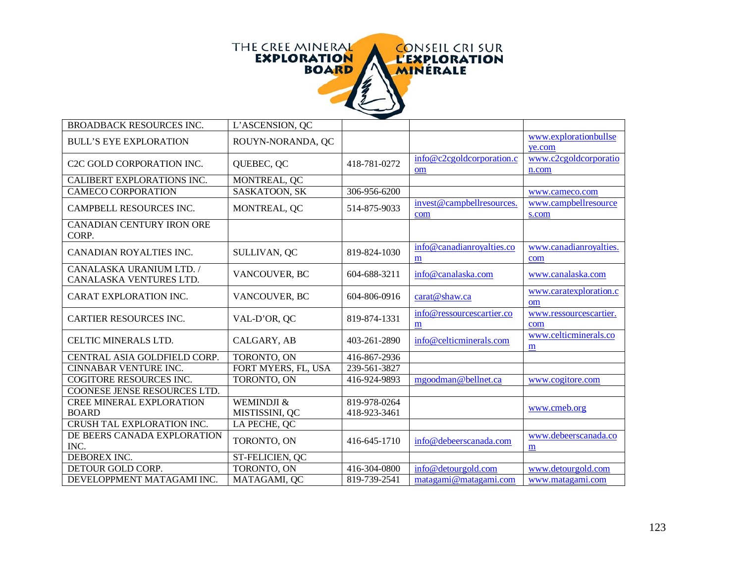

| <b>BROADBACK RESOURCES INC.</b>                     | L'ASCENSION, QC     |              |                                            |                                 |
|-----------------------------------------------------|---------------------|--------------|--------------------------------------------|---------------------------------|
| <b>BULL'S EYE EXPLORATION</b>                       | ROUYN-NORANDA, QC   |              |                                            | www.explorationbullse<br>ye.com |
| C <sub>2</sub> C GOLD CORPORATION INC.              | QUEBEC, QC          | 418-781-0272 | info@c2cgoldcorporation.c<br><sub>om</sub> | www.c2cgoldcorporatio<br>n.com  |
| CALIBERT EXPLORATIONS INC.                          | MONTREAL, QC        |              |                                            |                                 |
| <b>CAMECO CORPORATION</b>                           | SASKATOON, SK       | 306-956-6200 |                                            | www.cameco.com                  |
| CAMPBELL RESOURCES INC.                             | MONTREAL, QC        | 514-875-9033 | invest@campbellresources.<br>com           | www.campbellresource<br>s.com   |
| CANADIAN CENTURY IRON ORE<br>CORP.                  |                     |              |                                            |                                 |
| CANADIAN ROYALTIES INC.                             | SULLIVAN, QC        | 819-824-1030 | info@canadianroyalties.co<br>m             | www.canadianroyalties.<br>com   |
| CANALASKA URANIUM LTD. /<br>CANALASKA VENTURES LTD. | VANCOUVER, BC       | 604-688-3211 | info@canalaska.com                         | www.canalaska.com               |
| CARAT EXPLORATION INC.                              | VANCOUVER, BC       | 604-806-0916 | carat@shaw.ca                              | www.caratexploration.c<br>om    |
| <b>CARTIER RESOURCES INC.</b>                       | VAL-D'OR, QC        | 819-874-1331 | info@ressourcescartier.co<br>m             | www.ressourcescartier.<br>com   |
| CELTIC MINERALS LTD.                                | CALGARY, AB         | 403-261-2890 | info@celticminerals.com                    | www.celticminerals.co<br>m      |
| CENTRAL ASIA GOLDFIELD CORP.                        | TORONTO, ON         | 416-867-2936 |                                            |                                 |
| <b>CINNABAR VENTURE INC.</b>                        | FORT MYERS, FL, USA | 239-561-3827 |                                            |                                 |
| COGITORE RESOURCES INC.                             | TORONTO, ON         | 416-924-9893 | mgoodman@bellnet.ca                        | www.cogitore.com                |
| COONESE JENSE RESOURCES LTD.                        |                     |              |                                            |                                 |
| <b>CREE MINERAL EXPLORATION</b>                     | WEMINDJI &          | 819-978-0264 |                                            | www.cmeb.org                    |
| <b>BOARD</b>                                        | MISTISSINI, QC      | 418-923-3461 |                                            |                                 |
| CRUSH TAL EXPLORATION INC.                          | LA PECHE, QC        |              |                                            |                                 |
| DE BEERS CANADA EXPLORATION<br>INC.                 | TORONTO, ON         | 416-645-1710 | info@debeerscanada.com                     | www.debeerscanada.co<br>m       |
| DEBOREX INC.                                        | ST-FELICIEN, QC     |              |                                            |                                 |
| DETOUR GOLD CORP.                                   | TORONTO, ON         | 416-304-0800 | info@detourgold.com                        | www.detourgold.com              |
| DEVELOPPMENT MATAGAMI INC.                          | MATAGAMI, OC        | 819-739-2541 | matagami@matagami.com                      | www.matagami.com                |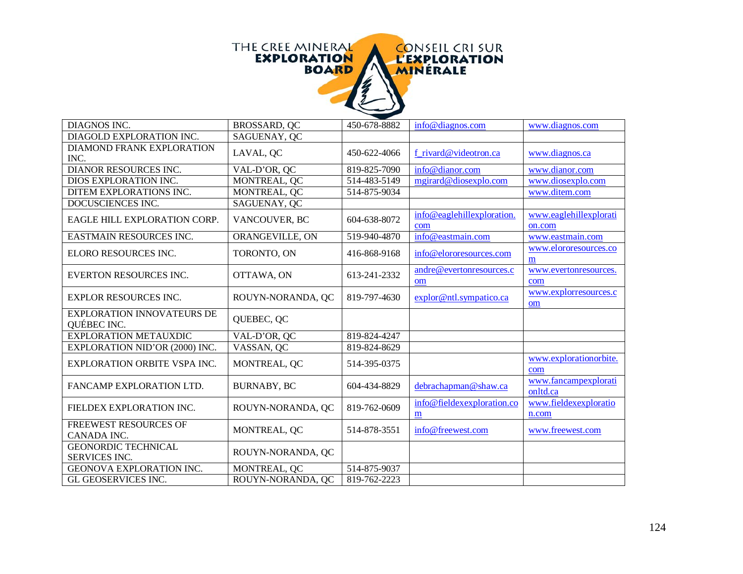

| DIAGNOS INC.                                       | BROSSARD, QC       | 450-678-8882 | info@diagnos.com                  | www.diagnos.com                  |
|----------------------------------------------------|--------------------|--------------|-----------------------------------|----------------------------------|
| DIAGOLD EXPLORATION INC.                           | SAGUENAY, QC       |              |                                   |                                  |
| DIAMOND FRANK EXPLORATION<br>INC.                  | LAVAL, QC          | 450-622-4066 | f rivard@videotron.ca             | www.diagnos.ca                   |
| DIANOR RESOURCES INC.                              | VAL-D'OR, QC       | 819-825-7090 | info@dianor.com                   | www.dianor.com                   |
| DIOS EXPLORATION INC.                              | MONTREAL, QC       | 514-483-5149 | mgirard@diosexplo.com             | www.diosexplo.com                |
| DITEM EXPLORATIONS INC.                            | MONTREAL, QC       | 514-875-9034 |                                   | www.ditem.com                    |
| DOCUSCIENCES INC.                                  | SAGUENAY, QC       |              |                                   |                                  |
| EAGLE HILL EXPLORATION CORP.                       | VANCOUVER, BC      | 604-638-8072 | info@eaglehillexploration.<br>com | www.eaglehillexplorati<br>on.com |
| EASTMAIN RESOURCES INC.                            | ORANGEVILLE, ON    | 519-940-4870 | info@eastmain.com                 | www.eastmain.com                 |
| ELORO RESOURCES INC.                               | TORONTO, ON        | 416-868-9168 | info@elororesources.com           | www.elororesources.co<br>m       |
| <b>EVERTON RESOURCES INC.</b>                      | OTTAWA, ON         | 613-241-2332 | andre@evertonresources.c<br>om    | www.evertonresources.<br>com     |
| <b>EXPLOR RESOURCES INC.</b>                       | ROUYN-NORANDA, QC  | 819-797-4630 | explor@ntl.sympatico.ca           | www.explorresources.c<br>om      |
| <b>EXPLORATION INNOVATEURS DE</b><br>QUÉBEC INC.   | QUEBEC, QC         |              |                                   |                                  |
| <b>EXPLORATION METAUXDIC</b>                       | VAL-D'OR, QC       | 819-824-4247 |                                   |                                  |
| EXPLORATION NID'OR (2000) INC.                     | VASSAN, QC         | 819-824-8629 |                                   |                                  |
| <b>EXPLORATION ORBITE VSPA INC.</b>                | MONTREAL, QC       | 514-395-0375 |                                   | www.explorationorbite.<br>com    |
| FANCAMP EXPLORATION LTD.                           | <b>BURNABY, BC</b> | 604-434-8829 | debrachapman@shaw.ca              | www.fancampexplorati<br>onltd.ca |
| FIELDEX EXPLORATION INC.                           | ROUYN-NORANDA, QC  | 819-762-0609 | info@fieldexexploration.co<br>m   | www.fieldexexploratio<br>n.com   |
| FREEWEST RESOURCES OF<br>CANADA INC.               | MONTREAL, QC       | 514-878-3551 | info@freewest.com                 | www.freewest.com                 |
| <b>GEONORDIC TECHNICAL</b><br><b>SERVICES INC.</b> | ROUYN-NORANDA, QC  |              |                                   |                                  |
| GEONOVA EXPLORATION INC.                           | MONTREAL, QC       | 514-875-9037 |                                   |                                  |
| GL GEOSERVICES INC.                                | ROUYN-NORANDA, QC  | 819-762-2223 |                                   |                                  |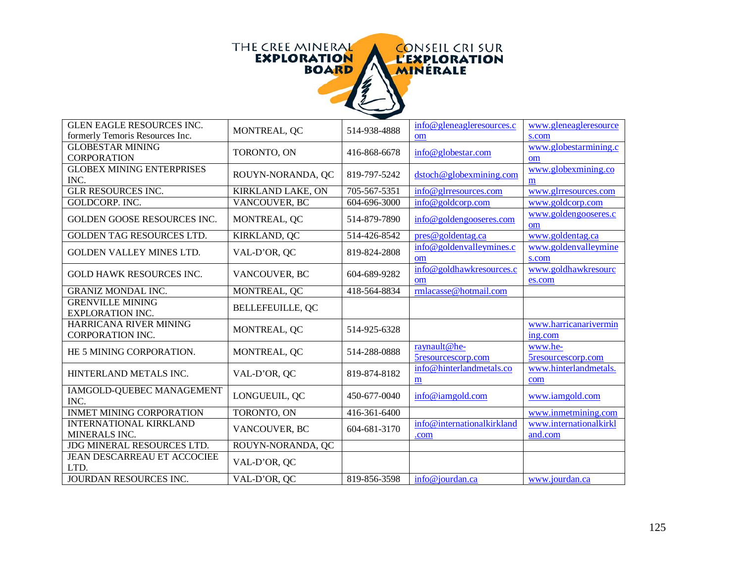

| <b>GLEN EAGLE RESOURCES INC.</b>                           | MONTREAL, QC             | 514-938-4888 | $info@$ gleneagle resources.c | www.gleneagleresource          |
|------------------------------------------------------------|--------------------------|--------------|-------------------------------|--------------------------------|
| formerly Temoris Resources Inc.<br><b>GLOBESTAR MINING</b> |                          |              | om                            | s.com<br>www.globestarmining.c |
| <b>CORPORATION</b>                                         | TORONTO, ON              | 416-868-6678 | info@globestar.com            | om                             |
| <b>GLOBEX MINING ENTERPRISES</b>                           |                          |              |                               | www.globexmining.co            |
| INC.                                                       | ROUYN-NORANDA, QC        | 819-797-5242 | dstoch@globexmining.com       | m                              |
| <b>GLR RESOURCES INC.</b>                                  | <b>KIRKLAND LAKE, ON</b> | 705-567-5351 | info@glrresources.com         | www.glrresources.com           |
| <b>GOLDCORP. INC.</b>                                      | VANCOUVER, BC            | 604-696-3000 | info@goldcorp.com             | www.goldcorp.com               |
| <b>GOLDEN GOOSE RESOURCES INC.</b>                         | MONTREAL, QC             | 514-879-7890 | info@goldengooseres.com       | www.goldengooseres.c<br>om     |
| GOLDEN TAG RESOURCES LTD.                                  | KIRKLAND, QC             | 514-426-8542 | pres@goldentag.ca             | www.goldentag.ca               |
| GOLDEN VALLEY MINES LTD.                                   | VAL-D'OR, QC             | 819-824-2808 | info@goldenvalleymines.c      | www.goldenvalleymine           |
|                                                            |                          |              | om                            | s.com                          |
| <b>GOLD HAWK RESOURCES INC.</b>                            | VANCOUVER, BC            | 604-689-9282 | info@goldhawkresources.c      | www.goldhawkresourc            |
|                                                            |                          |              | om                            | es.com                         |
| <b>GRANIZ MONDAL INC.</b>                                  | MONTREAL, QC             | 418-564-8834 | rmlacasse@hotmail.com         |                                |
| <b>GRENVILLE MINING</b><br><b>EXPLORATION INC.</b>         | <b>BELLEFEUILLE, QC</b>  |              |                               |                                |
| HARRICANA RIVER MINING                                     | MONTREAL, QC             | 514-925-6328 |                               | www.harricanarivermin          |
| <b>CORPORATION INC.</b>                                    |                          |              |                               | ing.com                        |
| HE 5 MINING CORPORATION.                                   | MONTREAL, QC             | 514-288-0888 | raynault@he-                  | www.he-                        |
|                                                            |                          |              | 5resourcescorp.com            | 5resourcescorp.com             |
| HINTERLAND METALS INC.                                     | VAL-D'OR, QC             | 819-874-8182 | info@hinterlandmetals.co<br>m | www.hinterlandmetals.<br>com   |
| IAMGOLD-QUEBEC MANAGEMENT                                  | LONGUEUIL, QC            | 450-677-0040 | info@iamgold.com              | www.iamgold.com                |
| INC.                                                       |                          |              |                               |                                |
| <b>INMET MINING CORPORATION</b>                            | TORONTO, ON              | 416-361-6400 |                               | www.inmetmining.com            |
| <b>INTERNATIONAL KIRKLAND</b>                              | VANCOUVER, BC            | 604-681-3170 | info@internationalkirkland    | www.internationalkirkl         |
| MINERALS INC.                                              |                          |              | .com                          | and.com                        |
| <b>JDG MINERAL RESOURCES LTD.</b>                          | ROUYN-NORANDA, QC        |              |                               |                                |
| JEAN DESCARREAU ET ACCOCIEE<br>LTD.                        | VAL-D'OR, QC             |              |                               |                                |
| JOURDAN RESOURCES INC.                                     | VAL-D'OR, OC             | 819-856-3598 | info@jourdan.ca               | www.jourdan.ca                 |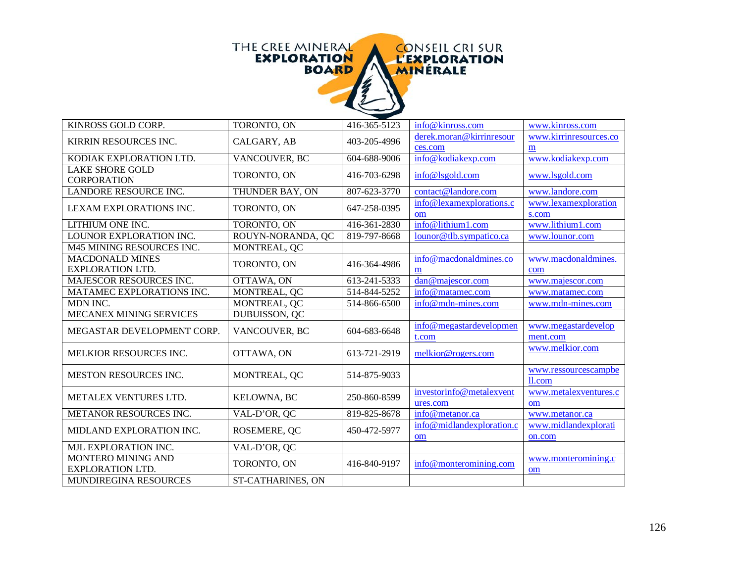

| KINROSS GOLD CORP.                                   | TORONTO, ON              | 416-365-5123 | info@kinross.com                     | www.kinross.com                 |
|------------------------------------------------------|--------------------------|--------------|--------------------------------------|---------------------------------|
| KIRRIN RESOURCES INC.                                | CALGARY, AB              | 403-205-4996 | derek.moran@kirrinresour<br>ces.com  | www.kirrinresources.co<br>m     |
| KODIAK EXPLORATION LTD.                              | VANCOUVER, BC            | 604-688-9006 | info@kodiakexp.com                   | www.kodiakexp.com               |
| <b>LAKE SHORE GOLD</b><br><b>CORPORATION</b>         | TORONTO, ON              | 416-703-6298 | info@lsgold.com                      | www.lsgold.com                  |
| LANDORE RESOURCE INC.                                | THUNDER BAY, ON          | 807-623-3770 | contact@landore.com                  | www.landore.com                 |
| LEXAM EXPLORATIONS INC.                              | TORONTO, ON              | 647-258-0395 | info@lexamexplorations.c<br>om       | www.lexamexploration<br>s.com   |
| LITHIUM ONE INC.                                     | TORONTO, ON              | 416-361-2830 | info@lithium1.com                    | www.lithium1.com                |
| LOUNOR EXPLORATION INC.                              | ROUYN-NORANDA, QC        | 819-797-8668 | lounor@tlb.sympatico.ca              | www.lounor.com                  |
| M45 MINING RESOURCES INC.                            | MONTREAL, QC             |              |                                      |                                 |
| <b>MACDONALD MINES</b><br><b>EXPLORATION LTD.</b>    | TORONTO, ON              | 416-364-4986 | info@macdonaldmines.co<br>m          | www.macdonaldmines.<br>com      |
| MAJESCOR RESOURCES INC.                              | OTTAWA, ON               | 613-241-5333 | dan@majescor.com                     | www.majescor.com                |
| MATAMEC EXPLORATIONS INC.                            | MONTREAL, QC             | 514-844-5252 | info@matamec.com                     | www.matamec.com                 |
| MDN INC.                                             | MONTREAL, QC             | 514-866-6500 | info@mdn-mines.com                   | www.mdn-mines.com               |
| MECANEX MINING SERVICES                              | DUBUISSON, QC            |              |                                      |                                 |
| MEGASTAR DEVELOPMENT CORP.                           | VANCOUVER, BC            | 604-683-6648 | info@megastardevelopmen<br>t.com     | www.megastardevelop<br>ment.com |
| MELKIOR RESOURCES INC.                               | OTTAWA, ON               | 613-721-2919 | melkior@rogers.com                   | www.melkior.com                 |
| <b>MESTON RESOURCES INC.</b>                         | MONTREAL, QC             | 514-875-9033 |                                      | www.ressourcescampbe<br>ll.com  |
| METALEX VENTURES LTD.                                | KELOWNA, BC              | 250-860-8599 | investorinfo@metalexvent<br>ures.com | www.metalexventures.c<br>om     |
| METANOR RESOURCES INC.                               | VAL-D'OR, QC             | 819-825-8678 | info@metanor.ca                      | www.metanor.ca                  |
| MIDLAND EXPLORATION INC.                             | ROSEMERE, QC             | 450-472-5977 | info@midlandexploration.c<br>om      | www.midlandexplorati<br>on.com  |
| MJL EXPLORATION INC.                                 | VAL-D'OR, QC             |              |                                      |                                 |
| <b>MONTERO MINING AND</b><br><b>EXPLORATION LTD.</b> | TORONTO, ON              | 416-840-9197 | info@monteromining.com               | www.monteromining.c<br>om       |
| <b>MUNDIREGINA RESOURCES</b>                         | <b>ST-CATHARINES, ON</b> |              |                                      |                                 |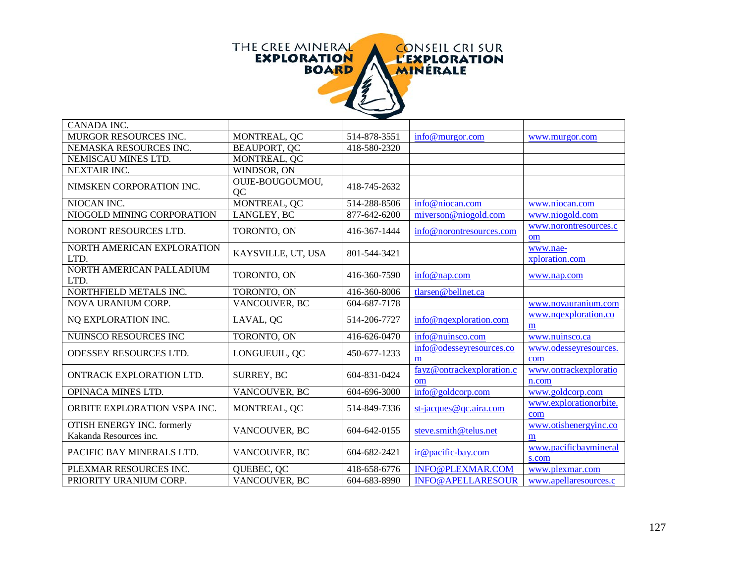

| CANADA INC.                                                 |                       |              |                                 |                                |
|-------------------------------------------------------------|-----------------------|--------------|---------------------------------|--------------------------------|
| MURGOR RESOURCES INC.                                       | MONTREAL, QC          | 514-878-3551 | info@murgor.com                 | www.murgor.com                 |
| NEMASKA RESOURCES INC.                                      | BEAUPORT, QC          | 418-580-2320 |                                 |                                |
| NEMISCAU MINES LTD.                                         | MONTREAL, QC          |              |                                 |                                |
| <b>NEXTAIR INC.</b>                                         | WINDSOR, ON           |              |                                 |                                |
| NIMSKEN CORPORATION INC.                                    | OUJE-BOUGOUMOU,<br>QC | 418-745-2632 |                                 |                                |
| NIOCAN INC.                                                 | MONTREAL, QC          | 514-288-8506 | info@niocan.com                 | www.niocan.com                 |
| NIOGOLD MINING CORPORATION                                  | LANGLEY, BC           | 877-642-6200 | miverson@niogold.com            | www.niogold.com                |
| NORONT RESOURCES LTD.                                       | TORONTO, ON           | 416-367-1444 | info@norontresources.com        | www.norontresources.c<br>om    |
| NORTH AMERICAN EXPLORATION<br>LTD.                          | KAYSVILLE, UT, USA    | 801-544-3421 |                                 | www.nae-<br>xploration.com     |
| NORTH AMERICAN PALLADIUM<br>LTD.                            | TORONTO, ON           | 416-360-7590 | info@nap.com                    | www.nap.com                    |
| NORTHFIELD METALS INC.                                      | TORONTO, ON           | 416-360-8006 | tlarsen@bellnet.ca              |                                |
| NOVA URANIUM CORP.                                          | VANCOUVER, BC         | 604-687-7178 |                                 | www.novauranium.com            |
| NQ EXPLORATION INC.                                         | LAVAL, QC             | 514-206-7727 | info@nqexploration.com          | www.ngexploration.co<br>m      |
| NUINSCO RESOURCES INC                                       | TORONTO, ON           | 416-626-0470 | info@nuinsco.com                | www.nuinsco.ca                 |
| ODESSEY RESOURCES LTD.                                      | LONGUEUIL, QC         | 450-677-1233 | info@odesseyresources.co<br>m   | www.odesseyresources.<br>com   |
| ONTRACK EXPLORATION LTD.                                    | <b>SURREY, BC</b>     | 604-831-0424 | fayz@ontrackexploration.c<br>om | www.ontrackexploratio<br>n.com |
| <b>OPINACA MINES LTD.</b>                                   | VANCOUVER, BC         | 604-696-3000 | info@goldcorp.com               | www.goldcorp.com               |
| ORBITE EXPLORATION VSPA INC.                                | MONTREAL, QC          | 514-849-7336 | st-jacques@qc.aira.com          | www.explorationorbite.<br>com  |
| <b>OTISH ENERGY INC. formerly</b><br>Kakanda Resources inc. | VANCOUVER, BC         | 604-642-0155 | steve.smith@telus.net           | www.otishenergyinc.co<br>m     |
| PACIFIC BAY MINERALS LTD.                                   | VANCOUVER, BC         | 604-682-2421 | ir@pacific-bay.com              | www.pacificbaymineral<br>s.com |
| PLEXMAR RESOURCES INC.                                      | QUEBEC, QC            | 418-658-6776 | INFO@PLEXMAR.COM                | www.plexmar.com                |
| PRIORITY URANIUM CORP.                                      | VANCOUVER, BC         | 604-683-8990 | <b>INFO@APELLARESOUR</b>        | www.apellaresources.c          |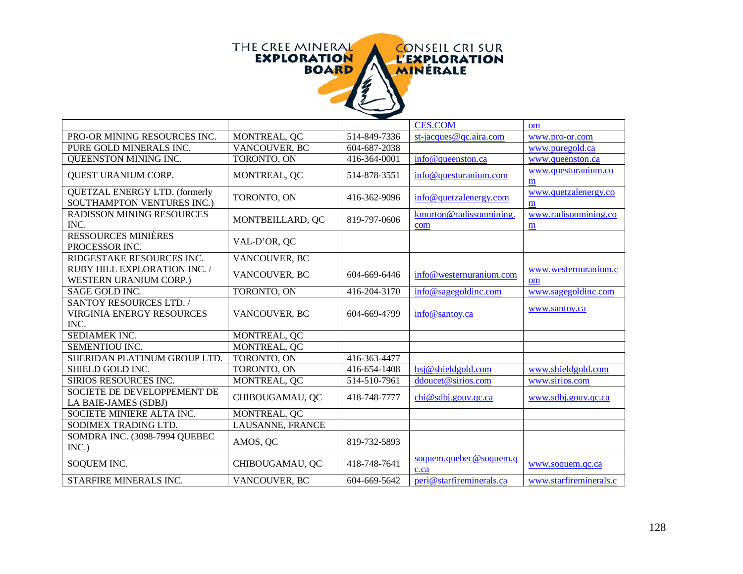

|                                                                            |                  |              | <b>CES.COM</b>                 | om                         |
|----------------------------------------------------------------------------|------------------|--------------|--------------------------------|----------------------------|
| PRO-OR MINING RESOURCES INC.                                               | MONTREAL, QC     | 514-849-7336 | $st$ -jacques@qc.aira.com      | www.pro-or.com             |
| PURE GOLD MINERALS INC.                                                    | VANCOUVER, BC    | 604-687-2038 |                                | www.puregold.ca            |
| QUEENSTON MINING INC.                                                      | TORONTO, ON      | 416-364-0001 | info@queenston.ca              | www.queenston.ca           |
| QUEST URANIUM CORP.                                                        | MONTREAL, QC     | 514-878-3551 | info@questuranium.com          | www.questuranium.co<br>m   |
| QUETZAL ENERGY LTD. (formerly<br>SOUTHAMPTON VENTURES INC.)                | TORONTO, ON      | 416-362-9096 | info@quetzalenergy.com         | www.quetzalenergy.co<br>m  |
| RADISSON MINING RESOURCES<br>INC.                                          | MONTBEILLARD, QC | 819-797-0606 | kmurton@radissonmining.<br>com | www.radisonmining.co<br>m  |
| <b>RESSOURCES MINIÈRES</b><br>PROCESSOR INC.                               | VAL-D'OR, QC     |              |                                |                            |
| RIDGESTAKE RESOURCES INC.                                                  | VANCOUVER, BC    |              |                                |                            |
| RUBY HILL EXPLORATION INC. /<br><b>WESTERN URANIUM CORP.)</b>              | VANCOUVER, BC    | 604-669-6446 | info@westernuranium.com        | www.westernuranium.c<br>om |
| SAGE GOLD INC.                                                             | TORONTO, ON      | 416-204-3170 | info@sagegoldinc.com           | www.sagegoldinc.com        |
| <b>SANTOY RESOURCES LTD. /</b><br><b>VIRGINIA ENERGY RESOURCES</b><br>INC. | VANCOUVER, BC    | 604-669-4799 | info@santov.ca                 | www.santoy.ca              |
| <b>SEDIAMEK INC.</b>                                                       | MONTREAL, QC     |              |                                |                            |
| SEMENTIOU INC.                                                             | MONTREAL, QC     |              |                                |                            |
| SHERIDAN PLATINUM GROUP LTD.                                               | TORONTO, ON      | 416-363-4477 |                                |                            |
| SHIELD GOLD INC.                                                           | TORONTO, ON      | 416-654-1408 | hsj@shieldgold.com             | www.shieldgold.com         |
| SIRIOS RESOURCES INC.                                                      | MONTREAL, QC     | 514-510-7961 | ddoucet@sirios.com             | www.sirios.com             |
| <b>SOCIETE DE DEVELOPPEMENT DE</b><br>LA BAIE-JAMES (SDBJ)                 | CHIBOUGAMAU, QC  | 418-748-7777 | chi@sdbj.gouv.qc.ca            | www.sdbj.gouv.qc.ca        |
| SOCIETE MINIERE ALTA INC.                                                  | MONTREAL, QC     |              |                                |                            |
| SODIMEX TRADING LTD.                                                       | LAUSANNE, FRANCE |              |                                |                            |
| SOMDRA INC. (3098-7994 QUEBEC<br>INC.)                                     | AMOS, QC         | 819-732-5893 |                                |                            |
| SOQUEM INC.                                                                | CHIBOUGAMAU, QC  | 418-748-7641 | soquem.quebec@soquem.q<br>c.ca | www.soquem.qc.ca           |
| STARFIRE MINERALS INC.                                                     | VANCOUVER, BC    | 604-669-5642 | peri@starfireminerals.ca       | www.starfireminerals.c     |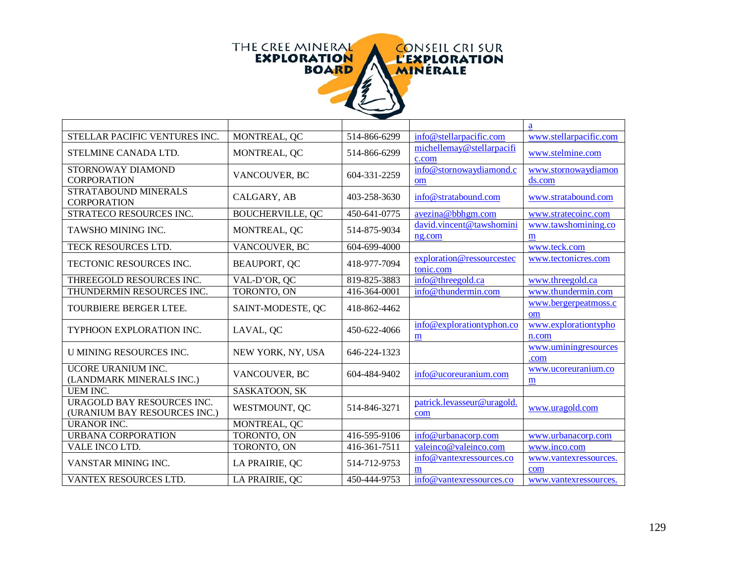

|                                                            |                         |              |                                        | a                             |
|------------------------------------------------------------|-------------------------|--------------|----------------------------------------|-------------------------------|
| STELLAR PACIFIC VENTURES INC.                              | MONTREAL, QC            | 514-866-6299 | info@stellarpacific.com                | www.stellarpacific.com        |
| STELMINE CANADA LTD.                                       | MONTREAL, QC            | 514-866-6299 | michellemay@stellarpacifi<br>c.com     | www.stelmine.com              |
| STORNOWAY DIAMOND<br><b>CORPORATION</b>                    | VANCOUVER, BC           | 604-331-2259 | info@stornowaydiamond.c<br>om          | www.stornowaydiamon<br>ds.com |
| <b>STRATABOUND MINERALS</b><br><b>CORPORATION</b>          | CALGARY, AB             | 403-258-3630 | info@stratabound.com                   | www.stratabound.com           |
| STRATECO RESOURCES INC.                                    | <b>BOUCHERVILLE, QC</b> | 450-641-0775 | avezina@bbhgm.com                      | www.stratecoinc.com           |
| <b>TAWSHO MINING INC.</b>                                  | MONTREAL, QC            | 514-875-9034 | david.vincent@tawshomini<br>ng.com     | www.tawshomining.co<br>m      |
| TECK RESOURCES LTD.                                        | VANCOUVER, BC           | 604-699-4000 |                                        | www.teck.com                  |
| <b>TECTONIC RESOURCES INC.</b>                             | <b>BEAUPORT, QC</b>     | 418-977-7094 | exploration@ressourcestec<br>tonic.com | www.tectonicres.com           |
| THREEGOLD RESOURCES INC.                                   | VAL-D'OR, QC            | 819-825-3883 | info@threegold.ca                      | www.threegold.ca              |
| THUNDERMIN RESOURCES INC.                                  | TORONTO, ON             | 416-364-0001 | info@thundermin.com                    | www.thundermin.com            |
| TOURBIERE BERGER LTEE.                                     | SAINT-MODESTE, QC       | 418-862-4462 |                                        | www.bergerpeatmoss.c<br>om    |
| TYPHOON EXPLORATION INC.                                   | LAVAL, QC               | 450-622-4066 | info@explorationtyphon.co<br>m         | www.explorationtypho<br>n.com |
| U MINING RESOURCES INC.                                    | NEW YORK, NY, USA       | 646-224-1323 |                                        | www.uminingresources<br>.com  |
| UCORE URANIUM INC.<br>(LANDMARK MINERALS INC.)             | VANCOUVER, BC           | 604-484-9402 | info@ucoreuranium.com                  | www.ucoreuranium.co<br>m      |
| <b>UEM INC.</b>                                            | SASKATOON, SK           |              |                                        |                               |
| URAGOLD BAY RESOURCES INC.<br>(URANIUM BAY RESOURCES INC.) | WESTMOUNT, QC           | 514-846-3271 | patrick.levasseur@uragold.<br>com      | www.uragold.com               |
| <b>URANOR INC.</b>                                         | MONTREAL, QC            |              |                                        |                               |
| <b>URBANA CORPORATION</b>                                  | TORONTO, ON             | 416-595-9106 | info@urbanacorp.com                    | www.urbanacorp.com            |
| VALE INCO LTD.                                             | TORONTO, ON             | 416-361-7511 | valeinco@valeinco.com                  | www.inco.com                  |
| VANSTAR MINING INC.                                        | LA PRAIRIE, QC          | 514-712-9753 | info@yantexressources.co<br>m          | www.vantexressources.<br>com  |
| <b>VANTEX RESOURCES LTD.</b>                               | LA PRAIRIE, OC          | 450-444-9753 | info@vantexressources.co               | www.vantexressources.         |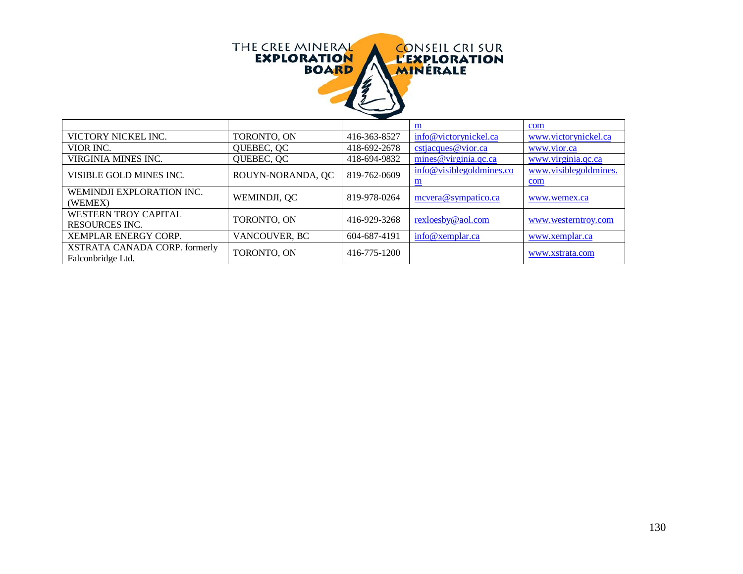

|                               |                   |              | m                        | com                   |
|-------------------------------|-------------------|--------------|--------------------------|-----------------------|
| VICTORY NICKEL INC.           | TORONTO, ON       | 416-363-8527 | info@victorynickel.ca    | www.victorynickel.ca  |
| VIOR INC.                     | QUEBEC, QC        | 418-692-2678 | cstjacques@vior.ca       | www.vior.ca           |
| VIRGINIA MINES INC.           | QUEBEC, QC        | 418-694-9832 | mines@virginia.qc.ca     | www.virginia.qc.ca    |
| VISIBLE GOLD MINES INC.       | ROUYN-NORANDA, QC | 819-762-0609 | info@visiblegoldmines.co | www.visiblegoldmines. |
|                               |                   |              | $\mathbf{m}$             | com                   |
| WEMINDJI EXPLORATION INC.     | WEMINDJI, QC      | 819-978-0264 | mcvera@sympatico.ca      | www.wemex.ca          |
| (WEMEX)                       |                   |              |                          |                       |
| WESTERN TROY CAPITAL          | TORONTO, ON       | 416-929-3268 | rexloesby@aol.com        | www.westerntroy.com   |
| <b>RESOURCES INC.</b>         |                   |              |                          |                       |
| XEMPLAR ENERGY CORP.          | VANCOUVER, BC     | 604-687-4191 | info@xemplar.ca          | www.xemplar.ca        |
| XSTRATA CANADA CORP. formerly | TORONTO, ON       | 416-775-1200 |                          |                       |
| Falconbridge Ltd.             |                   |              |                          | www.xstrata.com       |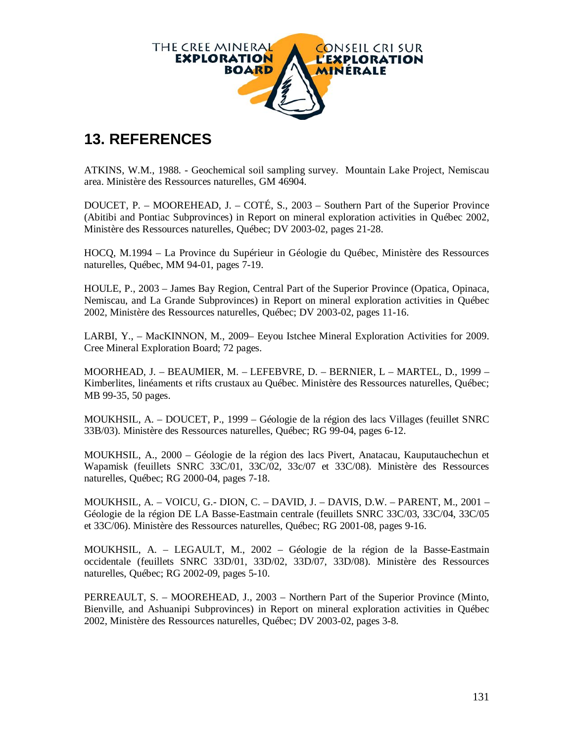

### **13. REFERENCES**

ATKINS, W.M., 1988. - Geochemical soil sampling survey. Mountain Lake Project, Nemiscau area. Ministère des Ressources naturelles, GM 46904.

DOUCET, P. – MOOREHEAD, J. – COTÉ, S., 2003 – Southern Part of the Superior Province (Abitibi and Pontiac Subprovinces) in Report on mineral exploration activities in Québec 2002, Ministère des Ressources naturelles, Québec; DV 2003-02, pages 21-28.

HOCQ, M.1994 – La Province du Supérieur in Géologie du Québec, Ministère des Ressources naturelles, Québec, MM 94-01, pages 7-19.

HOULE, P., 2003 – James Bay Region, Central Part of the Superior Province (Opatica, Opinaca, Nemiscau, and La Grande Subprovinces) in Report on mineral exploration activities in Québec 2002, Ministère des Ressources naturelles, Québec; DV 2003-02, pages 11-16.

LARBI, Y., – MacKINNON, M., 2009– Eeyou Istchee Mineral Exploration Activities for 2009. Cree Mineral Exploration Board; 72 pages.

MOORHEAD, J. – BEAUMIER, M. – LEFEBVRE, D. – BERNIER, L – MARTEL, D., 1999 – Kimberlites, linéaments et rifts crustaux au Québec. Ministère des Ressources naturelles, Québec; MB 99-35, 50 pages.

MOUKHSIL, A. – DOUCET, P., 1999 – Géologie de la région des lacs Villages (feuillet SNRC 33B/03). Ministère des Ressources naturelles, Québec; RG 99-04, pages 6-12.

MOUKHSIL, A., 2000 – Géologie de la région des lacs Pivert, Anatacau, Kauputauchechun et Wapamisk (feuillets SNRC 33C/01, 33C/02, 33c/07 et 33C/08). Ministère des Ressources naturelles, Québec; RG 2000-04, pages 7-18.

MOUKHSIL, A. – VOICU, G.- DION, C. – DAVID, J. – DAVIS, D.W. – PARENT, M., 2001 – Géologie de la région DE LA Basse-Eastmain centrale (feuillets SNRC 33C/03, 33C/04, 33C/05 et 33C/06). Ministère des Ressources naturelles, Québec; RG 2001-08, pages 9-16.

MOUKHSIL, A. – LEGAULT, M., 2002 – Géologie de la région de la Basse-Eastmain occidentale (feuillets SNRC 33D/01, 33D/02, 33D/07, 33D/08). Ministère des Ressources naturelles, Québec; RG 2002-09, pages 5-10.

PERREAULT, S. – MOOREHEAD, J., 2003 – Northern Part of the Superior Province (Minto, Bienville, and Ashuanipi Subprovinces) in Report on mineral exploration activities in Québec 2002, Ministère des Ressources naturelles, Québec; DV 2003-02, pages 3-8.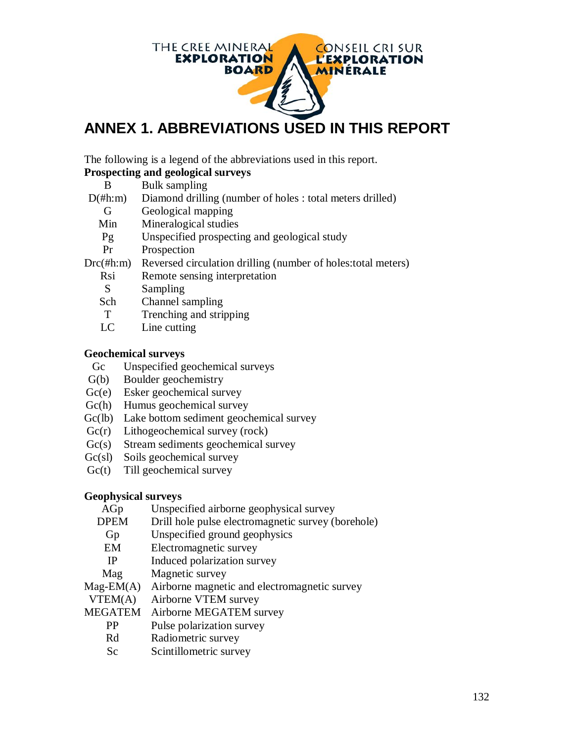

## **ANNEX 1. ABBREVIATIONS USED IN THIS REPORT**

The following is a legend of the abbreviations used in this report.

### **Prospecting and geological surveys**

| В |  | <b>Bulk sampling</b> |
|---|--|----------------------|

- D(#h:m) Diamond drilling (number of holes : total meters drilled)
	- G Geological mapping
	- Min Mineralogical studies
	- Pg Unspecified prospecting and geological study
	- Pr Prospection
- Drc(#h:m) Reversed circulation drilling (number of holes:total meters)
	- Rsi Remote sensing interpretation
	- S Sampling
	- Sch Channel sampling
	- T Trenching and stripping
	- LC Line cutting

### **Geochemical surveys**

- Gc Unspecified geochemical surveys
- G(b) Boulder geochemistry
- Gc(e) Esker geochemical survey
- Gc(h) Humus geochemical survey
- Gc(lb) Lake bottom sediment geochemical survey
- Gc(r) Lithogeochemical survey (rock)
- Gc(s) Stream sediments geochemical survey
- Gc(sl) Soils geochemical survey
- Gc(t) Till geochemical survey

### **Geophysical surveys**

- AGp Unspecified airborne geophysical survey
- DPEM Drill hole pulse electromagnetic survey (borehole)
- Gp Unspecified ground geophysics
- EM Electromagnetic survey
- IP Induced polarization survey
- Magnetic survey

Mag-EM(A) Airborne magnetic and electromagnetic survey

VTEM(A) Airborne VTEM survey

MEGATEM Airborne MEGATEM survey

- PP Pulse polarization survey
- Rd Radiometric survey
- Sc Scintillometric survey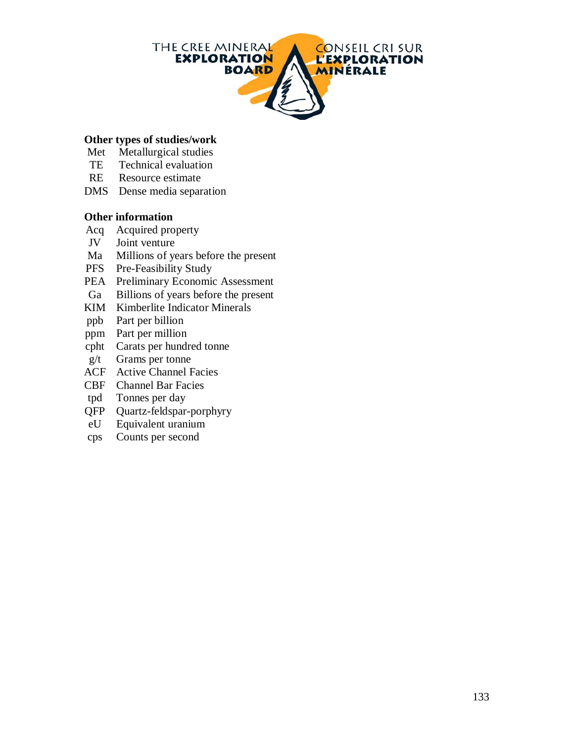

#### **Other types of studies/work**

- Met Metallurgical studies
- TE Technical evaluation
- RE Resource estimate
- DMS Dense media separation

#### **Other information**

- Acq Acquired property
- JV Joint venture
- Ma Millions of years before the present
- PFS Pre-Feasibility Study
- PEA Preliminary Economic Assessment<br>Ga Billions of vears before the present
- Billions of years before the present
- KIM Kimberlite Indicator Minerals
- ppb Part per billion
- ppm Part per million
- cpht Carats per hundred tonne
- g/t Grams per tonne
- ACF Active Channel Facies
- CBF Channel Bar Facies
- tpd Tonnes per day
- QFP Quartz-feldspar-porphyry
- eU Equivalent uranium
- cps Counts per second